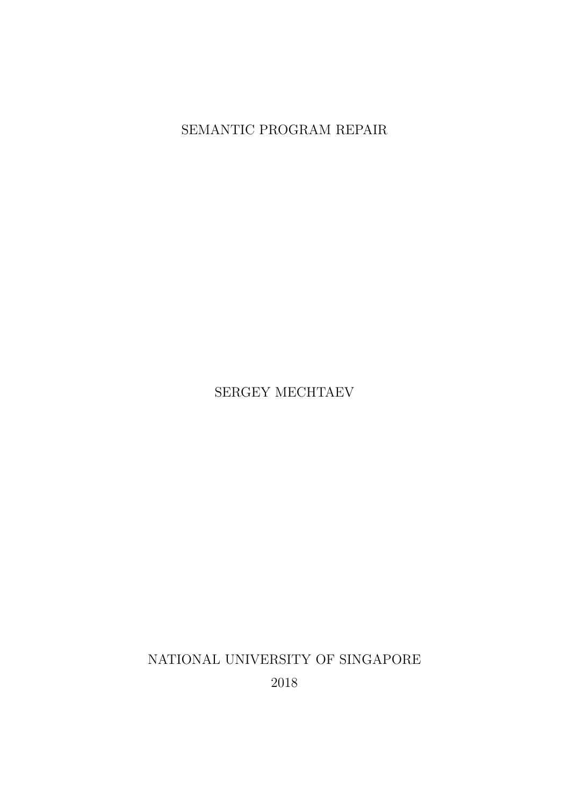SEMANTIC PROGRAM REPAIR

SERGEY MECHTAEV

NATIONAL UNIVERSITY OF SINGAPORE

2018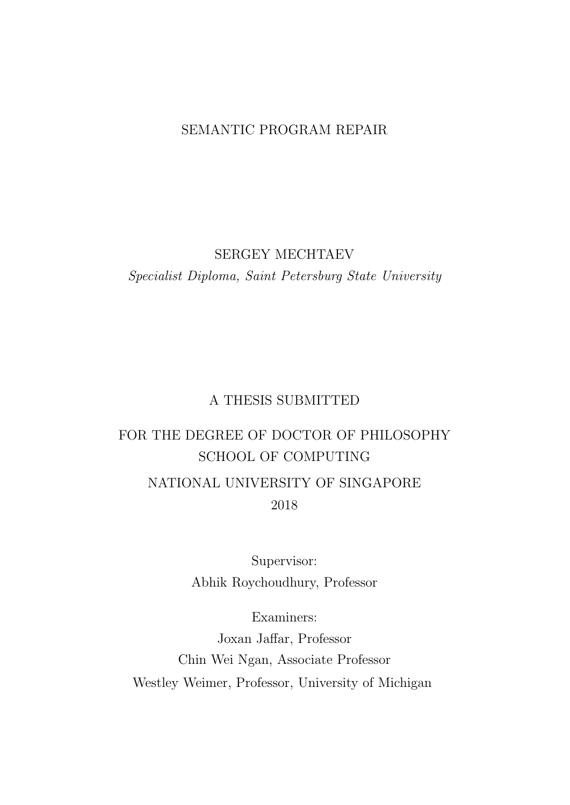#### SEMANTIC PROGRAM REPAIR

#### SERGEY MECHTAEV

Specialist Diploma, Saint Petersburg State University

#### A THESIS SUBMITTED

### FOR THE DEGREE OF DOCTOR OF PHILOSOPHY SCHOOL OF COMPUTING NATIONAL UNIVERSITY OF SINGAPORE 2018

Supervisor: Abhik Roychoudhury, Professor

Examiners:

Joxan Jaffar, Professor Chin Wei Ngan, Associate Professor Westley Weimer, Professor, University of Michigan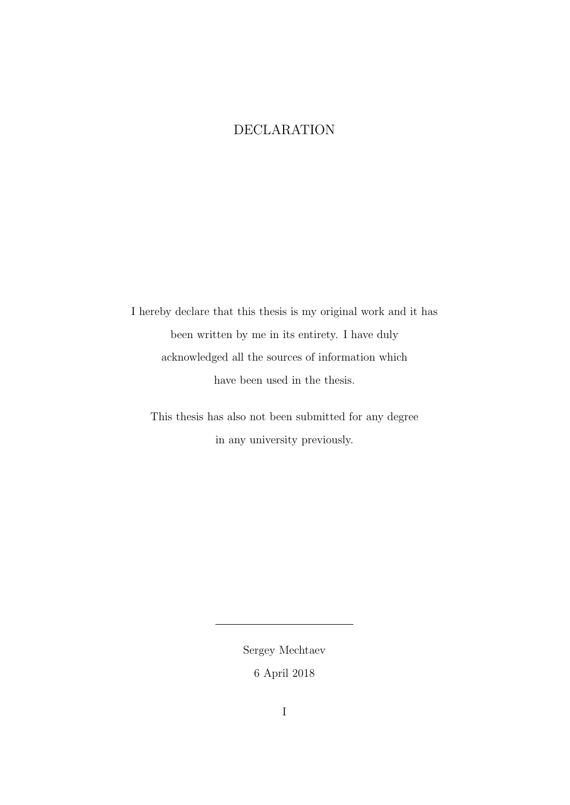### DECLARATION

I hereby declare that this thesis is my original work and it has been written by me in its entirety. I have duly acknowledged all the sources of information which have been used in the thesis.

This thesis has also not been submitted for any degree in any university previously.

> Sergey Mechtaev 6 April 2018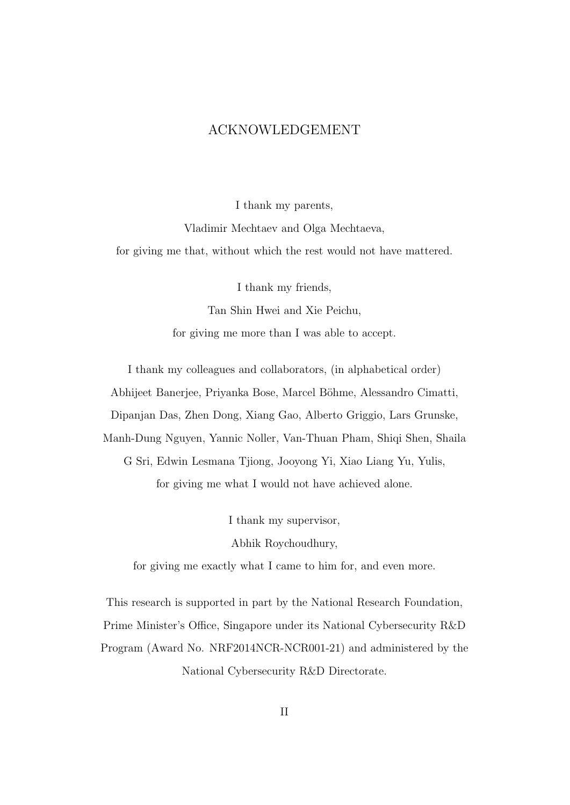#### ACKNOWLEDGEMENT

I thank my parents, Vladimir Mechtaev and Olga Mechtaeva, for giving me that, without which the rest would not have mattered.

I thank my friends,

Tan Shin Hwei and Xie Peichu, for giving me more than I was able to accept.

I thank my colleagues and collaborators, (in alphabetical order) Abhijeet Banerjee, Priyanka Bose, Marcel Böhme, Alessandro Cimatti, Dipanjan Das, Zhen Dong, Xiang Gao, Alberto Griggio, Lars Grunske, Manh-Dung Nguyen, Yannic Noller, Van-Thuan Pham, Shiqi Shen, Shaila G Sri, Edwin Lesmana Tjiong, Jooyong Yi, Xiao Liang Yu, Yulis, for giving me what I would not have achieved alone.

> I thank my supervisor, Abhik Roychoudhury,

for giving me exactly what I came to him for, and even more.

This research is supported in part by the National Research Foundation, Prime Minister's Office, Singapore under its National Cybersecurity R&D Program (Award No. NRF2014NCR-NCR001-21) and administered by the National Cybersecurity R&D Directorate.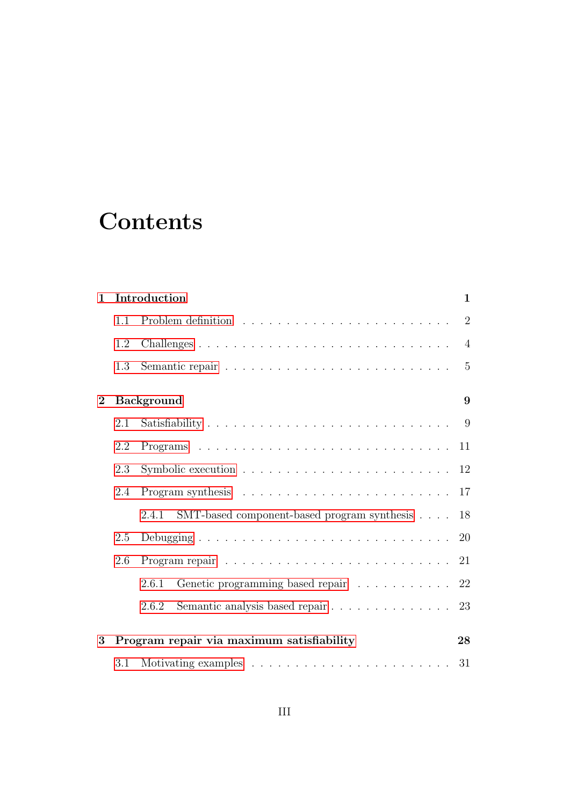# **Contents**

| $\mathbf{1}$ |                   | Introduction<br>$\mathbf{1}$                                                    |                |  |  |
|--------------|-------------------|---------------------------------------------------------------------------------|----------------|--|--|
|              | 1.1               |                                                                                 | $\overline{2}$ |  |  |
|              | 1.2               |                                                                                 | $\overline{4}$ |  |  |
|              | 1.3               |                                                                                 | $\overline{5}$ |  |  |
| $\mathbf{2}$ | <b>Background</b> |                                                                                 |                |  |  |
|              | 2.1               |                                                                                 |                |  |  |
|              | 2.2               |                                                                                 | 11             |  |  |
|              | 2.3               | Symbolic execution $\ldots \ldots \ldots \ldots \ldots \ldots \ldots \ldots 12$ |                |  |  |
|              | 2.4               |                                                                                 | 17             |  |  |
|              |                   | SMT-based component-based program synthesis<br>2.4.1                            | 18             |  |  |
|              | 2.5               |                                                                                 | <b>20</b>      |  |  |
|              | 2.6               |                                                                                 |                |  |  |
|              |                   | Genetic programming based repair<br>2.6.1                                       | 22             |  |  |
|              |                   | Semantic analysis based repair 23<br>2.6.2                                      |                |  |  |
| 3            |                   | Program repair via maximum satisfiability                                       | 28             |  |  |
|              | 3.1               |                                                                                 |                |  |  |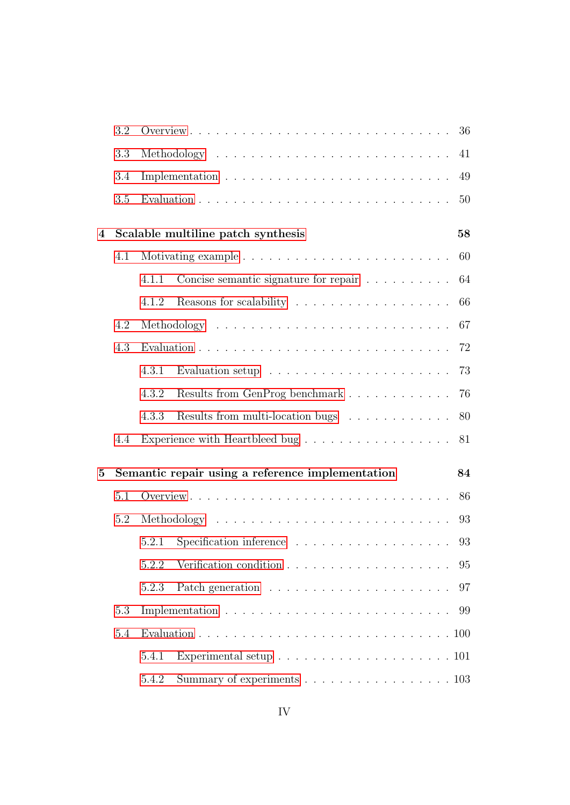|   | 3.2 |       |                                                                           | 36 |
|---|-----|-------|---------------------------------------------------------------------------|----|
|   | 3.3 |       |                                                                           | 41 |
|   | 3.4 |       |                                                                           | 49 |
|   | 3.5 |       |                                                                           | 50 |
| 4 |     |       | Scalable multiline patch synthesis                                        | 58 |
|   | 4.1 |       |                                                                           | 60 |
|   |     | 4.1.1 | Concise semantic signature for repair                                     | 64 |
|   |     | 4.1.2 |                                                                           | 66 |
|   | 4.2 |       |                                                                           | 67 |
|   | 4.3 |       |                                                                           | 72 |
|   |     | 4.3.1 | Evaluation setup $\dots \dots \dots \dots \dots \dots \dots$              | 73 |
|   |     | 4.3.2 | Results from GenProg benchmark                                            | 76 |
|   |     | 4.3.3 | Results from multi-location bugs                                          | 80 |
|   | 4.4 |       | Experience with Heartbleed bug $\ldots \ldots \ldots \ldots \ldots$       | 81 |
| 5 |     |       | Semantic repair using a reference implementation                          | 84 |
|   | 5.1 |       |                                                                           | 86 |
|   | 5.2 |       |                                                                           | 93 |
|   |     | 5.2.1 |                                                                           | 93 |
|   |     | 5.2.2 |                                                                           | 95 |
|   |     | 5.2.3 |                                                                           | 97 |
|   | 5.3 |       |                                                                           | 99 |
|   | 5.4 |       |                                                                           |    |
|   |     | 5.4.1 | Experimental setup $\ldots \ldots \ldots \ldots \ldots \ldots \ldots 101$ |    |
|   |     | 5.4.2 | Summary of experiments 103                                                |    |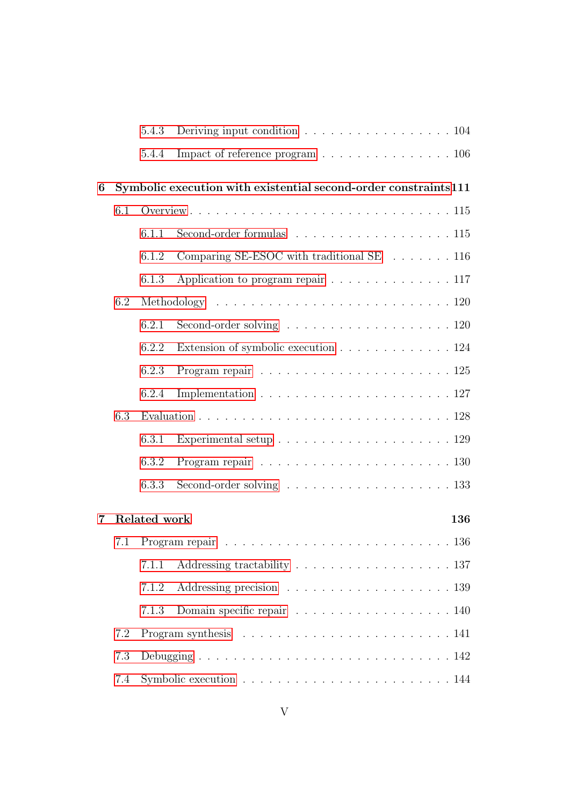|     |     | 5.4.3        | Deriving input condition $\ldots \ldots \ldots \ldots \ldots \ldots 104$        |
|-----|-----|--------------|---------------------------------------------------------------------------------|
|     |     | 5.4.4        | Impact of reference program $\ldots \ldots \ldots \ldots \ldots \ldots 106$     |
| 6   |     |              | Symbolic execution with existential second-order constraints111                 |
|     | 6.1 |              |                                                                                 |
|     |     | 6.1.1        | Second-order formulas $\ldots \ldots \ldots \ldots \ldots \ldots 115$           |
|     |     | 6.1.2        | Comparing SE-ESOC with traditional SE 116                                       |
|     |     | 6.1.3        | Application to program repair 117                                               |
|     | 6.2 |              |                                                                                 |
|     |     | 6.2.1        |                                                                                 |
|     |     | 6.2.2        | Extension of symbolic execution 124                                             |
|     |     | 6.2.3        | Program repair $\ldots \ldots \ldots \ldots \ldots \ldots \ldots \ldots 125$    |
|     |     | 6.2.4        | Implementation $\ldots \ldots \ldots \ldots \ldots \ldots \ldots \ldots 127$    |
|     | 6.3 |              |                                                                                 |
|     |     | 6.3.1        | Experimental setup $\ldots \ldots \ldots \ldots \ldots \ldots \ldots 129$       |
|     |     | 6.3.2        |                                                                                 |
|     |     | 6.3.3        |                                                                                 |
| 7   |     | Related work | 136                                                                             |
| 7.1 |     |              |                                                                                 |
|     |     | 7.1.1        | Addressing tractability $\ldots \ldots \ldots \ldots \ldots \ldots 137$         |
|     |     | 7.1.2        |                                                                                 |
|     |     | 7.1.3        | Domain specific repair 140                                                      |
|     | 7.2 |              | Program synthesis $\ldots \ldots \ldots \ldots \ldots \ldots \ldots \ldots 141$ |
|     | 7.3 |              |                                                                                 |
|     | 7.4 |              |                                                                                 |
|     |     |              |                                                                                 |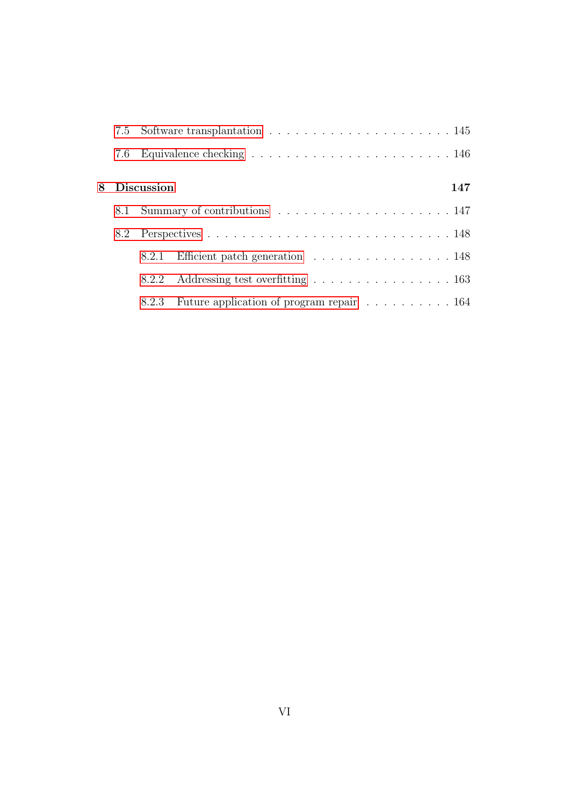|     | 8 Discussion |                                          | 147 |
|-----|--------------|------------------------------------------|-----|
|     |              |                                          |     |
| 8.2 |              |                                          |     |
|     |              | 8.2.1 Efficient patch generation 148     |     |
|     |              | 8.2.2 Addressing test overfitting 163    |     |
|     | 8.2.3        | Future application of program repair 164 |     |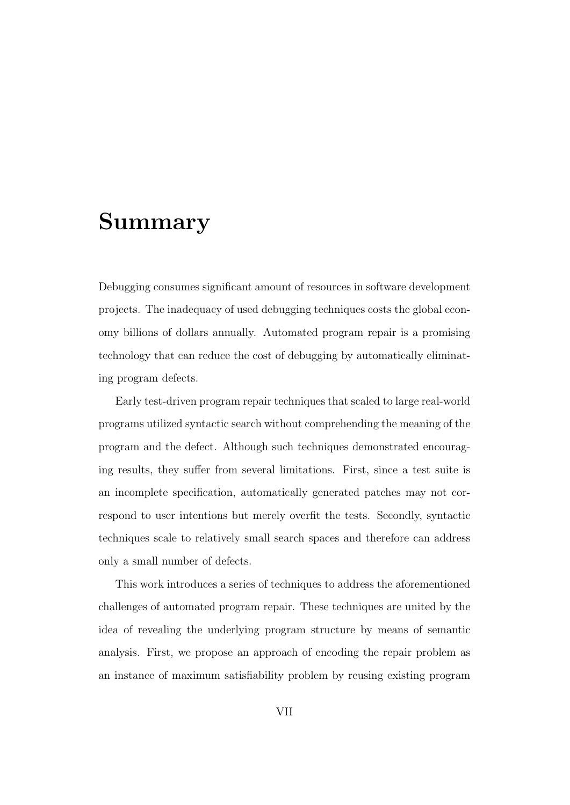## Summary

Debugging consumes significant amount of resources in software development projects. The inadequacy of used debugging techniques costs the global economy billions of dollars annually. Automated program repair is a promising technology that can reduce the cost of debugging by automatically eliminating program defects.

Early test-driven program repair techniques that scaled to large real-world programs utilized syntactic search without comprehending the meaning of the program and the defect. Although such techniques demonstrated encouraging results, they suffer from several limitations. First, since a test suite is an incomplete specification, automatically generated patches may not correspond to user intentions but merely overfit the tests. Secondly, syntactic techniques scale to relatively small search spaces and therefore can address only a small number of defects.

This work introduces a series of techniques to address the aforementioned challenges of automated program repair. These techniques are united by the idea of revealing the underlying program structure by means of semantic analysis. First, we propose an approach of encoding the repair problem as an instance of maximum satisfiability problem by reusing existing program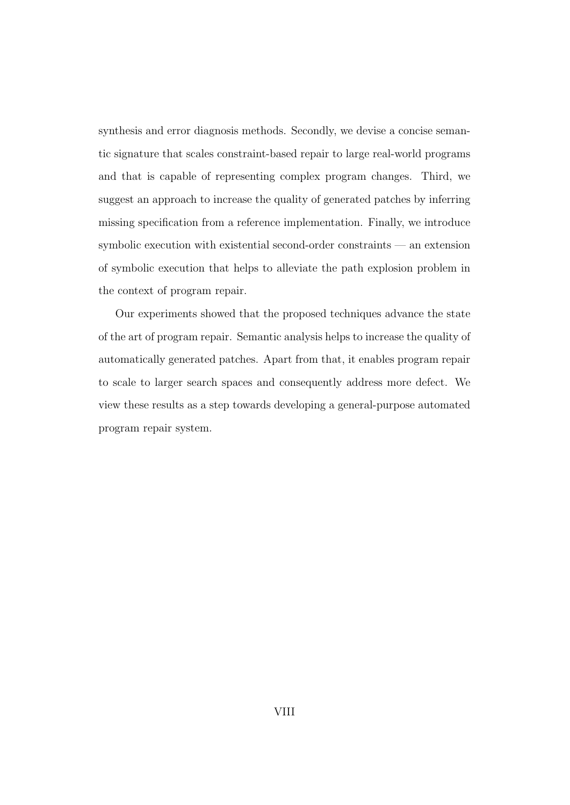synthesis and error diagnosis methods. Secondly, we devise a concise semantic signature that scales constraint-based repair to large real-world programs and that is capable of representing complex program changes. Third, we suggest an approach to increase the quality of generated patches by inferring missing specification from a reference implementation. Finally, we introduce symbolic execution with existential second-order constraints — an extension of symbolic execution that helps to alleviate the path explosion problem in the context of program repair.

Our experiments showed that the proposed techniques advance the state of the art of program repair. Semantic analysis helps to increase the quality of automatically generated patches. Apart from that, it enables program repair to scale to larger search spaces and consequently address more defect. We view these results as a step towards developing a general-purpose automated program repair system.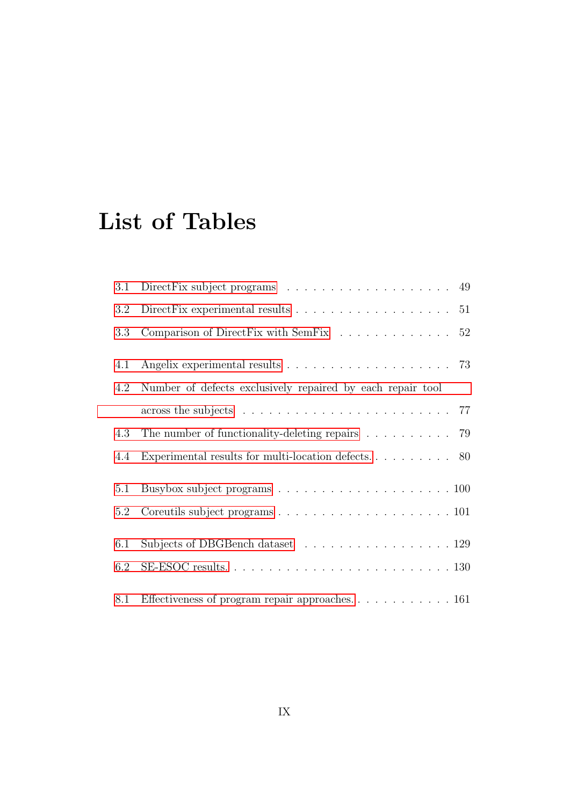# List of Tables

| 3.1 | Direct Fix subject programs $\ldots \ldots \ldots \ldots \ldots \ldots$ 49                     |
|-----|------------------------------------------------------------------------------------------------|
| 3.2 | Direct Fix experimental results $\ldots \ldots \ldots \ldots \ldots \ldots 51$                 |
| 3.3 | Comparison of Direct Fix with Sem Fix $\ldots \ldots \ldots \ldots 52$                         |
| 4.1 |                                                                                                |
| 4.2 | Number of defects exclusively repaired by each repair tool                                     |
|     | across the subjects $\ldots \ldots \ldots \ldots \ldots \ldots \ldots \ldots \ldots \ldots$ 77 |
| 4.3 | The number of functionality-deleting repairs $\ldots \ldots \ldots$ 79                         |
| 4.4 |                                                                                                |
| 5.1 |                                                                                                |
| 5.2 |                                                                                                |
| 6.1 | Subjects of DBGBench dataset 129                                                               |
| 6.2 |                                                                                                |
| 8.1 | Effectiveness of program repair approaches. 161                                                |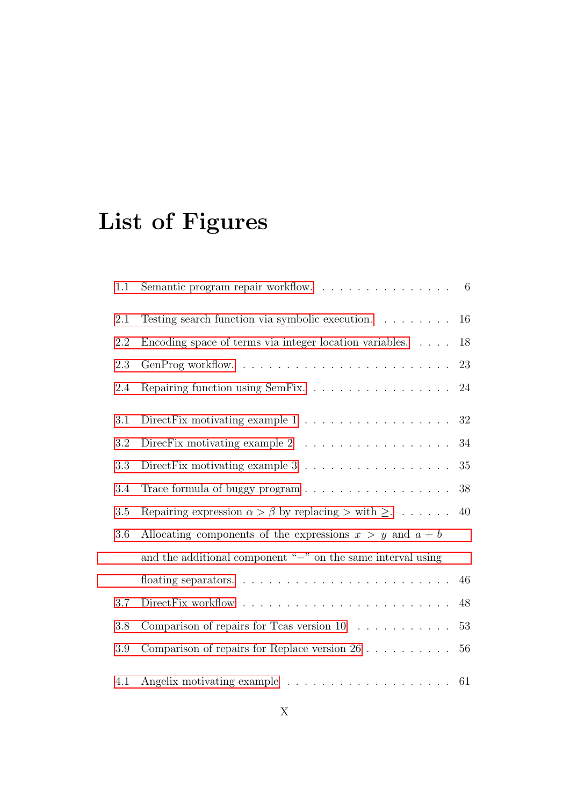# List of Figures

| 1.1     | Semantic program repair workflow. $\ldots \ldots \ldots \ldots \ldots \ldots$ 6                          |    |
|---------|----------------------------------------------------------------------------------------------------------|----|
| 2.1     | Testing search function via symbolic execution.                                                          | 16 |
| 2.2     | Encoding space of terms via integer location variables.                                                  | 18 |
| 2.3     |                                                                                                          | 23 |
| 2.4     | Repairing function using SemFix.                                                                         | 24 |
| 3.1     | Direct Fix motivating example $1 \ldots \ldots \ldots \ldots \ldots$                                     | 32 |
| 3.2     | DirecFix motivating example $2$<br>$\phantom{.} \ldots \ldots \ldots \ldots \ldots \ldots \ldots \ldots$ | 34 |
| $3.3\,$ | Direct Fix motivating example $3 \ldots \ldots \ldots \ldots \ldots$                                     | 35 |
| 3.4     |                                                                                                          | 38 |
| 3.5     | Repairing expression $\alpha > \beta$ by replacing $>$ with $\geq$                                       | 40 |
| 3.6     | Allocating components of the expressions $x > y$ and $a + b$                                             |    |
|         | and the additional component " $-$ " on the same interval using                                          |    |
|         |                                                                                                          | 46 |
| 3.7     |                                                                                                          | 48 |
| 3.8     | Comparison of repairs for Tcas version $10 \ldots \ldots \ldots$                                         | 53 |
| 3.9     | Comparison of repairs for Replace version $26 \ldots \ldots \ldots$                                      | 56 |
| 4.1     | Angelix motivating example $\ldots \ldots \ldots \ldots \ldots \ldots \ldots 61$                         |    |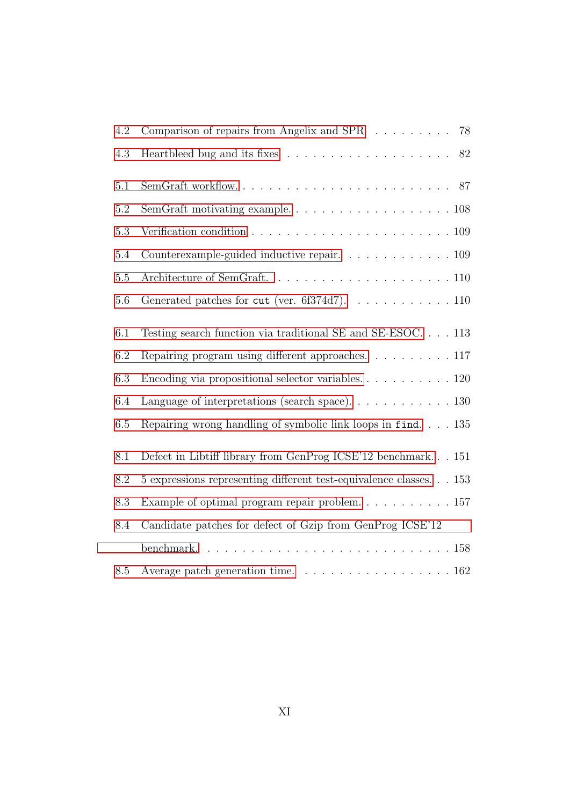| 4.2     | Comparison of repairs from Angelix and SPR 78                                               |
|---------|---------------------------------------------------------------------------------------------|
| 4.3     | 82                                                                                          |
| 5.1     |                                                                                             |
| $5.2\,$ |                                                                                             |
| 5.3     | Verification condition $\ldots \ldots \ldots \ldots \ldots \ldots \ldots \ldots \ldots 109$ |
| 5.4     | Counterexample-guided inductive repair. 109                                                 |
| 5.5     |                                                                                             |
| 5.6     | Generated patches for cut (ver. 6f374d7). 110                                               |
| 6.1     | Testing search function via traditional SE and SE-ESOC 113                                  |
| 6.2     | Repairing program using different approaches117                                             |
| 6.3     | Encoding via propositional selector variables. $\ldots$ 120                                 |
| 6.4     | Language of interpretations (search space). 130                                             |
| 6.5     | Repairing wrong handling of symbolic link loops in find 135                                 |
| 8.1     | Defect in Libtiff library from GenProg ICSE'12 benchmark 151                                |
| 8.2     | 5 expressions representing different test-equivalence classes. 153                          |
| 8.3     | Example of optimal program repair problem. $\ldots \ldots \ldots \ldots 157$                |
| 8.4     | Candidate patches for defect of Gzip from GenProg ICSE'12                                   |
|         |                                                                                             |
| 8.5     | Average patch generation time. 162                                                          |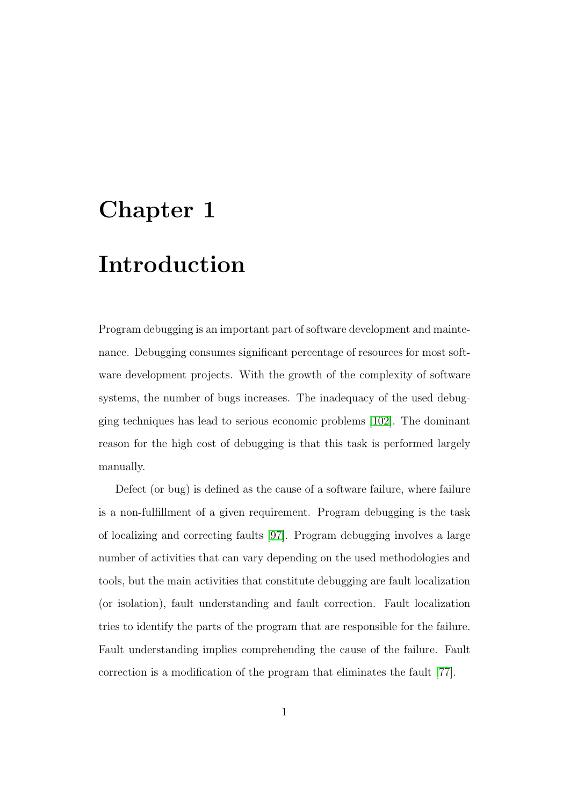# <span id="page-13-0"></span>Chapter 1

## Introduction

Program debugging is an important part of software development and maintenance. Debugging consumes significant percentage of resources for most software development projects. With the growth of the complexity of software systems, the number of bugs increases. The inadequacy of the used debugging techniques has lead to serious economic problems [\[102\]](#page-192-0). The dominant reason for the high cost of debugging is that this task is performed largely manually.

Defect (or bug) is defined as the cause of a software failure, where failure is a non-fulfillment of a given requirement. Program debugging is the task of localizing and correcting faults [\[97\]](#page-192-1). Program debugging involves a large number of activities that can vary depending on the used methodologies and tools, but the main activities that constitute debugging are fault localization (or isolation), fault understanding and fault correction. Fault localization tries to identify the parts of the program that are responsible for the failure. Fault understanding implies comprehending the cause of the failure. Fault correction is a modification of the program that eliminates the fault [\[77\]](#page-188-0).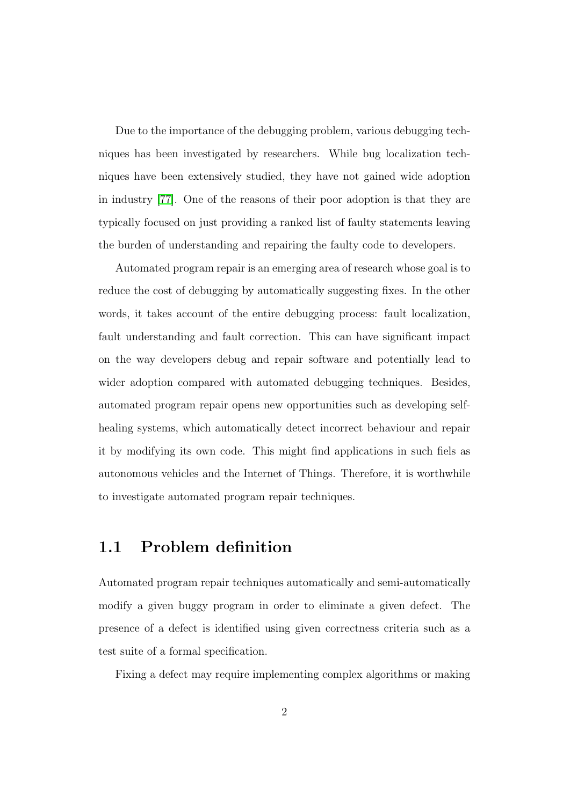Due to the importance of the debugging problem, various debugging techniques has been investigated by researchers. While bug localization techniques have been extensively studied, they have not gained wide adoption in industry [\[77\]](#page-188-0). One of the reasons of their poor adoption is that they are typically focused on just providing a ranked list of faulty statements leaving the burden of understanding and repairing the faulty code to developers.

Automated program repair is an emerging area of research whose goal is to reduce the cost of debugging by automatically suggesting fixes. In the other words, it takes account of the entire debugging process: fault localization, fault understanding and fault correction. This can have significant impact on the way developers debug and repair software and potentially lead to wider adoption compared with automated debugging techniques. Besides, automated program repair opens new opportunities such as developing selfhealing systems, which automatically detect incorrect behaviour and repair it by modifying its own code. This might find applications in such fiels as autonomous vehicles and the Internet of Things. Therefore, it is worthwhile to investigate automated program repair techniques.

### <span id="page-14-0"></span>1.1 Problem definition

Automated program repair techniques automatically and semi-automatically modify a given buggy program in order to eliminate a given defect. The presence of a defect is identified using given correctness criteria such as a test suite of a formal specification.

Fixing a defect may require implementing complex algorithms or making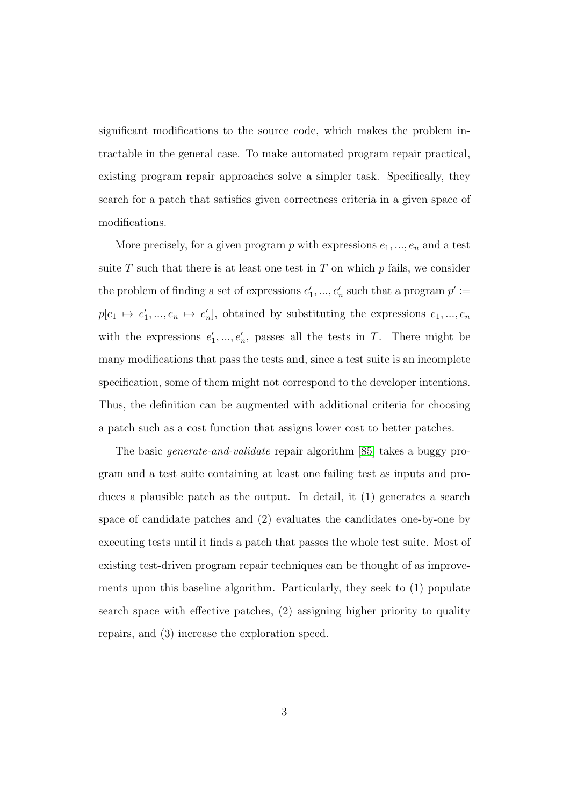significant modifications to the source code, which makes the problem intractable in the general case. To make automated program repair practical, existing program repair approaches solve a simpler task. Specifically, they search for a patch that satisfies given correctness criteria in a given space of modifications.

More precisely, for a given program  $p$  with expressions  $e_1, ..., e_n$  and a test suite  $T$  such that there is at least one test in  $T$  on which  $p$  fails, we consider the problem of finding a set of expressions  $e'_1, ..., e'_n$  such that a program  $p' :=$  $p[e_1 \mapsto e'_1, ..., e_n \mapsto e'_n]$ , obtained by substituting the expressions  $e_1, ..., e_n$ with the expressions  $e'_1, ..., e'_n$ , passes all the tests in T. There might be many modifications that pass the tests and, since a test suite is an incomplete specification, some of them might not correspond to the developer intentions. Thus, the definition can be augmented with additional criteria for choosing a patch such as a cost function that assigns lower cost to better patches.

The basic generate-and-validate repair algorithm [\[85\]](#page-190-0) takes a buggy program and a test suite containing at least one failing test as inputs and produces a plausible patch as the output. In detail, it (1) generates a search space of candidate patches and (2) evaluates the candidates one-by-one by executing tests until it finds a patch that passes the whole test suite. Most of existing test-driven program repair techniques can be thought of as improvements upon this baseline algorithm. Particularly, they seek to (1) populate search space with effective patches, (2) assigning higher priority to quality repairs, and (3) increase the exploration speed.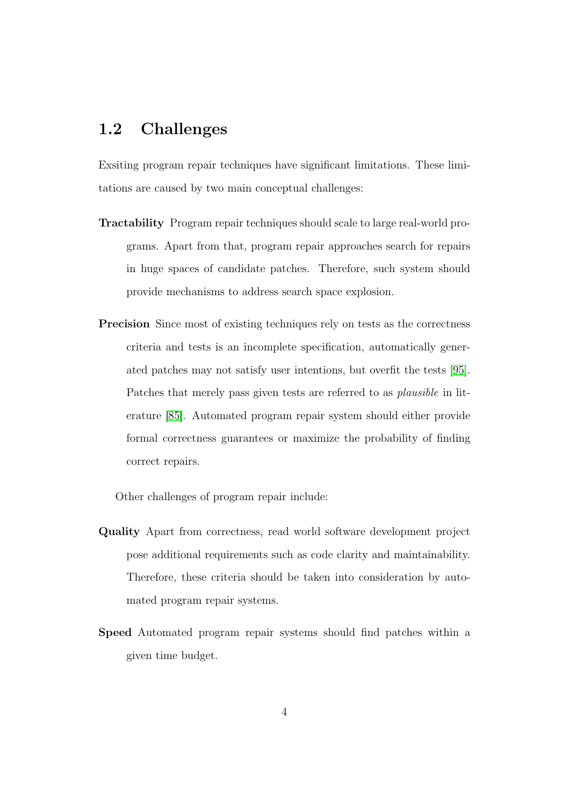### <span id="page-16-0"></span>1.2 Challenges

Exsiting program repair techniques have significant limitations. These limitations are caused by two main conceptual challenges:

- Tractability Program repair techniques should scale to large real-world programs. Apart from that, program repair approaches search for repairs in huge spaces of candidate patches. Therefore, such system should provide mechanisms to address search space explosion.
- Precision Since most of existing techniques rely on tests as the correctness criteria and tests is an incomplete specification, automatically generated patches may not satisfy user intentions, but overfit the tests [\[95\]](#page-191-0). Patches that merely pass given tests are referred to as plausible in literature [\[85\]](#page-190-0). Automated program repair system should either provide formal correctness guarantees or maximize the probability of finding correct repairs.

Other challenges of program repair include:

- Quality Apart from correctness, read world software development project pose additional requirements such as code clarity and maintainability. Therefore, these criteria should be taken into consideration by automated program repair systems.
- Speed Automated program repair systems should find patches within a given time budget.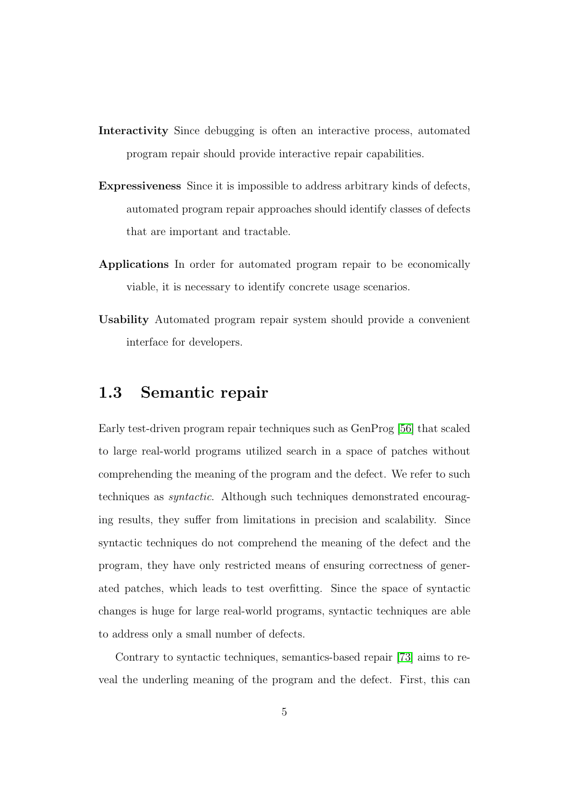- Interactivity Since debugging is often an interactive process, automated program repair should provide interactive repair capabilities.
- Expressiveness Since it is impossible to address arbitrary kinds of defects, automated program repair approaches should identify classes of defects that are important and tractable.
- Applications In order for automated program repair to be economically viable, it is necessary to identify concrete usage scenarios.
- Usability Automated program repair system should provide a convenient interface for developers.

#### <span id="page-17-0"></span>1.3 Semantic repair

Early test-driven program repair techniques such as GenProg [\[56\]](#page-185-0) that scaled to large real-world programs utilized search in a space of patches without comprehending the meaning of the program and the defect. We refer to such techniques as syntactic. Although such techniques demonstrated encouraging results, they suffer from limitations in precision and scalability. Since syntactic techniques do not comprehend the meaning of the defect and the program, they have only restricted means of ensuring correctness of generated patches, which leads to test overfitting. Since the space of syntactic changes is huge for large real-world programs, syntactic techniques are able to address only a small number of defects.

Contrary to syntactic techniques, semantics-based repair [\[73\]](#page-188-1) aims to reveal the underling meaning of the program and the defect. First, this can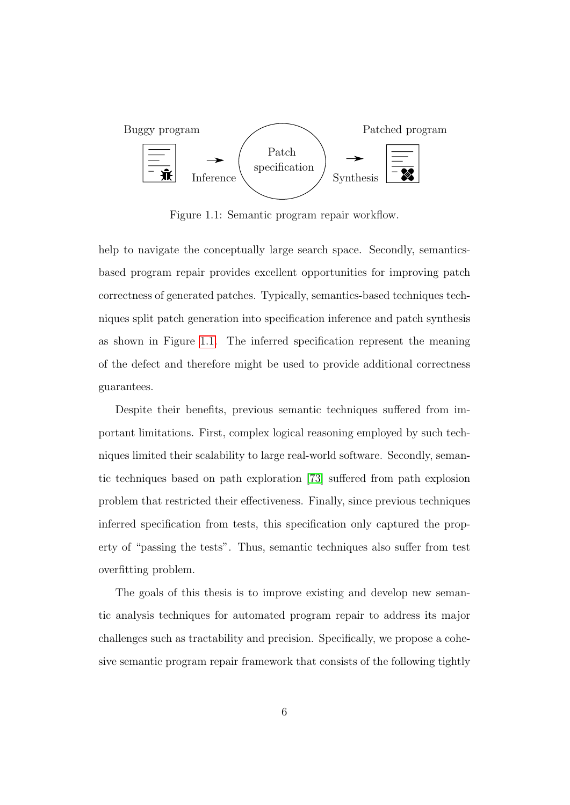<span id="page-18-0"></span>

Figure 1.1: Semantic program repair workflow.

help to navigate the conceptually large search space. Secondly, semanticsbased program repair provides excellent opportunities for improving patch correctness of generated patches. Typically, semantics-based techniques techniques split patch generation into specification inference and patch synthesis as shown in Figure [1.1.](#page-18-0) The inferred specification represent the meaning of the defect and therefore might be used to provide additional correctness guarantees.

Despite their benefits, previous semantic techniques suffered from important limitations. First, complex logical reasoning employed by such techniques limited their scalability to large real-world software. Secondly, semantic techniques based on path exploration [\[73\]](#page-188-1) suffered from path explosion problem that restricted their effectiveness. Finally, since previous techniques inferred specification from tests, this specification only captured the property of "passing the tests". Thus, semantic techniques also suffer from test overfitting problem.

The goals of this thesis is to improve existing and develop new semantic analysis techniques for automated program repair to address its major challenges such as tractability and precision. Specifically, we propose a cohesive semantic program repair framework that consists of the following tightly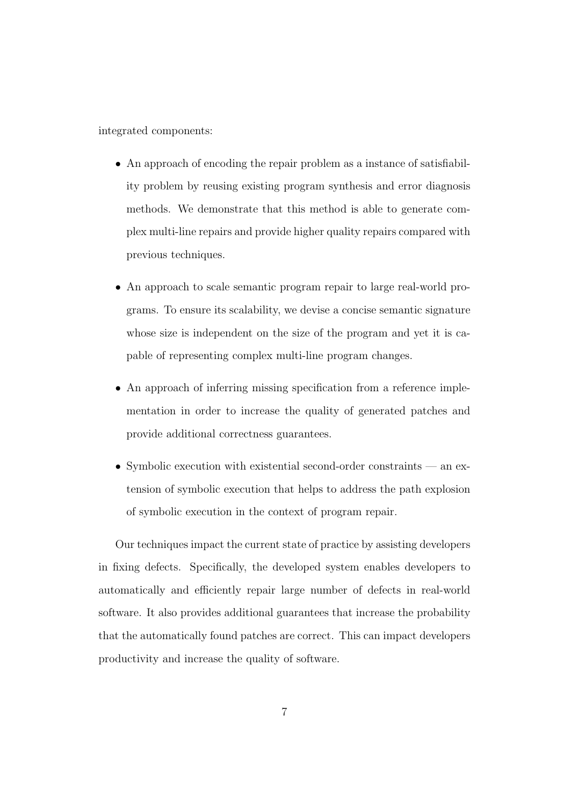integrated components:

- An approach of encoding the repair problem as a instance of satisfiability problem by reusing existing program synthesis and error diagnosis methods. We demonstrate that this method is able to generate complex multi-line repairs and provide higher quality repairs compared with previous techniques.
- An approach to scale semantic program repair to large real-world programs. To ensure its scalability, we devise a concise semantic signature whose size is independent on the size of the program and yet it is capable of representing complex multi-line program changes.
- An approach of inferring missing specification from a reference implementation in order to increase the quality of generated patches and provide additional correctness guarantees.
- Symbolic execution with existential second-order constraints an extension of symbolic execution that helps to address the path explosion of symbolic execution in the context of program repair.

Our techniques impact the current state of practice by assisting developers in fixing defects. Specifically, the developed system enables developers to automatically and efficiently repair large number of defects in real-world software. It also provides additional guarantees that increase the probability that the automatically found patches are correct. This can impact developers productivity and increase the quality of software.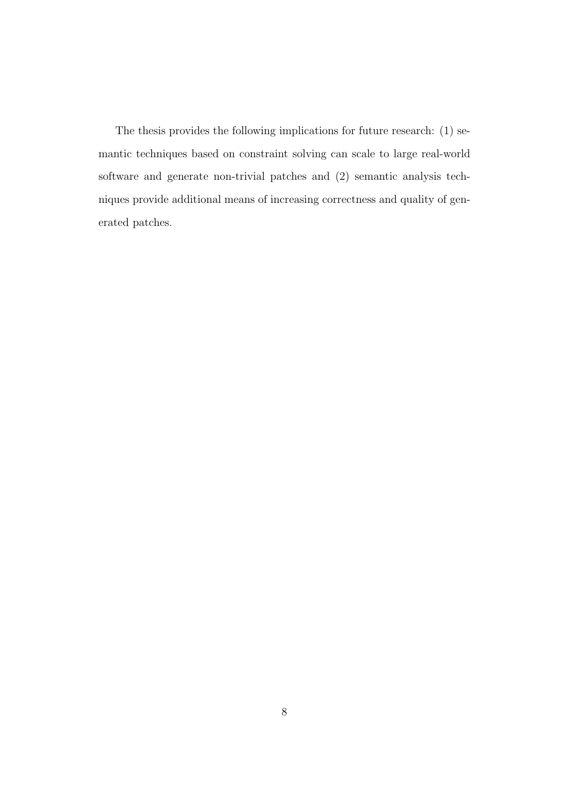The thesis provides the following implications for future research: (1) semantic techniques based on constraint solving can scale to large real-world software and generate non-trivial patches and (2) semantic analysis techniques provide additional means of increasing correctness and quality of generated patches.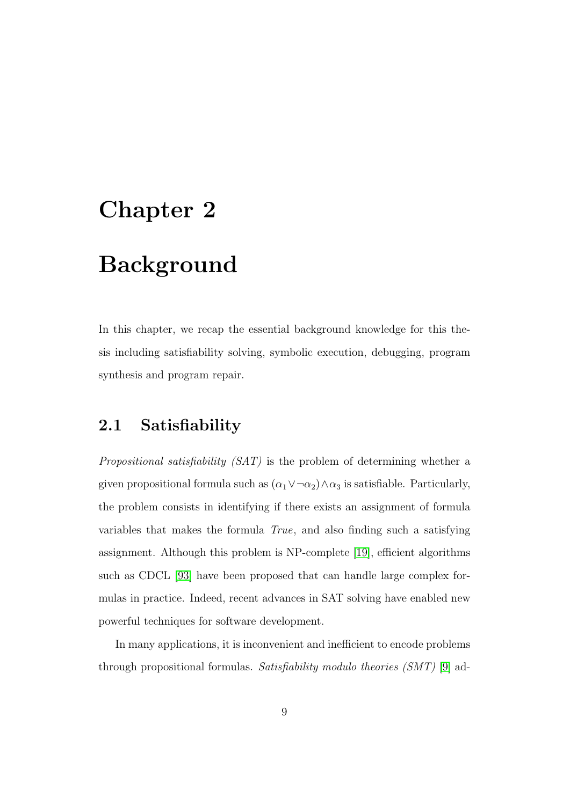# <span id="page-21-0"></span>Chapter 2

## Background

In this chapter, we recap the essential background knowledge for this thesis including satisfiability solving, symbolic execution, debugging, program synthesis and program repair.

### <span id="page-21-1"></span>2.1 Satisfiability

Propositional satisfiability (SAT) is the problem of determining whether a given propositional formula such as  $(\alpha_1 \vee \neg \alpha_2) \wedge \alpha_3$  is satisfiable. Particularly, the problem consists in identifying if there exists an assignment of formula variables that makes the formula True, and also finding such a satisfying assignment. Although this problem is NP-complete [\[19\]](#page-180-0), efficient algorithms such as CDCL [\[93\]](#page-191-1) have been proposed that can handle large complex formulas in practice. Indeed, recent advances in SAT solving have enabled new powerful techniques for software development.

In many applications, it is inconvenient and inefficient to encode problems through propositional formulas. Satisfiability modulo theories  $(SMT)$  [\[9\]](#page-178-0) ad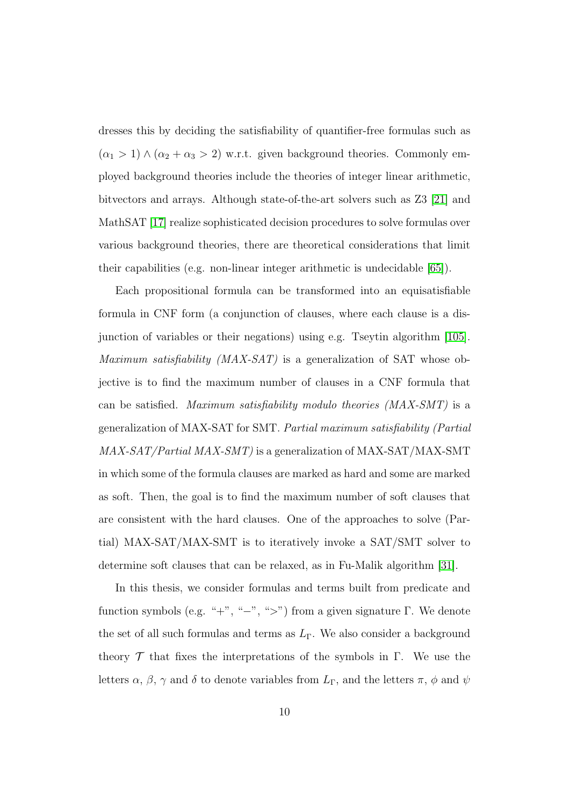dresses this by deciding the satisfiability of quantifier-free formulas such as  $(\alpha_1 > 1) \wedge (\alpha_2 + \alpha_3 > 2)$  w.r.t. given background theories. Commonly employed background theories include the theories of integer linear arithmetic, bitvectors and arrays. Although state-of-the-art solvers such as Z3 [\[21\]](#page-180-1) and MathSAT [\[17\]](#page-179-0) realize sophisticated decision procedures to solve formulas over various background theories, there are theoretical considerations that limit their capabilities (e.g. non-linear integer arithmetic is undecidable [\[65\]](#page-187-0)).

Each propositional formula can be transformed into an equisatisfiable formula in CNF form (a conjunction of clauses, where each clause is a disjunction of variables or their negations) using e.g. Tseytin algorithm [\[105\]](#page-193-0). Maximum satisfiability (MAX-SAT) is a generalization of SAT whose objective is to find the maximum number of clauses in a CNF formula that can be satisfied. Maximum satisfiability modulo theories (MAX-SMT) is a generalization of MAX-SAT for SMT. Partial maximum satisfiability (Partial MAX-SAT/Partial MAX-SMT) is a generalization of MAX-SAT/MAX-SMT in which some of the formula clauses are marked as hard and some are marked as soft. Then, the goal is to find the maximum number of soft clauses that are consistent with the hard clauses. One of the approaches to solve (Partial) MAX-SAT/MAX-SMT is to iteratively invoke a SAT/SMT solver to determine soft clauses that can be relaxed, as in Fu-Malik algorithm [\[31\]](#page-182-0).

In this thesis, we consider formulas and terms built from predicate and function symbols (e.g. "+", "-", ">") from a given signature Γ. We denote the set of all such formulas and terms as  $L_{\Gamma}$ . We also consider a background theory  $\mathcal T$  that fixes the interpretations of the symbols in Γ. We use the letters  $\alpha$ ,  $\beta$ ,  $\gamma$  and  $\delta$  to denote variables from  $L_{\Gamma}$ , and the letters  $\pi$ ,  $\phi$  and  $\psi$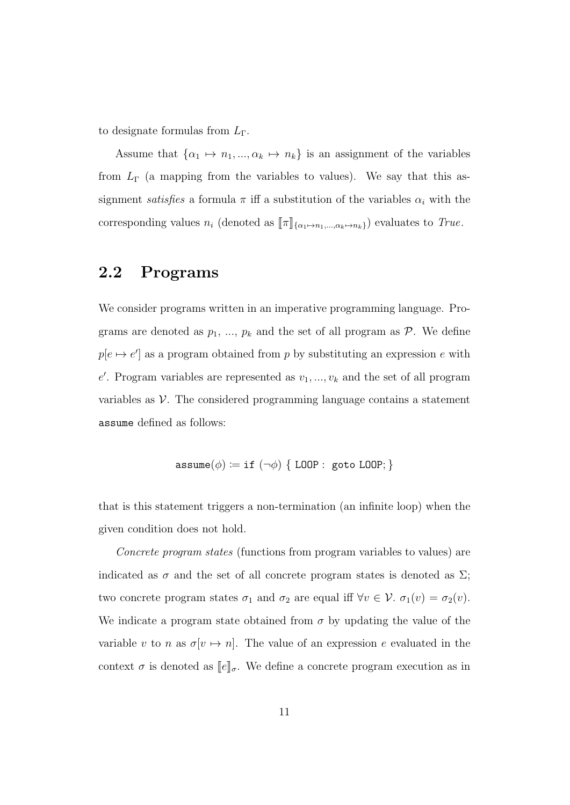to designate formulas from  $L_{\Gamma}$ .

Assume that  $\{\alpha_1 \mapsto n_1, ..., \alpha_k \mapsto n_k\}$  is an assignment of the variables from  $L_{\Gamma}$  (a mapping from the variables to values). We say that this assignment *satisfies* a formula  $\pi$  iff a substitution of the variables  $\alpha_i$  with the corresponding values  $n_i$  (denoted as  $[\![\pi]\!]_{\{\alpha_1\mapsto n_1,\ldots,\alpha_k\mapsto n_k\}}$ ) evaluates to True.

### <span id="page-23-0"></span>2.2 Programs

We consider programs written in an imperative programming language. Programs are denoted as  $p_1, ..., p_k$  and the set of all program as  $P$ . We define  $p[e \mapsto e']$  as a program obtained from p by substituting an expression e with  $e'$ . Program variables are represented as  $v_1, ..., v_k$  and the set of all program variables as  $V$ . The considered programming language contains a statement assume defined as follows:

$$
\mathtt{assume}(\phi) \coloneqq \mathtt{if}\ (\lnot \phi) \ \{\ \mathtt{LOOP}:\ \mathtt{goto}\ \mathtt{LOOP};\}
$$

that is this statement triggers a non-termination (an infinite loop) when the given condition does not hold.

Concrete program states (functions from program variables to values) are indicated as  $\sigma$  and the set of all concrete program states is denoted as  $\Sigma$ ; two concrete program states  $\sigma_1$  and  $\sigma_2$  are equal iff  $\forall v \in \mathcal{V}$ .  $\sigma_1(v) = \sigma_2(v)$ . We indicate a program state obtained from  $\sigma$  by updating the value of the variable v to n as  $\sigma[v \mapsto n]$ . The value of an expression e evaluated in the context  $\sigma$  is denoted as  $\llbracket e \rrbracket_{\sigma}$ . We define a concrete program execution as in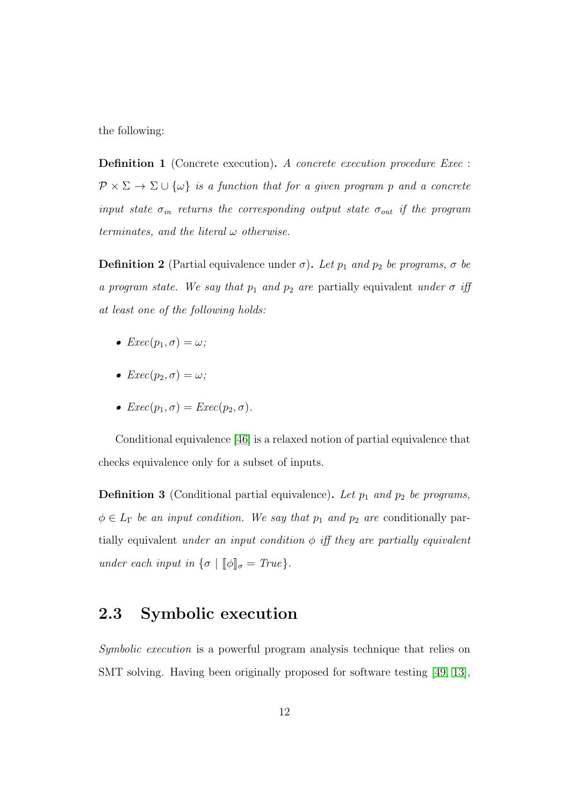the following:

Definition 1 (Concrete execution). A concrete execution procedure Exec :  $\mathcal{P} \times \Sigma \to \Sigma \cup \{\omega\}$  is a function that for a given program p and a concrete input state  $\sigma_{in}$  returns the corresponding output state  $\sigma_{out}$  if the program terminates, and the literal  $\omega$  otherwise.

**Definition 2** (Partial equivalence under  $\sigma$ ). Let  $p_1$  and  $p_2$  be programs,  $\sigma$  be a program state. We say that  $p_1$  and  $p_2$  are partially equivalent under  $\sigma$  iff at least one of the following holds:

- $Exec(p_1, \sigma) = \omega;$
- $Exec(p_2, \sigma) = \omega$ ;
- $Exec(p_1, \sigma) =Exec(p_2, \sigma)$ .

Conditional equivalence [\[46\]](#page-184-0) is a relaxed notion of partial equivalence that checks equivalence only for a subset of inputs.

**Definition 3** (Conditional partial equivalence). Let  $p_1$  and  $p_2$  be programs,  $\phi \in L_{\Gamma}$  be an input condition. We say that  $p_1$  and  $p_2$  are conditionally partially equivalent under an input condition  $\phi$  iff they are partially equivalent under each input in  $\{\sigma \mid [\![\phi]\!]_{\sigma} = True\}.$ 

### <span id="page-24-0"></span>2.3 Symbolic execution

Symbolic execution is a powerful program analysis technique that relies on SMT solving. Having been originally proposed for software testing [\[49,](#page-184-1) [13\]](#page-179-1),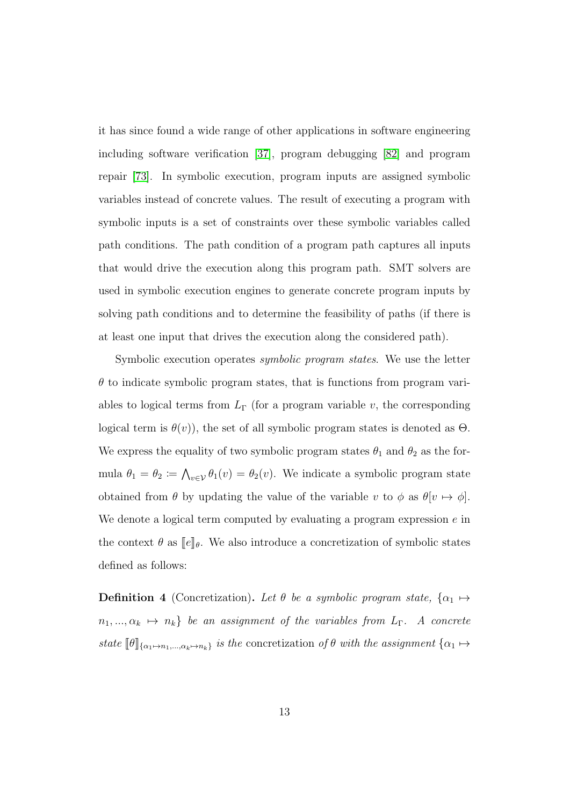it has since found a wide range of other applications in software engineering including software verification [\[37\]](#page-183-0), program debugging [\[82\]](#page-189-0) and program repair [\[73\]](#page-188-1). In symbolic execution, program inputs are assigned symbolic variables instead of concrete values. The result of executing a program with symbolic inputs is a set of constraints over these symbolic variables called path conditions. The path condition of a program path captures all inputs that would drive the execution along this program path. SMT solvers are used in symbolic execution engines to generate concrete program inputs by solving path conditions and to determine the feasibility of paths (if there is at least one input that drives the execution along the considered path).

Symbolic execution operates *symbolic program states*. We use the letter  $\theta$  to indicate symbolic program states, that is functions from program variables to logical terms from  $L_{\Gamma}$  (for a program variable v, the corresponding logical term is  $\theta(v)$ , the set of all symbolic program states is denoted as  $\Theta$ . We express the equality of two symbolic program states  $\theta_1$  and  $\theta_2$  as the formula  $\theta_1 = \theta_2 \coloneqq \bigwedge_{v \in \mathcal{V}} \theta_1(v) = \theta_2(v)$ . We indicate a symbolic program state obtained from  $\theta$  by updating the value of the variable v to  $\phi$  as  $\theta[v \mapsto \phi]$ . We denote a logical term computed by evaluating a program expression  $e$  in the context  $\theta$  as  $\llbracket e \rrbracket_{\theta}$ . We also introduce a concretization of symbolic states defined as follows:

**Definition 4** (Concretization). Let  $\theta$  be a symbolic program state,  $\{\alpha_1 \mapsto$  $n_1, ..., \alpha_k \mapsto n_k$  be an assignment of the variables from  $L_\Gamma$ . A concrete state  $[\![\theta]\!]_{\{\alpha_1\mapsto n_1,\ldots,\alpha_k\mapsto n_k\}}$  is the concretization of  $\theta$  with the assignment  $\{\alpha_1 \mapsto$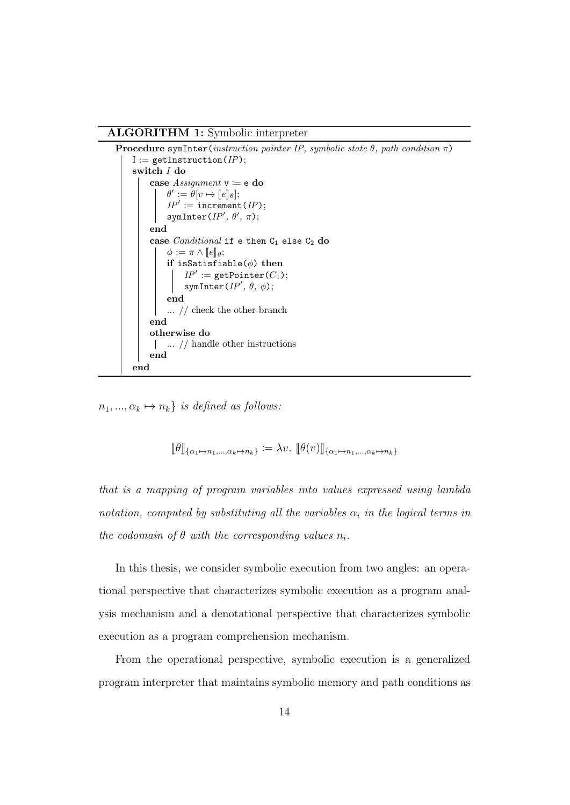#### ALGORITHM 1: Symbolic interpreter

```
Procedure symInter(instruction pointer IP, symbolic state \theta, path condition \pi)
    I := getInstruction(IP);switch I do
         case Assignment \ v := e do
              \theta' := \theta[v \mapsto [\![e]\!]_\theta];\ IP' := \texttt{increment}(IP);symInter(IP', \theta', \pi);end
         case Conditional if e then C_1 else C_2 do
              \phi := \pi \wedge [e]_{\theta};if isSatisfiable(\phi) then
                   IP' := getPoint(C_1);symInter(IP', \theta, \phi);end
              ... // check the other branch
         end
         otherwise do
          ... // handle other instructions
         end
     end
```
<span id="page-26-0"></span> $n_1, ..., \alpha_k \mapsto n_k$  is defined as follows:

 $[\![\theta]\!]_{\{\alpha_1\mapsto n_1,\ldots,\alpha_k\mapsto n_k\}} := \lambda v. \; [\![\theta(v)]\!]_{\{\alpha_1\mapsto n_1,\ldots,\alpha_k\mapsto n_k\}}$ 

that is a mapping of program variables into values expressed using lambda notation, computed by substituting all the variables  $\alpha_i$  in the logical terms in the codomain of  $\theta$  with the corresponding values  $n_i$ .

In this thesis, we consider symbolic execution from two angles: an operational perspective that characterizes symbolic execution as a program analysis mechanism and a denotational perspective that characterizes symbolic execution as a program comprehension mechanism.

From the operational perspective, symbolic execution is a generalized program interpreter that maintains symbolic memory and path conditions as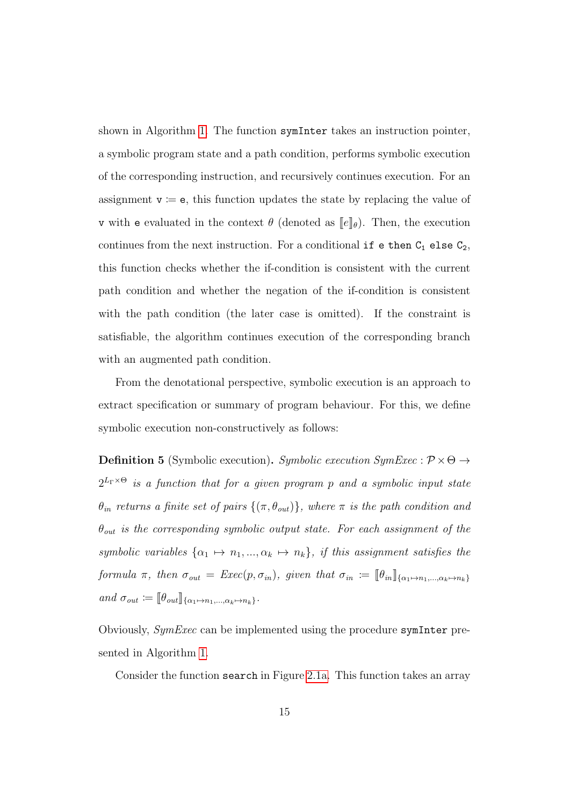shown in Algorithm [1.](#page-26-0) The function symInter takes an instruction pointer, a symbolic program state and a path condition, performs symbolic execution of the corresponding instruction, and recursively continues execution. For an assignment  $v := e$ , this function updates the state by replacing the value of v with e evaluated in the context  $\theta$  (denoted as  $\llbracket e \rrbracket_{\theta}$ ). Then, the execution continues from the next instruction. For a conditional if e then  $C_1$  else  $C_2$ , this function checks whether the if-condition is consistent with the current path condition and whether the negation of the if-condition is consistent with the path condition (the later case is omitted). If the constraint is satisfiable, the algorithm continues execution of the corresponding branch with an augmented path condition.

From the denotational perspective, symbolic execution is an approach to extract specification or summary of program behaviour. For this, we define symbolic execution non-constructively as follows:

**Definition 5** (Symbolic execution). Symbolic execution SymExec :  $\mathcal{P} \times \Theta \rightarrow$  $2^{L_{\Gamma}\times\Theta}$  is a function that for a given program p and a symbolic input state  $\theta_{in}$  returns a finite set of pairs  $\{(\pi, \theta_{out})\}$ , where  $\pi$  is the path condition and  $\theta_{out}$  is the corresponding symbolic output state. For each assignment of the symbolic variables  $\{\alpha_1 \mapsto n_1, ..., \alpha_k \mapsto n_k\}$ , if this assignment satisfies the formula  $\pi$ , then  $\sigma_{out} = \text{Exec}(p, \sigma_{in})$ , given that  $\sigma_{in} := [\![\theta_{in}]\!]_{\{\alpha_1 \mapsto n_1, ..., \alpha_k \mapsto n_k\}}$ and  $\sigma_{out} \coloneqq [\![\theta_{out}]\!]_{\{\alpha_1 \mapsto n_1,\ldots,\alpha_k \mapsto n_k\}}$ .

Obviously, SymExec can be implemented using the procedure symInter presented in Algorithm [1.](#page-26-0)

Consider the function search in Figure [2.1a.](#page-28-0) This function takes an array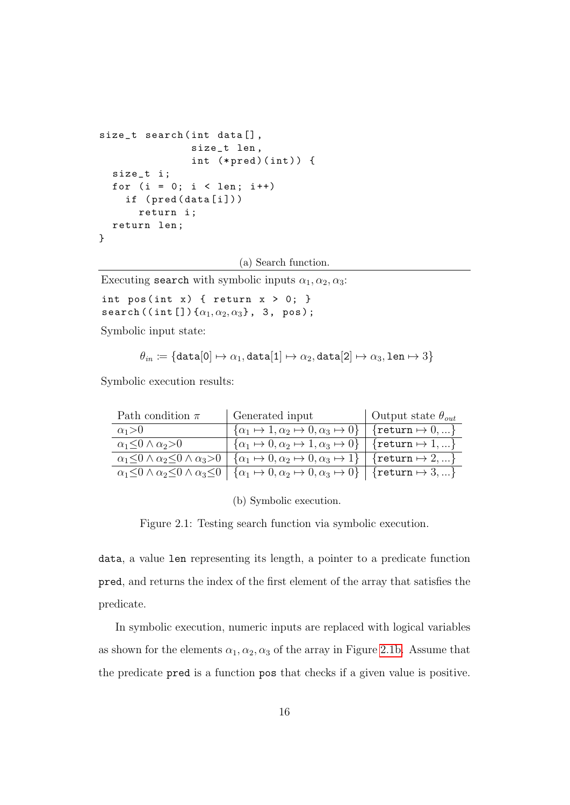```
size_t search (int data[],
               size_t len ,
                int (*pred)(int)) {
  size_t i ;
  for (i = 0; i < len; i++)if ( pred ( data [i] ) )
      return i ;
  return len ;
}
```
(a) Search function.

Executing search with symbolic inputs  $\alpha_1, \alpha_2, \alpha_3$ :

```
int pos(int x) { return x > 0; }
search ((int[])\{\alpha_1, \alpha_2, \alpha_3\}, 3, pos);
```
Symbolic input state:

$$
\theta_{in} \coloneqq \{\texttt{data}[0] \mapsto \alpha_1, \texttt{data}[1] \mapsto \alpha_2, \texttt{data}[2] \mapsto \alpha_3, \texttt{len} \mapsto 3\}
$$

Symbolic execution results:

| Path condition $\pi$           | Generated input                                                                                                                                                   | Output state $\theta_{out}$ |
|--------------------------------|-------------------------------------------------------------------------------------------------------------------------------------------------------------------|-----------------------------|
| $\alpha_1 > 0$                 | $\{\alpha_1 \mapsto 1, \alpha_2 \mapsto 0, \alpha_3 \mapsto 0\}$ {return $\mapsto 0, \dots$ }                                                                     |                             |
| $\alpha_1<0 \wedge \alpha_2>0$ | $\vert \{\alpha_1 \mapsto 0, \alpha_2 \mapsto 1, \alpha_3 \mapsto 0\} \vert$ {return $\mapsto 1, \ldots$ }                                                        |                             |
|                                | $\alpha_1 \leq 0 \wedge \alpha_2 \leq 0 \wedge \alpha_3 > 0$ $\{\alpha_1 \mapsto 0, \alpha_2 \mapsto 0, \alpha_3 \mapsto 1\}$ {return $\mapsto 2, \dots$ }        |                             |
|                                | $\alpha_1 \leq 0 \wedge \alpha_2 \leq 0 \wedge \alpha_3 \leq 0 \mid {\alpha_1 \mapsto 0, \alpha_2 \mapsto 0, \alpha_3 \mapsto 0} \mid {\text{return}} \mapsto 3,$ |                             |

(b) Symbolic execution.

Figure 2.1: Testing search function via symbolic execution.

data, a value len representing its length, a pointer to a predicate function pred, and returns the index of the first element of the array that satisfies the predicate.

In symbolic execution, numeric inputs are replaced with logical variables as shown for the elements  $\alpha_1, \alpha_2, \alpha_3$  of the array in Figure [2.1b.](#page-28-0) Assume that the predicate pred is a function pos that checks if a given value is positive.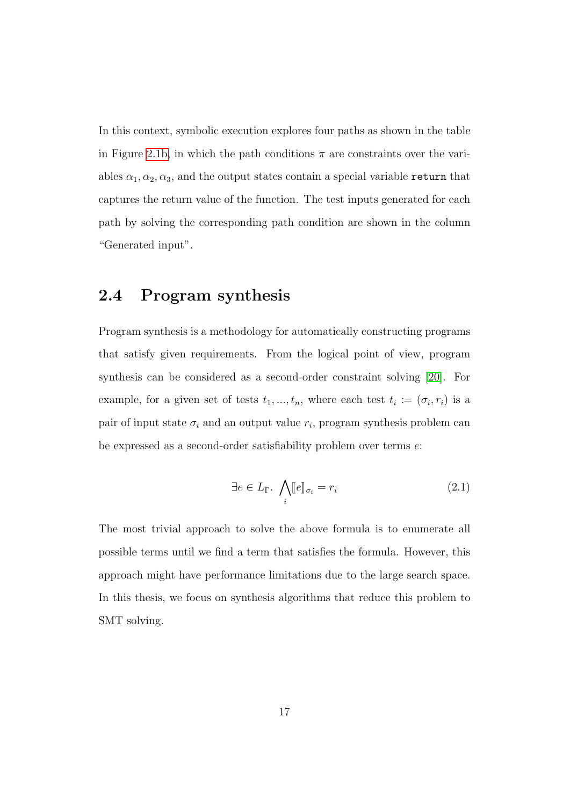In this context, symbolic execution explores four paths as shown in the table in Figure [2.1b,](#page-28-0) in which the path conditions  $\pi$  are constraints over the variables  $\alpha_1, \alpha_2, \alpha_3$ , and the output states contain a special variable return that captures the return value of the function. The test inputs generated for each path by solving the corresponding path condition are shown in the column "Generated input".

#### <span id="page-29-0"></span>2.4 Program synthesis

Program synthesis is a methodology for automatically constructing programs that satisfy given requirements. From the logical point of view, program synthesis can be considered as a second-order constraint solving [\[20\]](#page-180-2). For example, for a given set of tests  $t_1, ..., t_n$ , where each test  $t_i := (\sigma_i, r_i)$  is a pair of input state  $\sigma_i$  and an output value  $r_i$ , program synthesis problem can be expressed as a second-order satisfiability problem over terms e:

<span id="page-29-1"></span>
$$
\exists e \in L_{\Gamma}.\ \bigwedge_{i} [e]_{\sigma_i} = r_i \tag{2.1}
$$

The most trivial approach to solve the above formula is to enumerate all possible terms until we find a term that satisfies the formula. However, this approach might have performance limitations due to the large search space. In this thesis, we focus on synthesis algorithms that reduce this problem to SMT solving.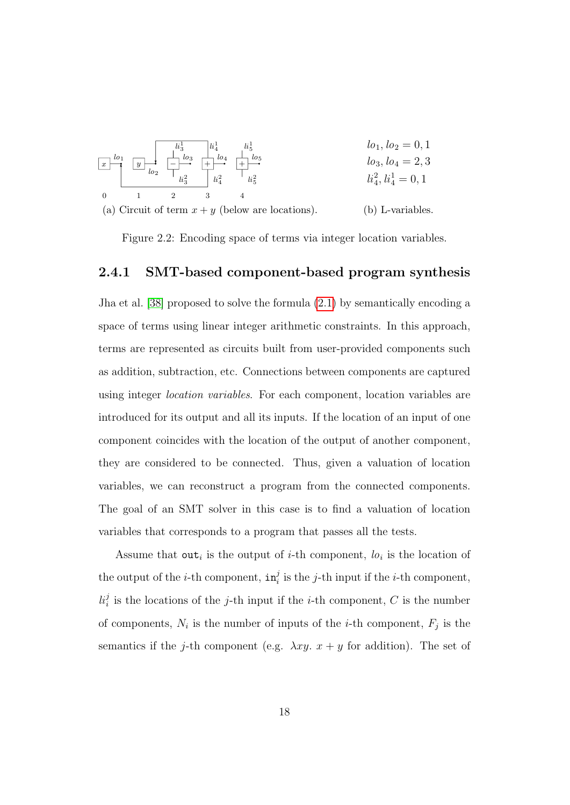<span id="page-30-1"></span>

Figure 2.2: Encoding space of terms via integer location variables.

#### <span id="page-30-0"></span>2.4.1 SMT-based component-based program synthesis

Jha et al. [\[38\]](#page-183-1) proposed to solve the formula [\(2.1\)](#page-29-1) by semantically encoding a space of terms using linear integer arithmetic constraints. In this approach, terms are represented as circuits built from user-provided components such as addition, subtraction, etc. Connections between components are captured using integer location variables. For each component, location variables are introduced for its output and all its inputs. If the location of an input of one component coincides with the location of the output of another component, they are considered to be connected. Thus, given a valuation of location variables, we can reconstruct a program from the connected components. The goal of an SMT solver in this case is to find a valuation of location variables that corresponds to a program that passes all the tests.

Assume that out<sub>i</sub> is the output of *i*-th component,  $lo_i$  is the location of the output of the *i*-th component,  $in_i^j$  is the *j*-th input if the *i*-th component,  $li_i^j$  is the locations of the j-th input if the *i*-th component, C is the number of components,  $N_i$  is the number of inputs of the *i*-th component,  $F_j$  is the semantics if the j-th component (e.g.  $\lambda xy. x + y$  for addition). The set of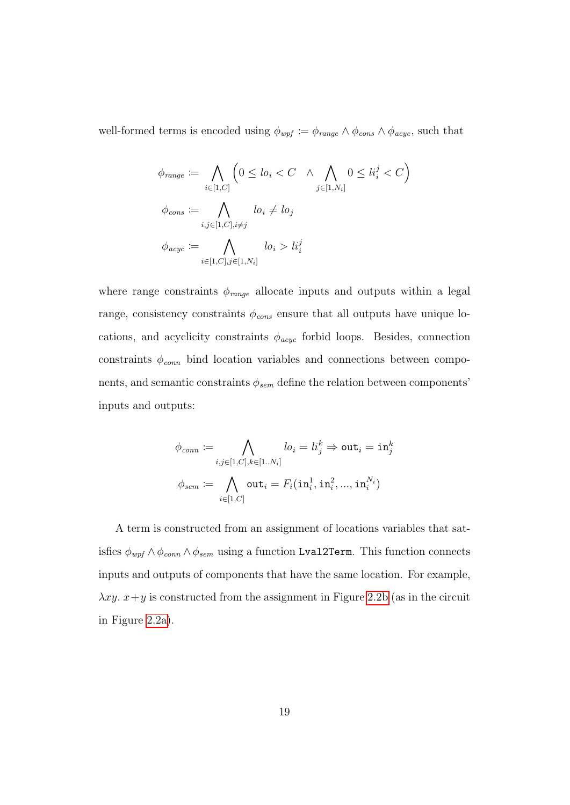well-formed terms is encoded using  $\phi_{wpf} \coloneqq \phi_{range} \wedge \phi_{cons} \wedge \phi_{acyc}$ , such that

$$
\phi_{range} := \bigwedge_{i \in [1, C]} \left(0 \le lo_i < C \quad \land \bigwedge_{j \in [1, N_i]} 0 \le li_i^j < C\right)
$$
\n
$$
\phi_{cons} := \bigwedge_{i, j \in [1, C], i \ne j} lo_i \ne lo_j
$$
\n
$$
\phi_{acyc} := \bigwedge_{i \in [1, C], j \in [1, N_i]} lo_i > li_i^j
$$

where range constraints  $\phi_{range}$  allocate inputs and outputs within a legal range, consistency constraints  $\phi_{cons}$  ensure that all outputs have unique locations, and acyclicity constraints  $\phi_{acyc}$  forbid loops. Besides, connection constraints  $\phi_{conn}$  bind location variables and connections between components, and semantic constraints  $\phi_{sem}$  define the relation between components' inputs and outputs:

$$
\phi_{conn} \coloneqq \bigwedge_{i,j \in [1,C], k \in [1..N_i]} lo_i = li_j^k \Rightarrow \mathtt{out}_i = \mathtt{in}_j^k
$$

$$
\phi_{sem} \coloneqq \bigwedge_{i \in [1,C]} \mathtt{out}_i = F_i(\mathtt{in}_i^1, \mathtt{in}_i^2, ..., \mathtt{in}_i^{N_i})
$$

A term is constructed from an assignment of locations variables that satisfies  $\phi_{wpf} \wedge \phi_{conn} \wedge \phi_{sem}$  using a function Lval2Term. This function connects inputs and outputs of components that have the same location. For example,  $\lambda xy. x+y$  is constructed from the assignment in Figure [2.2b](#page-30-1) (as in the circuit in Figure [2.2a\)](#page-30-1).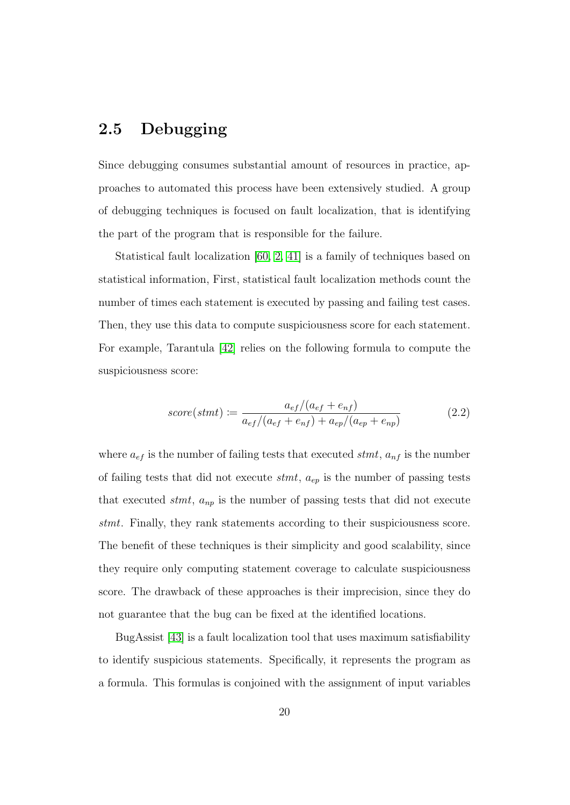### <span id="page-32-0"></span>2.5 Debugging

Since debugging consumes substantial amount of resources in practice, approaches to automated this process have been extensively studied. A group of debugging techniques is focused on fault localization, that is identifying the part of the program that is responsible for the failure.

Statistical fault localization [\[60,](#page-186-0) [2,](#page-177-0) [41\]](#page-183-2) is a family of techniques based on statistical information, First, statistical fault localization methods count the number of times each statement is executed by passing and failing test cases. Then, they use this data to compute suspiciousness score for each statement. For example, Tarantula [\[42\]](#page-183-3) relies on the following formula to compute the suspiciousness score:

$$
score(stmt) := \frac{a_{ef}/(a_{ef} + e_{nf})}{a_{ef}/(a_{ef} + e_{nf}) + a_{ep}/(a_{ep} + e_{np})}
$$
(2.2)

where  $a_{ef}$  is the number of failing tests that executed stmt,  $a_{nf}$  is the number of failing tests that did not execute  $s$ tmt,  $a_{ep}$  is the number of passing tests that executed *stmt*,  $a_{np}$  is the number of passing tests that did not execute stmt. Finally, they rank statements according to their suspiciousness score. The benefit of these techniques is their simplicity and good scalability, since they require only computing statement coverage to calculate suspiciousness score. The drawback of these approaches is their imprecision, since they do not guarantee that the bug can be fixed at the identified locations.

BugAssist [\[43\]](#page-183-4) is a fault localization tool that uses maximum satisfiability to identify suspicious statements. Specifically, it represents the program as a formula. This formulas is conjoined with the assignment of input variables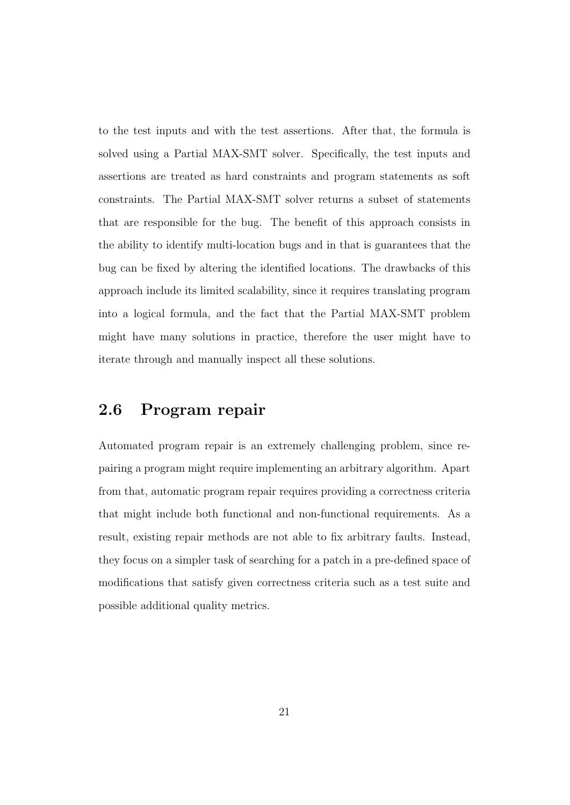to the test inputs and with the test assertions. After that, the formula is solved using a Partial MAX-SMT solver. Specifically, the test inputs and assertions are treated as hard constraints and program statements as soft constraints. The Partial MAX-SMT solver returns a subset of statements that are responsible for the bug. The benefit of this approach consists in the ability to identify multi-location bugs and in that is guarantees that the bug can be fixed by altering the identified locations. The drawbacks of this approach include its limited scalability, since it requires translating program into a logical formula, and the fact that the Partial MAX-SMT problem might have many solutions in practice, therefore the user might have to iterate through and manually inspect all these solutions.

#### <span id="page-33-0"></span>2.6 Program repair

Automated program repair is an extremely challenging problem, since repairing a program might require implementing an arbitrary algorithm. Apart from that, automatic program repair requires providing a correctness criteria that might include both functional and non-functional requirements. As a result, existing repair methods are not able to fix arbitrary faults. Instead, they focus on a simpler task of searching for a patch in a pre-defined space of modifications that satisfy given correctness criteria such as a test suite and possible additional quality metrics.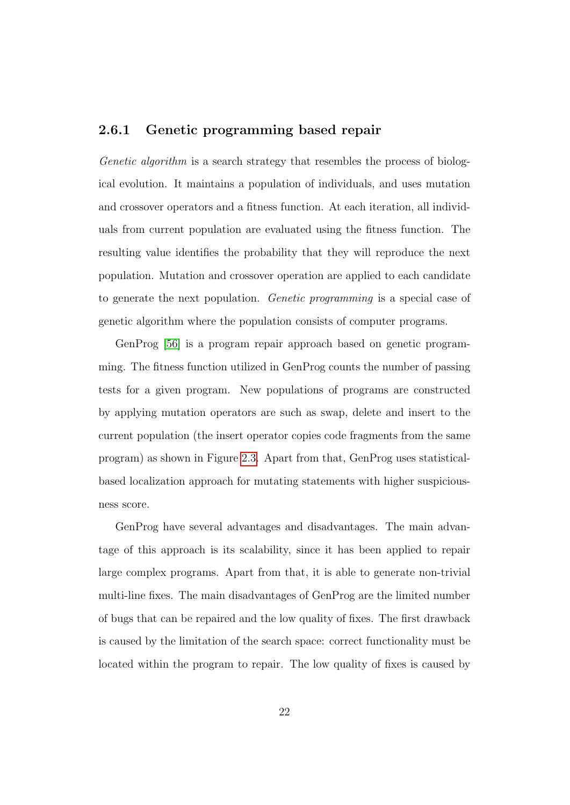#### <span id="page-34-0"></span>2.6.1 Genetic programming based repair

Genetic algorithm is a search strategy that resembles the process of biological evolution. It maintains a population of individuals, and uses mutation and crossover operators and a fitness function. At each iteration, all individuals from current population are evaluated using the fitness function. The resulting value identifies the probability that they will reproduce the next population. Mutation and crossover operation are applied to each candidate to generate the next population. Genetic programming is a special case of genetic algorithm where the population consists of computer programs.

GenProg [\[56\]](#page-185-0) is a program repair approach based on genetic programming. The fitness function utilized in GenProg counts the number of passing tests for a given program. New populations of programs are constructed by applying mutation operators are such as swap, delete and insert to the current population (the insert operator copies code fragments from the same program) as shown in Figure [2.3.](#page-35-1) Apart from that, GenProg uses statisticalbased localization approach for mutating statements with higher suspiciousness score.

GenProg have several advantages and disadvantages. The main advantage of this approach is its scalability, since it has been applied to repair large complex programs. Apart from that, it is able to generate non-trivial multi-line fixes. The main disadvantages of GenProg are the limited number of bugs that can be repaired and the low quality of fixes. The first drawback is caused by the limitation of the search space: correct functionality must be located within the program to repair. The low quality of fixes is caused by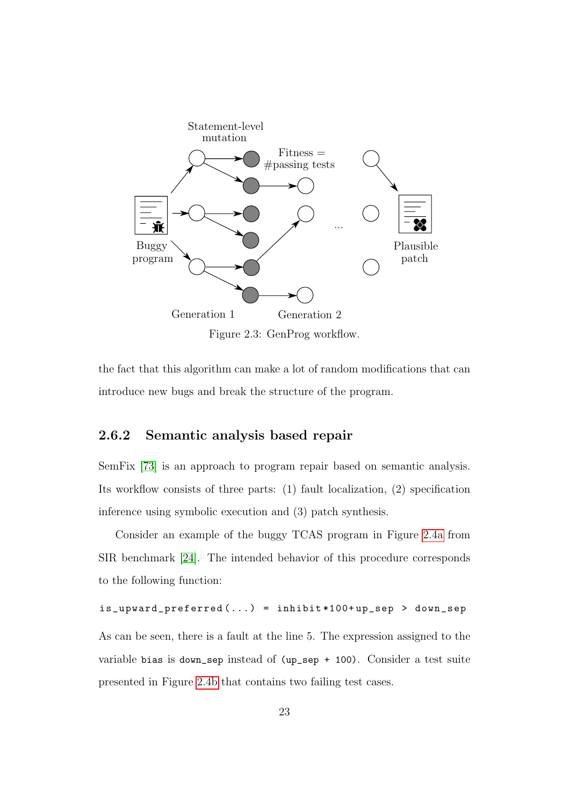<span id="page-35-1"></span>

Figure 2.3: GenProg workflow.

the fact that this algorithm can make a lot of random modifications that can introduce new bugs and break the structure of the program.

#### <span id="page-35-0"></span>2.6.2 Semantic analysis based repair

SemFix [\[73\]](#page-188-1) is an approach to program repair based on semantic analysis. Its workflow consists of three parts: (1) fault localization, (2) specification inference using symbolic execution and (3) patch synthesis.

Consider an example of the buggy TCAS program in Figure [2.4a](#page-36-0) from SIR benchmark [\[24\]](#page-181-0). The intended behavior of this procedure corresponds to the following function:

```
is_upward_preferred (...) = inhibit *100+ up_sep > down_sep
```
As can be seen, there is a fault at the line 5. The expression assigned to the variable bias is down\_sep instead of (up\_sep + 100). Consider a test suite presented in Figure [2.4b](#page-36-0) that contains two failing test cases.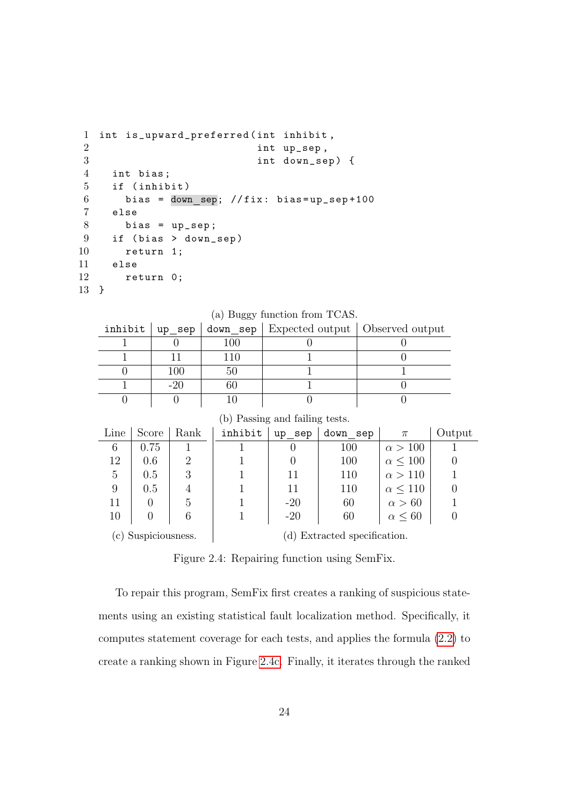```
1 int is_upward_preferred ( int inhibit ,
2 int up_sep ,
3 int down_sep ) {
4 int bias ;
5 if ( inhibit )
6 bias = down_sep; //fix: bias=up_sep+100
7 else
8 bias = up\_sep;
9 if ( bias > down_sep )
10 return 1;
11 else
12 return 0;
13 }
```
Line  $\vert$  Score  $\vert$  Rank  $6 \mid 0.75 \mid 1$  $12 \begin{array}{|c|c|c|c|c|} \hline 1.2 & 0.6 & 2 \end{array}$  $5 \mid 0.5 \mid 3$  $9 \t 0.5 \t 4$  $11 \quad 0 \quad 5$  $10 \mid 0 \mid 6$ 

|  |         |     | inhibit $ $ up_sep $ $ down_sep $ $ Expected output $ $ Observed output |  |  |  |  |
|--|---------|-----|-------------------------------------------------------------------------|--|--|--|--|
|  |         | 100 |                                                                         |  |  |  |  |
|  |         |     |                                                                         |  |  |  |  |
|  | $100\,$ |     |                                                                         |  |  |  |  |
|  |         |     |                                                                         |  |  |  |  |
|  |         |     |                                                                         |  |  |  |  |

(b) Passing and failing tests.

inhibit | up sep | down sep |  $\pi$  | Output 1 0 100  $\alpha > 100$  1 1 | 0 | 100  $\alpha \le 100$  | 0 1 | 11 | 110  $\alpha > 110$  | 1 1 | 11 | 110  $\alpha \le 110$  | 0 1 |  $-20$  |  $60$  |  $\alpha > 60$  | 1 1 | -20 | 60 |  $\alpha \le 60$  | 0

(a) Buggy function from TCAS.

(c) Suspiciousness. (d) Extracted specification.

Figure 2.4: Repairing function using SemFix.

To repair this program, SemFix first creates a ranking of suspicious statements using an existing statistical fault localization method. Specifically, it computes statement coverage for each tests, and applies the formula [\(2.2\)](#page-32-0) to create a ranking shown in Figure [2.4c.](#page-36-0) Finally, it iterates through the ranked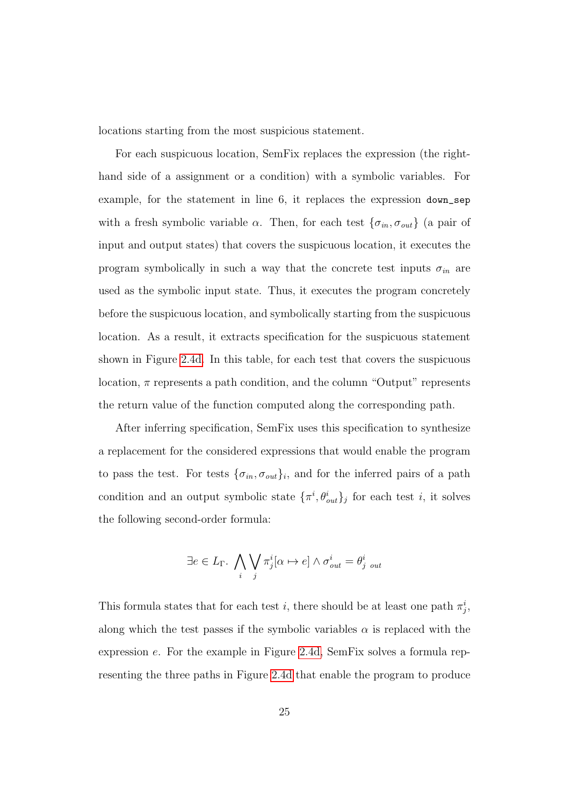locations starting from the most suspicious statement.

For each suspicuous location, SemFix replaces the expression (the righthand side of a assignment or a condition) with a symbolic variables. For example, for the statement in line 6, it replaces the expression down\_sep with a fresh symbolic variable  $\alpha$ . Then, for each test  $\{\sigma_{in}, \sigma_{out}\}$  (a pair of input and output states) that covers the suspicuous location, it executes the program symbolically in such a way that the concrete test inputs  $\sigma_{in}$  are used as the symbolic input state. Thus, it executes the program concretely before the suspicuous location, and symbolically starting from the suspicuous location. As a result, it extracts specification for the suspicuous statement shown in Figure [2.4d.](#page-36-0) In this table, for each test that covers the suspicuous location,  $\pi$  represents a path condition, and the column "Output" represents the return value of the function computed along the corresponding path.

After inferring specification, SemFix uses this specification to synthesize a replacement for the considered expressions that would enable the program to pass the test. For tests  $\{\sigma_{in}, \sigma_{out}\}_i$ , and for the inferred pairs of a path condition and an output symbolic state  $\{\pi^i, \theta^i_{out}\}_j$  for each test i, it solves the following second-order formula:

$$
\exists e \in L_{\Gamma}.\bigwedge_{i} \bigvee_{j} \pi_{j}^{i}[\alpha \mapsto e] \wedge \sigma_{out}^{i} = \theta_{j,out}^{i}
$$

This formula states that for each test *i*, there should be at least one path  $\pi_j^i$ , along which the test passes if the symbolic variables  $\alpha$  is replaced with the expression e. For the example in Figure [2.4d,](#page-36-0) SemFix solves a formula representing the three paths in Figure [2.4d](#page-36-0) that enable the program to produce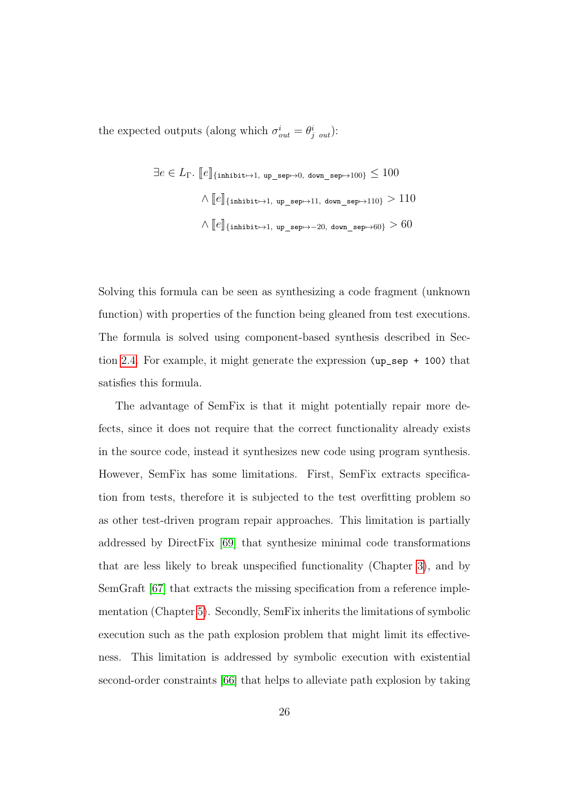the expected outputs (along which  $\sigma_{out}^i = \theta_{j,out}^i$ ):

$$
\exists e \in L_{\Gamma}. \; [\![e]\!]_{\{\text{inhibit} \mapsto 1, \text{ up\_sep} \mapsto 0, \text{ down\_sep} \mapsto 100\}} \leq 100
$$
\n
$$
\wedge [\![e]\!]_{\{\text{inhibit} \mapsto 1, \text{ up\_sep} \mapsto 11, \text{ down\_sep} \mapsto 110\}} > 110
$$
\n
$$
\wedge [\![e]\!]_{\{\text{inhibit} \mapsto 1, \text{ up\_sep} \mapsto -20, \text{ down\_sep} \mapsto 60\}} > 60
$$

Solving this formula can be seen as synthesizing a code fragment (unknown function) with properties of the function being gleaned from test executions. The formula is solved using component-based synthesis described in Section [2.4.](#page-29-0) For example, it might generate the expression (up\_sep + 100) that satisfies this formula.

The advantage of SemFix is that it might potentially repair more defects, since it does not require that the correct functionality already exists in the source code, instead it synthesizes new code using program synthesis. However, SemFix has some limitations. First, SemFix extracts specification from tests, therefore it is subjected to the test overfitting problem so as other test-driven program repair approaches. This limitation is partially addressed by DirectFix [\[69\]](#page-187-0) that synthesize minimal code transformations that are less likely to break unspecified functionality (Chapter [3\)](#page-40-0), and by SemGraft [\[67\]](#page-187-1) that extracts the missing specification from a reference implementation (Chapter [5\)](#page-96-0). Secondly, SemFix inherits the limitations of symbolic execution such as the path explosion problem that might limit its effectiveness. This limitation is addressed by symbolic execution with existential second-order constraints [\[66\]](#page-187-2) that helps to alleviate path explosion by taking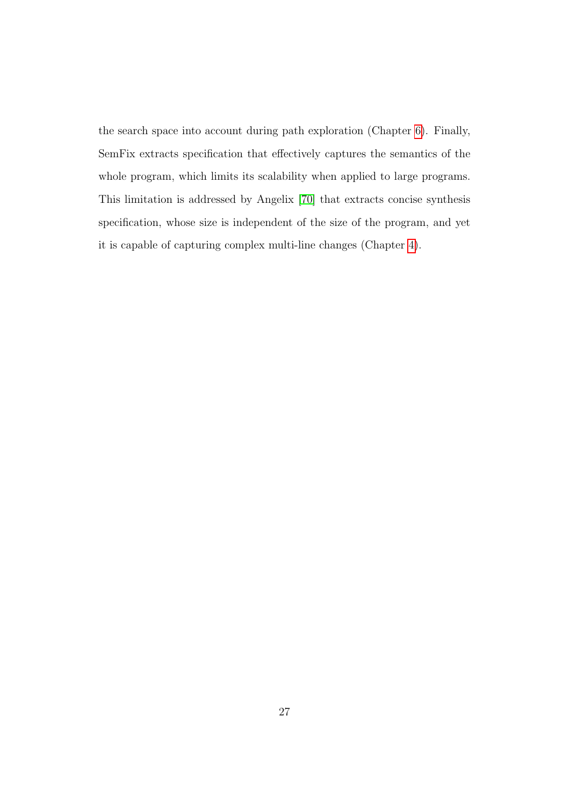the search space into account during path exploration (Chapter [6\)](#page-123-0). Finally, SemFix extracts specification that effectively captures the semantics of the whole program, which limits its scalability when applied to large programs. This limitation is addressed by Angelix [\[70\]](#page-187-3) that extracts concise synthesis specification, whose size is independent of the size of the program, and yet it is capable of capturing complex multi-line changes (Chapter [4\)](#page-70-0).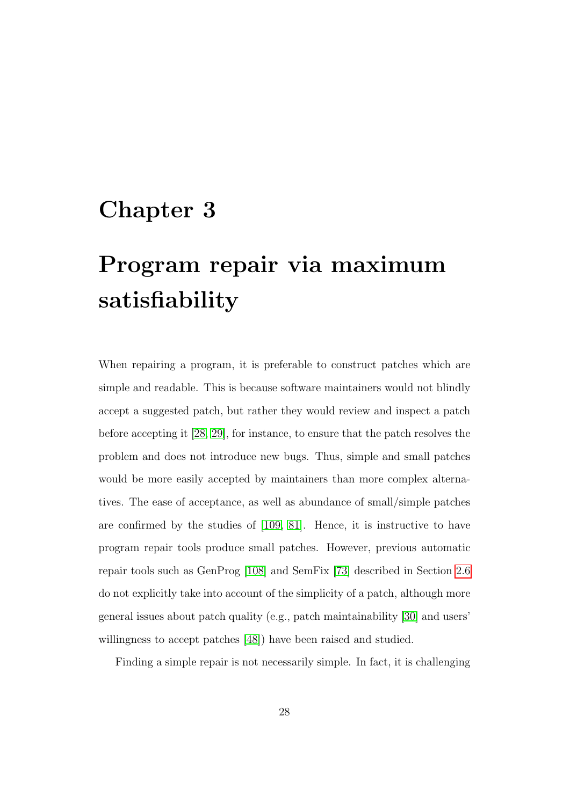### <span id="page-40-0"></span>Chapter 3

## Program repair via maximum satisfiability

When repairing a program, it is preferable to construct patches which are simple and readable. This is because software maintainers would not blindly accept a suggested patch, but rather they would review and inspect a patch before accepting it [\[28,](#page-181-0) [29\]](#page-181-1), for instance, to ensure that the patch resolves the problem and does not introduce new bugs. Thus, simple and small patches would be more easily accepted by maintainers than more complex alternatives. The ease of acceptance, as well as abundance of small/simple patches are confirmed by the studies of [\[109,](#page-193-0) [81\]](#page-189-0). Hence, it is instructive to have program repair tools produce small patches. However, previous automatic repair tools such as GenProg [\[108\]](#page-193-1) and SemFix [\[73\]](#page-188-0) described in Section [2.6](#page-33-0) do not explicitly take into account of the simplicity of a patch, although more general issues about patch quality (e.g., patch maintainability [\[30\]](#page-181-2) and users' willingness to accept patches [\[48\]](#page-184-0)) have been raised and studied.

Finding a simple repair is not necessarily simple. In fact, it is challenging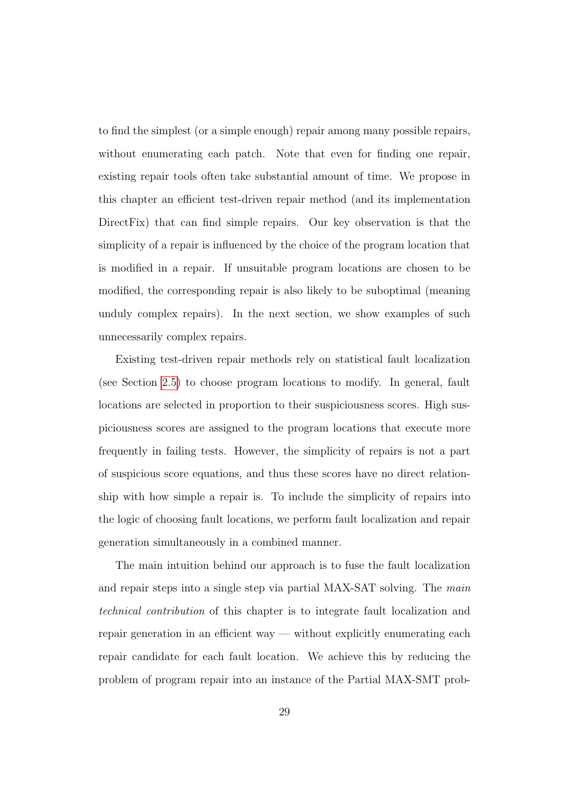to find the simplest (or a simple enough) repair among many possible repairs, without enumerating each patch. Note that even for finding one repair, existing repair tools often take substantial amount of time. We propose in this chapter an efficient test-driven repair method (and its implementation DirectFix) that can find simple repairs. Our key observation is that the simplicity of a repair is influenced by the choice of the program location that is modified in a repair. If unsuitable program locations are chosen to be modified, the corresponding repair is also likely to be suboptimal (meaning unduly complex repairs). In the next section, we show examples of such unnecessarily complex repairs.

Existing test-driven repair methods rely on statistical fault localization (see Section [2.5\)](#page-32-1) to choose program locations to modify. In general, fault locations are selected in proportion to their suspiciousness scores. High suspiciousness scores are assigned to the program locations that execute more frequently in failing tests. However, the simplicity of repairs is not a part of suspicious score equations, and thus these scores have no direct relationship with how simple a repair is. To include the simplicity of repairs into the logic of choosing fault locations, we perform fault localization and repair generation simultaneously in a combined manner.

The main intuition behind our approach is to fuse the fault localization and repair steps into a single step via partial MAX-SAT solving. The *main* technical contribution of this chapter is to integrate fault localization and repair generation in an efficient way — without explicitly enumerating each repair candidate for each fault location. We achieve this by reducing the problem of program repair into an instance of the Partial MAX-SMT prob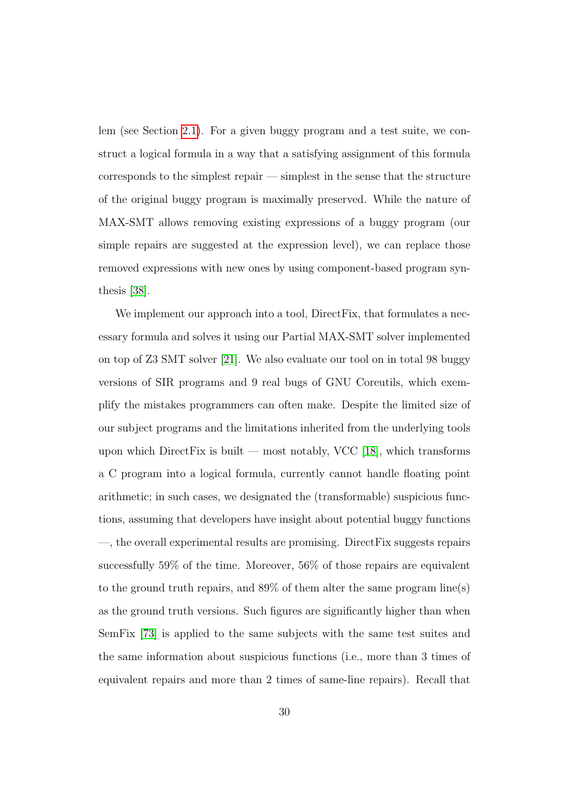lem (see Section [2.1\)](#page-21-0). For a given buggy program and a test suite, we construct a logical formula in a way that a satisfying assignment of this formula corresponds to the simplest repair — simplest in the sense that the structure of the original buggy program is maximally preserved. While the nature of MAX-SMT allows removing existing expressions of a buggy program (our simple repairs are suggested at the expression level), we can replace those removed expressions with new ones by using component-based program synthesis [\[38\]](#page-183-0).

We implement our approach into a tool, Direct Fix, that formulates a necessary formula and solves it using our Partial MAX-SMT solver implemented on top of Z3 SMT solver [\[21\]](#page-180-0). We also evaluate our tool on in total 98 buggy versions of SIR programs and 9 real bugs of GNU Coreutils, which exemplify the mistakes programmers can often make. Despite the limited size of our subject programs and the limitations inherited from the underlying tools upon which DirectFix is built — most notably, VCC [\[18\]](#page-180-1), which transforms a C program into a logical formula, currently cannot handle floating point arithmetic; in such cases, we designated the (transformable) suspicious functions, assuming that developers have insight about potential buggy functions —, the overall experimental results are promising. DirectFix suggests repairs successfully 59% of the time. Moreover, 56% of those repairs are equivalent to the ground truth repairs, and 89% of them alter the same program line(s) as the ground truth versions. Such figures are significantly higher than when SemFix [\[73\]](#page-188-0) is applied to the same subjects with the same test suites and the same information about suspicious functions (i.e., more than 3 times of equivalent repairs and more than 2 times of same-line repairs). Recall that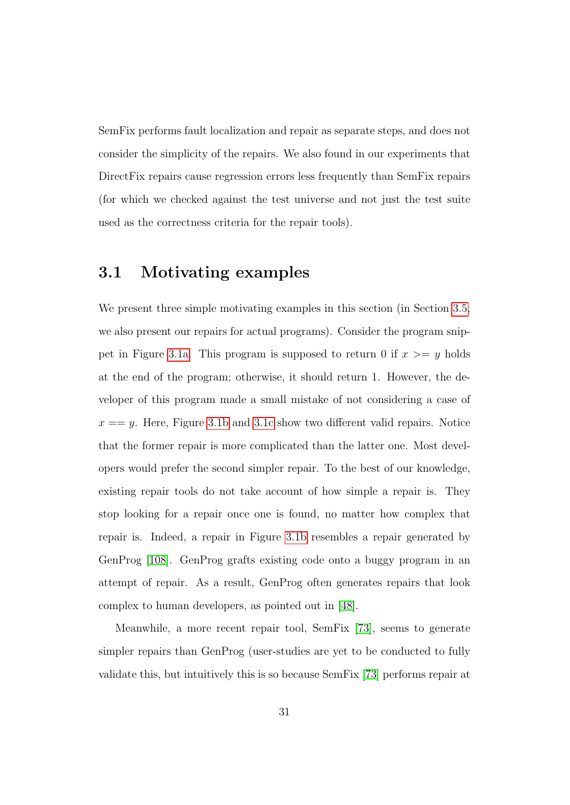SemFix performs fault localization and repair as separate steps, and does not consider the simplicity of the repairs. We also found in our experiments that DirectFix repairs cause regression errors less frequently than SemFix repairs (for which we checked against the test universe and not just the test suite used as the correctness criteria for the repair tools).

#### 3.1 Motivating examples

We present three simple motivating examples in this section (in Section [3.5,](#page-62-0) we also present our repairs for actual programs). Consider the program snip-pet in Figure [3.1a.](#page-44-0) This program is supposed to return 0 if  $x \geq y$  holds at the end of the program; otherwise, it should return 1. However, the developer of this program made a small mistake of not considering a case of  $x == y$ . Here, Figure [3.1b](#page-44-0) and [3.1c](#page-44-0) show two different valid repairs. Notice that the former repair is more complicated than the latter one. Most developers would prefer the second simpler repair. To the best of our knowledge, existing repair tools do not take account of how simple a repair is. They stop looking for a repair once one is found, no matter how complex that repair is. Indeed, a repair in Figure [3.1b](#page-44-0) resembles a repair generated by GenProg [\[108\]](#page-193-1). GenProg grafts existing code onto a buggy program in an attempt of repair. As a result, GenProg often generates repairs that look complex to human developers, as pointed out in [\[48\]](#page-184-0).

Meanwhile, a more recent repair tool, SemFix [\[73\]](#page-188-0), seems to generate simpler repairs than GenProg (user-studies are yet to be conducted to fully validate this, but intuitively this is so because SemFix [\[73\]](#page-188-0) performs repair at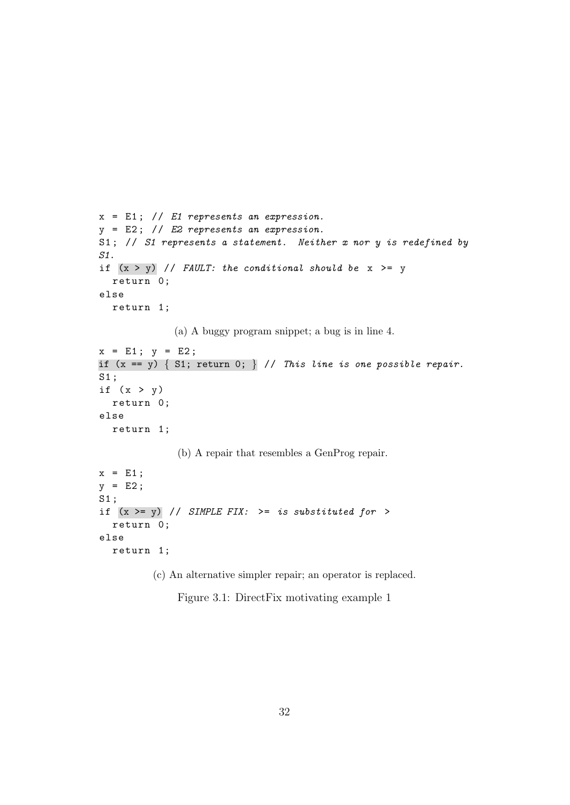```
x = E1; // E1 represents an expression.
y = E2; // E2 represents an expression.
S1; // S1 represents a statement. Neither x nor y is redefined by
S1.
if (x > y) // FAULT: the conditional should be x \ge yreturn 0;
else
  return 1;
             (a) A buggy program snippet; a bug is in line 4.
x = E1: y = E2:if (x == y) { S1; return 0; } // This line is one possible repair.S1 ;
if (x > y)return 0;
else
  return 1;
              (b) A repair that resembles a GenProg repair.
x = E1;y = E2;S1 ;
if (x \gt = y) // SIMPLE FIX: \gt = is substituted for \gtreturn 0;
else
  return 1;
```
(c) An alternative simpler repair; an operator is replaced.

Figure 3.1: DirectFix motivating example 1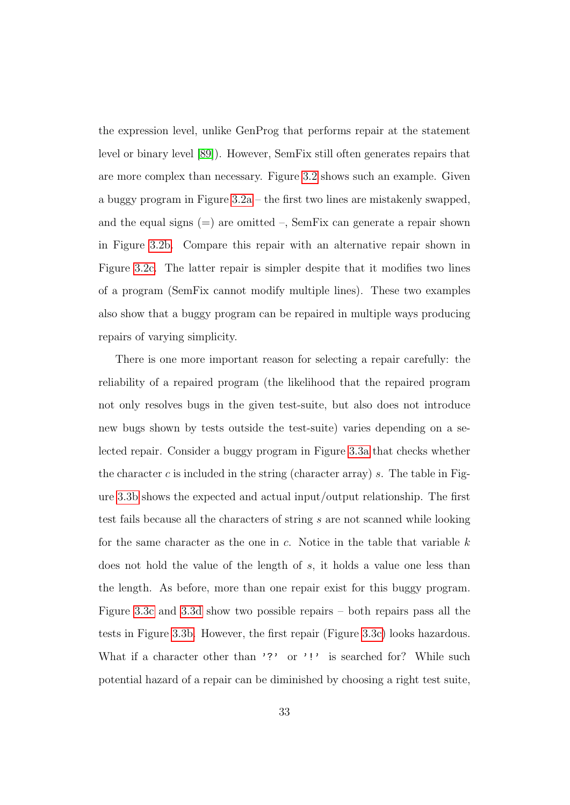the expression level, unlike GenProg that performs repair at the statement level or binary level [\[89\]](#page-190-0)). However, SemFix still often generates repairs that are more complex than necessary. Figure [3.2](#page-46-0) shows such an example. Given a buggy program in Figure [3.2a](#page-46-0) – the first two lines are mistakenly swapped, and the equal signs  $(=)$  are omitted  $\overline{\phantom{a}}$ , SemFix can generate a repair shown in Figure [3.2b.](#page-46-0) Compare this repair with an alternative repair shown in Figure [3.2c.](#page-46-0) The latter repair is simpler despite that it modifies two lines of a program (SemFix cannot modify multiple lines). These two examples also show that a buggy program can be repaired in multiple ways producing repairs of varying simplicity.

There is one more important reason for selecting a repair carefully: the reliability of a repaired program (the likelihood that the repaired program not only resolves bugs in the given test-suite, but also does not introduce new bugs shown by tests outside the test-suite) varies depending on a selected repair. Consider a buggy program in Figure [3.3a](#page-47-0) that checks whether the character c is included in the string (character array) s. The table in Figure [3.3b](#page-47-0) shows the expected and actual input/output relationship. The first test fails because all the characters of string s are not scanned while looking for the same character as the one in c. Notice in the table that variable  $k$ does not hold the value of the length of s, it holds a value one less than the length. As before, more than one repair exist for this buggy program. Figure [3.3c](#page-47-0) and [3.3d](#page-47-0) show two possible repairs – both repairs pass all the tests in Figure [3.3b.](#page-47-0) However, the first repair (Figure [3.3c\)](#page-47-0) looks hazardous. What if a character other than '?' or '!' is searched for? While such potential hazard of a repair can be diminished by choosing a right test suite,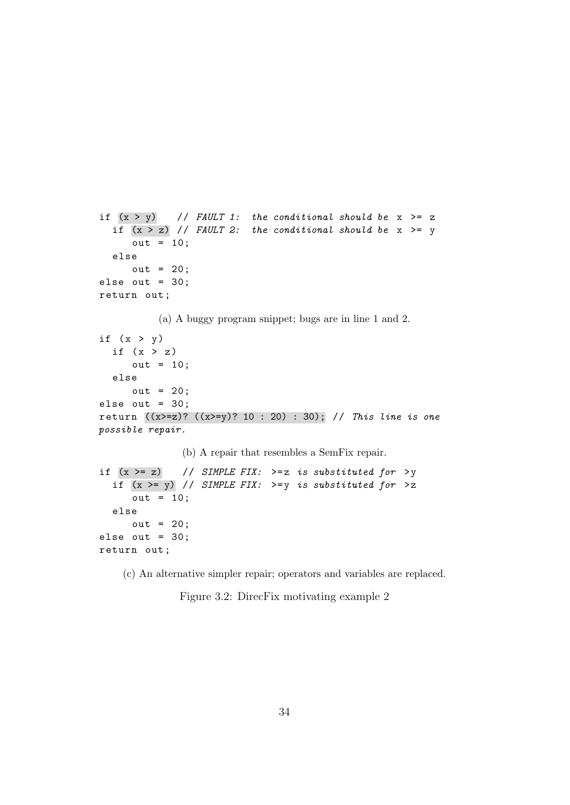```
if (x > y) // FAULT 1: the conditional should be x \ge zif (x > z) // FAULT 2: the conditional should be x \ge yout = 10;else
     out = 20;else out = 30;
return out ;
          (a) A buggy program snippet; bugs are in line 1 and 2.
if (x > y)if (x > z)out = 10;else
     out = 20;
else out = 30;
return ((x>=z)? ((x>=y)? 10 : 20) : 30); // This line is one
possible repair.
               (b) A repair that resembles a SemFix repair.
if (x \gt= z) // SIMPLE FIX: \gt= z is substituted for \gt yif (x \gt= y) // SIMPLE FIX: \gt= y is substituted for \gt zout = 10;else
     out = 20;else out = 30;
return out ;
```
(c) An alternative simpler repair; operators and variables are replaced.

Figure 3.2: DirecFix motivating example 2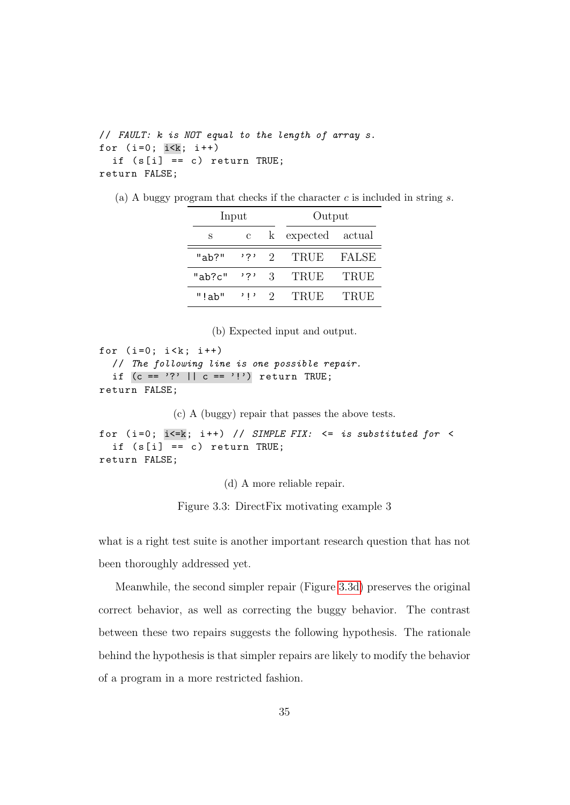```
// FAULT: k is NOT equal to the length of array s.
for (i=0; i\le k; i++)if (s[i] == c) return TRUE;
return FALSE;
```

```
(a) A buggy program that checks if the character c is included in string s.
```

| Input  |       |               | Output   |             |  |  |
|--------|-------|---------------|----------|-------------|--|--|
| S      | С     | k             | expected | actual      |  |  |
| "ab?"  | י ? י | $\mathcal{D}$ | TRUE     | FALSE       |  |  |
| "ab?c" | י ? י | 3             | TRUE     | <b>TRUE</b> |  |  |
| "!ab"  | ין י  | $\Omega$      | TRUE     | <b>TRUE</b> |  |  |

(b) Expected input and output.

```
for (i=0; i < k; i++)
```

```
// The following line is one possible repair.
  if (c == '?' || c == '!') return TRUE;
return FALSE;
```
(c) A (buggy) repair that passes the above tests.

```
for (i=0; i<=k; i++) // SIMPLE FIX: <= is substituted for <
  if (s[i] == c) return TRUE;
return FALSE;
```
(d) A more reliable repair.

Figure 3.3: DirectFix motivating example 3

what is a right test suite is another important research question that has not been thoroughly addressed yet.

Meanwhile, the second simpler repair (Figure [3.3d\)](#page-47-0) preserves the original correct behavior, as well as correcting the buggy behavior. The contrast between these two repairs suggests the following hypothesis. The rationale behind the hypothesis is that simpler repairs are likely to modify the behavior of a program in a more restricted fashion.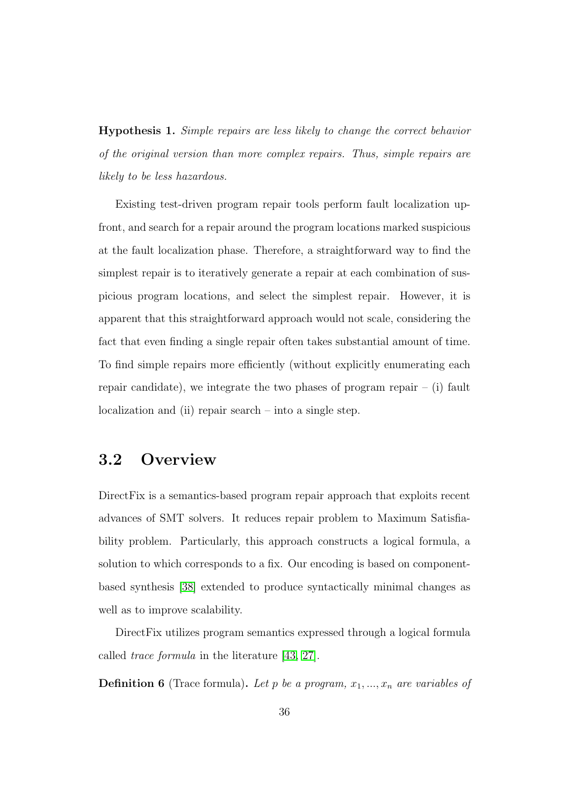Hypothesis 1. Simple repairs are less likely to change the correct behavior of the original version than more complex repairs. Thus, simple repairs are likely to be less hazardous.

Existing test-driven program repair tools perform fault localization upfront, and search for a repair around the program locations marked suspicious at the fault localization phase. Therefore, a straightforward way to find the simplest repair is to iteratively generate a repair at each combination of suspicious program locations, and select the simplest repair. However, it is apparent that this straightforward approach would not scale, considering the fact that even finding a single repair often takes substantial amount of time. To find simple repairs more efficiently (without explicitly enumerating each repair candidate), we integrate the two phases of program repair  $-$  (i) fault localization and (ii) repair search – into a single step.

#### 3.2 Overview

DirectFix is a semantics-based program repair approach that exploits recent advances of SMT solvers. It reduces repair problem to Maximum Satisfiability problem. Particularly, this approach constructs a logical formula, a solution to which corresponds to a fix. Our encoding is based on componentbased synthesis [\[38\]](#page-183-0) extended to produce syntactically minimal changes as well as to improve scalability.

DirectFix utilizes program semantics expressed through a logical formula called trace formula in the literature [\[43,](#page-183-1) [27\]](#page-181-3).

**Definition 6** (Trace formula). Let p be a program,  $x_1, ..., x_n$  are variables of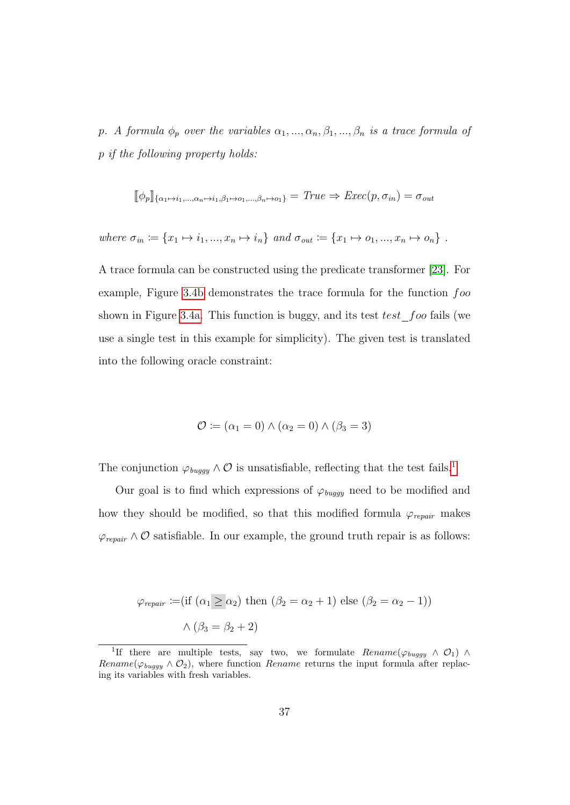p. A formula  $\phi_p$  over the variables  $\alpha_1, ..., \alpha_n, \beta_1, ..., \beta_n$  is a trace formula of p if the following property holds:

$$
[\![\phi_p]\!]_{\{\alpha_1 \mapsto i_1, \dots, \alpha_n \mapsto i_1, \beta_1 \mapsto o_1, \dots, \beta_n \mapsto o_1\}} = True \Rightarrow Excel(p, \sigma_{in}) = \sigma_{out}
$$

where 
$$
\sigma_{in} := \{x_1 \mapsto i_1, ..., x_n \mapsto i_n\}
$$
 and  $\sigma_{out} := \{x_1 \mapsto o_1, ..., x_n \mapsto o_n\}$ .

A trace formula can be constructed using the predicate transformer [\[23\]](#page-180-2). For example, Figure [3.4b](#page-50-0) demonstrates the trace formula for the function foo shown in Figure [3.4a.](#page-50-0) This function is buggy, and its test  $test\_foo$  fails (we use a single test in this example for simplicity). The given test is translated into the following oracle constraint:

$$
\mathcal{O} \coloneqq (\alpha_1 = 0) \land (\alpha_2 = 0) \land (\beta_3 = 3)
$$

The conjunction  $\varphi_{bugqu} \wedge \mathcal{O}$  is unsatisfiable, reflecting that the test fails.<sup>[1](#page-49-0)</sup>

Our goal is to find which expressions of  $\varphi_{\mathit{buggy}}$  need to be modified and how they should be modified, so that this modified formula  $\varphi_{\text{repair}}$  makes  $\varphi_{\text{repair}} \wedge \mathcal{O}$  satisfiable. In our example, the ground truth repair is as follows:

$$
\varphi_{\text{repair}} := (\text{if } (\alpha_1 \ge \alpha_2) \text{ then } (\beta_2 = \alpha_2 + 1) \text{ else } (\beta_2 = \alpha_2 - 1))
$$
  
 $\wedge (\beta_3 = \beta_2 + 2)$ 

<span id="page-49-0"></span><sup>&</sup>lt;sup>1</sup>If there are multiple tests, say two, we formulate  $Rename(\varphi_{buggy} \wedge \mathcal{O}_1) \wedge$ Rename( $\varphi_{buggy} \wedge \mathcal{O}_2$ ), where function Rename returns the input formula after replacing its variables with fresh variables.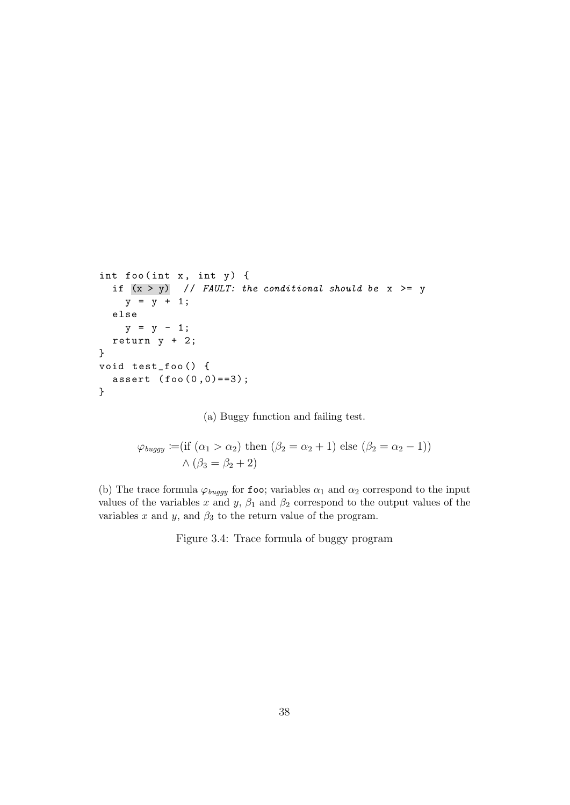```
int foo (int x, int y) {
  if (x > y) // FAULT: the conditional should be x \ge yy = y + 1;else
    y = y - 1;return y + 2;
}
void test_foo () {
  assert (foo(0,0)=3);}
```
(a) Buggy function and failing test.

$$
\varphi_{buggy} := (\text{if } (\alpha_1 > \alpha_2) \text{ then } (\beta_2 = \alpha_2 + 1) \text{ else } (\beta_2 = \alpha_2 - 1))
$$
  
 
$$
\wedge (\beta_3 = \beta_2 + 2)
$$

(b) The trace formula  $\varphi_{buggy}$  for foo; variables  $\alpha_1$  and  $\alpha_2$  correspond to the input values of the variables x and y,  $\beta_1$  and  $\beta_2$  correspond to the output values of the variables x and y, and  $\beta_3$  to the return value of the program.

Figure 3.4: Trace formula of buggy program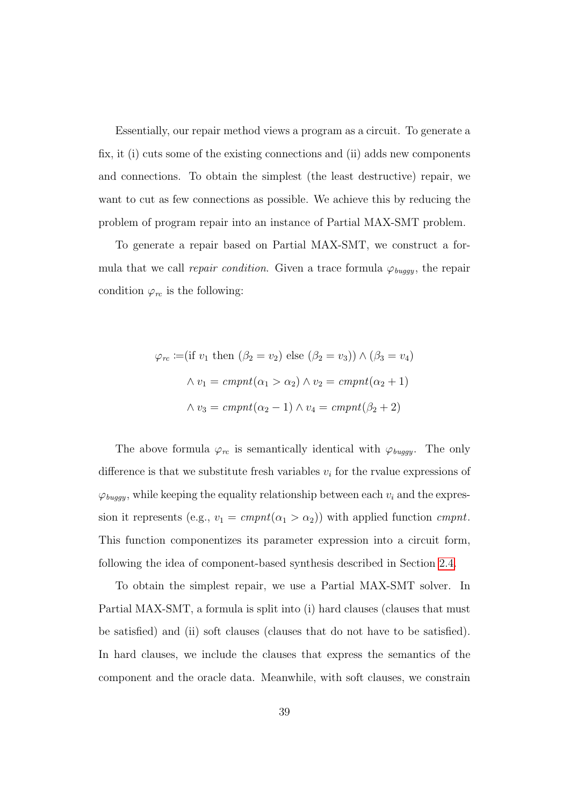Essentially, our repair method views a program as a circuit. To generate a fix, it (i) cuts some of the existing connections and (ii) adds new components and connections. To obtain the simplest (the least destructive) repair, we want to cut as few connections as possible. We achieve this by reducing the problem of program repair into an instance of Partial MAX-SMT problem.

To generate a repair based on Partial MAX-SMT, we construct a formula that we call *repair condition*. Given a trace formula  $\varphi_{bugqy}$ , the repair condition  $\varphi_{rc}$  is the following:

$$
\varphi_{rc} := (\text{if } v_1 \text{ then } (\beta_2 = v_2) \text{ else } (\beta_2 = v_3)) \land (\beta_3 = v_4)
$$

$$
\land v_1 = cmpnt(\alpha_1 > \alpha_2) \land v_2 = cmpnt(\alpha_2 + 1)
$$

$$
\land v_3 = cmpnt(\alpha_2 - 1) \land v_4 = cmpnt(\beta_2 + 2)
$$

The above formula  $\varphi_{rc}$  is semantically identical with  $\varphi_{buggy}$ . The only difference is that we substitute fresh variables  $v_i$  for the rvalue expressions of  $\varphi_\mathit{buggy}$ , while keeping the equality relationship between each  $v_i$  and the expression it represents (e.g.,  $v_1 = \text{cmpnt}(\alpha_1 > \alpha_2)$ ) with applied function  $\text{cmpnt}$ . This function componentizes its parameter expression into a circuit form, following the idea of component-based synthesis described in Section [2.4.](#page-29-0)

To obtain the simplest repair, we use a Partial MAX-SMT solver. In Partial MAX-SMT, a formula is split into (i) hard clauses (clauses that must be satisfied) and (ii) soft clauses (clauses that do not have to be satisfied). In hard clauses, we include the clauses that express the semantics of the component and the oracle data. Meanwhile, with soft clauses, we constrain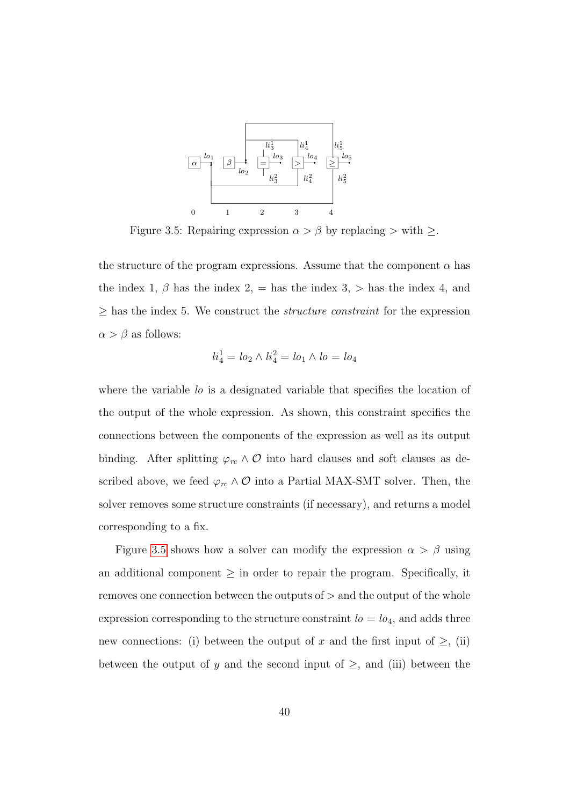<span id="page-52-0"></span>

Figure 3.5: Repairing expression  $\alpha > \beta$  by replacing > with  $\geq$ .

the structure of the program expressions. Assume that the component  $\alpha$  has the index 1,  $\beta$  has the index 2, = has the index 3, > has the index 4, and  $\geq$  has the index 5. We construct the *structure constraint* for the expression  $\alpha > \beta$  as follows:

$$
li_4^1 = lo_2 \wedge li_4^2 = lo_1 \wedge lo = lo_4
$$

where the variable lo is a designated variable that specifies the location of the output of the whole expression. As shown, this constraint specifies the connections between the components of the expression as well as its output binding. After splitting  $\varphi_{rc} \wedge \mathcal{O}$  into hard clauses and soft clauses as described above, we feed  $\varphi_{rc} \wedge \mathcal{O}$  into a Partial MAX-SMT solver. Then, the solver removes some structure constraints (if necessary), and returns a model corresponding to a fix.

Figure [3.5](#page-52-0) shows how a solver can modify the expression  $\alpha > \beta$  using an additional component  $\geq$  in order to repair the program. Specifically, it removes one connection between the outputs of  $>$  and the output of the whole expression corresponding to the structure constraint  $l_0 = l_0$ <sub>4</sub>, and adds three new connections: (i) between the output of x and the first input of  $\geq$ , (ii) between the output of y and the second input of  $\geq$ , and (iii) between the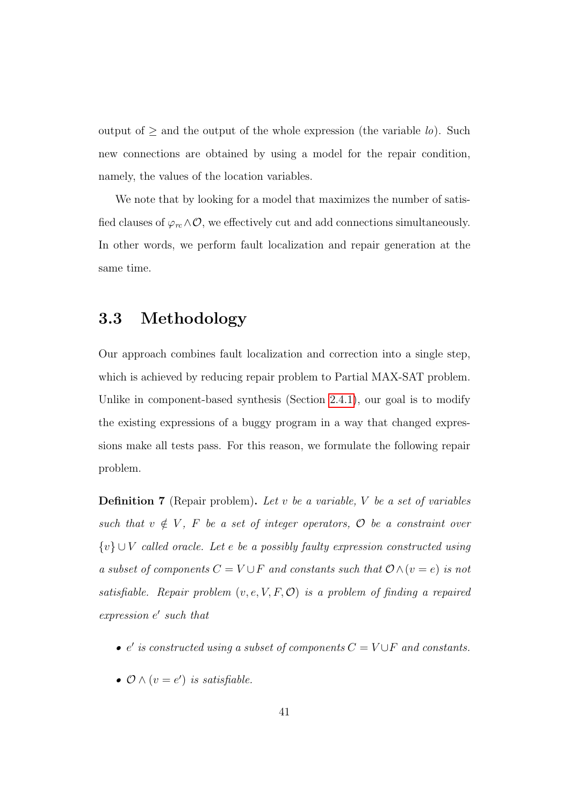output of  $\geq$  and the output of the whole expression (the variable lo). Such new connections are obtained by using a model for the repair condition, namely, the values of the location variables.

We note that by looking for a model that maximizes the number of satisfied clauses of  $\varphi_{rc} \wedge \mathcal{O}$ , we effectively cut and add connections simultaneously. In other words, we perform fault localization and repair generation at the same time.

#### 3.3 Methodology

Our approach combines fault localization and correction into a single step, which is achieved by reducing repair problem to Partial MAX-SAT problem. Unlike in component-based synthesis (Section [2.4.1\)](#page-30-0), our goal is to modify the existing expressions of a buggy program in a way that changed expressions make all tests pass. For this reason, we formulate the following repair problem.

**Definition 7** (Repair problem). Let v be a variable, V be a set of variables such that  $v \notin V$ , F be a set of integer operators,  $\mathcal O$  be a constraint over  ${v} \cup V$  called oracle. Let e be a possibly faulty expression constructed using a subset of components  $C = V \cup F$  and constants such that  $\mathcal{O} \wedge (v = e)$  is not satisfiable. Repair problem  $(v, e, V, F, O)$  is a problem of finding a repaired expression  $e'$  such that

- $e'$  is constructed using a subset of components  $C = V \cup F$  and constants.
- $\mathcal{O} \wedge (v = e')$  is satisfiable.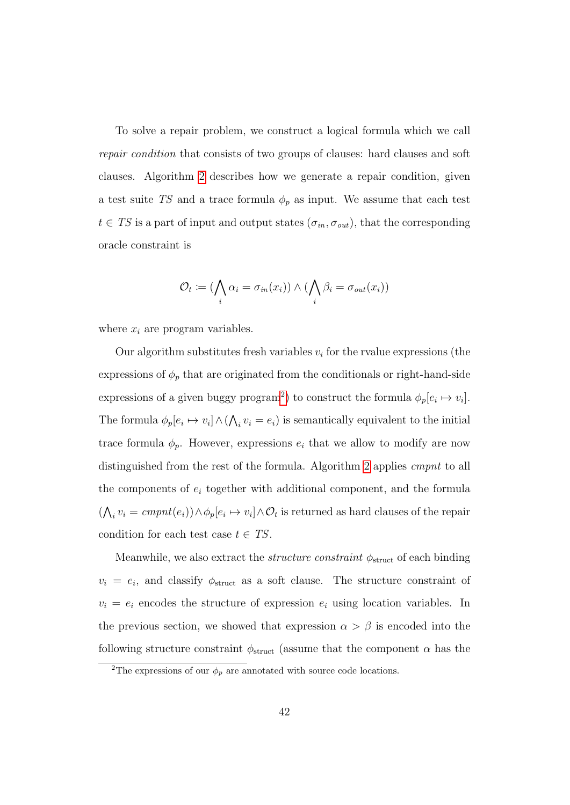To solve a repair problem, we construct a logical formula which we call repair condition that consists of two groups of clauses: hard clauses and soft clauses. Algorithm [2](#page-56-0) describes how we generate a repair condition, given a test suite TS and a trace formula  $\phi_p$  as input. We assume that each test  $t \in TS$  is a part of input and output states  $(\sigma_{in}, \sigma_{out})$ , that the corresponding oracle constraint is

$$
\mathcal{O}_t := (\bigwedge_i \alpha_i = \sigma_{in}(x_i)) \wedge (\bigwedge_i \beta_i = \sigma_{out}(x_i))
$$

where  $x_i$  are program variables.

Our algorithm substitutes fresh variables  $v_i$  for the rvalue expressions (the expressions of  $\phi_p$  that are originated from the conditionals or right-hand-side expressions of a given buggy program<sup>[2](#page-54-0)</sup>) to construct the formula  $\phi_p[e_i \mapsto v_i]$ . The formula  $\phi_p[e_i \mapsto v_i] \wedge (\bigwedge_i v_i = e_i)$  is semantically equivalent to the initial trace formula  $\phi_p$ . However, expressions  $e_i$  that we allow to modify are now distinguished from the rest of the formula. Algorithm [2](#page-56-0) applies cmpnt to all the components of  $e_i$  together with additional component, and the formula  $(\bigwedge_i v_i = \text{cmpnt}(e_i)) \wedge \phi_p[e_i \mapsto v_i] \wedge \mathcal{O}_t$  is returned as hard clauses of the repair condition for each test case  $t \in TS$ .

Meanwhile, we also extract the *structure constraint*  $\phi_{\text{struct}}$  of each binding  $v_i = e_i$ , and classify  $\phi_{\text{struct}}$  as a soft clause. The structure constraint of  $v_i = e_i$  encodes the structure of expression  $e_i$  using location variables. In the previous section, we showed that expression  $\alpha > \beta$  is encoded into the following structure constraint  $\phi_{\text{struct}}$  (assume that the component  $\alpha$  has the

<span id="page-54-0"></span><sup>&</sup>lt;sup>2</sup>The expressions of our  $\phi_p$  are annotated with source code locations.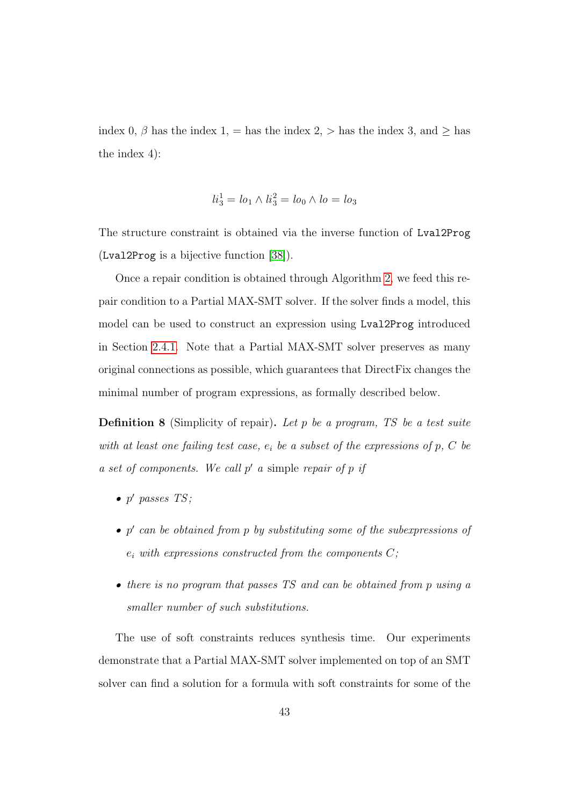index 0,  $\beta$  has the index 1, = has the index 2, > has the index 3, and  $\geq$  has the index 4):

$$
li_3^1 = lo_1 \wedge li_3^2 = lo_0 \wedge lo = lo_3
$$

The structure constraint is obtained via the inverse function of Lval2Prog (Lval2Prog is a bijective function [\[38\]](#page-183-0)).

Once a repair condition is obtained through Algorithm [2,](#page-56-0) we feed this repair condition to a Partial MAX-SMT solver. If the solver finds a model, this model can be used to construct an expression using Lval2Prog introduced in Section [2.4.1.](#page-30-0) Note that a Partial MAX-SMT solver preserves as many original connections as possible, which guarantees that DirectFix changes the minimal number of program expressions, as formally described below.

**Definition 8** (Simplicity of repair). Let p be a program, TS be a test suite with at least one failing test case,  $e_i$  be a subset of the expressions of p, C be  $a$  set of components. We call  $p'$  a simple repair of  $p$  if

- $\bullet$  p' passes TS;
- $\bullet$  p' can be obtained from p by substituting some of the subexpressions of  $e_i$  with expressions constructed from the components  $C$ ;
- there is no program that passes TS and can be obtained from p using a smaller number of such substitutions.

The use of soft constraints reduces synthesis time. Our experiments demonstrate that a Partial MAX-SMT solver implemented on top of an SMT solver can find a solution for a formula with soft constraints for some of the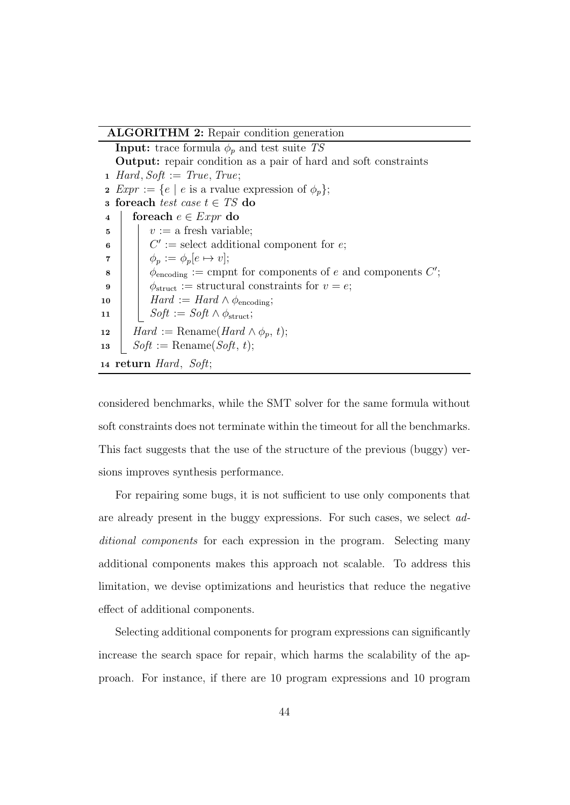ALGORITHM 2: Repair condition generation

**Input:** trace formula  $\phi_p$  and test suite TS Output: repair condition as a pair of hard and soft constraints 1 Hard, Soft := True, True; 2  $Expr := \{e \mid e \text{ is a rvalue expression of } \phi_n\};$ 3 for each test case  $t \in TS$  do 4 foreach  $e \in Expr$  do  $\mathfrak{s}$   $\vert \psi \rangle := \mathfrak{a}$  fresh variable;  $\bullet$  |  $C' := \text{select additional component for } e;$  $\tau$  |  $\phi_p := \phi_p[e \mapsto v];$  $\begin{array}{c} \mathbf{8} \end{array}$   $\begin{array}{c} \circ \phi_{\text{encoding}} := \text{j of } \mathbf{6} \text{ components of } \mathbf{6} \text{ and components } C'; \end{array}$ 9  $\phi_{\text{struct}} :=$  structural constraints for  $v = e$ ; 10  $\parallel$  Hard := Hard  $\wedge \phi_{\text{encoding}}$ ; 11 |  $Soft := Soft \wedge \phi_{struct};$ 12  $\parallel$  Hard := Rename(Hard  $\wedge \phi_p, t$ ); 13 |  $Soft := \text{Rename}(Soft, t);$ <sup>14</sup> return Hard, Soft;

<span id="page-56-0"></span>considered benchmarks, while the SMT solver for the same formula without soft constraints does not terminate within the timeout for all the benchmarks. This fact suggests that the use of the structure of the previous (buggy) versions improves synthesis performance.

For repairing some bugs, it is not sufficient to use only components that are already present in the buggy expressions. For such cases, we select additional components for each expression in the program. Selecting many additional components makes this approach not scalable. To address this limitation, we devise optimizations and heuristics that reduce the negative effect of additional components.

Selecting additional components for program expressions can significantly increase the search space for repair, which harms the scalability of the approach. For instance, if there are 10 program expressions and 10 program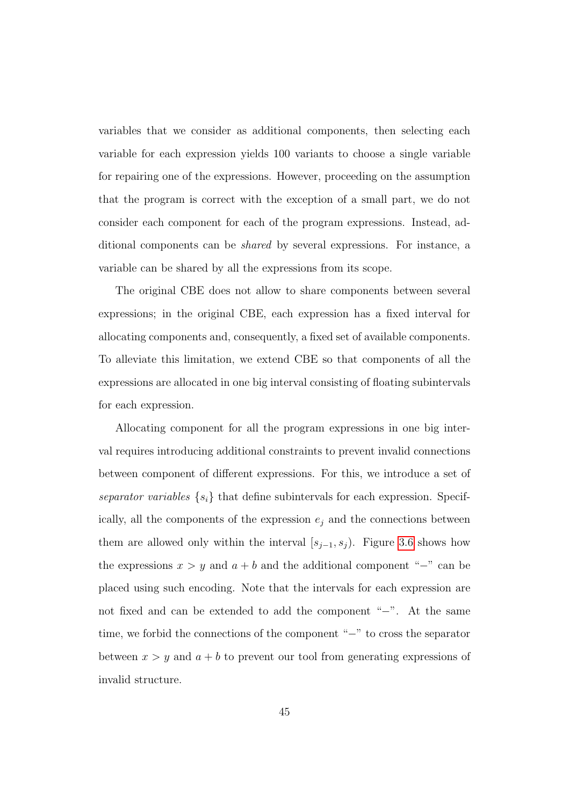variables that we consider as additional components, then selecting each variable for each expression yields 100 variants to choose a single variable for repairing one of the expressions. However, proceeding on the assumption that the program is correct with the exception of a small part, we do not consider each component for each of the program expressions. Instead, additional components can be shared by several expressions. For instance, a variable can be shared by all the expressions from its scope.

The original CBE does not allow to share components between several expressions; in the original CBE, each expression has a fixed interval for allocating components and, consequently, a fixed set of available components. To alleviate this limitation, we extend CBE so that components of all the expressions are allocated in one big interval consisting of floating subintervals for each expression.

Allocating component for all the program expressions in one big interval requires introducing additional constraints to prevent invalid connections between component of different expressions. For this, we introduce a set of separator variables  $\{s_i\}$  that define subintervals for each expression. Specifically, all the components of the expression  $e_j$  and the connections between them are allowed only within the interval  $[s_{j-1}, s_j]$ . Figure [3.6](#page-58-0) shows how the expressions  $x > y$  and  $a + b$  and the additional component "−" can be placed using such encoding. Note that the intervals for each expression are not fixed and can be extended to add the component "−". At the same time, we forbid the connections of the component "−" to cross the separator between  $x > y$  and  $a + b$  to prevent our tool from generating expressions of invalid structure.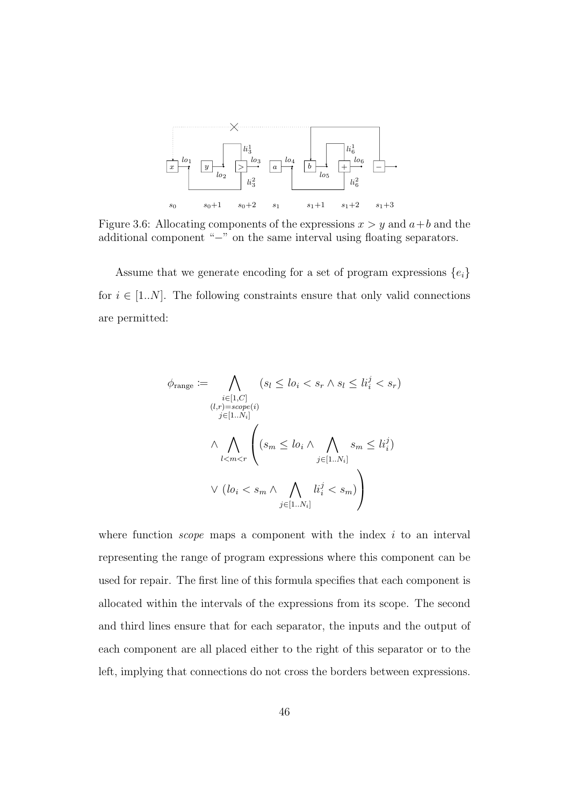<span id="page-58-0"></span>

Figure 3.6: Allocating components of the expressions  $x > y$  and  $a + b$  and the additional component "−" on the same interval using floating separators.

Assume that we generate encoding for a set of program expressions  $\{e_i\}$ for  $i \in [1..N]$ . The following constraints ensure that only valid connections are permitted:

$$
\phi_{\text{range}} := \bigwedge_{\substack{i \in [1, C] \\ (l, r) = scope(i)}} (s_l \le l o_i < s_r \land s_l \le l i_i^j < s_r)
$$
\n
$$
\bigwedge_{j \in [1..N_i]} \bigwedge_{l < m < r} \left( s_m \le l o_i \land \bigwedge_{j \in [1..N_i]} s_m \le l i_i^j \right)
$$
\n
$$
\lor \left( l o_i < s_m \land \bigwedge_{j \in [1..N_i]} l i_i^j < s_m \right)
$$

where function *scope* maps a component with the index  $i$  to an interval representing the range of program expressions where this component can be used for repair. The first line of this formula specifies that each component is allocated within the intervals of the expressions from its scope. The second and third lines ensure that for each separator, the inputs and the output of each component are all placed either to the right of this separator or to the left, implying that connections do not cross the borders between expressions.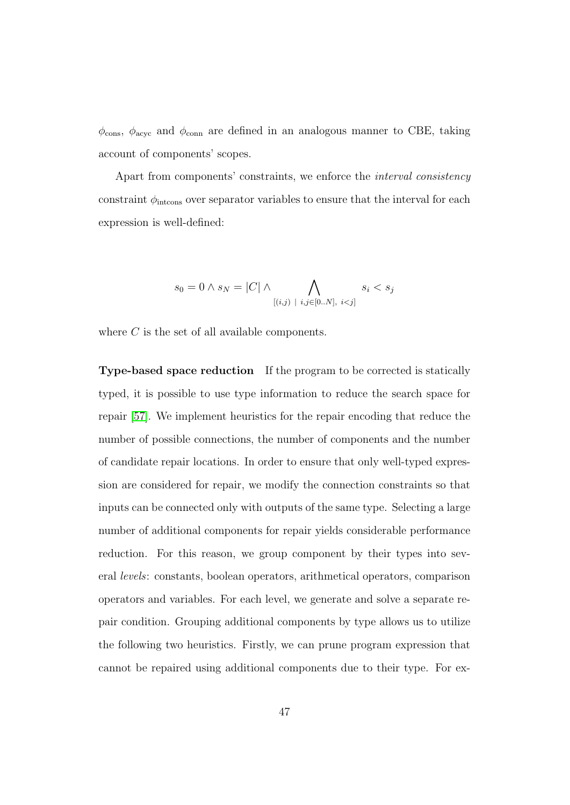$\phi_{\text{cons}}$ ,  $\phi_{\text{acyc}}$  and  $\phi_{\text{conn}}$  are defined in an analogous manner to CBE, taking account of components' scopes.

Apart from components' constraints, we enforce the interval consistency constraint  $\phi_{\text{intcons}}$  over separator variables to ensure that the interval for each expression is well-defined:

$$
s_0 = 0 \land s_N = |C| \land \bigwedge_{[(i,j) \mid i,j \in [0..N], i < j]} s_i < s_j
$$

where C is the set of all available components.

Type-based space reduction If the program to be corrected is statically typed, it is possible to use type information to reduce the search space for repair [\[57\]](#page-185-0). We implement heuristics for the repair encoding that reduce the number of possible connections, the number of components and the number of candidate repair locations. In order to ensure that only well-typed expression are considered for repair, we modify the connection constraints so that inputs can be connected only with outputs of the same type. Selecting a large number of additional components for repair yields considerable performance reduction. For this reason, we group component by their types into several levels: constants, boolean operators, arithmetical operators, comparison operators and variables. For each level, we generate and solve a separate repair condition. Grouping additional components by type allows us to utilize the following two heuristics. Firstly, we can prune program expression that cannot be repaired using additional components due to their type. For ex-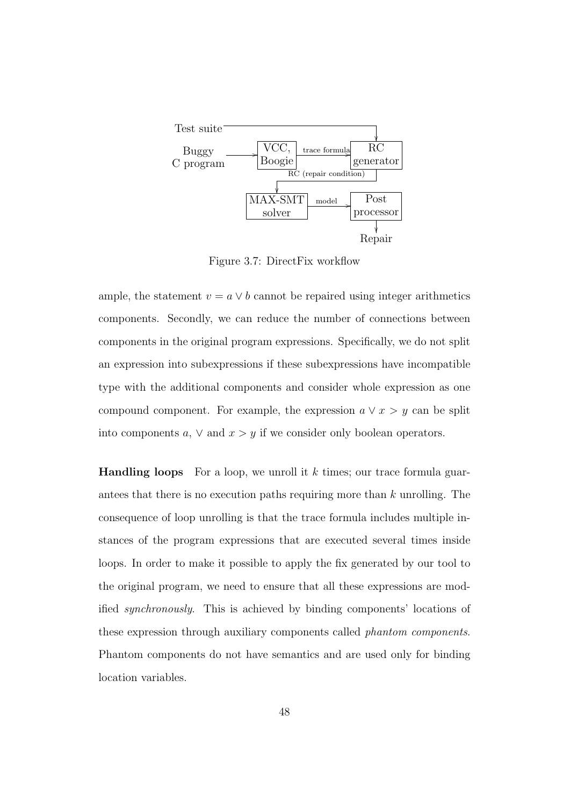<span id="page-60-0"></span>

Figure 3.7: DirectFix workflow

ample, the statement  $v = a \vee b$  cannot be repaired using integer arithmetics components. Secondly, we can reduce the number of connections between components in the original program expressions. Specifically, we do not split an expression into subexpressions if these subexpressions have incompatible type with the additional components and consider whole expression as one compound component. For example, the expression  $a \vee x > y$  can be split into components  $a, \vee$  and  $x > y$  if we consider only boolean operators.

**Handling loops** For a loop, we unroll it k times; our trace formula guarantees that there is no execution paths requiring more than k unrolling. The consequence of loop unrolling is that the trace formula includes multiple instances of the program expressions that are executed several times inside loops. In order to make it possible to apply the fix generated by our tool to the original program, we need to ensure that all these expressions are modified synchronously. This is achieved by binding components' locations of these expression through auxiliary components called phantom components. Phantom components do not have semantics and are used only for binding location variables.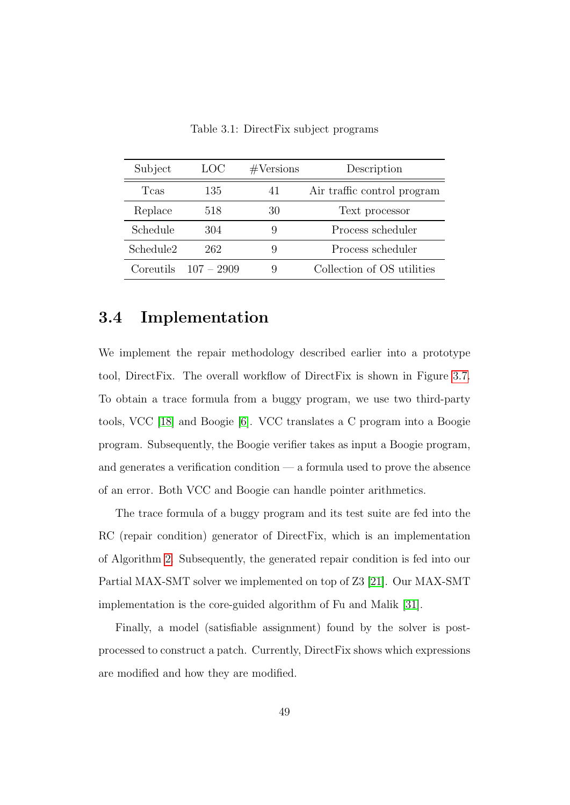<span id="page-61-0"></span>

| Subject               | LOC          | #Versions | Description                 |
|-----------------------|--------------|-----------|-----------------------------|
| Tcas                  | 135          | 41        | Air traffic control program |
| Replace               | 518          | 30        | Text processor              |
| Schedule              | 304          | 9         | Process scheduler           |
| Schedule <sub>2</sub> | 262          | 9         | Process scheduler           |
| Coreutils             | $107 - 2909$ | 9         | Collection of OS utilities  |

Table 3.1: DirectFix subject programs

#### 3.4 Implementation

We implement the repair methodology described earlier into a prototype tool, DirectFix. The overall workflow of DirectFix is shown in Figure [3.7.](#page-60-0) To obtain a trace formula from a buggy program, we use two third-party tools, VCC [\[18\]](#page-180-1) and Boogie [\[6\]](#page-178-0). VCC translates a C program into a Boogie program. Subsequently, the Boogie verifier takes as input a Boogie program, and generates a verification condition  $\frac{d}{dx}$  a formula used to prove the absence of an error. Both VCC and Boogie can handle pointer arithmetics.

The trace formula of a buggy program and its test suite are fed into the RC (repair condition) generator of DirectFix, which is an implementation of Algorithm [2.](#page-56-0) Subsequently, the generated repair condition is fed into our Partial MAX-SMT solver we implemented on top of Z3 [\[21\]](#page-180-0). Our MAX-SMT implementation is the core-guided algorithm of Fu and Malik [\[31\]](#page-182-0).

Finally, a model (satisfiable assignment) found by the solver is postprocessed to construct a patch. Currently, DirectFix shows which expressions are modified and how they are modified.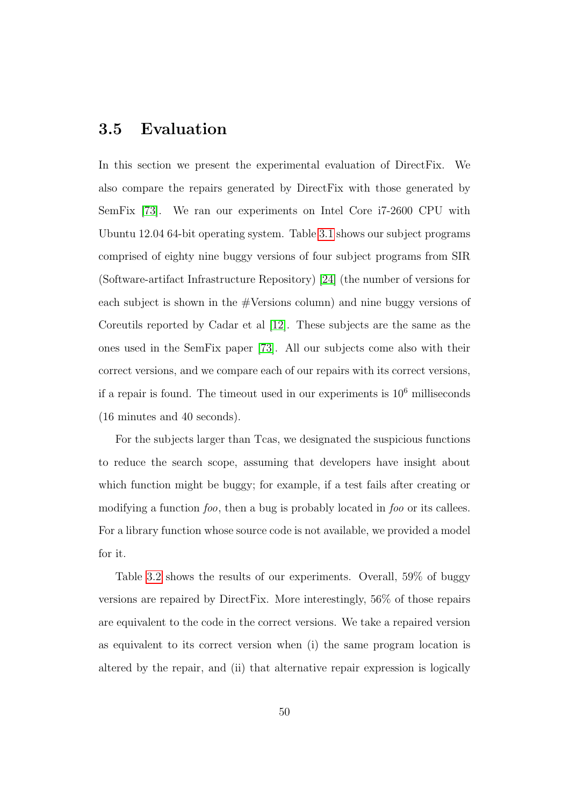#### <span id="page-62-0"></span>3.5 Evaluation

In this section we present the experimental evaluation of DirectFix. We also compare the repairs generated by DirectFix with those generated by SemFix [\[73\]](#page-188-0). We ran our experiments on Intel Core i7-2600 CPU with Ubuntu 12.04 64-bit operating system. Table [3.1](#page-61-0) shows our subject programs comprised of eighty nine buggy versions of four subject programs from SIR (Software-artifact Infrastructure Repository) [\[24\]](#page-181-4) (the number of versions for each subject is shown in the  $\#Versions$  column) and nine buggy versions of Coreutils reported by Cadar et al [\[12\]](#page-179-0). These subjects are the same as the ones used in the SemFix paper [\[73\]](#page-188-0). All our subjects come also with their correct versions, and we compare each of our repairs with its correct versions, if a repair is found. The timeout used in our experiments is  $10<sup>6</sup>$  milliseconds (16 minutes and 40 seconds).

For the subjects larger than Tcas, we designated the suspicious functions to reduce the search scope, assuming that developers have insight about which function might be buggy; for example, if a test fails after creating or modifying a function foo, then a bug is probably located in foo or its callees. For a library function whose source code is not available, we provided a model for it.

Table [3.2](#page-63-0) shows the results of our experiments. Overall, 59% of buggy versions are repaired by DirectFix. More interestingly, 56% of those repairs are equivalent to the code in the correct versions. We take a repaired version as equivalent to its correct version when (i) the same program location is altered by the repair, and (ii) that alternative repair expression is logically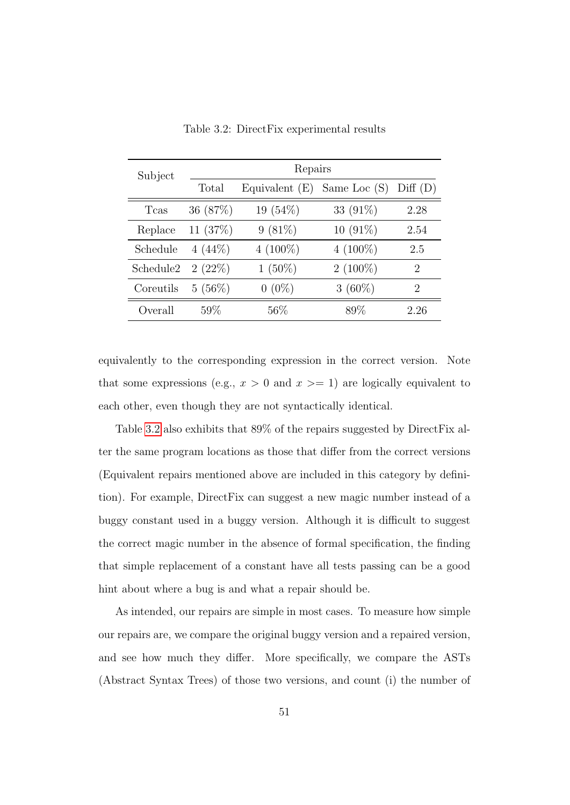<span id="page-63-0"></span>

| Subject               | Repairs    |                  |                |                             |  |  |  |
|-----------------------|------------|------------------|----------------|-----------------------------|--|--|--|
|                       | Total      | Equivalent $(E)$ | Same Loc $(S)$ | Diff(D)                     |  |  |  |
| Tcas                  | 36 (87\%)  | $19(54\%)$       | 33 $(91\%)$    | 2.28                        |  |  |  |
| Replace               | 11 $(37%)$ | $9(81\%)$        | $10(91\%)$     | 2.54                        |  |  |  |
| Schedule              | $4(44\%)$  | $4(100\%)$       | $4(100\%)$     | 2.5                         |  |  |  |
| Schedule <sub>2</sub> | 2(22%)     | $1(50\%)$        | $2(100\%)$     | $\mathcal{D}_{\mathcal{L}}$ |  |  |  |
| Coreutils             | $5(56\%)$  | $0(0\%)$         | $3(60\%)$      | $\mathcal{D}_{\mathcal{A}}$ |  |  |  |
| Overall               | 59%        | $56\%$           | 89%            | 2.26                        |  |  |  |

Table 3.2: DirectFix experimental results

equivalently to the corresponding expression in the correct version. Note that some expressions (e.g.,  $x > 0$  and  $x \ge -1$ ) are logically equivalent to each other, even though they are not syntactically identical.

Table [3.2](#page-63-0) also exhibits that 89% of the repairs suggested by DirectFix alter the same program locations as those that differ from the correct versions (Equivalent repairs mentioned above are included in this category by definition). For example, DirectFix can suggest a new magic number instead of a buggy constant used in a buggy version. Although it is difficult to suggest the correct magic number in the absence of formal specification, the finding that simple replacement of a constant have all tests passing can be a good hint about where a bug is and what a repair should be.

As intended, our repairs are simple in most cases. To measure how simple our repairs are, we compare the original buggy version and a repaired version, and see how much they differ. More specifically, we compare the ASTs (Abstract Syntax Trees) of those two versions, and count (i) the number of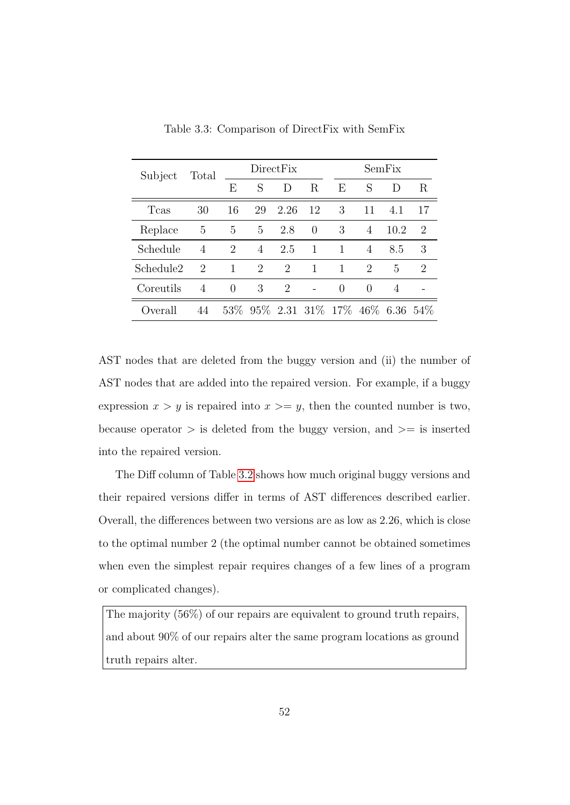<span id="page-64-0"></span>

| Subject               | Total                       | DirectFix      |    |                | SemFix                                  |                  |                  |                |    |
|-----------------------|-----------------------------|----------------|----|----------------|-----------------------------------------|------------------|------------------|----------------|----|
|                       |                             | E              | S  | D              | R                                       | E                | S                | $\Box$         | R. |
| Tcas                  | 30                          | 16             | 29 | 2.26           | -12                                     | 3                | 11               | 4.1            | 17 |
| Replace               | 5                           | 5              | 5  | 2.8            | $\Omega$                                | 3                | 4                | 10.2           | 2  |
| Schedule              | $\overline{4}$              | $\overline{2}$ | 4  | 2.5            | $\mathbf{1}$                            | 1                | $\overline{4}$   | 8.5            | 3  |
| Schedule <sub>2</sub> | $\mathcal{D}_{\mathcal{L}}$ | $\mathbf{1}$   | 2  | $\overline{2}$ | $\mathbf{1}$                            | 1                | 2                | 5              | 2  |
| Coreutils             | 4                           | $\theta$       | 3  | 2              |                                         | $\left( \right)$ | $\left( \right)$ | $\overline{4}$ |    |
| ( <i>c</i> ) verall   | 44                          |                |    |                | 53\% 95\% 2.31 31\% 17\% 46\% 6.36 54\% |                  |                  |                |    |

Table 3.3: Comparison of DirectFix with SemFix

AST nodes that are deleted from the buggy version and (ii) the number of AST nodes that are added into the repaired version. For example, if a buggy expression  $x > y$  is repaired into  $x \ge y$ , then the counted number is two, because operator  $>$  is deleted from the buggy version, and  $>=$  is inserted into the repaired version.

The Diff column of Table [3.2](#page-63-0) shows how much original buggy versions and their repaired versions differ in terms of AST differences described earlier. Overall, the differences between two versions are as low as 2.26, which is close to the optimal number 2 (the optimal number cannot be obtained sometimes when even the simplest repair requires changes of a few lines of a program or complicated changes).

The majority (56%) of our repairs are equivalent to ground truth repairs, and about 90% of our repairs alter the same program locations as ground truth repairs alter.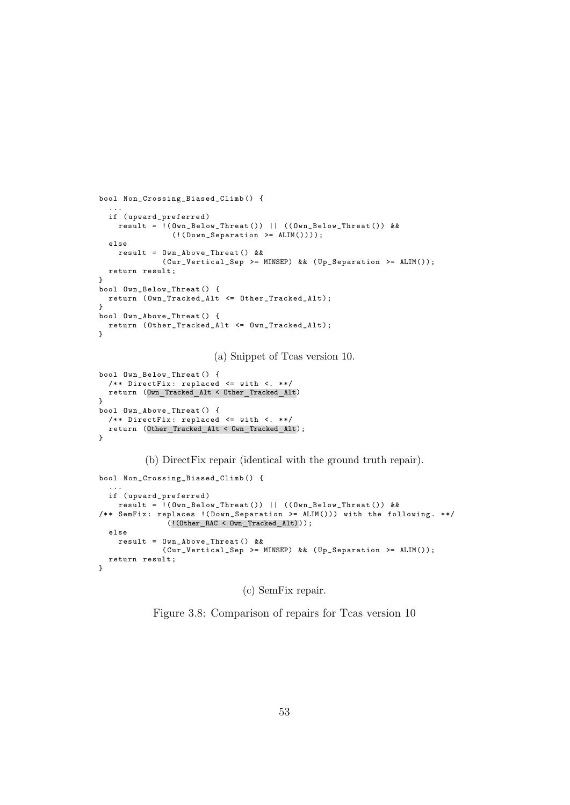```
bool Non_Crossing_Biased_Climb () {
  ...
  if ( upward_preferred )
    result = !( Own_Below_Threat ()) || (( Own_Below_Threat ()) &&
                (!( Down_Separation >= ALIM())));
  else
    result = Own_Above_Threat () &&
              ( Cur_Vertical_Sep >= MINSEP) && ( Up_Separation >= ALIM());
  return result ;
}
bool Own_Below_Threat () {
 return ( Own_Tracked_Alt <= Other_Tracked_Alt );
}
bool Own_Above_Threat () {
 return ( Other_Tracked_Alt <= Own_Tracked_Alt );
}
                         (a) Snippet of Tcas version 10.
bool Own_Below_Threat () {
  /** DirectFix: replaced \leq with \leq. **/
  return (Own Tracked Alt < Other Tracked Alt)
}
bool Own_Above_Threat () {
  /** DirectFix: replaced <= with <. **/
  return (Other Tracked Alt < Own Tracked Alt);
}
          (b) DirectFix repair (identical with the ground truth repair).
```

```
bool Non_Crossing_Biased_Climb () {
  ...
  if ( upward_preferred )
    result = !( Own_Below_Threat ()) || (( Own_Below_Threat ()) &&
/** SemFix: replaces ! (Down_Separation >= ALIM())) with the following. **/
               (!(Other RAC < Own Tracked Alt)));
  else
    result = Own_Above_Threat () &&
             ( Cur_Vertical_Sep >= MINSEP) && ( Up_Separation >= ALIM());
  return result ;
}
```
(c) SemFix repair.

Figure 3.8: Comparison of repairs for Tcas version 10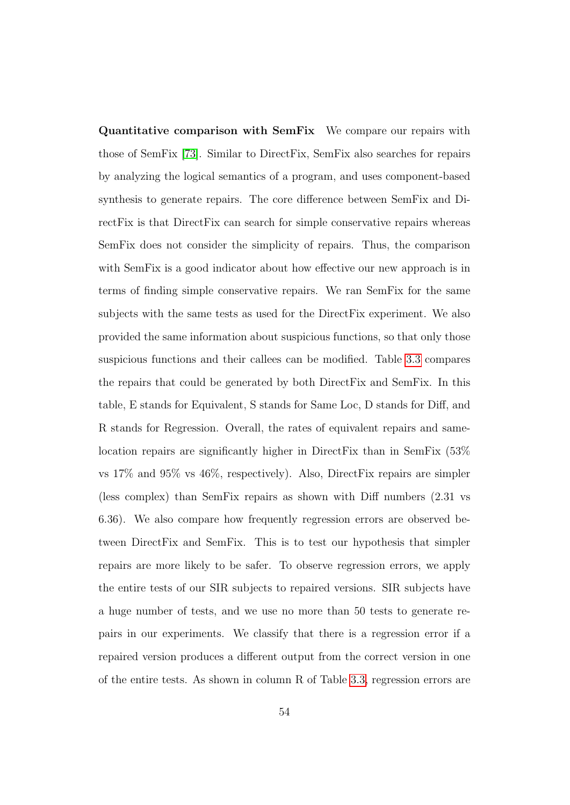Quantitative comparison with SemFix We compare our repairs with those of SemFix [\[73\]](#page-188-0). Similar to DirectFix, SemFix also searches for repairs by analyzing the logical semantics of a program, and uses component-based synthesis to generate repairs. The core difference between SemFix and DirectFix is that DirectFix can search for simple conservative repairs whereas SemFix does not consider the simplicity of repairs. Thus, the comparison with SemFix is a good indicator about how effective our new approach is in terms of finding simple conservative repairs. We ran SemFix for the same subjects with the same tests as used for the DirectFix experiment. We also provided the same information about suspicious functions, so that only those suspicious functions and their callees can be modified. Table [3.3](#page-64-0) compares the repairs that could be generated by both DirectFix and SemFix. In this table, E stands for Equivalent, S stands for Same Loc, D stands for Diff, and R stands for Regression. Overall, the rates of equivalent repairs and samelocation repairs are significantly higher in DirectFix than in SemFix (53% vs 17% and 95% vs 46%, respectively). Also, DirectFix repairs are simpler (less complex) than SemFix repairs as shown with Diff numbers (2.31 vs 6.36). We also compare how frequently regression errors are observed between DirectFix and SemFix. This is to test our hypothesis that simpler repairs are more likely to be safer. To observe regression errors, we apply the entire tests of our SIR subjects to repaired versions. SIR subjects have a huge number of tests, and we use no more than 50 tests to generate repairs in our experiments. We classify that there is a regression error if a repaired version produces a different output from the correct version in one of the entire tests. As shown in column R of Table [3.3,](#page-64-0) regression errors are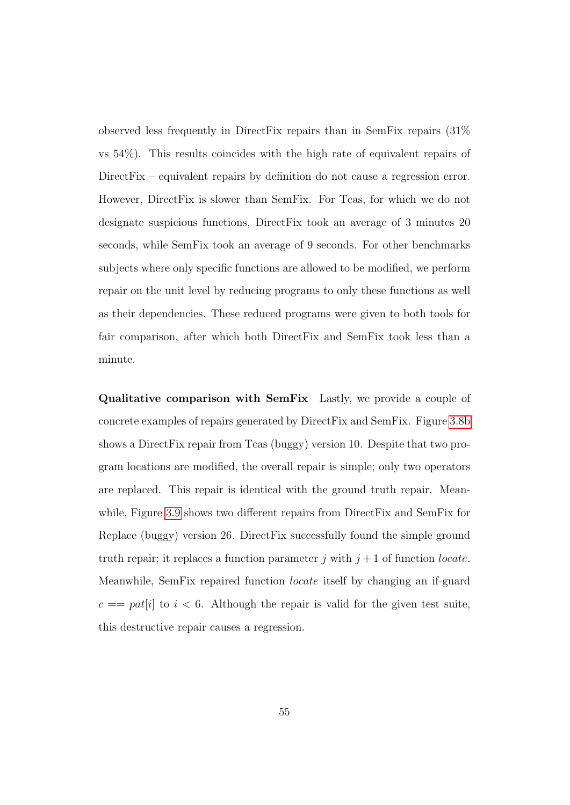observed less frequently in DirectFix repairs than in SemFix repairs (31% vs 54%). This results coincides with the high rate of equivalent repairs of DirectFix – equivalent repairs by definition do not cause a regression error. However, DirectFix is slower than SemFix. For Tcas, for which we do not designate suspicious functions, DirectFix took an average of 3 minutes 20 seconds, while SemFix took an average of 9 seconds. For other benchmarks subjects where only specific functions are allowed to be modified, we perform repair on the unit level by reducing programs to only these functions as well as their dependencies. These reduced programs were given to both tools for fair comparison, after which both DirectFix and SemFix took less than a minute.

Qualitative comparison with SemFix Lastly, we provide a couple of concrete examples of repairs generated by DirectFix and SemFix. Figure [3.8b](#page-65-0) shows a DirectFix repair from Tcas (buggy) version 10. Despite that two program locations are modified, the overall repair is simple; only two operators are replaced. This repair is identical with the ground truth repair. Mean-while, Figure [3.9](#page-68-0) shows two different repairs from DirectFix and SemFix for Replace (buggy) version 26. DirectFix successfully found the simple ground truth repair; it replaces a function parameter j with  $j + 1$  of function *locate*. Meanwhile, SemFix repaired function locate itself by changing an if-guard  $c == pat[i]$  to  $i < 6$ . Although the repair is valid for the given test suite, this destructive repair causes a regression.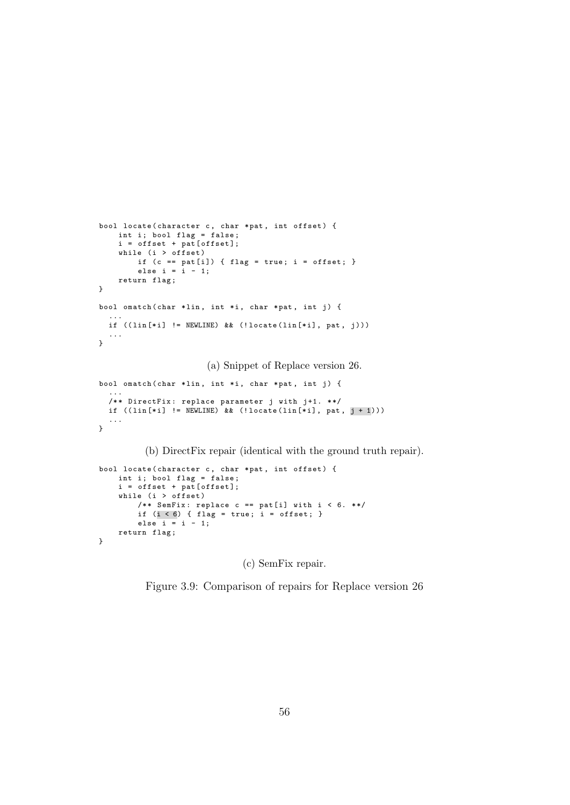```
bool locate ( character c, char * pat, int offset) {
    int i; bool flag = false;
    i = \text{offset} + \text{pat}[\text{offset}];while (i > of fset)if (c == pat[i]) { flag = true; i = offset; }
         else i = i - 1;
    return flag;
}
bool omatch ( char * lin, int * i, char * pat, int j) {
  ...
  if ((lin[*i] != NEWLINE) && (!locate(lin[*i], pat, j)))
  ...
}
```
(a) Snippet of Replace version 26.

```
bool omatch ( char * lin, int * i, char * pat, int j) {
  ...
  /** DirectFix: replace parameter j with j+1. **/
  if (( lin [* i] != NEWLINE) && (! locate ( lin [* i], pat , j + 1)))
  ...
}
```
(b) DirectFix repair (identical with the ground truth repair).

```
bool locate ( character c, char * pat, int offset) {
    int i; bool flag = false;
    i = \text{offset} + \text{pat}[\text{offset}];while (i > of fset)/** SemFix: replace c == pat[i] with i < 6. **/
         if (i < 6) { flag = true; i = offset; }
         else i = i - 1;
    return flag;
}
```
(c) SemFix repair.

Figure 3.9: Comparison of repairs for Replace version 26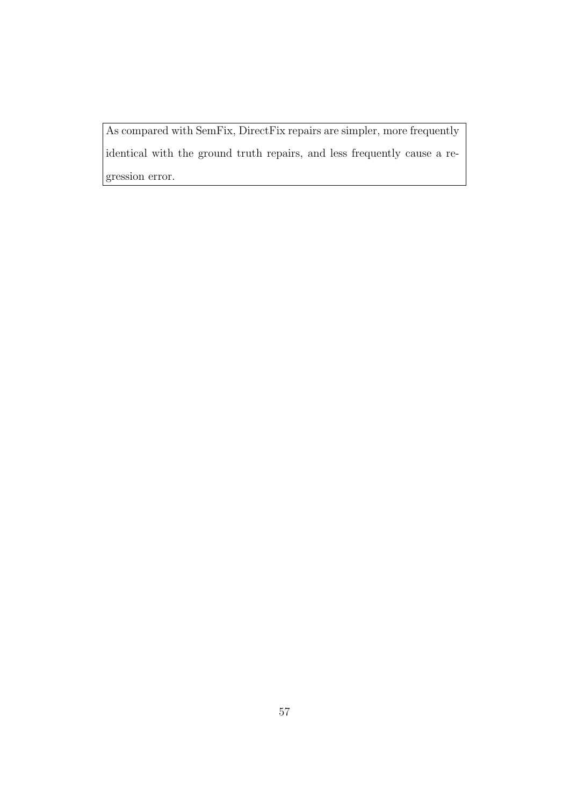As compared with SemFix, DirectFix repairs are simpler, more frequently identical with the ground truth repairs, and less frequently cause a regression error.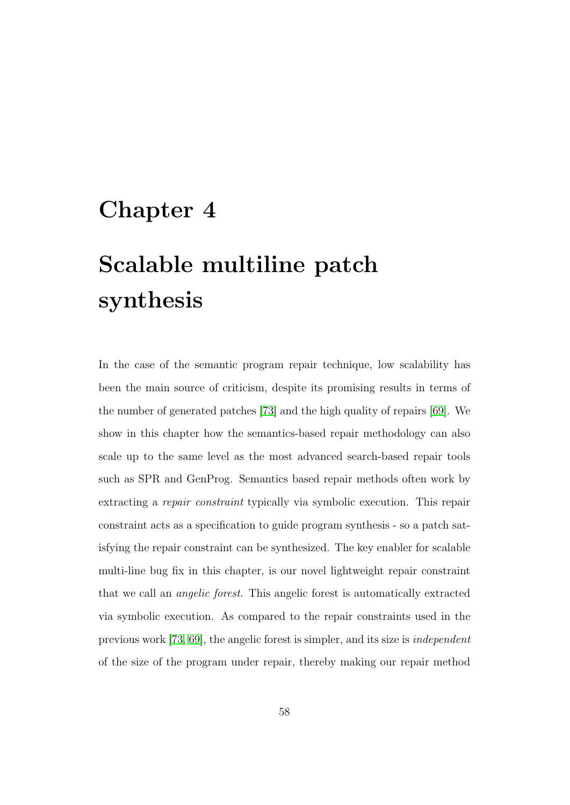### <span id="page-70-0"></span>Chapter 4

# Scalable multiline patch synthesis

In the case of the semantic program repair technique, low scalability has been the main source of criticism, despite its promising results in terms of the number of generated patches [\[73\]](#page-188-0) and the high quality of repairs [\[69\]](#page-187-0). We show in this chapter how the semantics-based repair methodology can also scale up to the same level as the most advanced search-based repair tools such as SPR and GenProg. Semantics based repair methods often work by extracting a repair constraint typically via symbolic execution. This repair constraint acts as a specification to guide program synthesis - so a patch satisfying the repair constraint can be synthesized. The key enabler for scalable multi-line bug fix in this chapter, is our novel lightweight repair constraint that we call an angelic forest. This angelic forest is automatically extracted via symbolic execution. As compared to the repair constraints used in the previous work [\[73,](#page-188-0) [69\]](#page-187-0), the angelic forest is simpler, and its size is independent of the size of the program under repair, thereby making our repair method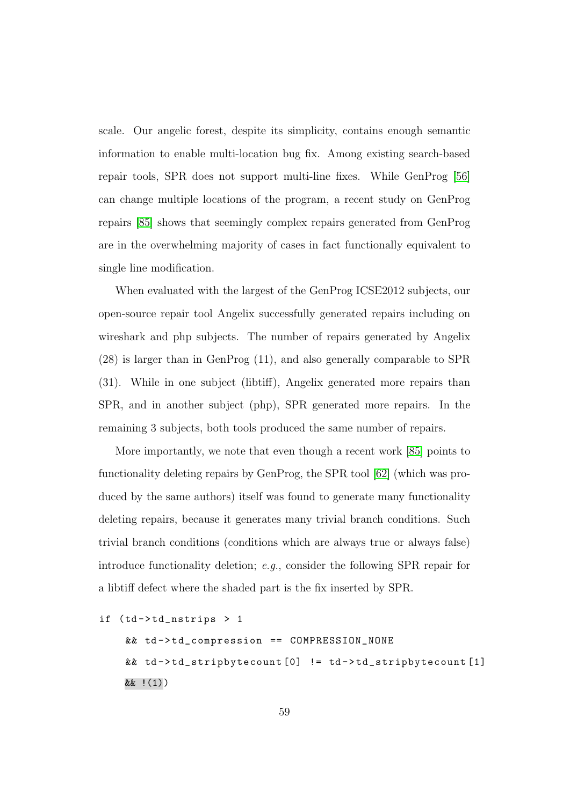scale. Our angelic forest, despite its simplicity, contains enough semantic information to enable multi-location bug fix. Among existing search-based repair tools, SPR does not support multi-line fixes. While GenProg [\[56\]](#page-185-1) can change multiple locations of the program, a recent study on GenProg repairs [\[85\]](#page-190-1) shows that seemingly complex repairs generated from GenProg are in the overwhelming majority of cases in fact functionally equivalent to single line modification.

When evaluated with the largest of the GenProg ICSE2012 subjects, our open-source repair tool Angelix successfully generated repairs including on wireshark and php subjects. The number of repairs generated by Angelix (28) is larger than in GenProg (11), and also generally comparable to SPR (31). While in one subject (libtiff), Angelix generated more repairs than SPR, and in another subject (php), SPR generated more repairs. In the remaining 3 subjects, both tools produced the same number of repairs.

More importantly, we note that even though a recent work [\[85\]](#page-190-1) points to functionality deleting repairs by GenProg, the SPR tool [\[62\]](#page-186-0) (which was produced by the same authors) itself was found to generate many functionality deleting repairs, because it generates many trivial branch conditions. Such trivial branch conditions (conditions which are always true or always false) introduce functionality deletion; e.g., consider the following SPR repair for a libtiff defect where the shaded part is the fix inserted by SPR.

```
if (td - > t d_n)nstrips > 1
    && td->td_compression == COMPRESSION_NONE
    && td - > td_stripbytecount [0] != td - > td_stripbytecount [1]
    && !(1))
```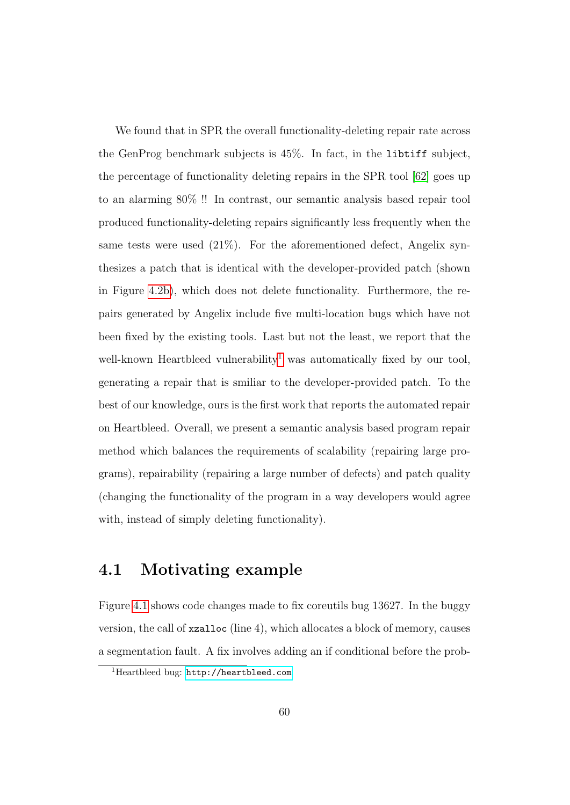We found that in SPR the overall functionality-deleting repair rate across the GenProg benchmark subjects is 45%. In fact, in the libtiff subject, the percentage of functionality deleting repairs in the SPR tool [\[62\]](#page-186-0) goes up to an alarming 80% !! In contrast, our semantic analysis based repair tool produced functionality-deleting repairs significantly less frequently when the same tests were used (21%). For the aforementioned defect, Angelix synthesizes a patch that is identical with the developer-provided patch (shown in Figure [4.2b\)](#page-90-0), which does not delete functionality. Furthermore, the repairs generated by Angelix include five multi-location bugs which have not been fixed by the existing tools. Last but not the least, we report that the well-known Heartbleed vulnerability<sup>[1](#page-72-0)</sup> was automatically fixed by our tool, generating a repair that is smiliar to the developer-provided patch. To the best of our knowledge, ours is the first work that reports the automated repair on Heartbleed. Overall, we present a semantic analysis based program repair method which balances the requirements of scalability (repairing large programs), repairability (repairing a large number of defects) and patch quality (changing the functionality of the program in a way developers would agree with, instead of simply deleting functionality).

# <span id="page-72-1"></span>4.1 Motivating example

Figure [4.1](#page-73-0) shows code changes made to fix coreutils bug 13627. In the buggy version, the call of xzalloc (line 4), which allocates a block of memory, causes a segmentation fault. A fix involves adding an if conditional before the prob-

<span id="page-72-0"></span><sup>1</sup>Heartbleed bug: <http://heartbleed.com>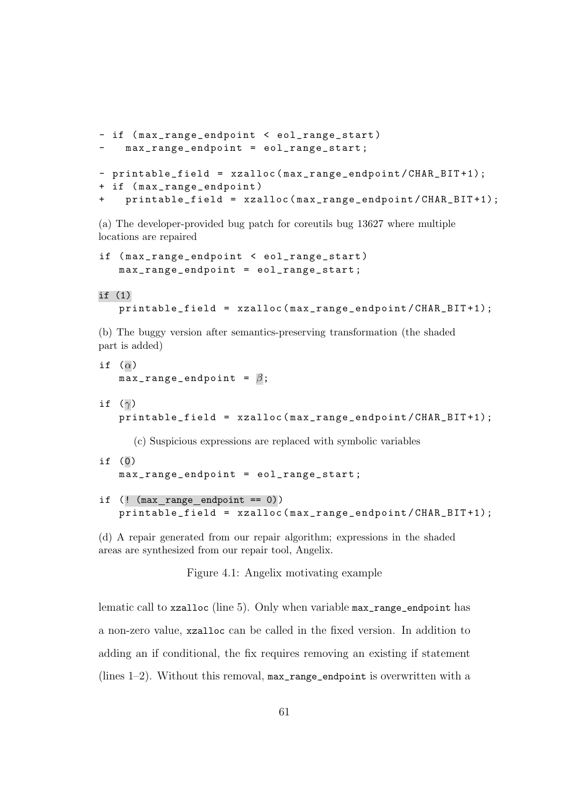```
- if ( max_range_endpoint < eol_range_start )
    max\_range\_endpoint = eol\_range\_start;- printable_field = xzalloc ( max_range_endpoint / CHAR_BIT +1);
+ if ( max_range_endpoint )
+ printable_field = xzalloc ( max_range_endpoint / CHAR_BIT +1);
```
(a) The developer-provided bug patch for coreutils bug 13627 where multiple locations are repaired

if ( max\_range\_endpoint < eol\_range\_start ) max\_range\_endpoint = eol\_range\_start ;

#### if (1)

printable\_field = xzalloc ( max\_range\_endpoint / CHAR\_BIT +1);

(b) The buggy version after semantics-preserving transformation (the shaded part is added)

```
if (\alpha)max\_range\_endpoint = \beta;if (\gamma)printable_field = xzalloc ( max_range_endpoint / CHAR_BIT +1);
```
(c) Suspicious expressions are replaced with symbolic variables

- if (0) max\_range\_endpoint = eol\_range\_start ;
- if  $($ ! (max range endpoint == 0)) printable\_field = xzalloc ( max\_range\_endpoint / CHAR\_BIT +1);

(d) A repair generated from our repair algorithm; expressions in the shaded areas are synthesized from our repair tool, Angelix.

Figure 4.1: Angelix motivating example

lematic call to xzalloc (line 5). Only when variable max\_range\_endpoint has a non-zero value, xzalloc can be called in the fixed version. In addition to adding an if conditional, the fix requires removing an existing if statement (lines  $1-2$ ). Without this removal, max range endpoint is overwritten with a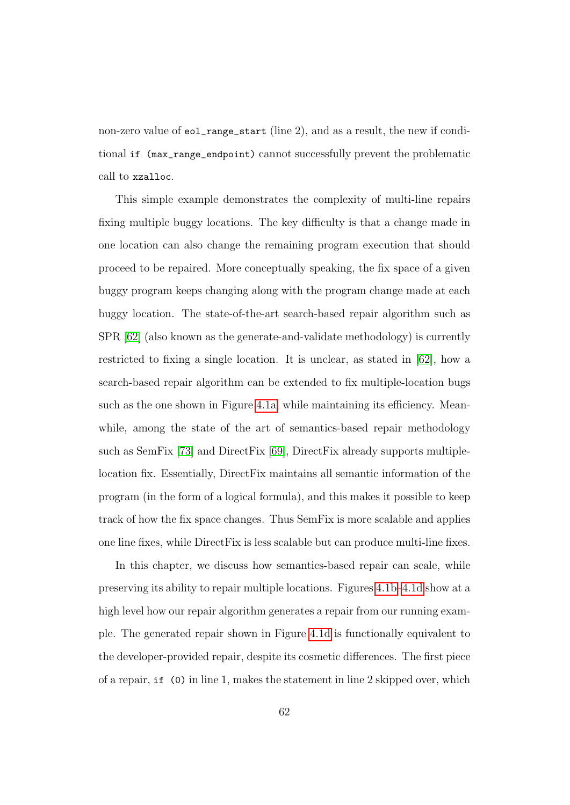non-zero value of eol\_range\_start (line 2), and as a result, the new if conditional if (max\_range\_endpoint) cannot successfully prevent the problematic call to xzalloc.

This simple example demonstrates the complexity of multi-line repairs fixing multiple buggy locations. The key difficulty is that a change made in one location can also change the remaining program execution that should proceed to be repaired. More conceptually speaking, the fix space of a given buggy program keeps changing along with the program change made at each buggy location. The state-of-the-art search-based repair algorithm such as SPR [\[62\]](#page-186-0) (also known as the generate-and-validate methodology) is currently restricted to fixing a single location. It is unclear, as stated in [\[62\]](#page-186-0), how a search-based repair algorithm can be extended to fix multiple-location bugs such as the one shown in Figure [4.1a,](#page-73-0) while maintaining its efficiency. Meanwhile, among the state of the art of semantics-based repair methodology such as SemFix [\[73\]](#page-188-0) and DirectFix [\[69\]](#page-187-0), DirectFix already supports multiplelocation fix. Essentially, DirectFix maintains all semantic information of the program (in the form of a logical formula), and this makes it possible to keep track of how the fix space changes. Thus SemFix is more scalable and applies one line fixes, while DirectFix is less scalable but can produce multi-line fixes.

In this chapter, we discuss how semantics-based repair can scale, while preserving its ability to repair multiple locations. Figures [4.1b–4.1d](#page-73-0) show at a high level how our repair algorithm generates a repair from our running example. The generated repair shown in Figure [4.1d](#page-73-0) is functionally equivalent to the developer-provided repair, despite its cosmetic differences. The first piece of a repair, if (0) in line 1, makes the statement in line 2 skipped over, which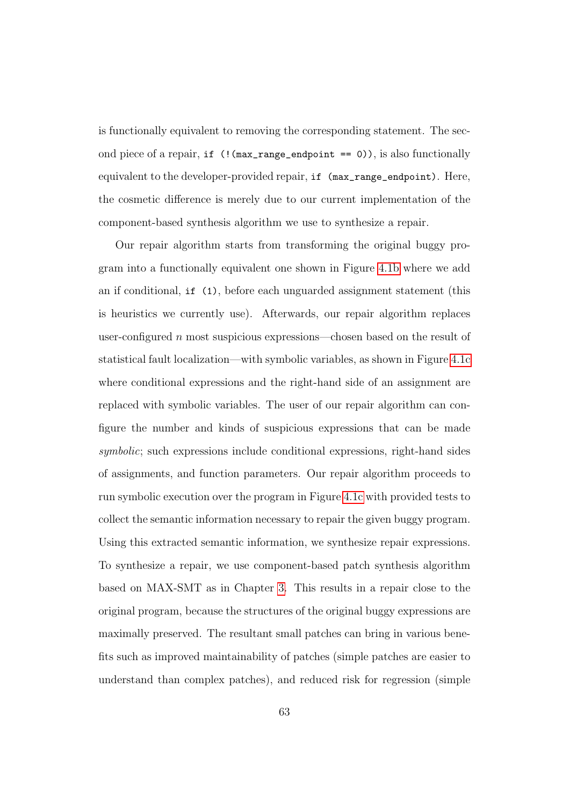is functionally equivalent to removing the corresponding statement. The second piece of a repair, if (!(max\_range\_endpoint == 0)), is also functionally equivalent to the developer-provided repair, if (max\_range\_endpoint). Here, the cosmetic difference is merely due to our current implementation of the component-based synthesis algorithm we use to synthesize a repair.

Our repair algorithm starts from transforming the original buggy program into a functionally equivalent one shown in Figure [4.1b](#page-73-0) where we add an if conditional, if (1), before each unguarded assignment statement (this is heuristics we currently use). Afterwards, our repair algorithm replaces user-configured n most suspicious expressions—chosen based on the result of statistical fault localization—with symbolic variables, as shown in Figure [4.1c](#page-73-0) where conditional expressions and the right-hand side of an assignment are replaced with symbolic variables. The user of our repair algorithm can configure the number and kinds of suspicious expressions that can be made symbolic; such expressions include conditional expressions, right-hand sides of assignments, and function parameters. Our repair algorithm proceeds to run symbolic execution over the program in Figure [4.1c](#page-73-0) with provided tests to collect the semantic information necessary to repair the given buggy program. Using this extracted semantic information, we synthesize repair expressions. To synthesize a repair, we use component-based patch synthesis algorithm based on MAX-SMT as in Chapter [3.](#page-40-0) This results in a repair close to the original program, because the structures of the original buggy expressions are maximally preserved. The resultant small patches can bring in various benefits such as improved maintainability of patches (simple patches are easier to understand than complex patches), and reduced risk for regression (simple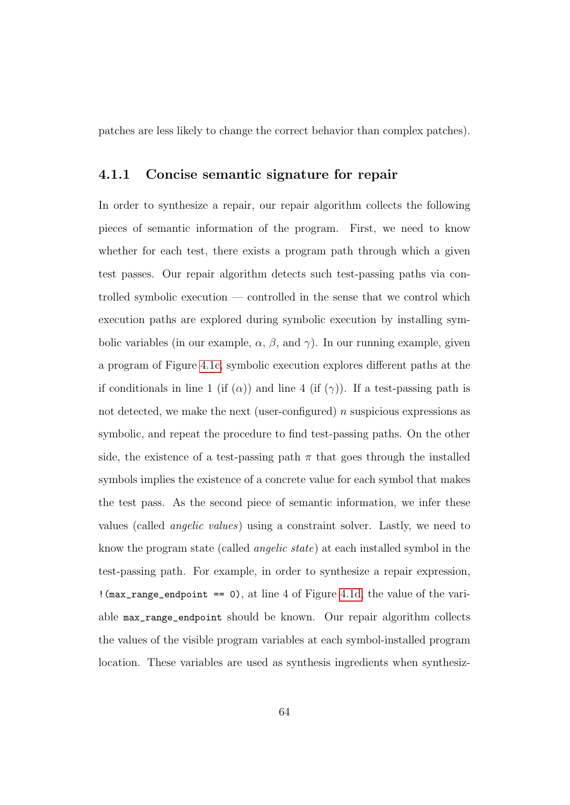patches are less likely to change the correct behavior than complex patches).

#### 4.1.1 Concise semantic signature for repair

In order to synthesize a repair, our repair algorithm collects the following pieces of semantic information of the program. First, we need to know whether for each test, there exists a program path through which a given test passes. Our repair algorithm detects such test-passing paths via controlled symbolic execution — controlled in the sense that we control which execution paths are explored during symbolic execution by installing symbolic variables (in our example,  $\alpha$ ,  $\beta$ , and  $\gamma$ ). In our running example, given a program of Figure [4.1c,](#page-73-0) symbolic execution explores different paths at the if conditionals in line 1 (if  $(\alpha)$ ) and line 4 (if  $(\gamma)$ ). If a test-passing path is not detected, we make the next (user-configured)  $n$  suspicious expressions as symbolic, and repeat the procedure to find test-passing paths. On the other side, the existence of a test-passing path  $\pi$  that goes through the installed symbols implies the existence of a concrete value for each symbol that makes the test pass. As the second piece of semantic information, we infer these values (called angelic values) using a constraint solver. Lastly, we need to know the program state (called angelic state) at each installed symbol in the test-passing path. For example, in order to synthesize a repair expression, !(max\_range\_endpoint == 0), at line 4 of Figure [4.1d,](#page-73-0) the value of the variable max\_range\_endpoint should be known. Our repair algorithm collects the values of the visible program variables at each symbol-installed program location. These variables are used as synthesis ingredients when synthesiz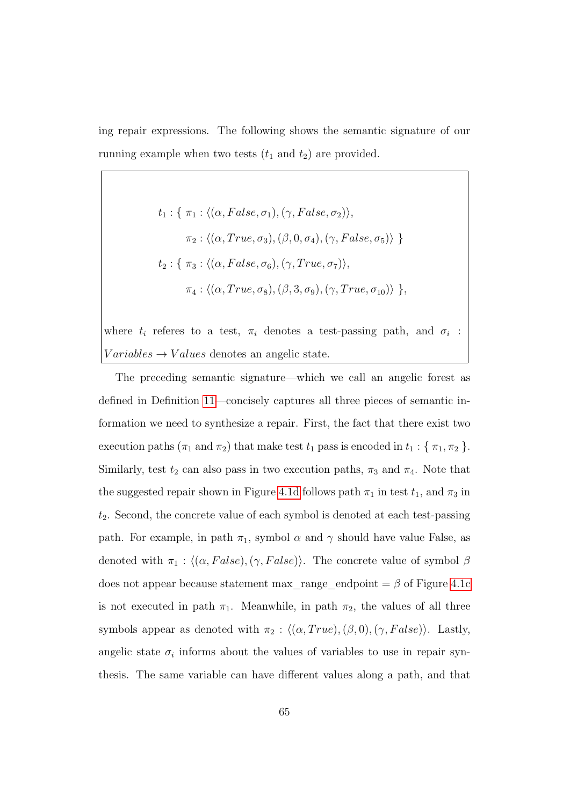ing repair expressions. The following shows the semantic signature of our running example when two tests  $(t_1 \text{ and } t_2)$  are provided.

$$
t_1: \{\pi_1: \langle (\alpha, False, \sigma_1), (\gamma, False, \sigma_2) \rangle,
$$
  

$$
\pi_2: \langle (\alpha, True, \sigma_3), (\beta, 0, \sigma_4), (\gamma, False, \sigma_5) \rangle \}
$$
  

$$
t_2: \{\pi_3: \langle (\alpha, False, \sigma_6), (\gamma, True, \sigma_7) \rangle,
$$
  

$$
\pi_4: \langle (\alpha, True, \sigma_8), (\beta, 3, \sigma_9), (\gamma, True, \sigma_{10}) \rangle \},
$$

where  $t_i$  referes to a test,  $\pi_i$  denotes a test-passing path, and  $\sigma_i$ :  $Variables \rightarrow Values$  denotes an angelic state.

The preceding semantic signature—which we call an angelic forest as defined in Definition [11—](#page-81-0)concisely captures all three pieces of semantic information we need to synthesize a repair. First, the fact that there exist two execution paths ( $\pi_1$  and  $\pi_2$ ) that make test  $t_1$  pass is encoded in  $t_1 : {\{\pi_1, \pi_2\}}$ . Similarly, test  $t_2$  can also pass in two execution paths,  $\pi_3$  and  $\pi_4$ . Note that the suggested repair shown in Figure [4.1d](#page-73-0) follows path  $\pi_1$  in test  $t_1$ , and  $\pi_3$  in  $t_2$ . Second, the concrete value of each symbol is denoted at each test-passing path. For example, in path  $\pi_1$ , symbol  $\alpha$  and  $\gamma$  should have value False, as denoted with  $\pi_1$  :  $\langle (\alpha, False), (\gamma, False) \rangle$ . The concrete value of symbol  $\beta$ does not appear because statement max\_range\_endpoint =  $\beta$  of Figure [4.1c](#page-73-0) is not executed in path  $\pi_1$ . Meanwhile, in path  $\pi_2$ , the values of all three symbols appear as denoted with  $\pi_2$  :  $\langle (\alpha, True), (\beta, 0), (\gamma, False) \rangle$ . Lastly, angelic state  $\sigma_i$  informs about the values of variables to use in repair synthesis. The same variable can have different values along a path, and that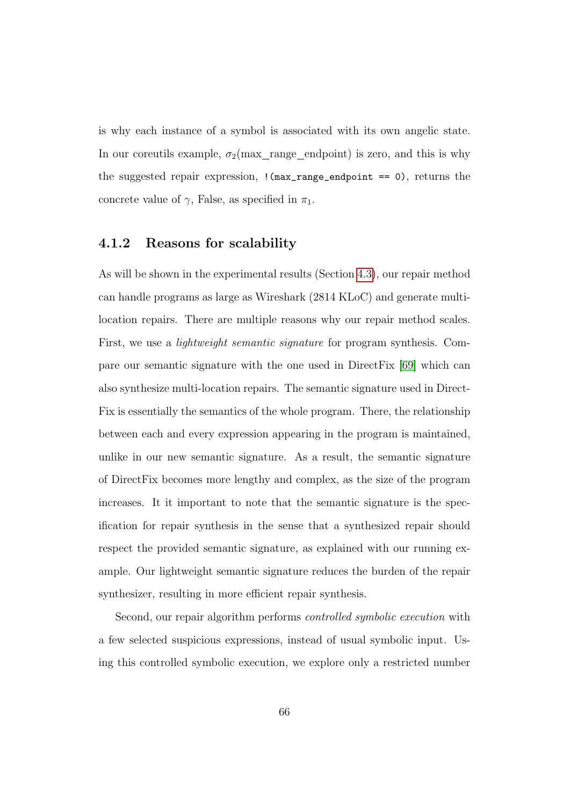is why each instance of a symbol is associated with its own angelic state. In our coreutils example,  $\sigma_2$ (max\_range\_endpoint) is zero, and this is why the suggested repair expression,  $\frac{1}{\text{max\_range\_endpoint}}$  == 0), returns the concrete value of  $\gamma$ , False, as specified in  $\pi_1$ .

#### 4.1.2 Reasons for scalability

As will be shown in the experimental results (Section [4.3\)](#page-84-0), our repair method can handle programs as large as Wireshark (2814 KLoC) and generate multilocation repairs. There are multiple reasons why our repair method scales. First, we use a lightweight semantic signature for program synthesis. Compare our semantic signature with the one used in DirectFix [\[69\]](#page-187-0) which can also synthesize multi-location repairs. The semantic signature used in Direct-Fix is essentially the semantics of the whole program. There, the relationship between each and every expression appearing in the program is maintained, unlike in our new semantic signature. As a result, the semantic signature of DirectFix becomes more lengthy and complex, as the size of the program increases. It it important to note that the semantic signature is the specification for repair synthesis in the sense that a synthesized repair should respect the provided semantic signature, as explained with our running example. Our lightweight semantic signature reduces the burden of the repair synthesizer, resulting in more efficient repair synthesis.

Second, our repair algorithm performs controlled symbolic execution with a few selected suspicious expressions, instead of usual symbolic input. Using this controlled symbolic execution, we explore only a restricted number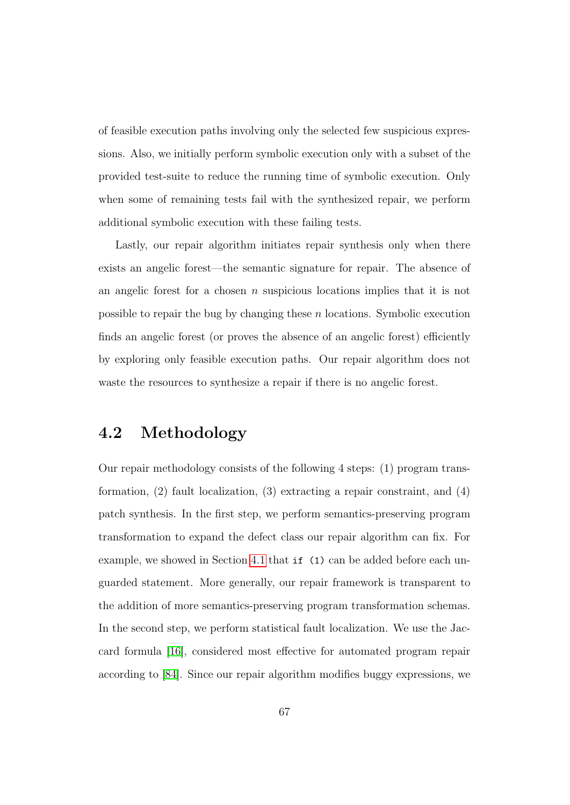of feasible execution paths involving only the selected few suspicious expressions. Also, we initially perform symbolic execution only with a subset of the provided test-suite to reduce the running time of symbolic execution. Only when some of remaining tests fail with the synthesized repair, we perform additional symbolic execution with these failing tests.

Lastly, our repair algorithm initiates repair synthesis only when there exists an angelic forest—the semantic signature for repair. The absence of an angelic forest for a chosen  $n$  suspicious locations implies that it is not possible to repair the bug by changing these  $n$  locations. Symbolic execution finds an angelic forest (or proves the absence of an angelic forest) efficiently by exploring only feasible execution paths. Our repair algorithm does not waste the resources to synthesize a repair if there is no angelic forest.

## 4.2 Methodology

Our repair methodology consists of the following 4 steps: (1) program transformation, (2) fault localization, (3) extracting a repair constraint, and (4) patch synthesis. In the first step, we perform semantics-preserving program transformation to expand the defect class our repair algorithm can fix. For example, we showed in Section [4.1](#page-72-1) that if (1) can be added before each unguarded statement. More generally, our repair framework is transparent to the addition of more semantics-preserving program transformation schemas. In the second step, we perform statistical fault localization. We use the Jaccard formula [\[16\]](#page-179-0), considered most effective for automated program repair according to [\[84\]](#page-190-0). Since our repair algorithm modifies buggy expressions, we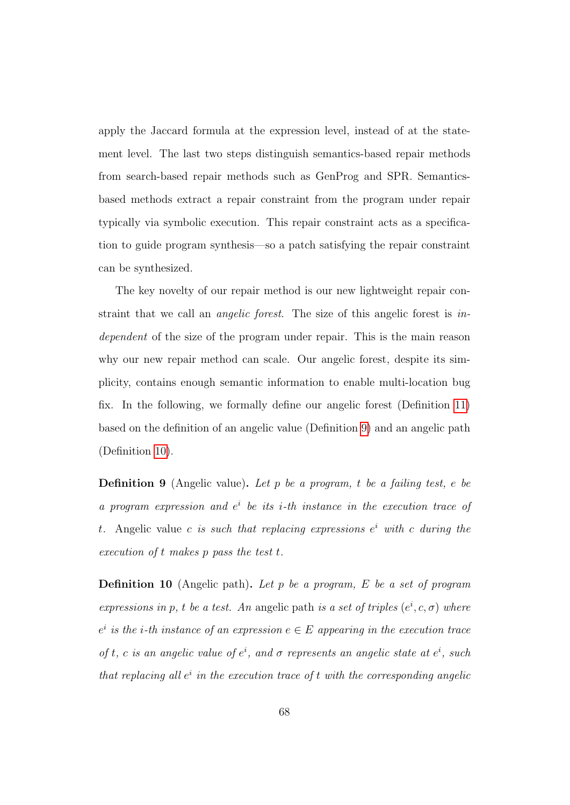apply the Jaccard formula at the expression level, instead of at the statement level. The last two steps distinguish semantics-based repair methods from search-based repair methods such as GenProg and SPR. Semanticsbased methods extract a repair constraint from the program under repair typically via symbolic execution. This repair constraint acts as a specification to guide program synthesis—so a patch satisfying the repair constraint can be synthesized.

The key novelty of our repair method is our new lightweight repair constraint that we call an angelic forest. The size of this angelic forest is independent of the size of the program under repair. This is the main reason why our new repair method can scale. Our angelic forest, despite its simplicity, contains enough semantic information to enable multi-location bug fix. In the following, we formally define our angelic forest (Definition [11\)](#page-81-0) based on the definition of an angelic value (Definition [9\)](#page-80-0) and an angelic path (Definition [10\)](#page-80-1).

<span id="page-80-0"></span>**Definition 9** (Angelic value). Let p be a program, t be a failing test, e be a program expression and  $e^i$  be its *i*-th instance in the execution trace of t. Angelic value c is such that replacing expressions  $e^i$  with c during the execution of t makes p pass the test t.

<span id="page-80-1"></span>**Definition 10** (Angelic path). Let p be a program,  $E$  be a set of program expressions in p, t be a test. An angelic path is a set of triples  $(e^i, c, \sigma)$  where  $e^i$  is the *i*-th instance of an expression  $e \in E$  appearing in the execution trace of t, c is an angelic value of  $e^i$ , and  $\sigma$  represents an angelic state at  $e^i$ , such that replacing all  $e^i$  in the execution trace of t with the corresponding angelic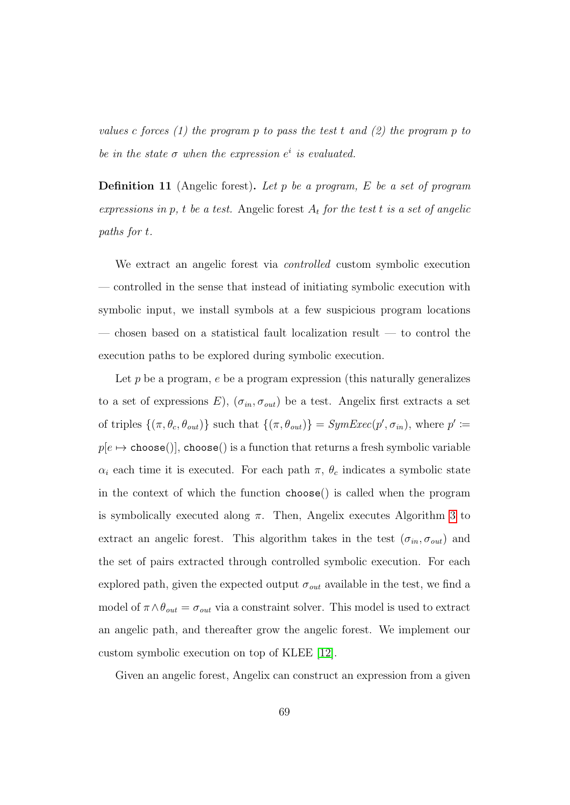values c forces (1) the program p to pass the test t and (2) the program p to be in the state  $\sigma$  when the expression  $e^i$  is evaluated.

<span id="page-81-0"></span>**Definition 11** (Angelic forest). Let p be a program, E be a set of program expressions in p, t be a test. Angelic forest  $A_t$  for the test t is a set of angelic paths for t.

We extract an angelic forest via *controlled* custom symbolic execution — controlled in the sense that instead of initiating symbolic execution with symbolic input, we install symbols at a few suspicious program locations — chosen based on a statistical fault localization result — to control the execution paths to be explored during symbolic execution.

Let  $p$  be a program,  $e$  be a program expression (this naturally generalizes to a set of expressions E),  $(\sigma_{in}, \sigma_{out})$  be a test. Angelix first extracts a set of triples  $\{(\pi, \theta_c, \theta_{out})\}$  such that  $\{(\pi, \theta_{out})\} = SymExec(p', \sigma_{in}),$  where  $p' \coloneqq$  $p[e \mapsto \texttt{choose}()], \texttt{choose}()$  is a function that returns a fresh symbolic variable  $\alpha_i$  each time it is executed. For each path  $\pi$ ,  $\theta_c$  indicates a symbolic state in the context of which the function choose() is called when the program is symbolically executed along  $\pi$ . Then, Angelix executes Algorithm [3](#page-82-0) to extract an angelic forest. This algorithm takes in the test  $(\sigma_{in}, \sigma_{out})$  and the set of pairs extracted through controlled symbolic execution. For each explored path, given the expected output  $\sigma_{out}$  available in the test, we find a model of  $\pi \wedge \theta_{out} = \sigma_{out}$  via a constraint solver. This model is used to extract an angelic path, and thereafter grow the angelic forest. We implement our custom symbolic execution on top of KLEE [\[12\]](#page-179-1).

Given an angelic forest, Angelix can construct an expression from a given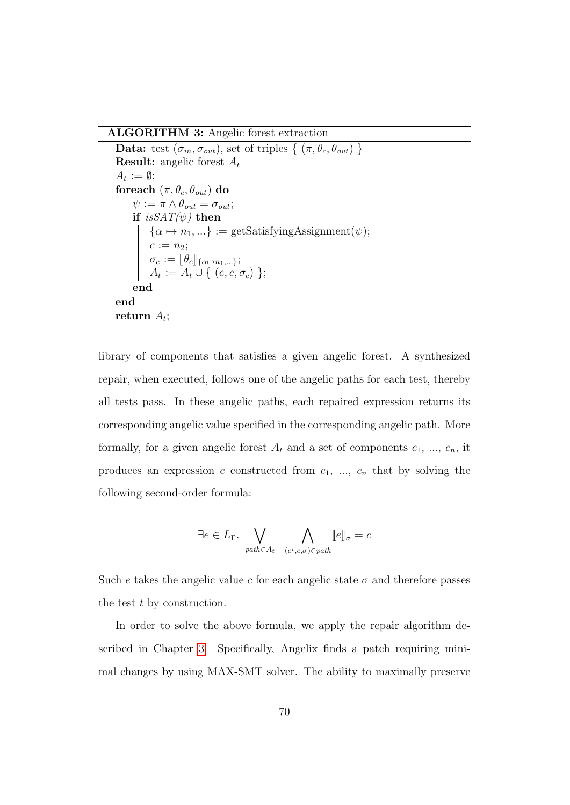ALGORITHM 3: Angelic forest extraction

Data: test  $(\sigma_{in}, \sigma_{out})$ , set of triples  $\{(\pi, \theta_c, \theta_{out})\}$ **Result:** angelic forest  $A_t$  $A_t := \emptyset;$ foreach  $(\pi, \theta_c, \theta_{out})$  do  $\psi := \pi \wedge \theta_{out} = \sigma_{out};$ if  $isSAT(\psi)$  then  $\{\alpha \mapsto n_1, ...\} := \text{getSatisfyingAssignment}(\psi);$  $c := n_2;$  $\sigma_c := \llbracket \theta_c \rrbracket_{\{\alpha \mapsto n_1, \dots\}}; \ A_t := A_t \cup \Set{(e, c, \sigma_c)};$ end end  $_{\rm return}$   $_{A_t;}$ 

<span id="page-82-0"></span>library of components that satisfies a given angelic forest. A synthesized repair, when executed, follows one of the angelic paths for each test, thereby all tests pass. In these angelic paths, each repaired expression returns its corresponding angelic value specified in the corresponding angelic path. More formally, for a given angelic forest  $A_t$  and a set of components  $c_1, ..., c_n$ , it produces an expression e constructed from  $c_1$ , ...,  $c_n$  that by solving the following second-order formula:

$$
\exists e \in L_{\Gamma}.\bigvee_{path \in A_t} \bigwedge_{(e^i, c, \sigma) \in path} [e]_{\sigma} = c
$$

Such e takes the angelic value c for each angelic state  $\sigma$  and therefore passes the test t by construction.

In order to solve the above formula, we apply the repair algorithm described in Chapter [3.](#page-40-0) Specifically, Angelix finds a patch requiring minimal changes by using MAX-SMT solver. The ability to maximally preserve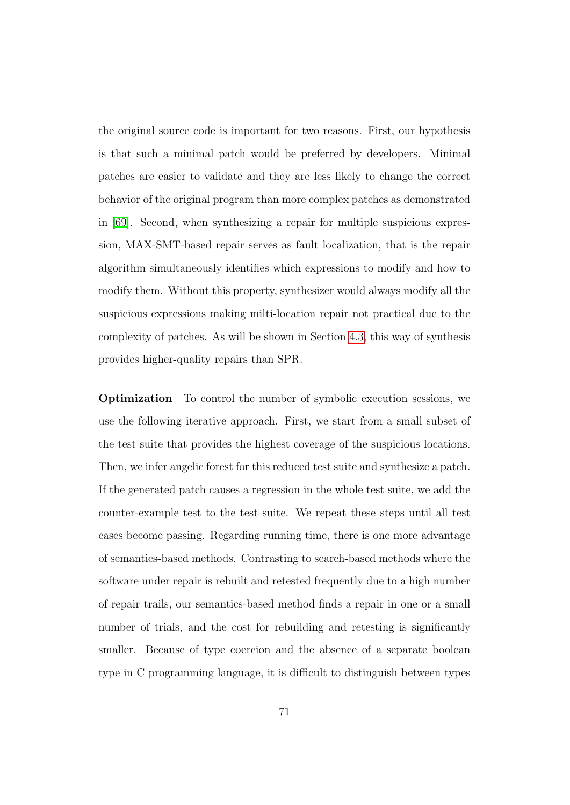the original source code is important for two reasons. First, our hypothesis is that such a minimal patch would be preferred by developers. Minimal patches are easier to validate and they are less likely to change the correct behavior of the original program than more complex patches as demonstrated in [\[69\]](#page-187-0). Second, when synthesizing a repair for multiple suspicious expression, MAX-SMT-based repair serves as fault localization, that is the repair algorithm simultaneously identifies which expressions to modify and how to modify them. Without this property, synthesizer would always modify all the suspicious expressions making milti-location repair not practical due to the complexity of patches. As will be shown in Section [4.3,](#page-84-0) this way of synthesis provides higher-quality repairs than SPR.

Optimization To control the number of symbolic execution sessions, we use the following iterative approach. First, we start from a small subset of the test suite that provides the highest coverage of the suspicious locations. Then, we infer angelic forest for this reduced test suite and synthesize a patch. If the generated patch causes a regression in the whole test suite, we add the counter-example test to the test suite. We repeat these steps until all test cases become passing. Regarding running time, there is one more advantage of semantics-based methods. Contrasting to search-based methods where the software under repair is rebuilt and retested frequently due to a high number of repair trails, our semantics-based method finds a repair in one or a small number of trials, and the cost for rebuilding and retesting is significantly smaller. Because of type coercion and the absence of a separate boolean type in C programming language, it is difficult to distinguish between types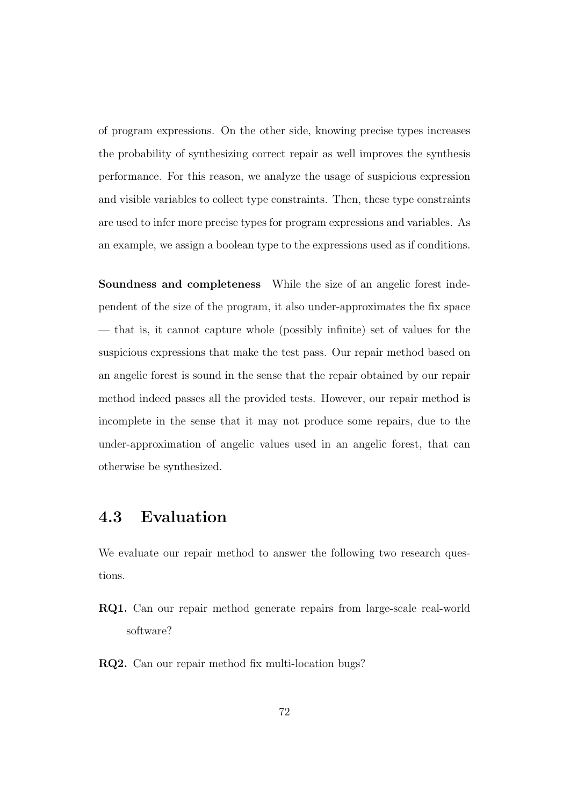of program expressions. On the other side, knowing precise types increases the probability of synthesizing correct repair as well improves the synthesis performance. For this reason, we analyze the usage of suspicious expression and visible variables to collect type constraints. Then, these type constraints are used to infer more precise types for program expressions and variables. As an example, we assign a boolean type to the expressions used as if conditions.

Soundness and completeness While the size of an angelic forest independent of the size of the program, it also under-approximates the fix space — that is, it cannot capture whole (possibly infinite) set of values for the suspicious expressions that make the test pass. Our repair method based on an angelic forest is sound in the sense that the repair obtained by our repair method indeed passes all the provided tests. However, our repair method is incomplete in the sense that it may not produce some repairs, due to the under-approximation of angelic values used in an angelic forest, that can otherwise be synthesized.

# <span id="page-84-0"></span>4.3 Evaluation

We evaluate our repair method to answer the following two research questions.

- RQ1. Can our repair method generate repairs from large-scale real-world software?
- RQ2. Can our repair method fix multi-location bugs?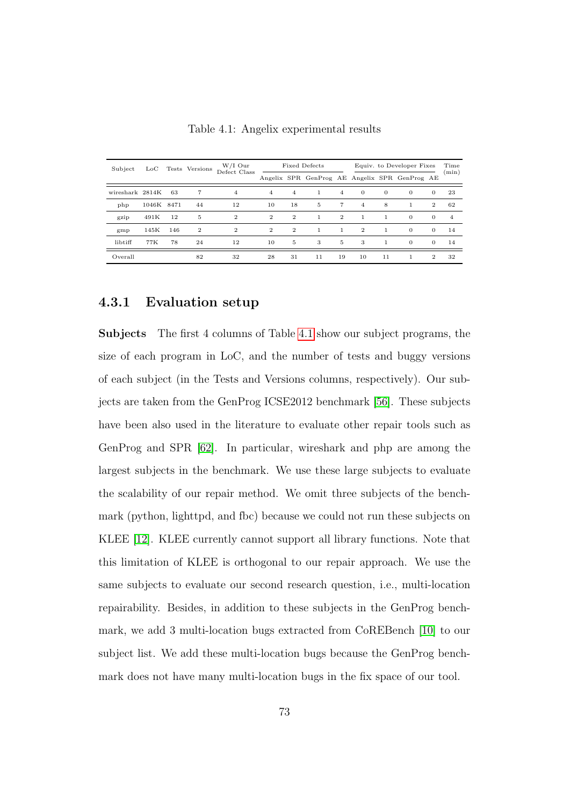<span id="page-85-0"></span>

| Subject         | $_{\rm LoC}$ |      | Tests Versions | $W/I$ Our<br>Defect Class | <b>Fixed Defects</b> |                |                                               |                | Equiv. to Developer Fixes |              |              |              | Time           |
|-----------------|--------------|------|----------------|---------------------------|----------------------|----------------|-----------------------------------------------|----------------|---------------------------|--------------|--------------|--------------|----------------|
|                 |              |      |                |                           |                      |                | Angelix SPR GenProg AE Angelix SPR GenProg AE |                |                           |              |              |              | (min)          |
| wireshark 2814K |              | 63   | $\overline{7}$ | $\overline{4}$            | $\overline{4}$       | $\overline{4}$ | $\mathbf{1}$                                  | $\overline{4}$ | $\theta$                  | $\theta$     | $\mathbf{0}$ | $\theta$     | 23             |
| php             | 1046K        | 8471 | 44             | 12                        | 10                   | 18             | 5                                             | $\overline{7}$ | $\overline{4}$            | 8            | 1            | $\mathbf{2}$ | 62             |
| gzip            | 491K         | 12   | 5              | $\overline{2}$            | $\overline{2}$       | $\overline{2}$ | 1                                             | $\overline{2}$ |                           |              | $\mathbf{0}$ | $\theta$     | $\overline{4}$ |
| gmp             | 145K         | 146  | $\overline{2}$ | $\mathbf{2}$              | $\overline{2}$       | $\overline{2}$ | $\mathbf{1}$                                  | $\mathbf{1}$   | $\overline{2}$            | $\mathbf{1}$ | $\mathbf{0}$ | $\Omega$     | 14             |
| libtiff         | 77K          | 78   | 24             | 12                        | 10                   | 5              | 3                                             | 5              | 3                         | $\mathbf{1}$ | $\theta$     | $\Omega$     | 14             |
| Overall         |              |      | 82             | 32                        | 28                   | 31             | 11                                            | 19             | 10                        | 11           | 1            | 2            | 32             |

Table 4.1: Angelix experimental results

#### 4.3.1 Evaluation setup

Subjects The first 4 columns of Table [4.1](#page-85-0) show our subject programs, the size of each program in LoC, and the number of tests and buggy versions of each subject (in the Tests and Versions columns, respectively). Our subjects are taken from the GenProg ICSE2012 benchmark [\[56\]](#page-185-0). These subjects have been also used in the literature to evaluate other repair tools such as GenProg and SPR [\[62\]](#page-186-0). In particular, wireshark and php are among the largest subjects in the benchmark. We use these large subjects to evaluate the scalability of our repair method. We omit three subjects of the benchmark (python, lighttpd, and fbc) because we could not run these subjects on KLEE [\[12\]](#page-179-1). KLEE currently cannot support all library functions. Note that this limitation of KLEE is orthogonal to our repair approach. We use the same subjects to evaluate our second research question, i.e., multi-location repairability. Besides, in addition to these subjects in the GenProg benchmark, we add 3 multi-location bugs extracted from CoREBench [\[10\]](#page-178-0) to our subject list. We add these multi-location bugs because the GenProg benchmark does not have many multi-location bugs in the fix space of our tool.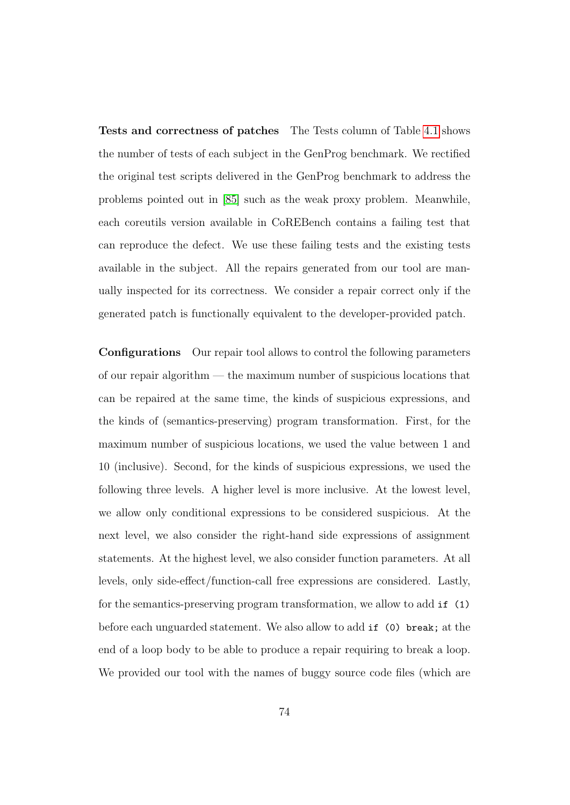Tests and correctness of patches The Tests column of Table [4.1](#page-85-0) shows the number of tests of each subject in the GenProg benchmark. We rectified the original test scripts delivered in the GenProg benchmark to address the problems pointed out in [\[85\]](#page-190-1) such as the weak proxy problem. Meanwhile, each coreutils version available in CoREBench contains a failing test that can reproduce the defect. We use these failing tests and the existing tests available in the subject. All the repairs generated from our tool are manually inspected for its correctness. We consider a repair correct only if the generated patch is functionally equivalent to the developer-provided patch.

Configurations Our repair tool allows to control the following parameters of our repair algorithm — the maximum number of suspicious locations that can be repaired at the same time, the kinds of suspicious expressions, and the kinds of (semantics-preserving) program transformation. First, for the maximum number of suspicious locations, we used the value between 1 and 10 (inclusive). Second, for the kinds of suspicious expressions, we used the following three levels. A higher level is more inclusive. At the lowest level, we allow only conditional expressions to be considered suspicious. At the next level, we also consider the right-hand side expressions of assignment statements. At the highest level, we also consider function parameters. At all levels, only side-effect/function-call free expressions are considered. Lastly, for the semantics-preserving program transformation, we allow to add if (1) before each unguarded statement. We also allow to add if (0) break; at the end of a loop body to be able to produce a repair requiring to break a loop. We provided our tool with the names of buggy source code files (which are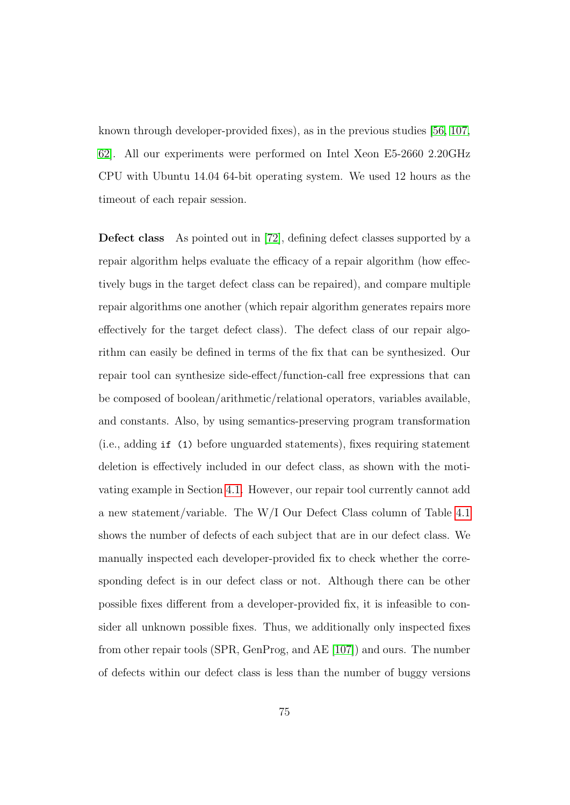known through developer-provided fixes), as in the previous studies [\[56,](#page-185-0) [107,](#page-193-0) [62\]](#page-186-0). All our experiments were performed on Intel Xeon E5-2660 2.20GHz CPU with Ubuntu 14.04 64-bit operating system. We used 12 hours as the timeout of each repair session.

Defect class As pointed out in [\[72\]](#page-188-1), defining defect classes supported by a repair algorithm helps evaluate the efficacy of a repair algorithm (how effectively bugs in the target defect class can be repaired), and compare multiple repair algorithms one another (which repair algorithm generates repairs more effectively for the target defect class). The defect class of our repair algorithm can easily be defined in terms of the fix that can be synthesized. Our repair tool can synthesize side-effect/function-call free expressions that can be composed of boolean/arithmetic/relational operators, variables available, and constants. Also, by using semantics-preserving program transformation (i.e., adding if (1) before unguarded statements), fixes requiring statement deletion is effectively included in our defect class, as shown with the motivating example in Section [4.1.](#page-72-1) However, our repair tool currently cannot add a new statement/variable. The W/I Our Defect Class column of Table [4.1](#page-85-0) shows the number of defects of each subject that are in our defect class. We manually inspected each developer-provided fix to check whether the corresponding defect is in our defect class or not. Although there can be other possible fixes different from a developer-provided fix, it is infeasible to consider all unknown possible fixes. Thus, we additionally only inspected fixes from other repair tools (SPR, GenProg, and AE [\[107\]](#page-193-0)) and ours. The number of defects within our defect class is less than the number of buggy versions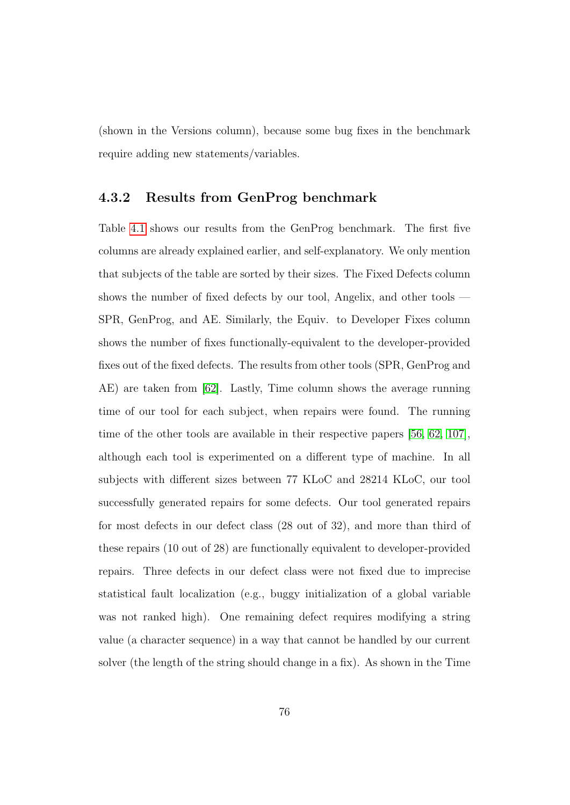(shown in the Versions column), because some bug fixes in the benchmark require adding new statements/variables.

#### 4.3.2 Results from GenProg benchmark

Table [4.1](#page-85-0) shows our results from the GenProg benchmark. The first five columns are already explained earlier, and self-explanatory. We only mention that subjects of the table are sorted by their sizes. The Fixed Defects column shows the number of fixed defects by our tool, Angelix, and other tools — SPR, GenProg, and AE. Similarly, the Equiv. to Developer Fixes column shows the number of fixes functionally-equivalent to the developer-provided fixes out of the fixed defects. The results from other tools (SPR, GenProg and AE) are taken from [\[62\]](#page-186-0). Lastly, Time column shows the average running time of our tool for each subject, when repairs were found. The running time of the other tools are available in their respective papers [\[56,](#page-185-0) [62,](#page-186-0) [107\]](#page-193-0), although each tool is experimented on a different type of machine. In all subjects with different sizes between 77 KLoC and 28214 KLoC, our tool successfully generated repairs for some defects. Our tool generated repairs for most defects in our defect class (28 out of 32), and more than third of these repairs (10 out of 28) are functionally equivalent to developer-provided repairs. Three defects in our defect class were not fixed due to imprecise statistical fault localization (e.g., buggy initialization of a global variable was not ranked high). One remaining defect requires modifying a string value (a character sequence) in a way that cannot be handled by our current solver (the length of the string should change in a fix). As shown in the Time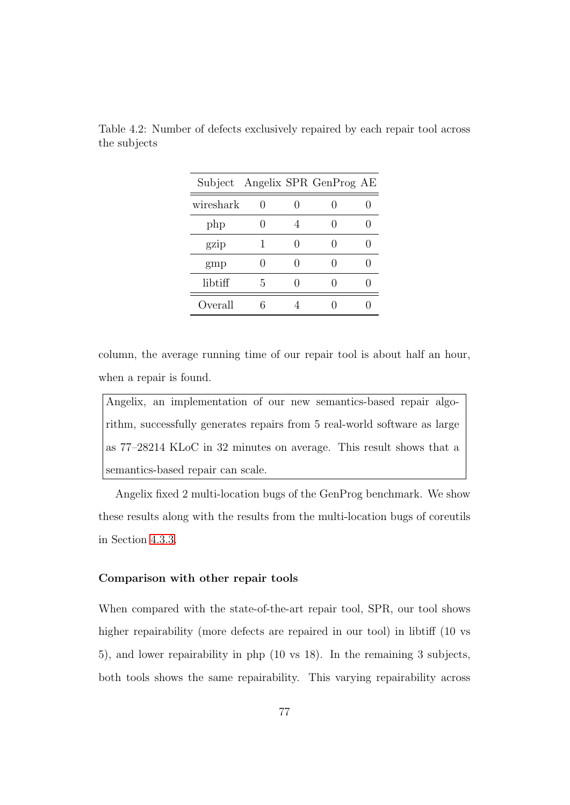|           |    | Subject Angelix SPR GenProg AE |  |
|-----------|----|--------------------------------|--|
| wireshark |    |                                |  |
| php       | 0  |                                |  |
| gzip      |    |                                |  |
| gmp       |    |                                |  |
| libtiff   | h. |                                |  |
| Overall   |    |                                |  |

<span id="page-89-0"></span>Table 4.2: Number of defects exclusively repaired by each repair tool across the subjects

column, the average running time of our repair tool is about half an hour, when a repair is found.

Angelix, an implementation of our new semantics-based repair algorithm, successfully generates repairs from 5 real-world software as large as 77–28214 KLoC in 32 minutes on average. This result shows that a semantics-based repair can scale.

Angelix fixed 2 multi-location bugs of the GenProg benchmark. We show these results along with the results from the multi-location bugs of coreutils in Section [4.3.3.](#page-92-0)

#### Comparison with other repair tools

When compared with the state-of-the-art repair tool, SPR, our tool shows higher repairability (more defects are repaired in our tool) in libtiff (10 vs 5), and lower repairability in php (10 vs 18). In the remaining 3 subjects, both tools shows the same repairability. This varying repairability across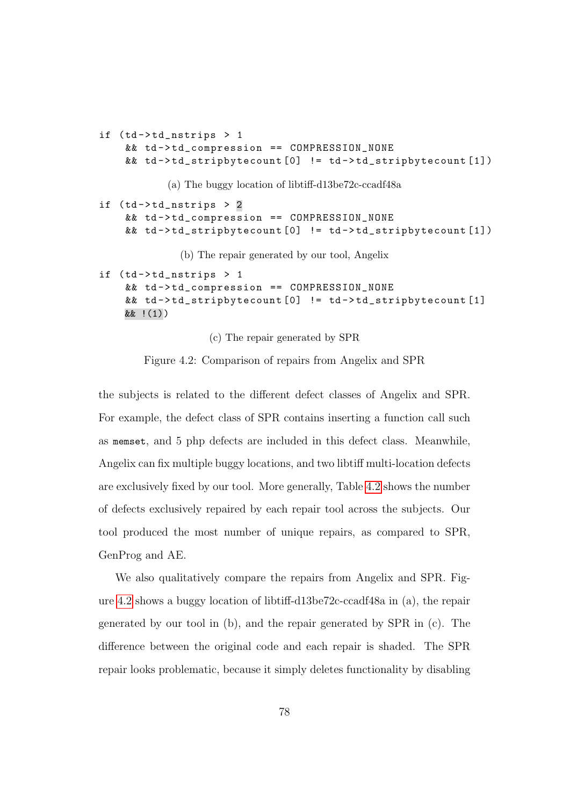```
if (td - >td_{\texttt{nstrips}} > 1&& td->td_compression == COMPRESSION_NONE
    && td - > td_stripbytecount [0] != td - > td_stripbytecount [1])
            (a) The buggy location of libtiff-d13be72c-ccadf48a
if (td - > t d_n)nstrips > 2&& td->td_compression == COMPRESSION_NONE
    && td - > td_stripbytecount [0] != td - > td_stripbytecount [1])
              (b) The repair generated by our tool, Angelix
if (td - > t d_n)strips > 1
    && td->td_compression == COMPRESSION_NONE
    && td->td_stripbytecount [0] != td->td_stripbytecount [1]
    && !(1))
```
(c) The repair generated by SPR

Figure 4.2: Comparison of repairs from Angelix and SPR

the subjects is related to the different defect classes of Angelix and SPR. For example, the defect class of SPR contains inserting a function call such as memset, and 5 php defects are included in this defect class. Meanwhile, Angelix can fix multiple buggy locations, and two libtiff multi-location defects are exclusively fixed by our tool. More generally, Table [4.2](#page-89-0) shows the number of defects exclusively repaired by each repair tool across the subjects. Our tool produced the most number of unique repairs, as compared to SPR, GenProg and AE.

We also qualitatively compare the repairs from Angelix and SPR. Figure [4.2](#page-90-0) shows a buggy location of libtiff-d13be72c-ccadf48a in (a), the repair generated by our tool in (b), and the repair generated by SPR in (c). The difference between the original code and each repair is shaded. The SPR repair looks problematic, because it simply deletes functionality by disabling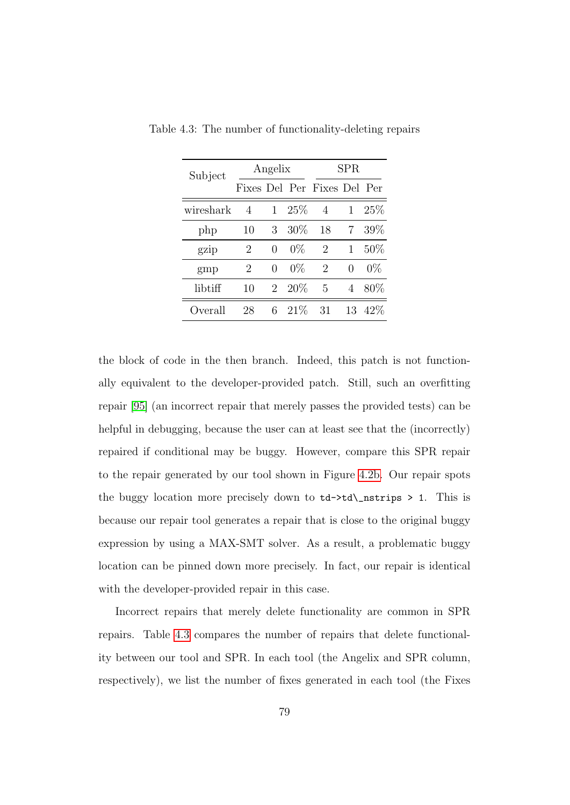| Subject   |                             | Angelix          |       | ${\rm SPR}$ |                  |        |  |
|-----------|-----------------------------|------------------|-------|-------------|------------------|--------|--|
|           | Fixes Del Per Fixes Del Per |                  |       |             |                  |        |  |
| wireshark | $\overline{4}$              | 1                | 25%   | 4           | 1                | 25%    |  |
| php       | 10                          | 3                | 30%   | 18          | 7                | 39%    |  |
| gzip      | 2                           | $\left( \right)$ | $0\%$ | 2           | 1                | 50%    |  |
| gmp       | 2                           | $\mathcal{O}$    | $0\%$ | 2           | $\left( \right)$ | $0\%$  |  |
| libtiff   | 10                          | $\overline{2}$   | 20%   | 5           | 4                | $80\%$ |  |
| Overall   | 28                          | 6                | 21%   | 31          | 13               | 42\%   |  |

<span id="page-91-0"></span>Table 4.3: The number of functionality-deleting repairs

the block of code in the then branch. Indeed, this patch is not functionally equivalent to the developer-provided patch. Still, such an overfitting repair [\[95\]](#page-191-0) (an incorrect repair that merely passes the provided tests) can be helpful in debugging, because the user can at least see that the (incorrectly) repaired if conditional may be buggy. However, compare this SPR repair to the repair generated by our tool shown in Figure [4.2b.](#page-90-0) Our repair spots the buggy location more precisely down to  $td$ -> $td$ <sub>-</sub> $td$ - $td$ - $td$ - $st$  $s$  > 1. This is because our repair tool generates a repair that is close to the original buggy expression by using a MAX-SMT solver. As a result, a problematic buggy location can be pinned down more precisely. In fact, our repair is identical with the developer-provided repair in this case.

Incorrect repairs that merely delete functionality are common in SPR repairs. Table [4.3](#page-91-0) compares the number of repairs that delete functionality between our tool and SPR. In each tool (the Angelix and SPR column, respectively), we list the number of fixes generated in each tool (the Fixes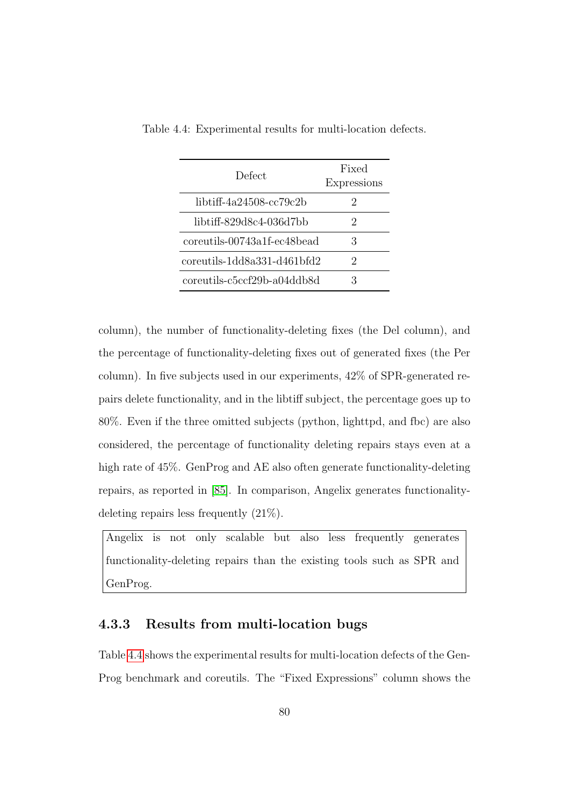| Defect                      | Fixed<br><b>Expressions</b> |
|-----------------------------|-----------------------------|
| libtiff-4a24508-cc79c2b     | $\dot{2}$                   |
| libtiff-829d8c4-036d7bb     | 2                           |
| coreutils-00743a1f-ec48bead | 3                           |
| coreutils-1dd8a331-d461bfd2 | '2                          |
| coreutils-c5ccf29b-a04ddb8d | 3                           |

<span id="page-92-1"></span>Table 4.4: Experimental results for multi-location defects.

column), the number of functionality-deleting fixes (the Del column), and the percentage of functionality-deleting fixes out of generated fixes (the Per column). In five subjects used in our experiments, 42% of SPR-generated repairs delete functionality, and in the libtiff subject, the percentage goes up to 80%. Even if the three omitted subjects (python, lighttpd, and fbc) are also considered, the percentage of functionality deleting repairs stays even at a high rate of 45\%. GenProg and AE also often generate functionality-deleting repairs, as reported in [\[85\]](#page-190-1). In comparison, Angelix generates functionalitydeleting repairs less frequently (21%).

Angelix is not only scalable but also less frequently generates functionality-deleting repairs than the existing tools such as SPR and GenProg.

#### <span id="page-92-0"></span>4.3.3 Results from multi-location bugs

Table [4.4](#page-92-1) shows the experimental results for multi-location defects of the Gen-Prog benchmark and coreutils. The "Fixed Expressions" column shows the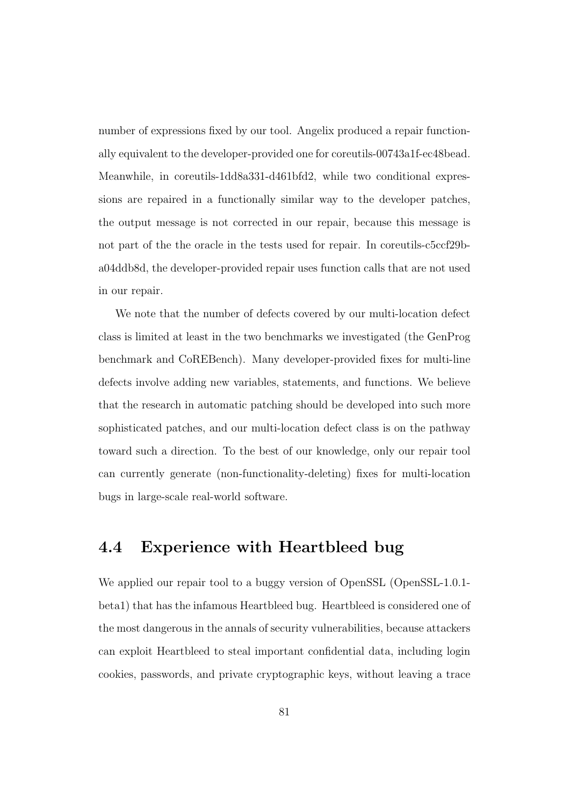number of expressions fixed by our tool. Angelix produced a repair functionally equivalent to the developer-provided one for coreutils-00743a1f-ec48bead. Meanwhile, in coreutils-1dd8a331-d461bfd2, while two conditional expressions are repaired in a functionally similar way to the developer patches, the output message is not corrected in our repair, because this message is not part of the the oracle in the tests used for repair. In coreutils-c5ccf29ba04ddb8d, the developer-provided repair uses function calls that are not used in our repair.

We note that the number of defects covered by our multi-location defect class is limited at least in the two benchmarks we investigated (the GenProg benchmark and CoREBench). Many developer-provided fixes for multi-line defects involve adding new variables, statements, and functions. We believe that the research in automatic patching should be developed into such more sophisticated patches, and our multi-location defect class is on the pathway toward such a direction. To the best of our knowledge, only our repair tool can currently generate (non-functionality-deleting) fixes for multi-location bugs in large-scale real-world software.

## 4.4 Experience with Heartbleed bug

We applied our repair tool to a buggy version of OpenSSL (OpenSSL-1.0.1beta1) that has the infamous Heartbleed bug. Heartbleed is considered one of the most dangerous in the annals of security vulnerabilities, because attackers can exploit Heartbleed to steal important confidential data, including login cookies, passwords, and private cryptographic keys, without leaving a trace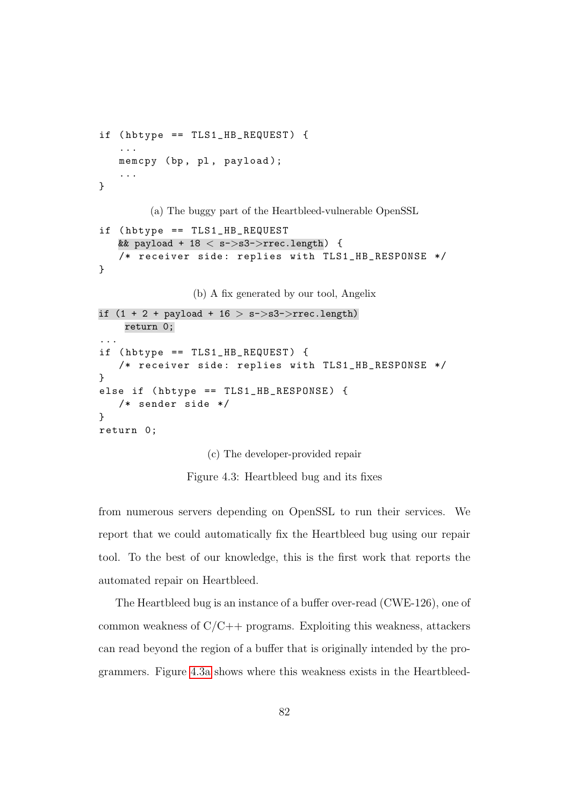```
if (hbtype == TLS1_ HB_REQUEST) {
   ...
   memcpy (bp, pl, payload);
   ...
}
        (a) The buggy part of the Heartbleed-vulnerable OpenSSL
if ( hbtype == TLS1_HB_REQUEST
   && payload + 18 < s->s3->rrec.length) {
   /* receiver side: replies with TLS1_HB_RESPONSE */}
                (b) A fix generated by our tool, Angelix
if (1 + 2 + payload + 16 > s->s3->rrec.length)
    return 0;
...
if (hbtype == TLS1_HB_REQUEST) {
   /* receiver side: replies with TLS1_HB_RESPONSE */
}
else if ( hbtype == TLS1_HB_RESPONSE ) {
   /* sender side */
}
return 0;
```
(c) The developer-provided repair

Figure 4.3: Heartbleed bug and its fixes

from numerous servers depending on OpenSSL to run their services. We report that we could automatically fix the Heartbleed bug using our repair tool. To the best of our knowledge, this is the first work that reports the automated repair on Heartbleed.

The Heartbleed bug is an instance of a buffer over-read (CWE-126), one of common weakness of  $C/C++$  programs. Exploiting this weakness, attackers can read beyond the region of a buffer that is originally intended by the programmers. Figure [4.3a](#page-94-0) shows where this weakness exists in the Heartbleed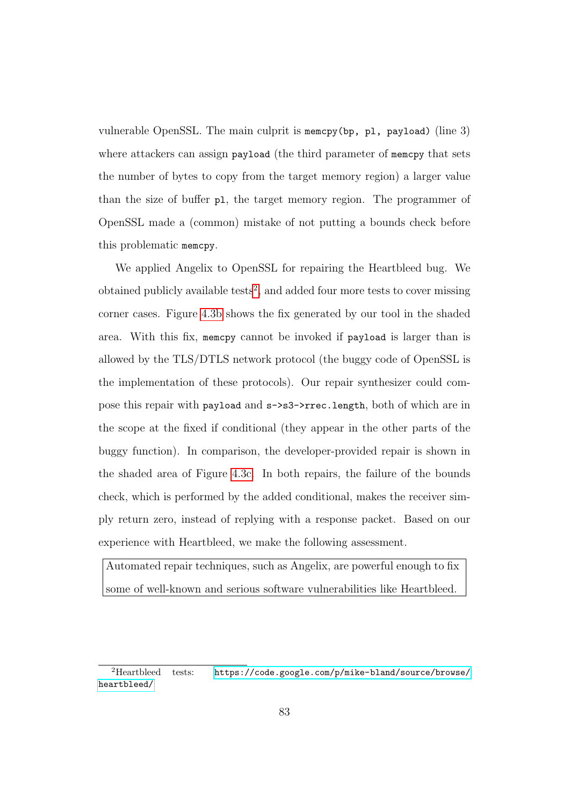vulnerable OpenSSL. The main culprit is memcpy(bp, pl, payload) (line 3) where attackers can assign payload (the third parameter of memcpy that sets the number of bytes to copy from the target memory region) a larger value than the size of buffer pl, the target memory region. The programmer of OpenSSL made a (common) mistake of not putting a bounds check before this problematic memcpy.

We applied Angelix to OpenSSL for repairing the Heartbleed bug. We obtained publicly available tests<sup>[2](#page-95-0)</sup>, and added four more tests to cover missing corner cases. Figure [4.3b](#page-94-0) shows the fix generated by our tool in the shaded area. With this fix, memcpy cannot be invoked if payload is larger than is allowed by the TLS/DTLS network protocol (the buggy code of OpenSSL is the implementation of these protocols). Our repair synthesizer could compose this repair with payload and s->s3->rrec.length, both of which are in the scope at the fixed if conditional (they appear in the other parts of the buggy function). In comparison, the developer-provided repair is shown in the shaded area of Figure [4.3c.](#page-94-0) In both repairs, the failure of the bounds check, which is performed by the added conditional, makes the receiver simply return zero, instead of replying with a response packet. Based on our experience with Heartbleed, we make the following assessment.

Automated repair techniques, such as Angelix, are powerful enough to fix some of well-known and serious software vulnerabilities like Heartbleed.

<span id="page-95-0"></span><sup>&</sup>lt;sup>2</sup>Heartbleed tests: [https://code.google.com/p/mike-bland/source/browse/](https://code.google.com/p/mike-bland/source/browse/heartbleed/) [heartbleed/](https://code.google.com/p/mike-bland/source/browse/heartbleed/)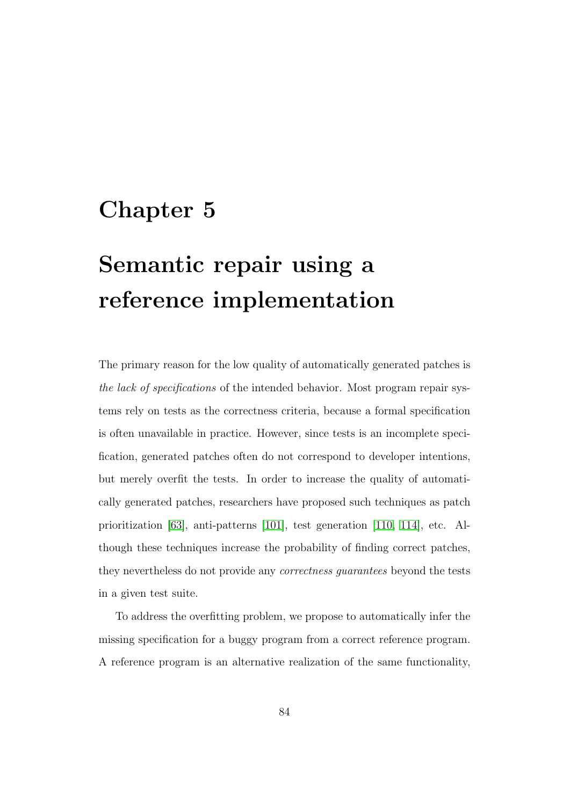# Chapter 5

# Semantic repair using a reference implementation

The primary reason for the low quality of automatically generated patches is the lack of specifications of the intended behavior. Most program repair systems rely on tests as the correctness criteria, because a formal specification is often unavailable in practice. However, since tests is an incomplete specification, generated patches often do not correspond to developer intentions, but merely overfit the tests. In order to increase the quality of automatically generated patches, researchers have proposed such techniques as patch prioritization [\[63\]](#page-186-1), anti-patterns [\[101\]](#page-192-0), test generation [\[110,](#page-194-0) [114\]](#page-194-1), etc. Although these techniques increase the probability of finding correct patches, they nevertheless do not provide any *correctness guarantees* beyond the tests in a given test suite.

To address the overfitting problem, we propose to automatically infer the missing specification for a buggy program from a correct reference program. A reference program is an alternative realization of the same functionality,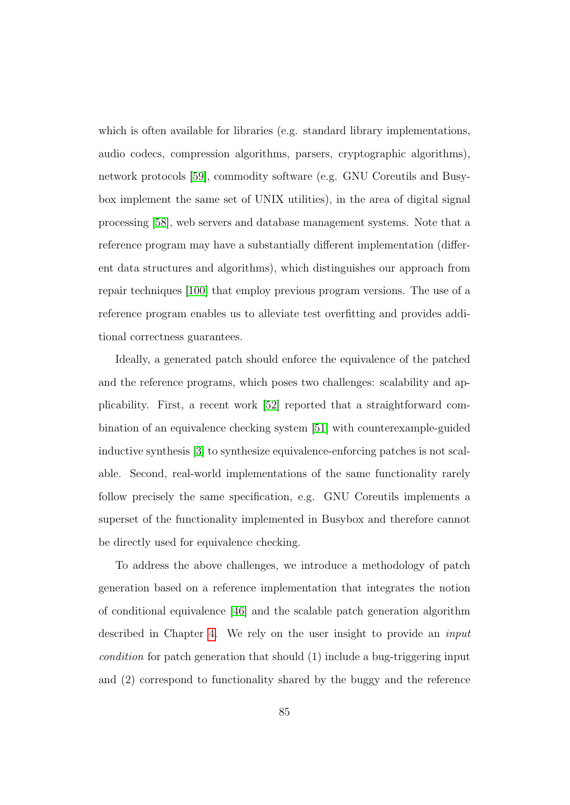which is often available for libraries (e.g. standard library implementations, audio codecs, compression algorithms, parsers, cryptographic algorithms), network protocols [\[59\]](#page-186-2), commodity software (e.g. GNU Coreutils and Busybox implement the same set of UNIX utilities), in the area of digital signal processing [\[58\]](#page-186-3), web servers and database management systems. Note that a reference program may have a substantially different implementation (different data structures and algorithms), which distinguishes our approach from repair techniques [\[100\]](#page-192-1) that employ previous program versions. The use of a reference program enables us to alleviate test overfitting and provides additional correctness guarantees.

Ideally, a generated patch should enforce the equivalence of the patched and the reference programs, which poses two challenges: scalability and applicability. First, a recent work [\[52\]](#page-185-1) reported that a straightforward combination of an equivalence checking system [\[51\]](#page-184-0) with counterexample-guided inductive synthesis [\[3\]](#page-177-0) to synthesize equivalence-enforcing patches is not scalable. Second, real-world implementations of the same functionality rarely follow precisely the same specification, e.g. GNU Coreutils implements a superset of the functionality implemented in Busybox and therefore cannot be directly used for equivalence checking.

To address the above challenges, we introduce a methodology of patch generation based on a reference implementation that integrates the notion of conditional equivalence [\[46\]](#page-184-1) and the scalable patch generation algorithm described in Chapter [4.](#page-70-0) We rely on the user insight to provide an input condition for patch generation that should (1) include a bug-triggering input and (2) correspond to functionality shared by the buggy and the reference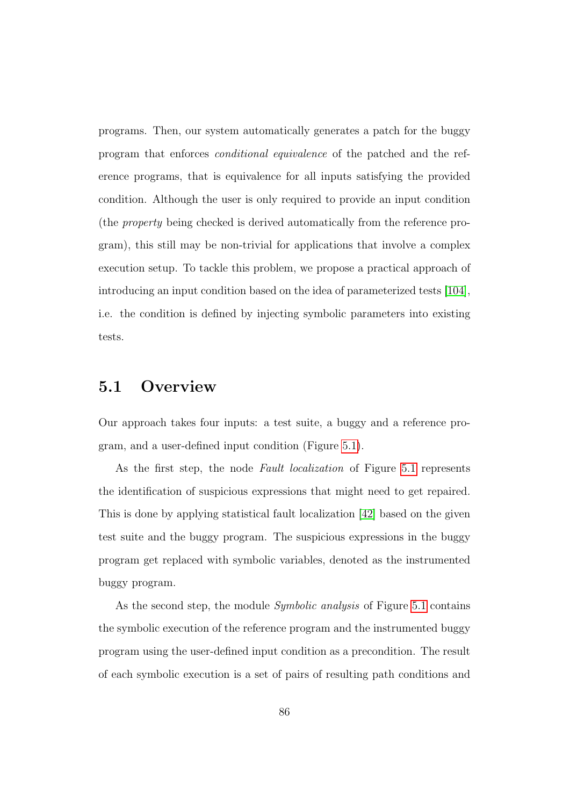programs. Then, our system automatically generates a patch for the buggy program that enforces conditional equivalence of the patched and the reference programs, that is equivalence for all inputs satisfying the provided condition. Although the user is only required to provide an input condition (the property being checked is derived automatically from the reference program), this still may be non-trivial for applications that involve a complex execution setup. To tackle this problem, we propose a practical approach of introducing an input condition based on the idea of parameterized tests [\[104\]](#page-193-1), i.e. the condition is defined by injecting symbolic parameters into existing tests.

# 5.1 Overview

Our approach takes four inputs: a test suite, a buggy and a reference program, and a user-defined input condition (Figure [5.1\)](#page-99-0).

As the first step, the node Fault localization of Figure [5.1](#page-99-0) represents the identification of suspicious expressions that might need to get repaired. This is done by applying statistical fault localization [\[42\]](#page-183-0) based on the given test suite and the buggy program. The suspicious expressions in the buggy program get replaced with symbolic variables, denoted as the instrumented buggy program.

As the second step, the module *Symbolic analysis* of Figure [5.1](#page-99-0) contains the symbolic execution of the reference program and the instrumented buggy program using the user-defined input condition as a precondition. The result of each symbolic execution is a set of pairs of resulting path conditions and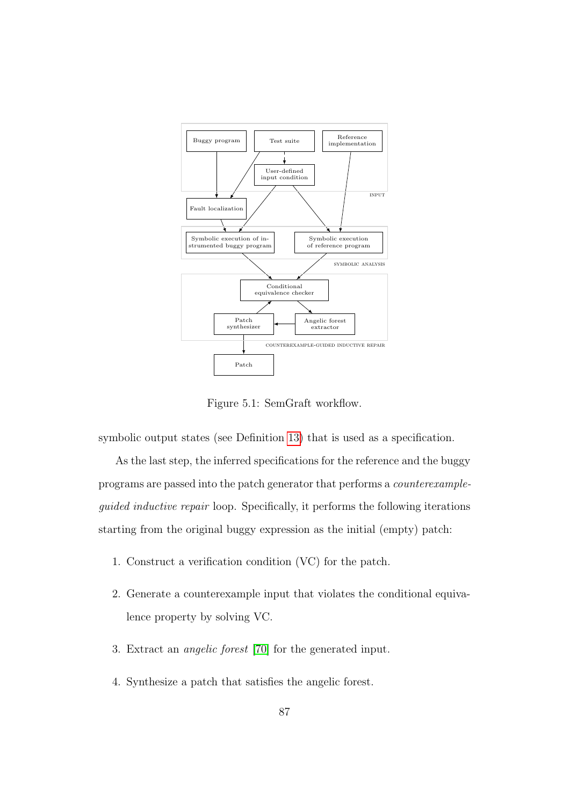<span id="page-99-0"></span>

Figure 5.1: SemGraft workflow.

symbolic output states (see Definition [13\)](#page-106-0) that is used as a specification.

As the last step, the inferred specifications for the reference and the buggy programs are passed into the patch generator that performs a counterexampleguided inductive repair loop. Specifically, it performs the following iterations starting from the original buggy expression as the initial (empty) patch:

- 1. Construct a verification condition (VC) for the patch.
- 2. Generate a counterexample input that violates the conditional equivalence property by solving VC.
- 3. Extract an angelic forest [\[70\]](#page-187-1) for the generated input.
- 4. Synthesize a patch that satisfies the angelic forest.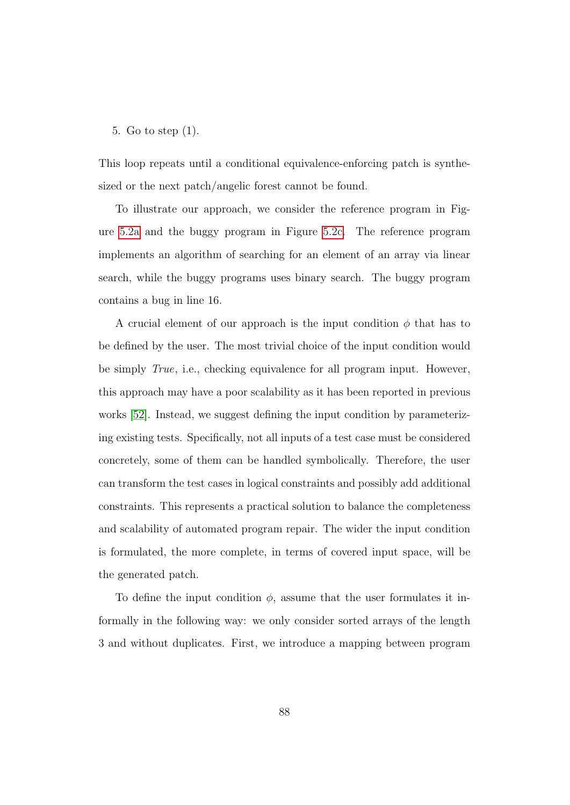#### 5. Go to step (1).

This loop repeats until a conditional equivalence-enforcing patch is synthesized or the next patch/angelic forest cannot be found.

To illustrate our approach, we consider the reference program in Figure [5.2a](#page-120-0) and the buggy program in Figure [5.2c.](#page-120-0) The reference program implements an algorithm of searching for an element of an array via linear search, while the buggy programs uses binary search. The buggy program contains a bug in line 16.

A crucial element of our approach is the input condition  $\phi$  that has to be defined by the user. The most trivial choice of the input condition would be simply True, i.e., checking equivalence for all program input. However, this approach may have a poor scalability as it has been reported in previous works [\[52\]](#page-185-1). Instead, we suggest defining the input condition by parameterizing existing tests. Specifically, not all inputs of a test case must be considered concretely, some of them can be handled symbolically. Therefore, the user can transform the test cases in logical constraints and possibly add additional constraints. This represents a practical solution to balance the completeness and scalability of automated program repair. The wider the input condition is formulated, the more complete, in terms of covered input space, will be the generated patch.

To define the input condition  $\phi$ , assume that the user formulates it informally in the following way: we only consider sorted arrays of the length 3 and without duplicates. First, we introduce a mapping between program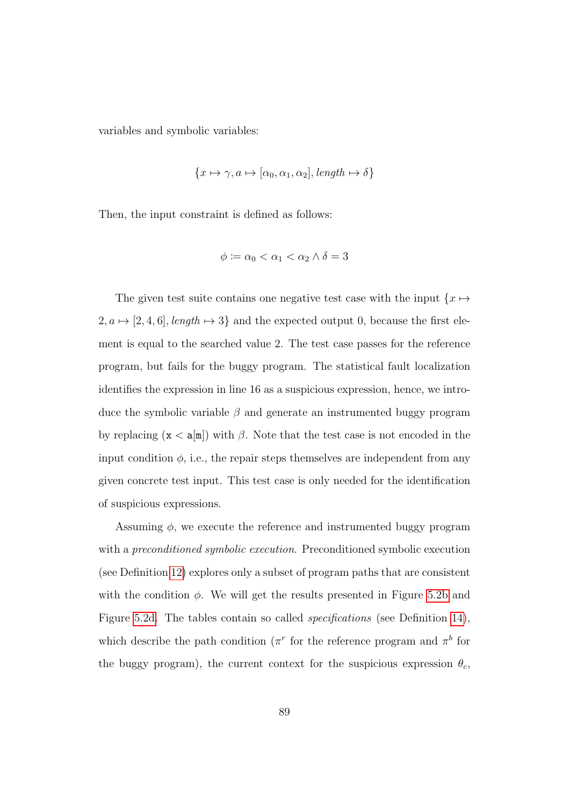variables and symbolic variables:

$$
\{x \mapsto \gamma, a \mapsto [\alpha_0, \alpha_1, \alpha_2], \text{length} \mapsto \delta\}
$$

Then, the input constraint is defined as follows:

$$
\phi \coloneqq \alpha_0 < \alpha_1 < \alpha_2 \wedge \delta = 3
$$

The given test suite contains one negative test case with the input  $\{x \mapsto$  $2, a \mapsto [2, 4, 6], length \mapsto 3\}$  and the expected output 0, because the first element is equal to the searched value 2. The test case passes for the reference program, but fails for the buggy program. The statistical fault localization identifies the expression in line 16 as a suspicious expression, hence, we introduce the symbolic variable  $\beta$  and generate an instrumented buggy program by replacing  $(x < a[m])$  with  $\beta$ . Note that the test case is not encoded in the input condition  $\phi$ , i.e., the repair steps themselves are independent from any given concrete test input. This test case is only needed for the identification of suspicious expressions.

Assuming  $\phi$ , we execute the reference and instrumented buggy program with a *preconditioned symbolic execution*. Preconditioned symbolic execution (see Definition [12\)](#page-105-0) explores only a subset of program paths that are consistent with the condition  $\phi$ . We will get the results presented in Figure [5.2b](#page-120-0) and Figure [5.2d.](#page-120-0) The tables contain so called *specifications* (see Definition [14\)](#page-106-1), which describe the path condition ( $\pi^r$  for the reference program and  $\pi^b$  for the buggy program), the current context for the suspicious expression  $\theta_c$ ,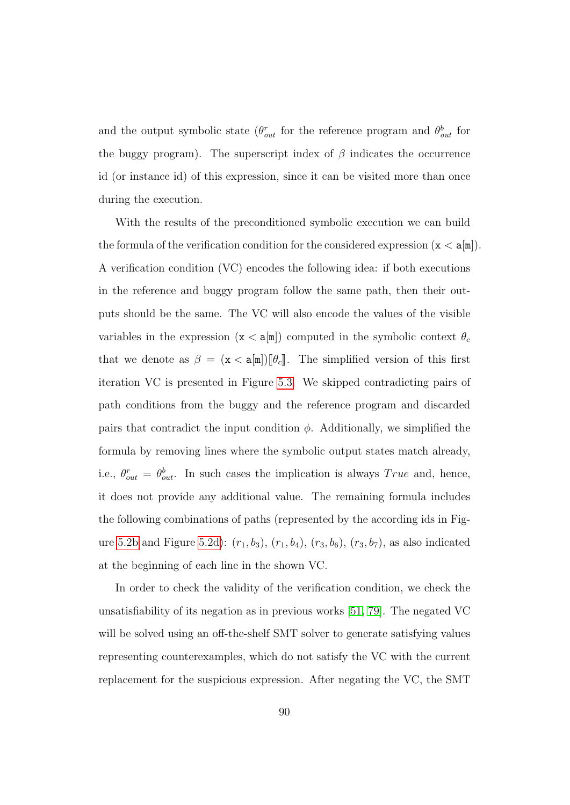and the output symbolic state  $(\theta_{out}^r$  for the reference program and  $\theta_{out}^b$  for the buggy program). The superscript index of  $\beta$  indicates the occurrence id (or instance id) of this expression, since it can be visited more than once during the execution.

With the results of the preconditioned symbolic execution we can build the formula of the verification condition for the considered expression  $(x < a[m])$ . A verification condition (VC) encodes the following idea: if both executions in the reference and buggy program follow the same path, then their outputs should be the same. The VC will also encode the values of the visible variables in the expression  $(x < a[m])$  computed in the symbolic context  $\theta_c$ that we denote as  $\beta = (\mathbf{x} < \mathbf{a}[\mathbf{m}]) [\![\theta_c]\!]$ . The simplified version of this first iteration VC is presented in Figure [5.3.](#page-121-0) We skipped contradicting pairs of path conditions from the buggy and the reference program and discarded pairs that contradict the input condition  $\phi$ . Additionally, we simplified the formula by removing lines where the symbolic output states match already, i.e.,  $\theta_{out}^r = \theta_{out}^b$ . In such cases the implication is always True and, hence, it does not provide any additional value. The remaining formula includes the following combinations of paths (represented by the according ids in Fig-ure [5.2b](#page-120-0) and Figure [5.2d\)](#page-120-0):  $(r_1, b_3)$ ,  $(r_1, b_4)$ ,  $(r_3, b_6)$ ,  $(r_3, b_7)$ , as also indicated at the beginning of each line in the shown VC.

In order to check the validity of the verification condition, we check the unsatisfiability of its negation as in previous works [\[51,](#page-184-0) [79\]](#page-189-0). The negated VC will be solved using an off-the-shelf SMT solver to generate satisfying values representing counterexamples, which do not satisfy the VC with the current replacement for the suspicious expression. After negating the VC, the SMT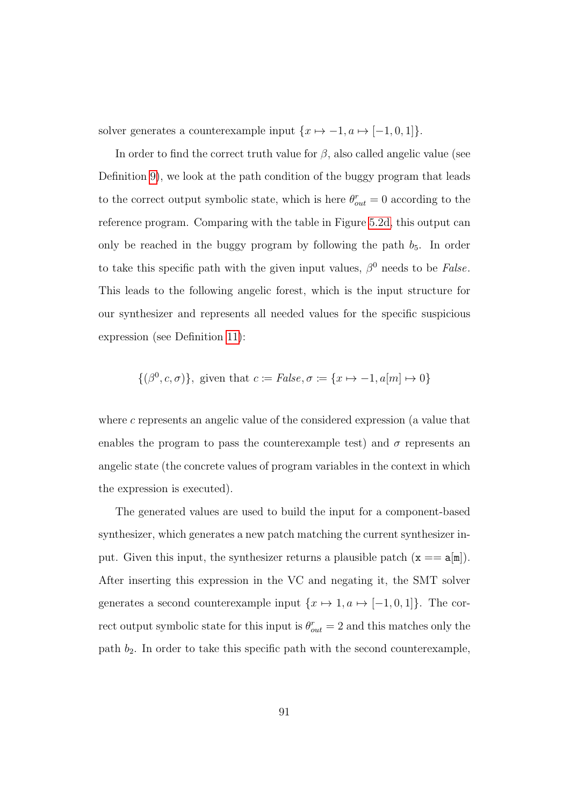solver generates a counterexample input  $\{x \mapsto -1, a \mapsto [-1, 0, 1]\}.$ 

In order to find the correct truth value for  $\beta$ , also called angelic value (see Definition [9\)](#page-80-0), we look at the path condition of the buggy program that leads to the correct output symbolic state, which is here  $\theta_{out}^r = 0$  according to the reference program. Comparing with the table in Figure [5.2d,](#page-120-0) this output can only be reached in the buggy program by following the path  $b_5$ . In order to take this specific path with the given input values,  $\beta^0$  needs to be *False*. This leads to the following angelic forest, which is the input structure for our synthesizer and represents all needed values for the specific suspicious expression (see Definition [11\)](#page-81-0):

$$
\{(\beta^0, c, \sigma)\}\
$$
, given that  $c := False, \sigma := \{x \mapsto -1, a[m] \mapsto 0\}$ 

where c represents an angelic value of the considered expression (a value that enables the program to pass the counterexample test) and  $\sigma$  represents an angelic state (the concrete values of program variables in the context in which the expression is executed).

The generated values are used to build the input for a component-based synthesizer, which generates a new patch matching the current synthesizer input. Given this input, the synthesizer returns a plausible patch  $(x == a[m])$ . After inserting this expression in the VC and negating it, the SMT solver generates a second counterexample input  $\{x \mapsto 1, a \mapsto [-1, 0, 1]\}.$  The correct output symbolic state for this input is  $\theta_{out}^r = 2$  and this matches only the path  $b_2$ . In order to take this specific path with the second counterexample,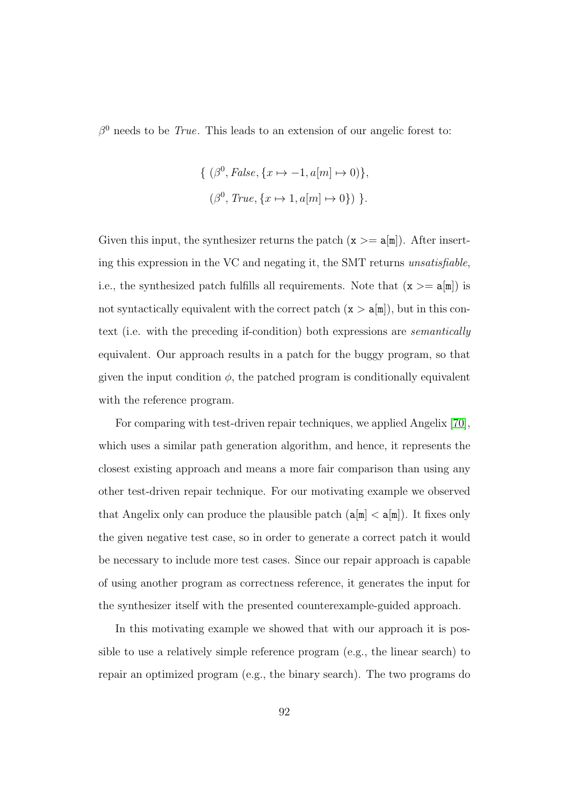$\beta^0$  needs to be *True*. This leads to an extension of our angelic forest to:

$$
\{ (\beta^0, False, \{x \mapsto -1, a[m] \mapsto 0) \},\
$$

$$
(\beta^0, True, \{x \mapsto 1, a[m] \mapsto 0 \}) \}.
$$

Given this input, the synthesizer returns the patch  $(x >= a[m])$ . After inserting this expression in the VC and negating it, the SMT returns unsatisfiable, i.e., the synthesized patch fulfills all requirements. Note that  $(x >= a[m])$  is not syntactically equivalent with the correct patch  $(x > a[m])$ , but in this context (i.e. with the preceding if-condition) both expressions are semantically equivalent. Our approach results in a patch for the buggy program, so that given the input condition  $\phi$ , the patched program is conditionally equivalent with the reference program.

For comparing with test-driven repair techniques, we applied Angelix [\[70\]](#page-187-1), which uses a similar path generation algorithm, and hence, it represents the closest existing approach and means a more fair comparison than using any other test-driven repair technique. For our motivating example we observed that Angelix only can produce the plausible patch  $(a[m] < a[m])$ . It fixes only the given negative test case, so in order to generate a correct patch it would be necessary to include more test cases. Since our repair approach is capable of using another program as correctness reference, it generates the input for the synthesizer itself with the presented counterexample-guided approach.

In this motivating example we showed that with our approach it is possible to use a relatively simple reference program (e.g., the linear search) to repair an optimized program (e.g., the binary search). The two programs do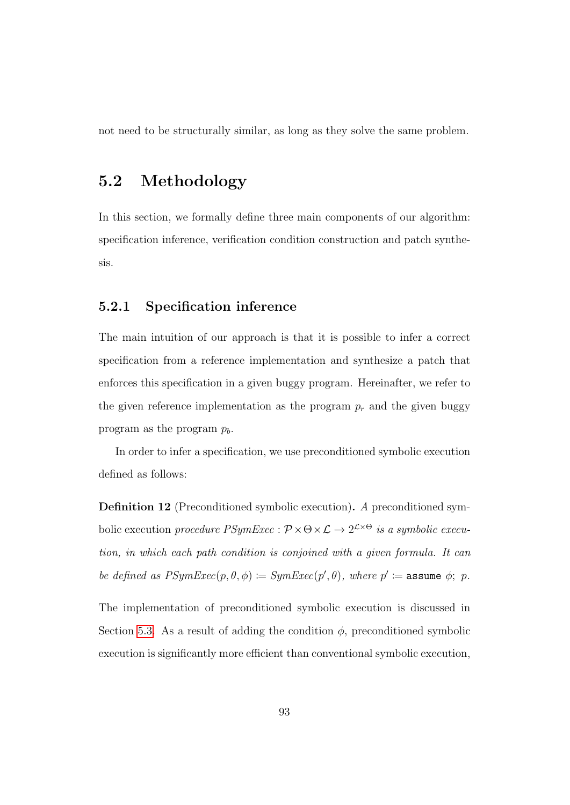not need to be structurally similar, as long as they solve the same problem.

# 5.2 Methodology

In this section, we formally define three main components of our algorithm: specification inference, verification condition construction and patch synthesis.

#### 5.2.1 Specification inference

The main intuition of our approach is that it is possible to infer a correct specification from a reference implementation and synthesize a patch that enforces this specification in a given buggy program. Hereinafter, we refer to the given reference implementation as the program  $p_r$  and the given buggy program as the program  $p_b$ .

In order to infer a specification, we use preconditioned symbolic execution defined as follows:

<span id="page-105-0"></span>Definition 12 (Preconditioned symbolic execution). A preconditioned symbolic execution procedure  $PSymExec : \mathcal{P} \times \Theta \times \mathcal{L} \to 2^{\mathcal{L} \times \Theta}$  is a symbolic execution, in which each path condition is conjoined with a given formula. It can be defined as  $PSymExec(p, \theta, \phi) := SymExec(p', \theta)$ , where  $p' := \text{assume } \phi$ ; p.

The implementation of preconditioned symbolic execution is discussed in Section [5.3.](#page-111-0) As a result of adding the condition  $\phi$ , preconditioned symbolic execution is significantly more efficient than conventional symbolic execution,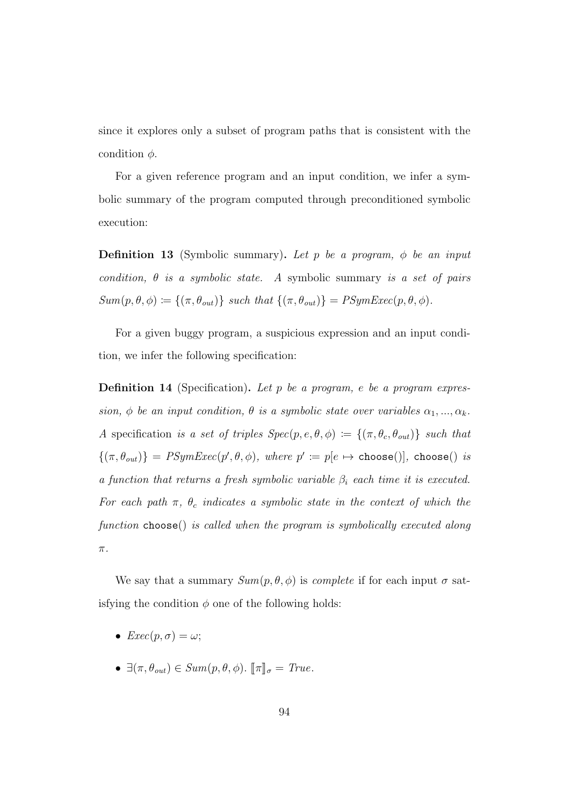since it explores only a subset of program paths that is consistent with the condition  $\phi$ .

For a given reference program and an input condition, we infer a symbolic summary of the program computed through preconditioned symbolic execution:

<span id="page-106-0"></span>**Definition 13** (Symbolic summary). Let p be a program,  $\phi$  be an input condition,  $\theta$  is a symbolic state. A symbolic summary is a set of pairs  $Sum(p, \theta, \phi) \coloneqq \{(\pi, \theta_{out})\}$  such that  $\{(\pi, \theta_{out})\} = PSymExec(p, \theta, \phi)$ .

For a given buggy program, a suspicious expression and an input condition, we infer the following specification:

<span id="page-106-1"></span>**Definition 14** (Specification). Let p be a program, e be a program expression,  $\phi$  be an input condition,  $\theta$  is a symbolic state over variables  $\alpha_1, ..., \alpha_k$ . A specification is a set of triples  $Spec(p, e, \theta, \phi) := \{(\pi, \theta_c, \theta_{out})\}$  such that  $\{(\pi, \theta_{out})\} = \text{PSymExec}(p', \theta, \phi)$ , where  $p' \coloneqq p[e \mapsto \text{choose}$ , choose() is a function that returns a fresh symbolic variable  $\beta_i$  each time it is executed. For each path  $\pi$ ,  $\theta_c$  indicates a symbolic state in the context of which the function choose() is called when the program is symbolically executed along  $\pi.$ 

We say that a summary  $Sum(p, \theta, \phi)$  is *complete* if for each input  $\sigma$  satisfying the condition  $\phi$  one of the following holds:

- $Exec(p, \sigma) = \omega$ ;
- $\exists (\pi, \theta_{out}) \in Sum(p, \theta, \phi)$ .  $[\![\pi]\!]_{\sigma} = True$ .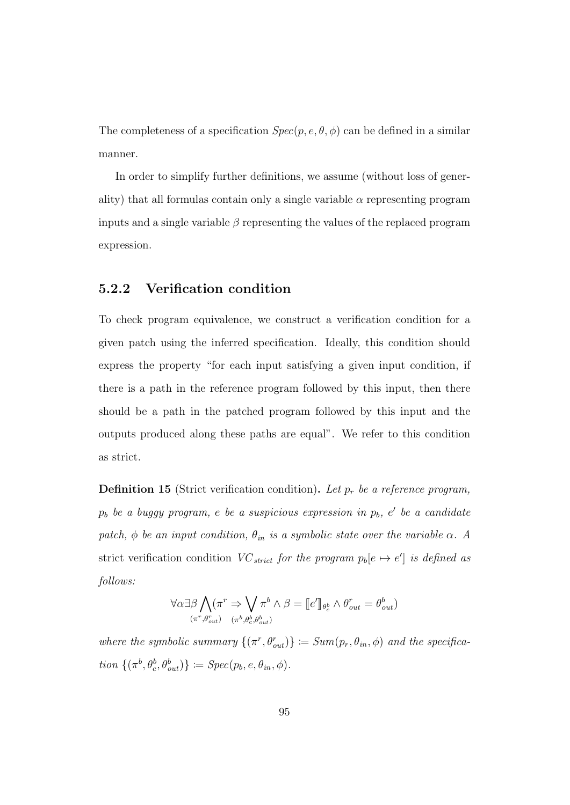The completeness of a specification  $Spec(p, e, \theta, \phi)$  can be defined in a similar manner.

In order to simplify further definitions, we assume (without loss of generality) that all formulas contain only a single variable  $\alpha$  representing program inputs and a single variable  $\beta$  representing the values of the replaced program expression.

#### 5.2.2 Verification condition

To check program equivalence, we construct a verification condition for a given patch using the inferred specification. Ideally, this condition should express the property "for each input satisfying a given input condition, if there is a path in the reference program followed by this input, then there should be a path in the patched program followed by this input and the outputs produced along these paths are equal". We refer to this condition as strict.

**Definition 15** (Strict verification condition). Let  $p_r$  be a reference program,  $p_b$  be a buggy program, e be a suspicious expression in  $p_b$ , e' be a candidate patch,  $\phi$  be an input condition,  $\theta_{in}$  is a symbolic state over the variable  $\alpha$ . A strict verification condition  $VC_{strict}$  for the program  $p_b[e \mapsto e']$  is defined as follows:

$$
\forall \alpha \exists \beta \bigwedge_{(\pi^r, \theta_{out}^r)} (\pi^r \Rightarrow \bigvee_{(\pi^b, \theta_c^b, \theta_{out}^b)} \pi^b \land \beta = [\![e']\!]_{\theta_c^b} \land \theta_{out}^r = \theta_{out}^b)
$$

where the symbolic summary  $\{(\pi^r, \theta_{out}^r)\} := Sum(p_r, \theta_{in}, \phi)$  and the specification  $\{(\pi^b, \theta_c^b, \theta_{out}^b)\} \coloneqq Spec(p_b, e, \theta_{in}, \phi)$ .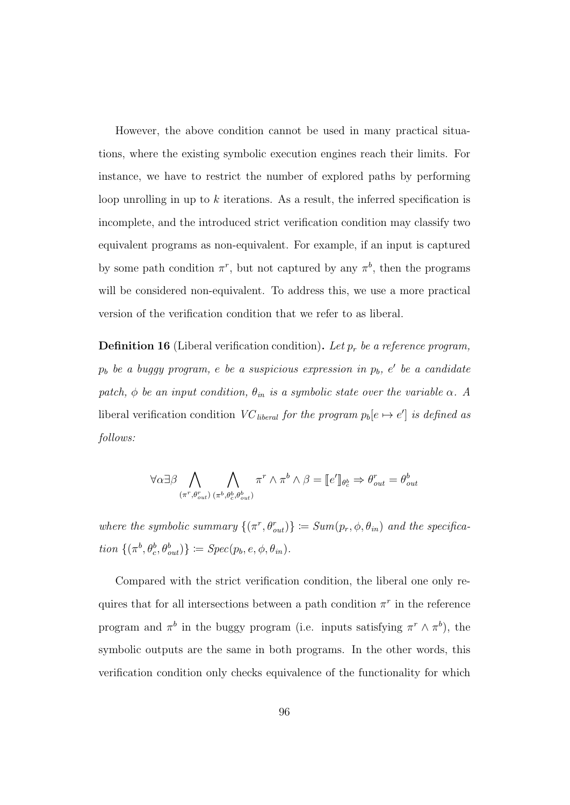However, the above condition cannot be used in many practical situations, where the existing symbolic execution engines reach their limits. For instance, we have to restrict the number of explored paths by performing loop unrolling in up to  $k$  iterations. As a result, the inferred specification is incomplete, and the introduced strict verification condition may classify two equivalent programs as non-equivalent. For example, if an input is captured by some path condition  $\pi^r$ , but not captured by any  $\pi^b$ , then the programs will be considered non-equivalent. To address this, we use a more practical version of the verification condition that we refer to as liberal.

<span id="page-108-0"></span>**Definition 16** (Liberal verification condition). Let  $p_r$  be a reference program,  $p_b$  be a buggy program, e be a suspicious expression in  $p_b$ , e' be a candidate patch,  $\phi$  be an input condition,  $\theta_{in}$  is a symbolic state over the variable  $\alpha$ . A liberal verification condition  $VC_{\text{liberal}}$  for the program  $p_b[e \rightarrow e']$  is defined as follows:

$$
\forall \alpha \exists \beta \bigwedge_{(\pi^r, \theta_{out}^r) (\pi^b, \theta_c^b, \theta_{out}^b)} \pi^r \wedge \pi^b \wedge \beta = [\![e']\!]_{\theta_c^b} \Rightarrow \theta_{out}^r = \theta_{out}^b
$$

where the symbolic summary  $\{(\pi^r, \theta^r_{out})\} := Sum(p_r, \phi, \theta_{in})$  and the specification  $\{(\pi^b, \theta_c^b, \theta_{out}^b)\} \coloneqq Spec(p_b, e, \phi, \theta_{in}).$ 

Compared with the strict verification condition, the liberal one only requires that for all intersections between a path condition  $\pi^r$  in the reference program and  $\pi^b$  in the buggy program (i.e. inputs satisfying  $\pi^r \wedge \pi^b$ ), the symbolic outputs are the same in both programs. In the other words, this verification condition only checks equivalence of the functionality for which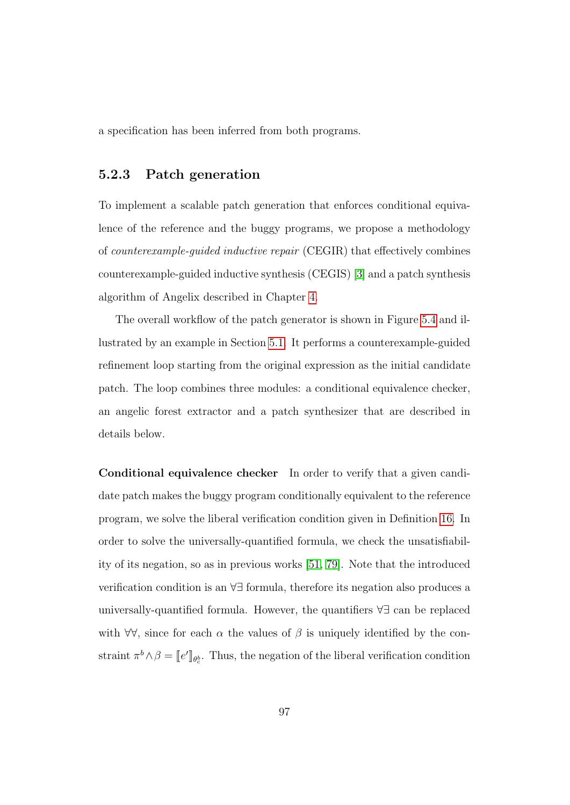a specification has been inferred from both programs.

#### 5.2.3 Patch generation

To implement a scalable patch generation that enforces conditional equivalence of the reference and the buggy programs, we propose a methodology of counterexample-guided inductive repair (CEGIR) that effectively combines counterexample-guided inductive synthesis (CEGIS) [\[3\]](#page-177-0) and a patch synthesis algorithm of Angelix described in Chapter [4.](#page-70-0)

The overall workflow of the patch generator is shown in Figure [5.4](#page-121-0) and illustrated by an example in Section [5.1.](#page-98-0) It performs a counterexample-guided refinement loop starting from the original expression as the initial candidate patch. The loop combines three modules: a conditional equivalence checker, an angelic forest extractor and a patch synthesizer that are described in details below.

Conditional equivalence checker In order to verify that a given candidate patch makes the buggy program conditionally equivalent to the reference program, we solve the liberal verification condition given in Definition [16.](#page-108-0) In order to solve the universally-quantified formula, we check the unsatisfiability of its negation, so as in previous works [\[51,](#page-184-0) [79\]](#page-189-0). Note that the introduced verification condition is an ∀∃ formula, therefore its negation also produces a universally-quantified formula. However, the quantifiers ∀∃ can be replaced with  $\forall \forall$ , since for each  $\alpha$  the values of  $\beta$  is uniquely identified by the constraint  $\pi^b \wedge \beta = [e']_{\theta_c^b}$ . Thus, the negation of the liberal verification condition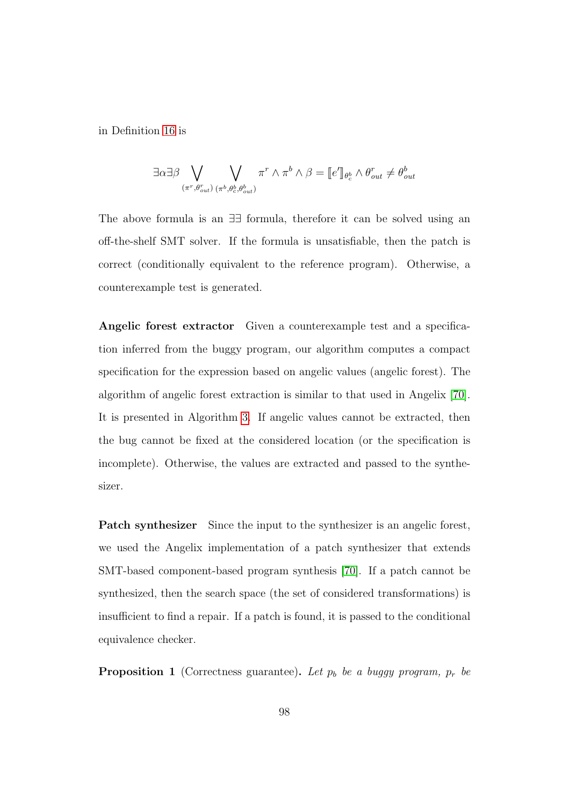in Definition [16](#page-108-0) is

$$
\exists \alpha \exists \beta \bigvee_{(\pi^r, \theta_{out}^r) (\pi^b, \theta_c^b, \theta_{out}^b)} \pi^r \wedge \pi^b \wedge \beta = [\![e']\!]_{\theta_c^b} \wedge \theta_{out}^r \neq \theta_{out}^b
$$

The above formula is an ∃∃ formula, therefore it can be solved using an off-the-shelf SMT solver. If the formula is unsatisfiable, then the patch is correct (conditionally equivalent to the reference program). Otherwise, a counterexample test is generated.

Angelic forest extractor Given a counterexample test and a specification inferred from the buggy program, our algorithm computes a compact specification for the expression based on angelic values (angelic forest). The algorithm of angelic forest extraction is similar to that used in Angelix [\[70\]](#page-187-0). It is presented in Algorithm [3.](#page-82-0) If angelic values cannot be extracted, then the bug cannot be fixed at the considered location (or the specification is incomplete). Otherwise, the values are extracted and passed to the synthesizer.

Patch synthesizer Since the input to the synthesizer is an angelic forest, we used the Angelix implementation of a patch synthesizer that extends SMT-based component-based program synthesis [\[70\]](#page-187-0). If a patch cannot be synthesized, then the search space (the set of considered transformations) is insufficient to find a repair. If a patch is found, it is passed to the conditional equivalence checker.

**Proposition 1** (Correctness guarantee). Let  $p_b$  be a buggy program,  $p_r$  be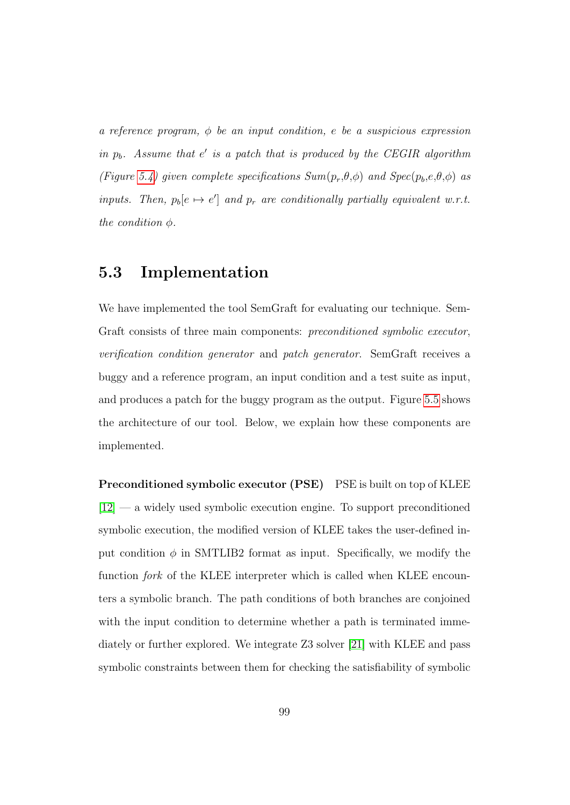a reference program,  $\phi$  be an input condition, e be a suspicious expression in  $p_b$ . Assume that  $e'$  is a patch that is produced by the CEGIR algorithm (Figure [5.4\)](#page-121-0) given complete specifications  $Sum(p_r, \theta, \phi)$  and  $Spec(p_b, e, \theta, \phi)$  as inputs. Then,  $p_b[e \mapsto e']$  and  $p_r$  are conditionally partially equivalent w.r.t. the condition  $\phi$ .

# 5.3 Implementation

We have implemented the tool SemGraft for evaluating our technique. Sem-Graft consists of three main components: preconditioned symbolic executor, verification condition generator and patch generator. SemGraft receives a buggy and a reference program, an input condition and a test suite as input, and produces a patch for the buggy program as the output. Figure [5.5](#page-122-0) shows the architecture of our tool. Below, we explain how these components are implemented.

Preconditioned symbolic executor (PSE) PSE is built on top of KLEE  $[12]$  — a widely used symbolic execution engine. To support preconditioned symbolic execution, the modified version of KLEE takes the user-defined input condition  $\phi$  in SMTLIB2 format as input. Specifically, we modify the function *fork* of the KLEE interpreter which is called when KLEE encounters a symbolic branch. The path conditions of both branches are conjoined with the input condition to determine whether a path is terminated immediately or further explored. We integrate Z3 solver [\[21\]](#page-180-0) with KLEE and pass symbolic constraints between them for checking the satisfiability of symbolic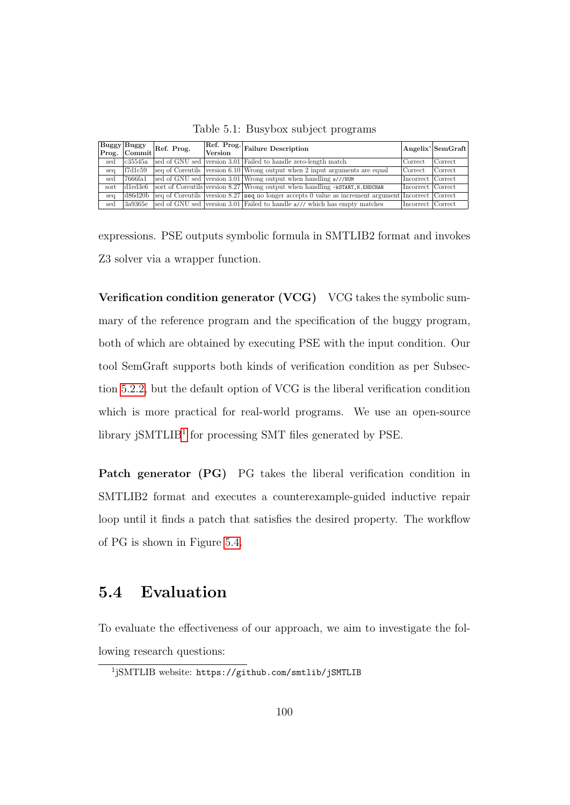|  |  | Table 5.1: Busybox subject programs |
|--|--|-------------------------------------|
|  |  |                                     |

<span id="page-112-1"></span>

|      |          | Buggy Buggy<br>Prog. Commit Ref. Prog.<br><b>Version</b> |  | Ref. Prog. Failure Description                                                                      |                   | Angelix' SemGraft |
|------|----------|----------------------------------------------------------|--|-----------------------------------------------------------------------------------------------------|-------------------|-------------------|
| sed  | c35545a  |                                                          |  | sed of GNU sed version 3.01 Failed to handle zero-length match                                      | (Correct          | Correct           |
| seq  | f7d1c59  |                                                          |  | seq of Coreutils version 6.10 Wrong output when 2 input arguments are equal                         | Correct           | Correct           |
| sed  | 7666fa1  |                                                          |  | sed of GNU sed version 3.01 Wrong output when handling s///NUM                                      | Incorrect Correct |                   |
| sort | d1ed3e6  |                                                          |  | sort of Coreutils version 8.27 Wrong output when handling -kSTART, N. ENDCHAR                       | Incorrect Correct |                   |
| seq  | ld86d20b |                                                          |  | seq of Coreutils version 8.27 seq no longer accepts 0 value as increment argument Incorrect Correct |                   |                   |
| sed  | 3a9365e  |                                                          |  | sed of GNU sed version 3.01 Failed to handle s/// which has empty matches                           | Incorrect Correct |                   |

expressions. PSE outputs symbolic formula in SMTLIB2 format and invokes Z3 solver via a wrapper function.

Verification condition generator (VCG) VCG takes the symbolic summary of the reference program and the specification of the buggy program, both of which are obtained by executing PSE with the input condition. Our tool SemGraft supports both kinds of verification condition as per Subsection [5.2.2,](#page-107-0) but the default option of VCG is the liberal verification condition which is more practical for real-world programs. We use an open-source library jSMTLIB<sup>[1](#page-112-0)</sup> for processing SMT files generated by PSE.

Patch generator (PG) PG takes the liberal verification condition in SMTLIB2 format and executes a counterexample-guided inductive repair loop until it finds a patch that satisfies the desired property. The workflow of PG is shown in Figure [5.4.](#page-121-0)

# 5.4 Evaluation

To evaluate the effectiveness of our approach, we aim to investigate the following research questions:

<span id="page-112-0"></span><sup>1</sup> jSMTLIB website: https://github.com/smtlib/jSMTLIB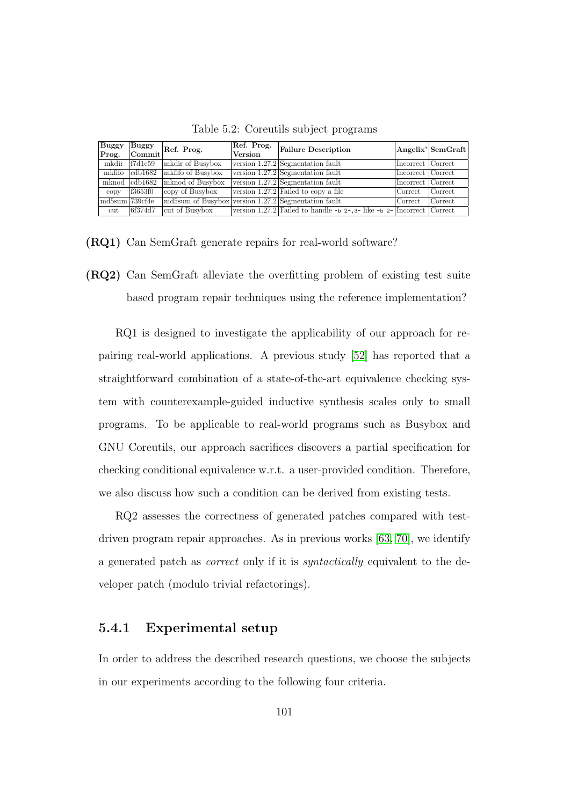<span id="page-113-0"></span>

| Buggy<br>Prog. | Buggy<br>Commit             | Ref. Prog.                                          | Ref. Prog.<br><b>Version</b> | <b>Failure Description</b>                                             |                     | Angelix' SemGraft |
|----------------|-----------------------------|-----------------------------------------------------|------------------------------|------------------------------------------------------------------------|---------------------|-------------------|
| mkdir          | f7d1c59                     | mkdir of Busybox                                    |                              | version $1.27.2$ Segmentation fault                                    | Incorrect Correct   |                   |
|                | $m$ kfifo $\alpha$ b $1682$ | mkfifo of Busybox                                   |                              | version $1.27.2$ Segmentation fault                                    | Incorrect Correct   |                   |
|                | mknod $ cdb1682\rangle$     | mknod of Busybox                                    |                              | version 1.27.2 Segmentation fault                                      | Incorrect   Correct |                   |
| copy           | f3653f0                     | copy of Busybox                                     |                              | version $1.27.2$ Failed to copy a file                                 | Correct             | Correct           |
| md5sum 739cf4e |                             | md5sum of Busybox version 1.27.2 Segmentation fault |                              |                                                                        | Correct             | Correct           |
| cut            | 6f374d7                     | cut of Busybox                                      |                              | version 1.27.2 Failed to handle -b 2-, 3- like -b 2- Incorrect Correct |                     |                   |

Table 5.2: Coreutils subject programs

(RQ1) Can SemGraft generate repairs for real-world software?

(RQ2) Can SemGraft alleviate the overfitting problem of existing test suite based program repair techniques using the reference implementation?

RQ1 is designed to investigate the applicability of our approach for repairing real-world applications. A previous study [\[52\]](#page-185-0) has reported that a straightforward combination of a state-of-the-art equivalence checking system with counterexample-guided inductive synthesis scales only to small programs. To be applicable to real-world programs such as Busybox and GNU Coreutils, our approach sacrifices discovers a partial specification for checking conditional equivalence w.r.t. a user-provided condition. Therefore, we also discuss how such a condition can be derived from existing tests.

RQ2 assesses the correctness of generated patches compared with testdriven program repair approaches. As in previous works [\[63,](#page-186-0) [70\]](#page-187-0), we identify a generated patch as correct only if it is syntactically equivalent to the developer patch (modulo trivial refactorings).

#### 5.4.1 Experimental setup

In order to address the described research questions, we choose the subjects in our experiments according to the following four criteria.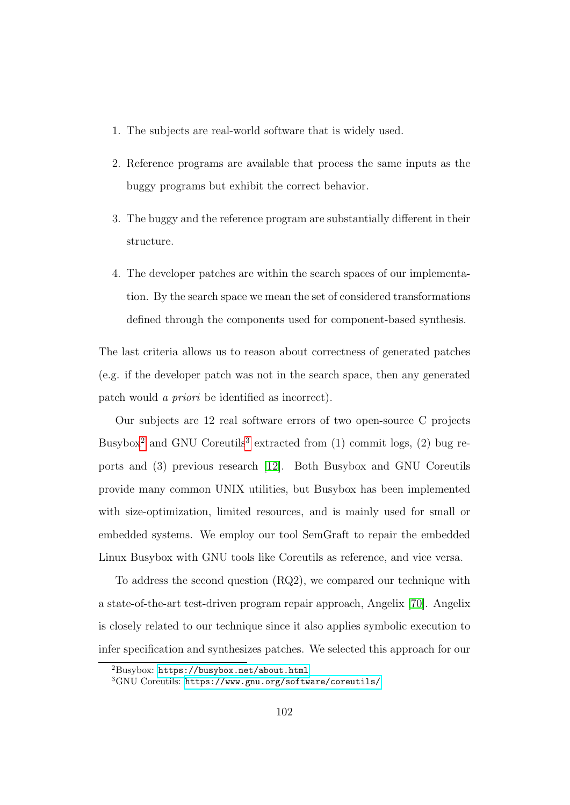- 1. The subjects are real-world software that is widely used.
- 2. Reference programs are available that process the same inputs as the buggy programs but exhibit the correct behavior.
- 3. The buggy and the reference program are substantially different in their structure.
- 4. The developer patches are within the search spaces of our implementation. By the search space we mean the set of considered transformations defined through the components used for component-based synthesis.

The last criteria allows us to reason about correctness of generated patches (e.g. if the developer patch was not in the search space, then any generated patch would a priori be identified as incorrect).

Our subjects are 12 real software errors of two open-source C projects Busybox<sup>[2](#page-114-0)</sup> and GNU Coreutils<sup>[3](#page-114-1)</sup> extracted from  $(1)$  commit logs,  $(2)$  bug reports and (3) previous research [\[12\]](#page-179-0). Both Busybox and GNU Coreutils provide many common UNIX utilities, but Busybox has been implemented with size-optimization, limited resources, and is mainly used for small or embedded systems. We employ our tool SemGraft to repair the embedded Linux Busybox with GNU tools like Coreutils as reference, and vice versa.

To address the second question (RQ2), we compared our technique with a state-of-the-art test-driven program repair approach, Angelix [\[70\]](#page-187-0). Angelix is closely related to our technique since it also applies symbolic execution to infer specification and synthesizes patches. We selected this approach for our

<span id="page-114-0"></span><sup>2</sup>Busybox: <https://busybox.net/about.html>

<span id="page-114-1"></span><sup>3</sup>GNU Coreutils: <https://www.gnu.org/software/coreutils/>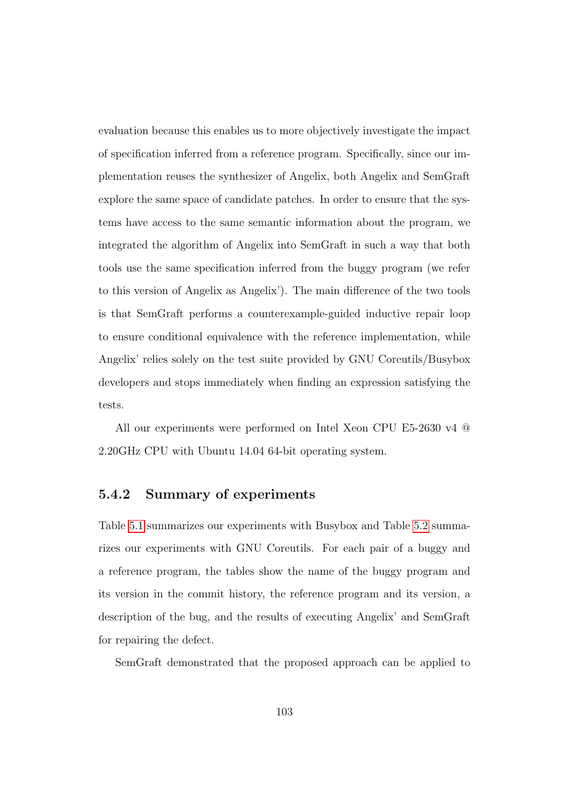evaluation because this enables us to more objectively investigate the impact of specification inferred from a reference program. Specifically, since our implementation reuses the synthesizer of Angelix, both Angelix and SemGraft explore the same space of candidate patches. In order to ensure that the systems have access to the same semantic information about the program, we integrated the algorithm of Angelix into SemGraft in such a way that both tools use the same specification inferred from the buggy program (we refer to this version of Angelix as Angelix'). The main difference of the two tools is that SemGraft performs a counterexample-guided inductive repair loop to ensure conditional equivalence with the reference implementation, while Angelix' relies solely on the test suite provided by GNU Coreutils/Busybox developers and stops immediately when finding an expression satisfying the tests.

All our experiments were performed on Intel Xeon CPU E5-2630 v4 @ 2.20GHz CPU with Ubuntu 14.04 64-bit operating system.

#### 5.4.2 Summary of experiments

Table [5.1](#page-112-1) summarizes our experiments with Busybox and Table [5.2](#page-113-0) summarizes our experiments with GNU Coreutils. For each pair of a buggy and a reference program, the tables show the name of the buggy program and its version in the commit history, the reference program and its version, a description of the bug, and the results of executing Angelix' and SemGraft for repairing the defect.

SemGraft demonstrated that the proposed approach can be applied to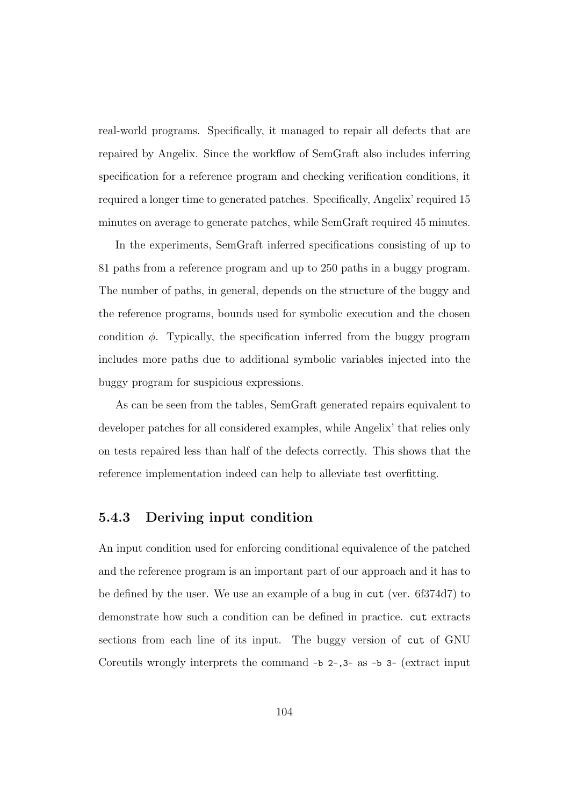real-world programs. Specifically, it managed to repair all defects that are repaired by Angelix. Since the workflow of SemGraft also includes inferring specification for a reference program and checking verification conditions, it required a longer time to generated patches. Specifically, Angelix' required 15 minutes on average to generate patches, while SemGraft required 45 minutes.

In the experiments, SemGraft inferred specifications consisting of up to 81 paths from a reference program and up to 250 paths in a buggy program. The number of paths, in general, depends on the structure of the buggy and the reference programs, bounds used for symbolic execution and the chosen condition  $\phi$ . Typically, the specification inferred from the buggy program includes more paths due to additional symbolic variables injected into the buggy program for suspicious expressions.

As can be seen from the tables, SemGraft generated repairs equivalent to developer patches for all considered examples, while Angelix' that relies only on tests repaired less than half of the defects correctly. This shows that the reference implementation indeed can help to alleviate test overfitting.

#### 5.4.3 Deriving input condition

An input condition used for enforcing conditional equivalence of the patched and the reference program is an important part of our approach and it has to be defined by the user. We use an example of a bug in cut (ver. 6f374d7) to demonstrate how such a condition can be defined in practice. cut extracts sections from each line of its input. The buggy version of cut of GNU Coreutils wrongly interprets the command -b 2-,3- as -b 3- (extract input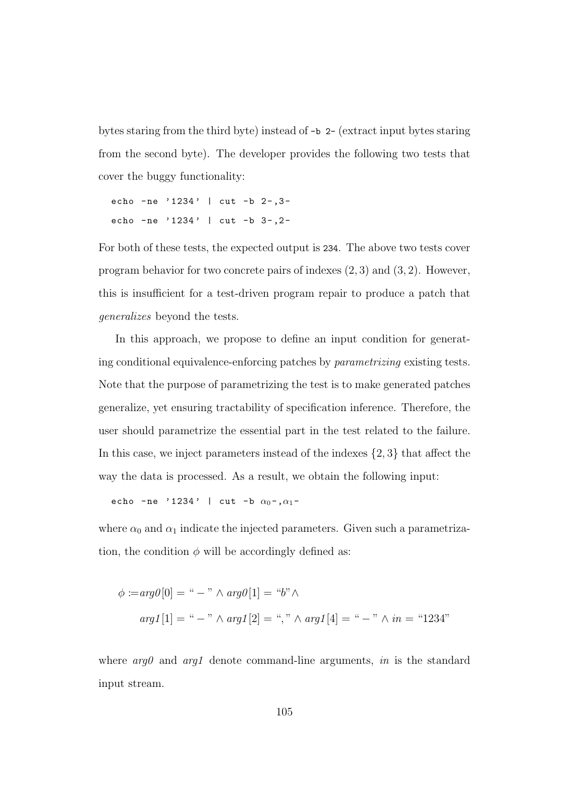bytes staring from the third byte) instead of -b 2- (extract input bytes staring from the second byte). The developer provides the following two tests that cover the buggy functionality:

```
echo - ne ' 1234' | cut - b 2 - , 3 -
echo - ne ' 1234' | cut - b 3 - , 2 -
```
For both of these tests, the expected output is 234. The above two tests cover program behavior for two concrete pairs of indexes (2, 3) and (3, 2). However, this is insufficient for a test-driven program repair to produce a patch that generalizes beyond the tests.

In this approach, we propose to define an input condition for generating conditional equivalence-enforcing patches by parametrizing existing tests. Note that the purpose of parametrizing the test is to make generated patches generalize, yet ensuring tractability of specification inference. Therefore, the user should parametrize the essential part in the test related to the failure. In this case, we inject parameters instead of the indexes  $\{2,3\}$  that affect the way the data is processed. As a result, we obtain the following input:

echo - ne ' 1234' | cut - b  $\alpha_0$  -  $\alpha_1$  -

where  $\alpha_0$  and  $\alpha_1$  indicate the injected parameters. Given such a parametrization, the condition  $\phi$  will be accordingly defined as:

$$
\phi := arg\theta[0] = " - " \land arg\theta[1] = "b" \land
$$
  
arg1[1] = " - " \land arg1[2] = ", " \land arg1[4] = " - " \land in = "1234"

where  $arg\theta$  and  $arg1$  denote command-line arguments, in is the standard input stream.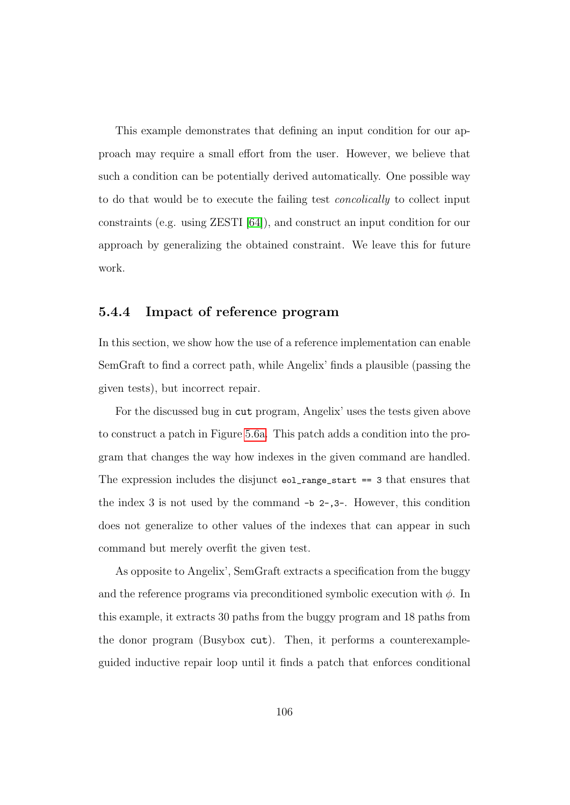This example demonstrates that defining an input condition for our approach may require a small effort from the user. However, we believe that such a condition can be potentially derived automatically. One possible way to do that would be to execute the failing test concolically to collect input constraints (e.g. using ZESTI [\[64\]](#page-186-1)), and construct an input condition for our approach by generalizing the obtained constraint. We leave this for future work.

#### 5.4.4 Impact of reference program

In this section, we show how the use of a reference implementation can enable SemGraft to find a correct path, while Angelix' finds a plausible (passing the given tests), but incorrect repair.

For the discussed bug in cut program, Angelix' uses the tests given above to construct a patch in Figure [5.6a.](#page-122-1) This patch adds a condition into the program that changes the way how indexes in the given command are handled. The expression includes the disjunct eol\_range\_start == 3 that ensures that the index 3 is not used by the command -b 2-,3-. However, this condition does not generalize to other values of the indexes that can appear in such command but merely overfit the given test.

As opposite to Angelix', SemGraft extracts a specification from the buggy and the reference programs via preconditioned symbolic execution with  $\phi$ . In this example, it extracts 30 paths from the buggy program and 18 paths from the donor program (Busybox cut). Then, it performs a counterexampleguided inductive repair loop until it finds a patch that enforces conditional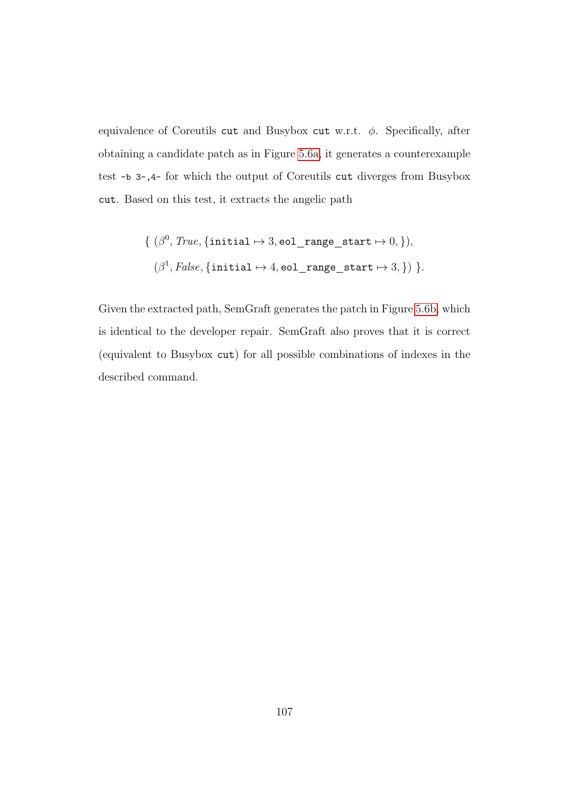equivalence of Coreutils cut and Busybox cut w.r.t.  $\phi$ . Specifically, after obtaining a candidate patch as in Figure [5.6a,](#page-122-1) it generates a counterexample test -b 3-,4- for which the output of Coreutils cut diverges from Busybox cut. Based on this test, it extracts the angelic path

$$
\{ (\beta^0, \text{True}, \{\text{initial} \mapsto 3, \text{eol\_range\_start} \mapsto 0, \}),
$$

$$
(\beta^1, \text{False}, \{\text{initial} \mapsto 4, \text{eol\_range\_start} \mapsto 3, \}) \}.
$$

Given the extracted path, SemGraft generates the patch in Figure [5.6b,](#page-122-1) which is identical to the developer repair. SemGraft also proves that it is correct (equivalent to Busybox cut) for all possible combinations of indexes in the described command.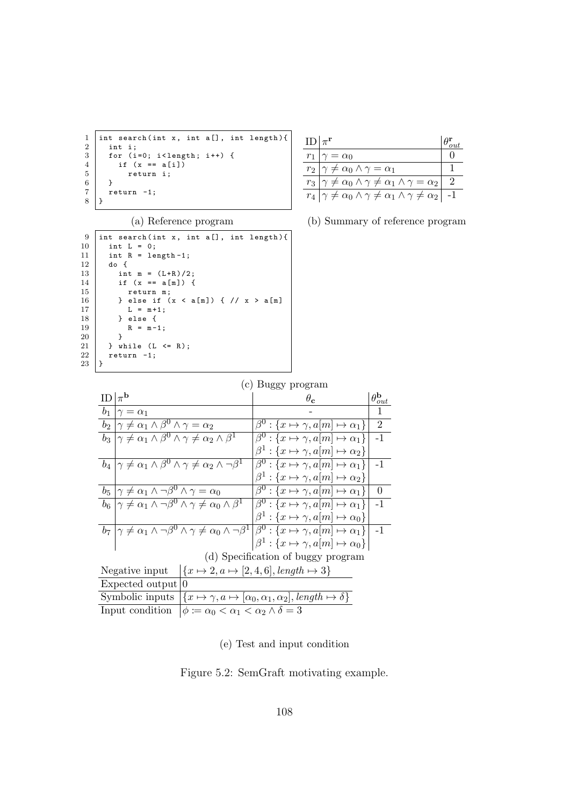```
1 int search (int x, int a [], int length) {<br>
2 int i;<br>
for (i=0; i<length; i++) {<br>
if (x == a[i])<br>
return i;
         int i;
 3 | for (i=0; i<length; i++) {
 4 | if (x == a[i])return i;<br>}
\frac{6}{7}\begin{bmatrix} 7 \\ 8 \end{bmatrix} return -1;
     | }
```

| $ID \pi^r$ |                                                                                           |  |
|------------|-------------------------------------------------------------------------------------------|--|
| $r_1$      | $\gamma = \alpha_0$                                                                       |  |
|            | $r_2   \gamma \neq \alpha_0 \wedge \gamma = \alpha_1$                                     |  |
|            | $r_3   \gamma \neq \alpha_0 \wedge \gamma \neq \alpha_1 \wedge \gamma = \alpha_2  $       |  |
|            | $r_4   \gamma \neq \alpha_0 \wedge \gamma \neq \alpha_1 \wedge \gamma \neq \alpha_2   -1$ |  |

(a) Reference program

| 9  | int search(int x, int a[], int length){ |
|----|-----------------------------------------|
| 10 | int $L = 0$ ;                           |
| 11 | int $R = length -1$ ;                   |
| 12 | do {                                    |
| 13 | int m = $(L+R)/2$ ;                     |
| 14 | if $(x == a[m])$ f                      |
| 15 | return m;                               |
| 16 | } else if $(x < a[m])$ { // $x > a[m]$  |
| 17 | $L = m + 1$ ;                           |
| 18 | } else {                                |
| 19 | $R = m - 1$ :                           |
| 20 | ł                                       |
| 21 | } while $(L \le R)$ ;                   |
| 22 | $return -1;$                            |
| 23 |                                         |

(b) Summary of reference program

|  | (c) Buggy program |
|--|-------------------|
|  |                   |

|    |                                                                                                                                                          | $P_{\alpha\beta\gamma}$ , program                             |                             |  |  |  |  |  |
|----|----------------------------------------------------------------------------------------------------------------------------------------------------------|---------------------------------------------------------------|-----------------------------|--|--|--|--|--|
| ID | $\mathbb{I}_{\pi}$ <sub>b</sub>                                                                                                                          | $\theta_{\rm c}$                                              | $\theta_{out}^{\mathbf{b}}$ |  |  |  |  |  |
|    | $b_1   \gamma = \alpha_1$                                                                                                                                |                                                               |                             |  |  |  |  |  |
|    | $b_2   \gamma \neq \alpha_1 \wedge \beta^0 \wedge \gamma = \alpha_2$                                                                                     | $\beta^0: \{x \mapsto \gamma, a[m] \mapsto \alpha_1\}$        | $\overline{2}$              |  |  |  |  |  |
|    | $b_3   \gamma \neq \alpha_1 \wedge \beta^0 \wedge \gamma \neq \alpha_2 \wedge \beta^1$                                                                   | $\beta^0: \{x \mapsto \gamma, a[m] \mapsto \alpha_1\}$        | $-1$                        |  |  |  |  |  |
|    |                                                                                                                                                          | $\beta^1: \{x \mapsto \gamma, a[m] \mapsto \alpha_2\}$        |                             |  |  |  |  |  |
|    | $b_4   \gamma \neq \alpha_1 \wedge \beta^0 \wedge \gamma \neq \alpha_2 \wedge \neg \beta^1$                                                              | $\beta^0: \{x \mapsto \gamma, a[m] \mapsto \alpha_1\}$        | $-1$                        |  |  |  |  |  |
|    |                                                                                                                                                          | $\beta^1 : \{x \mapsto \gamma, a[m] \mapsto \alpha_2\}$       |                             |  |  |  |  |  |
|    | $b_5   \gamma \neq \alpha_1 \wedge \neg \beta^0 \wedge \gamma = \alpha_0$                                                                                | $\beta^0: \{x \mapsto \gamma, a[m] \mapsto \alpha_1\}$        | $\Omega$                    |  |  |  |  |  |
|    | $b_6 \mid \gamma \neq \overline{\alpha_1 \wedge \gamma \beta^0 \wedge \gamma \neq \alpha_0 \wedge \beta^1}$                                              | $\beta^0: \{x \mapsto \gamma, a[m] \mapsto \alpha_1\}$        | $-1$                        |  |  |  |  |  |
|    |                                                                                                                                                          | $\beta^1: \{x \mapsto \gamma, a[m] \mapsto \alpha_0\}$        |                             |  |  |  |  |  |
|    | $b_7   \gamma \neq \alpha_1 \wedge \neg \beta^0 \wedge \gamma \neq \alpha_0 \wedge \neg \beta^1   \beta^0 : \{x \mapsto \gamma, a[m] \mapsto \alpha_1\}$ |                                                               | $-1$                        |  |  |  |  |  |
|    |                                                                                                                                                          | $\beta^1: \{x \mapsto \gamma, a[m] \mapsto \alpha_0\}\right $ |                             |  |  |  |  |  |
|    | (d) Specification of buggy program                                                                                                                       |                                                               |                             |  |  |  |  |  |
|    | $\left \left\{x \mapsto 2, a \mapsto [2,4,6], \text{length} \mapsto 3\right\}\right $<br>Negative input                                                  |                                                               |                             |  |  |  |  |  |
|    | Expected output $ 0$                                                                                                                                     |                                                               |                             |  |  |  |  |  |

Symbolic inputs  $\left\{x \mapsto \gamma, a \mapsto [\alpha_0, \alpha_1, \alpha_2], \text{length} \mapsto \delta\right\}$ Input condition  $\phi := \alpha_0 < \alpha_1 < \alpha_2 \wedge \delta = 3$ 

(e) Test and input condition

Figure 5.2: SemGraft motivating example.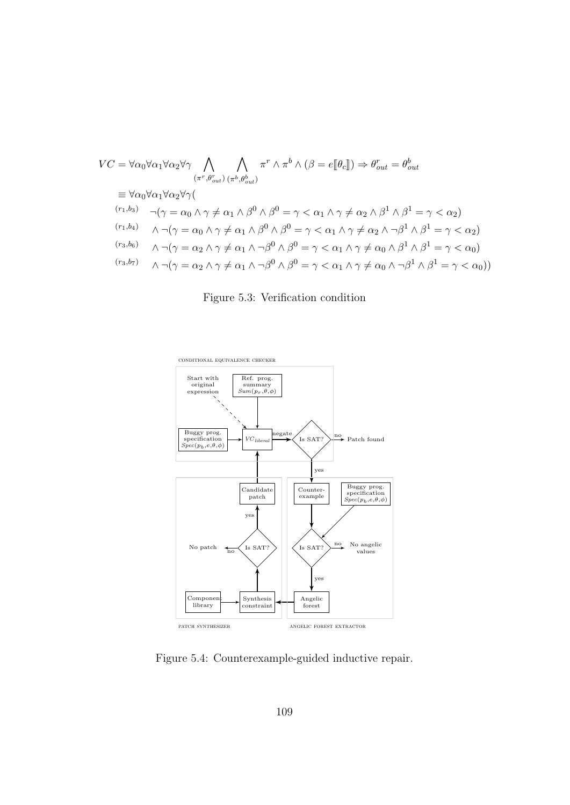$$
VC = \forall \alpha_0 \forall \alpha_1 \forall \alpha_2 \forall \gamma \bigwedge_{(\pi^r, \theta_{out}^r)} \bigwedge_{(\pi^b, \theta_{out}^b)} \pi^r \land \pi^b \land (\beta = e[\![\theta_c]\!]) \Rightarrow \theta_{out}^r = \theta_{out}^b
$$
  
\n
$$
\equiv \forall \alpha_0 \forall \alpha_1 \forall \alpha_2 \forall \gamma (\bigwedge_{(r_1, b_3)} \neg (\gamma = \alpha_0 \land \gamma \neq \alpha_1 \land \beta^0 \land \beta^0 = \gamma < \alpha_1 \land \gamma \neq \alpha_2 \land \beta^1 \land \beta^1 = \gamma < \alpha_2)
$$
  
\n
$$
\langle r_1, b_4 \rangle \qquad \land \neg (\gamma = \alpha_0 \land \gamma \neq \alpha_1 \land \beta^0 \land \beta^0 = \gamma < \alpha_1 \land \gamma \neq \alpha_2 \land \neg \beta^1 \land \beta^1 = \gamma < \alpha_2)
$$
  
\n
$$
\langle r_3, b_6 \rangle \qquad \land \neg (\gamma = \alpha_2 \land \gamma \neq \alpha_1 \land \neg \beta^0 \land \beta^0 = \gamma < \alpha_1 \land \gamma \neq \alpha_0 \land \beta^1 \land \beta^1 = \gamma < \alpha_0)
$$
  
\n
$$
\langle r_3, b_7 \rangle \qquad \land \neg (\gamma = \alpha_2 \land \gamma \neq \alpha_1 \land \neg \beta^0 \land \beta^0 = \gamma < \alpha_1 \land \gamma \neq \alpha_0 \land \neg \beta^1 \land \beta^1 = \gamma < \alpha_0)
$$

Figure 5.3: Verification condition

<span id="page-121-0"></span>

Figure 5.4: Counterexample-guided inductive repair.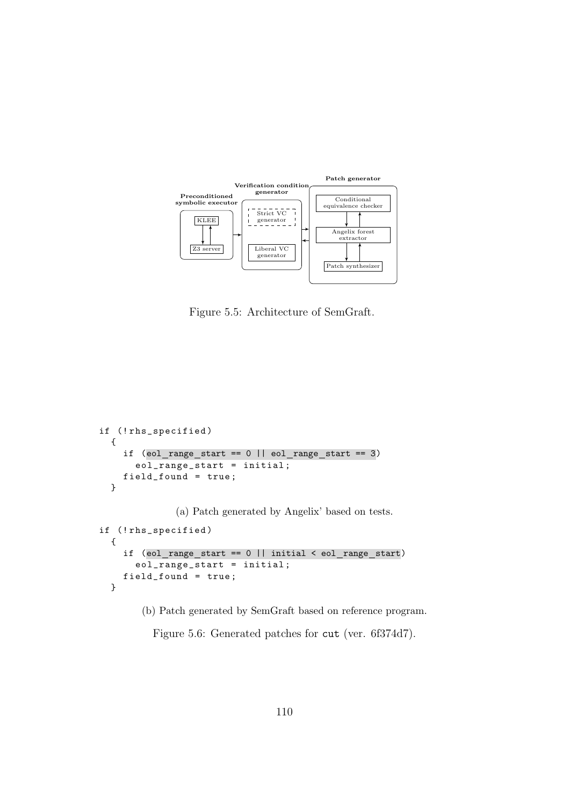<span id="page-122-0"></span>

Figure 5.5: Architecture of SemGraft.

```
if (! rhs_specified )
  {
    if (eol_range\_start == 0 || eol_range\_start == 3)eol_range_start = initial ;
    field_found = true ;
  }
              (a) Patch generated by Angelix' based on tests.
if (!rhs_specified)
  {
    if (eol_range_start == 0 || initial < eol_range_start)
      eol_range_start = initial ;
    field_found = true ;
  }
```
(b) Patch generated by SemGraft based on reference program.

Figure 5.6: Generated patches for cut (ver. 6f374d7).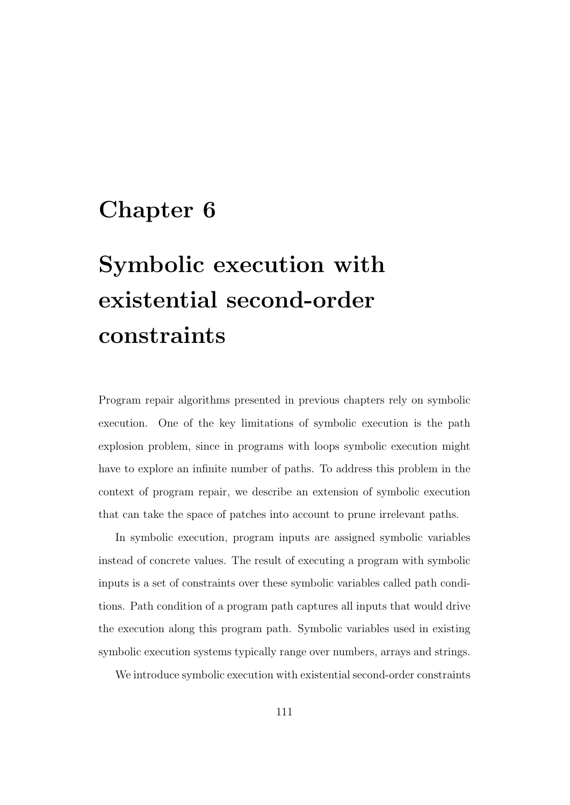# Chapter 6

# Symbolic execution with existential second-order constraints

Program repair algorithms presented in previous chapters rely on symbolic execution. One of the key limitations of symbolic execution is the path explosion problem, since in programs with loops symbolic execution might have to explore an infinite number of paths. To address this problem in the context of program repair, we describe an extension of symbolic execution that can take the space of patches into account to prune irrelevant paths.

In symbolic execution, program inputs are assigned symbolic variables instead of concrete values. The result of executing a program with symbolic inputs is a set of constraints over these symbolic variables called path conditions. Path condition of a program path captures all inputs that would drive the execution along this program path. Symbolic variables used in existing symbolic execution systems typically range over numbers, arrays and strings.

We introduce symbolic execution with existential second-order constraints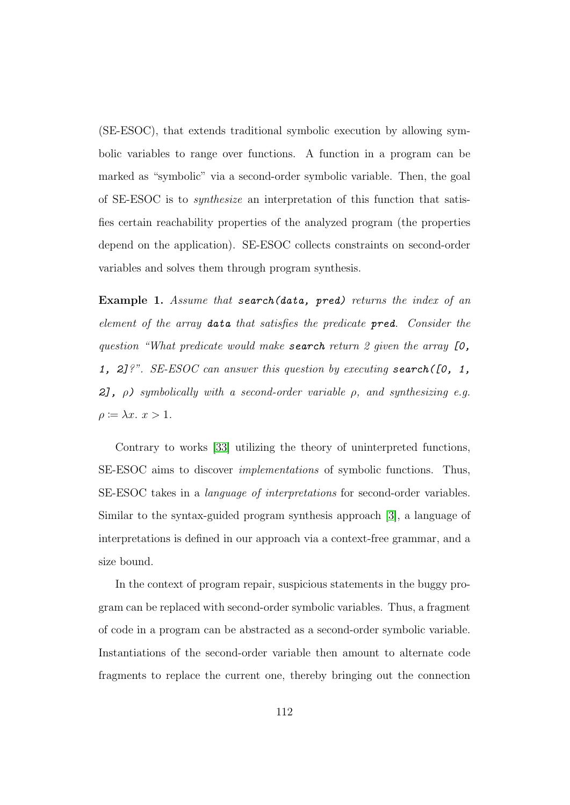(SE-ESOC), that extends traditional symbolic execution by allowing symbolic variables to range over functions. A function in a program can be marked as "symbolic" via a second-order symbolic variable. Then, the goal of SE-ESOC is to synthesize an interpretation of this function that satisfies certain reachability properties of the analyzed program (the properties depend on the application). SE-ESOC collects constraints on second-order variables and solves them through program synthesis.

Example 1. Assume that search(data, pred) returns the index of an element of the array data that satisfies the predicate pred. Consider the question "What predicate would make **search** return 2 given the array  $[0,$ 1, 2]?". SE-ESOC can answer this question by executing search( $[0, 1, 1]$ ) 2],  $\rho$ ) symbolically with a second-order variable  $\rho$ , and synthesizing e.g.  $\rho \coloneqq \lambda x. x > 1.$ 

Contrary to works [\[33\]](#page-182-0) utilizing the theory of uninterpreted functions, SE-ESOC aims to discover implementations of symbolic functions. Thus, SE-ESOC takes in a language of interpretations for second-order variables. Similar to the syntax-guided program synthesis approach [\[3\]](#page-177-0), a language of interpretations is defined in our approach via a context-free grammar, and a size bound.

In the context of program repair, suspicious statements in the buggy program can be replaced with second-order symbolic variables. Thus, a fragment of code in a program can be abstracted as a second-order symbolic variable. Instantiations of the second-order variable then amount to alternate code fragments to replace the current one, thereby bringing out the connection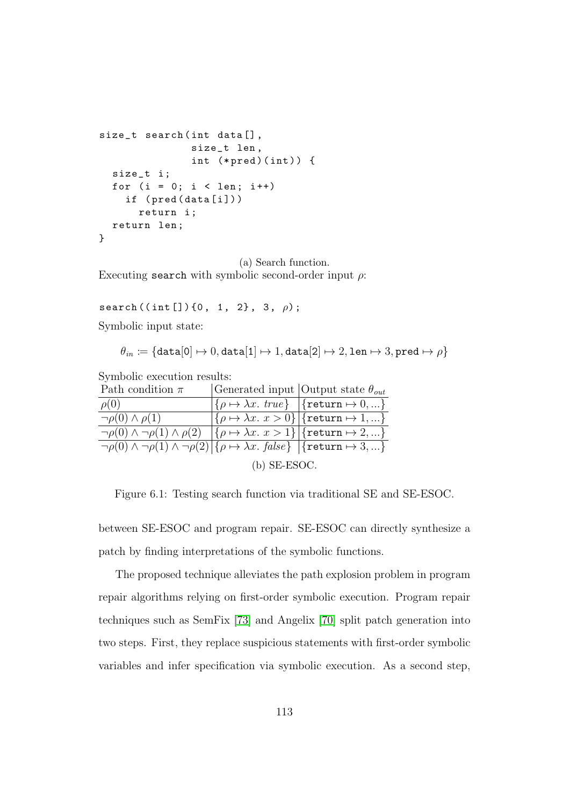```
size_t search (int data[],
               size_t len ,
               int (*pred)(int)) {
  size_t i ;
  for (i = 0; i < len; i++)if ( pred ( data [i] ) )
      return i ;
  return len ;
}
```
(a) Search function. Executing search with symbolic second-order input  $\rho$ :

search  $((int [])(0, 1, 2), 3, \rho);$ 

Symbolic input state:

$$
\theta_{in} \coloneqq \{\texttt{data}[0] \mapsto 0, \texttt{data}[1] \mapsto 1, \texttt{data}[2] \mapsto 2, \texttt{len} \mapsto 3, \texttt{pred} \mapsto \rho\}
$$

Symbolic execution results:

| Path condition $\pi$                                                                                                                             |                | Generated input Output state $\theta_{out}$                                                               |
|--------------------------------------------------------------------------------------------------------------------------------------------------|----------------|-----------------------------------------------------------------------------------------------------------|
| $\rho(0)$                                                                                                                                        |                | $\{\rho \mapsto \lambda x. \; \text{true}\} \; \; \text{{\color{red} \{return}} } \; \mapsto 0, \ldots\}$ |
| $\neg \rho(0) \wedge \rho(1)$                                                                                                                    |                | $ \{\rho \mapsto \lambda x. x > 0\} $ {return $\mapsto 1,\}$                                              |
| $\neg \rho(0) \land \neg \rho(1) \land \rho(2) \mid {\rho \mapsto \lambda x. x > 1} \mid {\text{return } \mapsto 2, }$                           |                |                                                                                                           |
| $\neg \rho(0) \land \neg \rho(1) \land \neg \rho(2) \land \rho \mapsto \lambda x. \ \text{false} \} \ \vert \{\text{return} \mapsto 3, \ldots\}$ |                |                                                                                                           |
|                                                                                                                                                  | $(b)$ SE-ESOC. |                                                                                                           |

Figure 6.1: Testing search function via traditional SE and SE-ESOC.

between SE-ESOC and program repair. SE-ESOC can directly synthesize a patch by finding interpretations of the symbolic functions.

The proposed technique alleviates the path explosion problem in program repair algorithms relying on first-order symbolic execution. Program repair techniques such as SemFix [\[73\]](#page-188-0) and Angelix [\[70\]](#page-187-0) split patch generation into two steps. First, they replace suspicious statements with first-order symbolic variables and infer specification via symbolic execution. As a second step,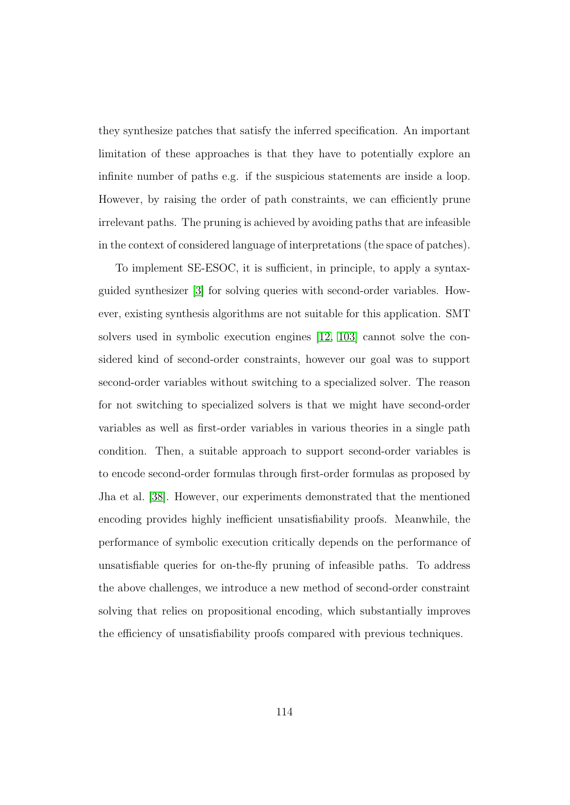they synthesize patches that satisfy the inferred specification. An important limitation of these approaches is that they have to potentially explore an infinite number of paths e.g. if the suspicious statements are inside a loop. However, by raising the order of path constraints, we can efficiently prune irrelevant paths. The pruning is achieved by avoiding paths that are infeasible in the context of considered language of interpretations (the space of patches).

To implement SE-ESOC, it is sufficient, in principle, to apply a syntaxguided synthesizer [\[3\]](#page-177-0) for solving queries with second-order variables. However, existing synthesis algorithms are not suitable for this application. SMT solvers used in symbolic execution engines [\[12,](#page-179-0) [103\]](#page-192-0) cannot solve the considered kind of second-order constraints, however our goal was to support second-order variables without switching to a specialized solver. The reason for not switching to specialized solvers is that we might have second-order variables as well as first-order variables in various theories in a single path condition. Then, a suitable approach to support second-order variables is to encode second-order formulas through first-order formulas as proposed by Jha et al. [\[38\]](#page-183-0). However, our experiments demonstrated that the mentioned encoding provides highly inefficient unsatisfiability proofs. Meanwhile, the performance of symbolic execution critically depends on the performance of unsatisfiable queries for on-the-fly pruning of infeasible paths. To address the above challenges, we introduce a new method of second-order constraint solving that relies on propositional encoding, which substantially improves the efficiency of unsatisfiability proofs compared with previous techniques.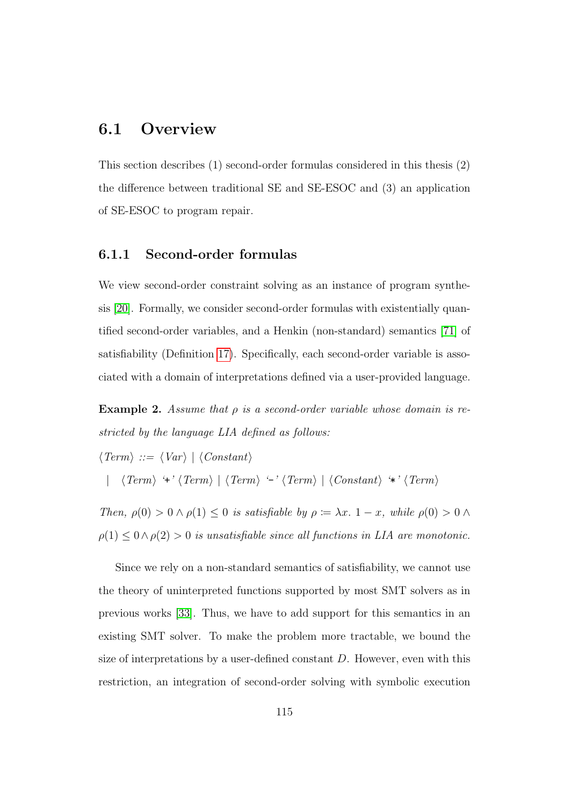# 6.1 Overview

This section describes (1) second-order formulas considered in this thesis (2) the difference between traditional SE and SE-ESOC and (3) an application of SE-ESOC to program repair.

#### 6.1.1 Second-order formulas

We view second-order constraint solving as an instance of program synthesis [\[20\]](#page-180-1). Formally, we consider second-order formulas with existentially quantified second-order variables, and a Henkin (non-standard) semantics [\[71\]](#page-187-1) of satisfiability (Definition [17\)](#page-133-0). Specifically, each second-order variable is associated with a domain of interpretations defined via a user-provided language.

<span id="page-127-0"></span>**Example 2.** Assume that  $\rho$  is a second-order variable whose domain is restricted by the language LIA defined as follows:

$$
\langle Term \rangle ::= \langle Var \rangle \mid \langle Constant \rangle
$$
  
 
$$
|\langle Term \rangle \langle Term \rangle \mid \langle Term \rangle \langle \langle Term \rangle \mid \langle Constant \rangle \langle \langle Term \rangle \rangle
$$

Then,  $\rho(0) > 0 \wedge \rho(1) \leq 0$  is satisfiable by  $\rho := \lambda x$ .  $1 - x$ , while  $\rho(0) > 0 \wedge$  $\rho(1) \leq 0 \wedge \rho(2) > 0$  is unsatisfiable since all functions in LIA are monotonic.

Since we rely on a non-standard semantics of satisfiability, we cannot use the theory of uninterpreted functions supported by most SMT solvers as in previous works [\[33\]](#page-182-0). Thus, we have to add support for this semantics in an existing SMT solver. To make the problem more tractable, we bound the size of interpretations by a user-defined constant  $D$ . However, even with this restriction, an integration of second-order solving with symbolic execution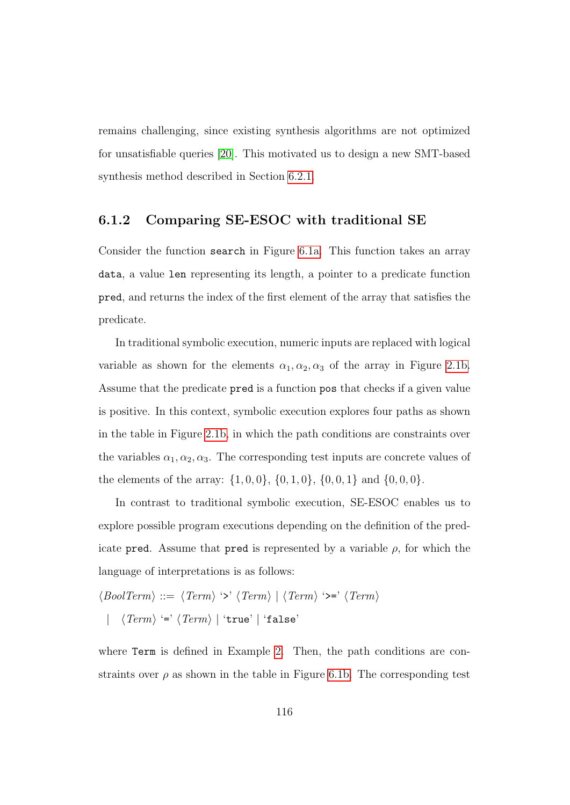remains challenging, since existing synthesis algorithms are not optimized for unsatisfiable queries [\[20\]](#page-180-1). This motivated us to design a new SMT-based synthesis method described in Section [6.2.1.](#page-132-0)

#### 6.1.2 Comparing SE-ESOC with traditional SE

Consider the function search in Figure [6.1a.](#page-125-0) This function takes an array data, a value len representing its length, a pointer to a predicate function pred, and returns the index of the first element of the array that satisfies the predicate.

In traditional symbolic execution, numeric inputs are replaced with logical variable as shown for the elements  $\alpha_1, \alpha_2, \alpha_3$  of the array in Figure [2.1b.](#page-28-0) Assume that the predicate pred is a function pos that checks if a given value is positive. In this context, symbolic execution explores four paths as shown in the table in Figure [2.1b,](#page-28-0) in which the path conditions are constraints over the variables  $\alpha_1, \alpha_2, \alpha_3$ . The corresponding test inputs are concrete values of the elements of the array:  $\{1,0,0\}$ ,  $\{0,1,0\}$ ,  $\{0,0,1\}$  and  $\{0,0,0\}$ .

In contrast to traditional symbolic execution, SE-ESOC enables us to explore possible program executions depending on the definition of the predicate pred. Assume that pred is represented by a variable  $\rho$ , for which the language of interpretations is as follows:

$$
\langle \text{BoolTerm} \rangle ::= \langle \text{Term} \rangle \langle \text{? } \langle \text{Term} \rangle \mid \langle \text{Term} \rangle \langle \text{? } \langle \text{Term} \rangle
$$
\n
$$
| \langle \text{Term} \rangle \langle \text{? } \langle \text{Term} \rangle \mid \langle \text{true} \rangle \mid \text{`false'} \rangle
$$

where **Term** is defined in Example [2.](#page-127-0) Then, the path conditions are constraints over  $\rho$  as shown in the table in Figure [6.1b.](#page-125-0) The corresponding test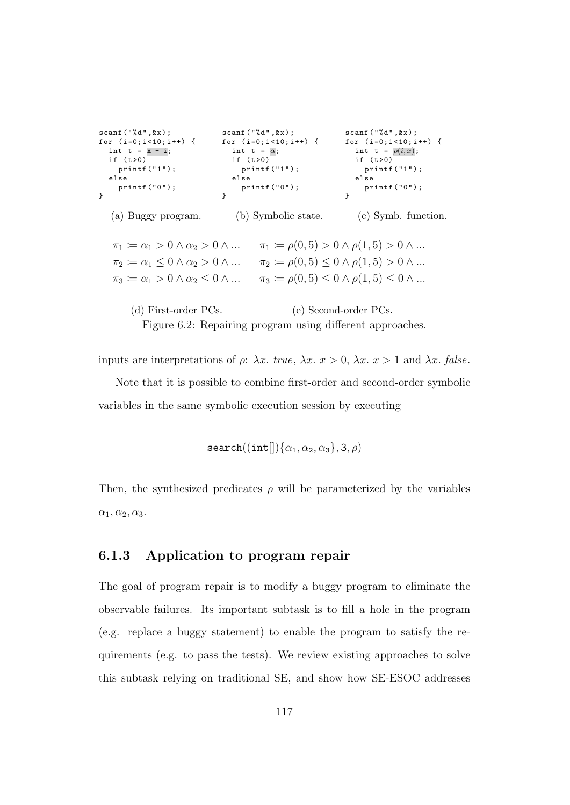<span id="page-129-0"></span>

| scanf("%d",&x);                                               | $s \text{ canf}("%d", kx)$ ;                              | scanf("%d",&x);                                                  |  |  |  |
|---------------------------------------------------------------|-----------------------------------------------------------|------------------------------------------------------------------|--|--|--|
| for $(i=0; i<10; i++)$ {                                      | for $(i=0; i<10; i++)$ {                                  | for $(i=0; i<10; i++)$ {                                         |  |  |  |
| int $t = x - i$ ;                                             | int t = $\alpha$ ;                                        | int t = $\rho(i,x)$ ;                                            |  |  |  |
| if $(t>0)$                                                    | if $(t>0)$                                                | if $(t>0)$                                                       |  |  |  |
| $print(f("1")$ ;                                              | $print(f("1")$ ;                                          | $print(f("1")$ ;                                                 |  |  |  |
| $e$ lse<br>$print(f("0")$ ;                                   | $e$ lse<br>$print(f("0")$ ;                               | $e$ lse<br>$print(f("0")$ ;                                      |  |  |  |
| ł<br>$\mathcal{F}$                                            |                                                           | }                                                                |  |  |  |
|                                                               |                                                           |                                                                  |  |  |  |
| (a) Buggy program.                                            | (b) Symbolic state.                                       | $(c)$ Symb. function.                                            |  |  |  |
|                                                               |                                                           |                                                                  |  |  |  |
| $\pi_1 \coloneqq \alpha_1 > 0 \wedge \alpha_2 > 0 \wedge $    |                                                           | $\pi_1 := \rho(0,5) > 0 \wedge \rho(1,5) > 0 \wedge $            |  |  |  |
| $\pi_2 \coloneqq \alpha_1 \leq 0 \wedge \alpha_2 > 0 \wedge $ |                                                           | $\pi_2 \coloneqq \rho(0,5) \leq 0 \land \rho(1,5) > 0 \land $    |  |  |  |
| $\pi_3 \coloneqq \alpha_1 > 0 \wedge \alpha_2 \leq 0 \wedge $ |                                                           | $\pi_3 \coloneqq \rho(0,5) \leq 0 \land \rho(1,5) \leq 0 \land $ |  |  |  |
|                                                               |                                                           |                                                                  |  |  |  |
| (d) First-order PCs.                                          |                                                           | (e) Second-order PCs.                                            |  |  |  |
|                                                               | Figure 6.2: Repairing program using different approaches. |                                                                  |  |  |  |

inputs are interpretations of  $\rho$ :  $\lambda x$ . true,  $\lambda x$ .  $x > 0$ ,  $\lambda x$ .  $x > 1$  and  $\lambda x$ . false.

Note that it is possible to combine first-order and second-order symbolic variables in the same symbolic execution session by executing

 $search((int[))\{\alpha_1, \alpha_2, \alpha_3\}, 3, \rho)$ 

Then, the synthesized predicates  $\rho$  will be parameterized by the variables  $\alpha_1, \alpha_2, \alpha_3.$ 

#### <span id="page-129-1"></span>6.1.3 Application to program repair

The goal of program repair is to modify a buggy program to eliminate the observable failures. Its important subtask is to fill a hole in the program (e.g. replace a buggy statement) to enable the program to satisfy the requirements (e.g. to pass the tests). We review existing approaches to solve this subtask relying on traditional SE, and show how SE-ESOC addresses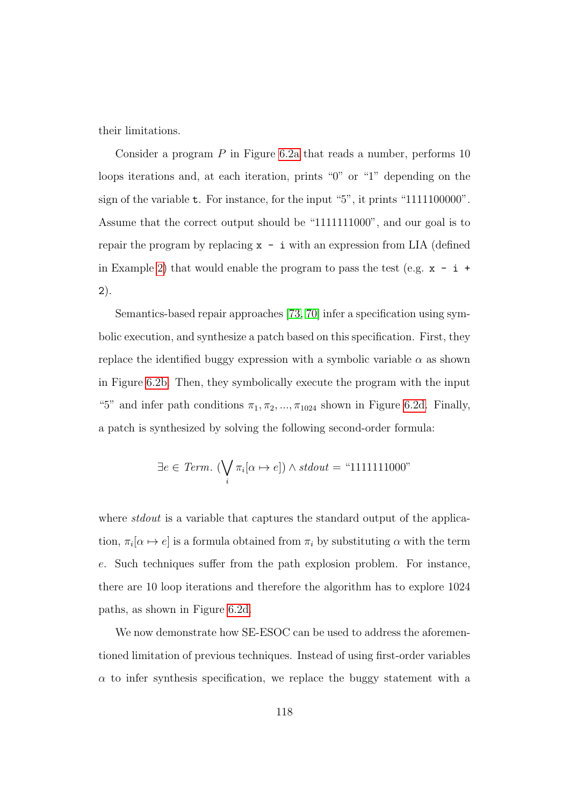their limitations.

Consider a program  $P$  in Figure [6.2a](#page-129-0) that reads a number, performs 10 loops iterations and, at each iteration, prints "0" or "1" depending on the sign of the variable t. For instance, for the input "5", it prints "1111100000". Assume that the correct output should be "1111111000", and our goal is to repair the program by replacing  $x - i$  with an expression from LIA (defined in Example [2\)](#page-127-0) that would enable the program to pass the test (e.g.  $x - i$  + 2).

Semantics-based repair approaches [\[73,](#page-188-0) [70\]](#page-187-0) infer a specification using symbolic execution, and synthesize a patch based on this specification. First, they replace the identified buggy expression with a symbolic variable  $\alpha$  as shown in Figure [6.2b.](#page-129-0) Then, they symbolically execute the program with the input "5" and infer path conditions  $\pi_1, \pi_2, ..., \pi_{1024}$  shown in Figure [6.2d.](#page-129-0) Finally, a patch is synthesized by solving the following second-order formula:

$$
\exists e \in Term. \ (\bigvee_i \pi_i[\alpha \mapsto e]) \land stdout = \text{``1111111000''}
$$

where *stdout* is a variable that captures the standard output of the application,  $\pi_i[\alpha \mapsto e]$  is a formula obtained from  $\pi_i$  by substituting  $\alpha$  with the term e. Such techniques suffer from the path explosion problem. For instance, there are 10 loop iterations and therefore the algorithm has to explore 1024 paths, as shown in Figure [6.2d.](#page-129-0)

We now demonstrate how  $SE\text{-}ESOC$  can be used to address the aforementioned limitation of previous techniques. Instead of using first-order variables  $\alpha$  to infer synthesis specification, we replace the buggy statement with a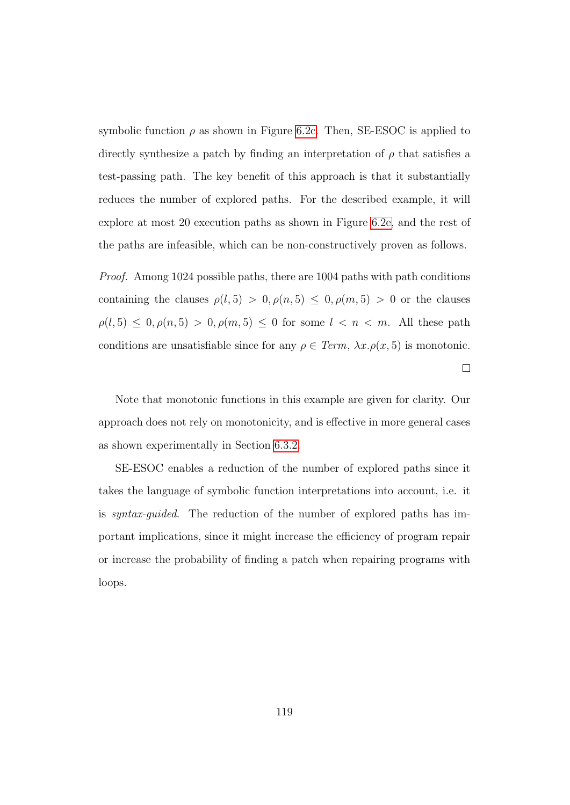symbolic function  $\rho$  as shown in Figure [6.2c.](#page-129-0) Then, SE-ESOC is applied to directly synthesize a patch by finding an interpretation of  $\rho$  that satisfies a test-passing path. The key benefit of this approach is that it substantially reduces the number of explored paths. For the described example, it will explore at most 20 execution paths as shown in Figure [6.2e,](#page-129-0) and the rest of the paths are infeasible, which can be non-constructively proven as follows.

Proof. Among 1024 possible paths, there are 1004 paths with path conditions containing the clauses  $\rho(l, 5) > 0, \rho(n, 5) \leq 0, \rho(m, 5) > 0$  or the clauses  $\rho(l, 5) \le 0, \rho(n, 5) > 0, \rho(m, 5) \le 0$  for some  $l < n < m$ . All these path conditions are unsatisfiable since for any  $\rho \in \text{Term}, \lambda x.\rho(x, 5)$  is monotonic.  $\Box$ 

Note that monotonic functions in this example are given for clarity. Our approach does not rely on monotonicity, and is effective in more general cases as shown experimentally in Section [6.3.2.](#page-142-0)

SE-ESOC enables a reduction of the number of explored paths since it takes the language of symbolic function interpretations into account, i.e. it is syntax-guided. The reduction of the number of explored paths has important implications, since it might increase the efficiency of program repair or increase the probability of finding a patch when repairing programs with loops.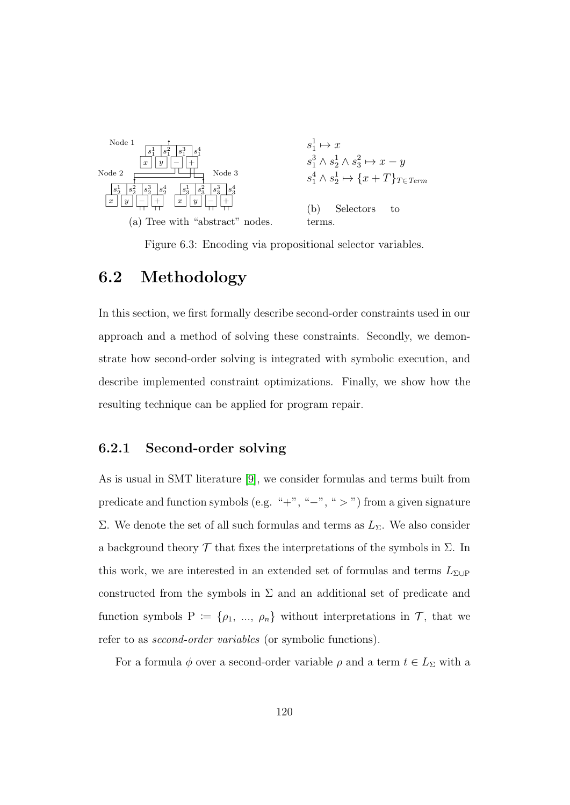<span id="page-132-1"></span>

Figure 6.3: Encoding via propositional selector variables.

### 6.2 Methodology

In this section, we first formally describe second-order constraints used in our approach and a method of solving these constraints. Secondly, we demonstrate how second-order solving is integrated with symbolic execution, and describe implemented constraint optimizations. Finally, we show how the resulting technique can be applied for program repair.

#### <span id="page-132-0"></span>6.2.1 Second-order solving

As is usual in SMT literature [\[9\]](#page-178-0), we consider formulas and terms built from predicate and function symbols (e.g. "+", "−", ">") from a given signature Σ. We denote the set of all such formulas and terms as  $L<sub>Σ</sub>$ . We also consider a background theory  $\mathcal T$  that fixes the interpretations of the symbols in  $\Sigma$ . In this work, we are interested in an extended set of formulas and terms  $L_{\Sigma\cup P}$ constructed from the symbols in  $\Sigma$  and an additional set of predicate and function symbols P :=  $\{\rho_1, ..., \rho_n\}$  without interpretations in  $\mathcal{T}$ , that we refer to as second-order variables (or symbolic functions).

For a formula  $\phi$  over a second-order variable  $\rho$  and a term  $t \in L_{\Sigma}$  with a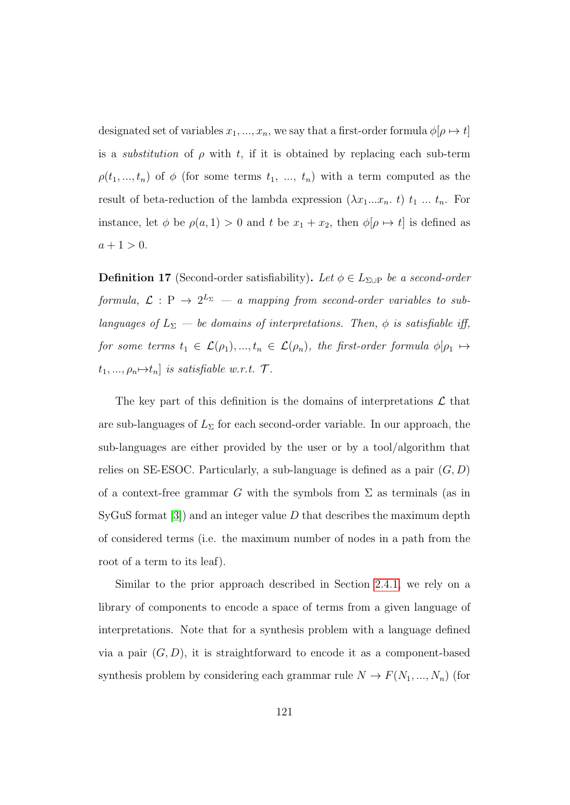designated set of variables  $x_1, ..., x_n$ , we say that a first-order formula  $\phi[\rho \mapsto t]$ is a *substitution* of  $\rho$  with t, if it is obtained by replacing each sub-term  $\rho(t_1, ..., t_n)$  of  $\phi$  (for some terms  $t_1, ..., t_n$ ) with a term computed as the result of beta-reduction of the lambda expression  $(\lambda x_1...x_n, t)$   $t_1...t_n$ . For instance, let  $\phi$  be  $\rho(a, 1) > 0$  and t be  $x_1 + x_2$ , then  $\phi[\rho \mapsto t]$  is defined as  $a + 1 > 0.$ 

<span id="page-133-0"></span>**Definition 17** (Second-order satisfiability). Let  $\phi \in L_{\Sigma \cup P}$  be a second-order formula,  $\mathcal{L}: \mathbb{P} \to 2^{L_{\Sigma}} - a$  mapping from second-order variables to sublanguages of  $L_{\Sigma}$  — be domains of interpretations. Then,  $\phi$  is satisfiable iff, for some terms  $t_1 \in \mathcal{L}(\rho_1), ..., t_n \in \mathcal{L}(\rho_n)$ , the first-order formula  $\phi[\rho_1 \mapsto$  $t_1, ..., \rho_n \rightarrow t_n$  is satisfiable w.r.t.  $\mathcal{T}$ .

The key part of this definition is the domains of interpretations  $\mathcal L$  that are sub-languages of  $L_{\Sigma}$  for each second-order variable. In our approach, the sub-languages are either provided by the user or by a tool/algorithm that relies on SE-ESOC. Particularly, a sub-language is defined as a pair  $(G, D)$ of a context-free grammar G with the symbols from  $\Sigma$  as terminals (as in SyGuS format  $|3|$ ) and an integer value D that describes the maximum depth of considered terms (i.e. the maximum number of nodes in a path from the root of a term to its leaf).

Similar to the prior approach described in Section [2.4.1,](#page-30-0) we rely on a library of components to encode a space of terms from a given language of interpretations. Note that for a synthesis problem with a language defined via a pair  $(G, D)$ , it is straightforward to encode it as a component-based synthesis problem by considering each grammar rule  $N \to F(N_1, ..., N_n)$  (for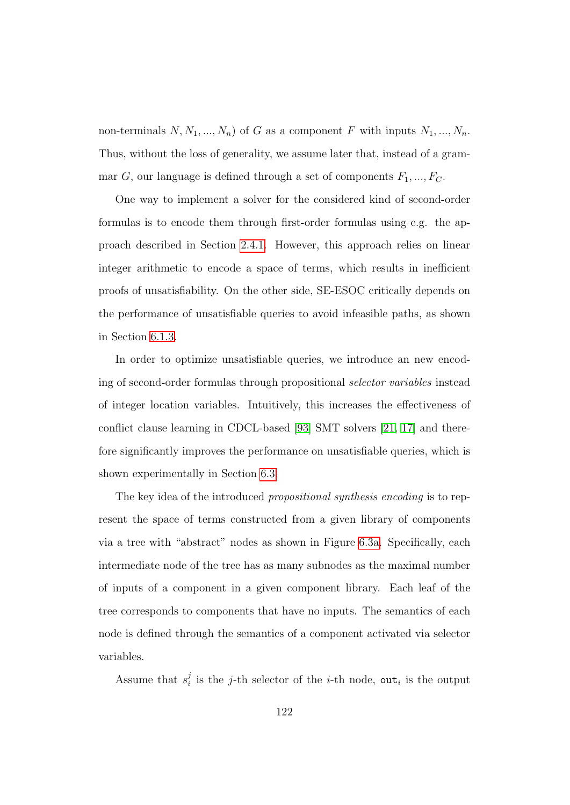non-terminals  $N, N_1, ..., N_n$  of G as a component F with inputs  $N_1, ..., N_n$ . Thus, without the loss of generality, we assume later that, instead of a grammar G, our language is defined through a set of components  $F_1, ..., F_C$ .

One way to implement a solver for the considered kind of second-order formulas is to encode them through first-order formulas using e.g. the approach described in Section [2.4.1.](#page-30-0) However, this approach relies on linear integer arithmetic to encode a space of terms, which results in inefficient proofs of unsatisfiability. On the other side, SE-ESOC critically depends on the performance of unsatisfiable queries to avoid infeasible paths, as shown in Section [6.1.3.](#page-129-1)

In order to optimize unsatisfiable queries, we introduce an new encoding of second-order formulas through propositional selector variables instead of integer location variables. Intuitively, this increases the effectiveness of conflict clause learning in CDCL-based [\[93\]](#page-191-0) SMT solvers [\[21,](#page-180-0) [17\]](#page-179-1) and therefore significantly improves the performance on unsatisfiable queries, which is shown experimentally in Section [6.3.](#page-140-0)

The key idea of the introduced propositional synthesis encoding is to represent the space of terms constructed from a given library of components via a tree with "abstract" nodes as shown in Figure [6.3a.](#page-132-1) Specifically, each intermediate node of the tree has as many subnodes as the maximal number of inputs of a component in a given component library. Each leaf of the tree corresponds to components that have no inputs. The semantics of each node is defined through the semantics of a component activated via selector variables.

Assume that  $s_i^j$  $i_i$  is the j-th selector of the *i*-th node, out<sub>*i*</sub> is the output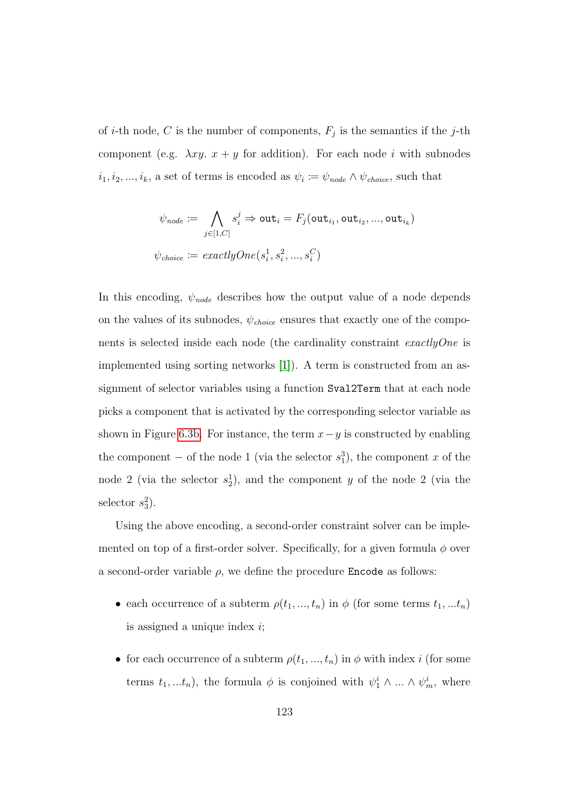of *i*-th node, C is the number of components,  $F_j$  is the semantics if the *j*-th component (e.g.  $\lambda xy. x + y$  for addition). For each node i with subnodes  $i_1, i_2, \ldots, i_k$ , a set of terms is encoded as  $\psi_i := \psi_{node} \wedge \psi_{choice}$ , such that

$$
\psi_{node} \coloneqq \bigwedge_{j \in [1, C]} s_i^j \Rightarrow \mathtt{out}_i = F_j(\mathtt{out}_{i_1}, \mathtt{out}_{i_2}, ..., \mathtt{out}_{i_k})
$$

$$
\psi_{choice} \coloneqq exactlyOne(s_i^1, s_i^2, ..., s_i^C)
$$

In this encoding,  $\psi_{node}$  describes how the output value of a node depends on the values of its subnodes,  $\psi_{choice}$  ensures that exactly one of the components is selected inside each node (the cardinality constraint exactlyOne is implemented using sorting networks [\[1\]](#page-177-1)). A term is constructed from an assignment of selector variables using a function Sval2Term that at each node picks a component that is activated by the corresponding selector variable as shown in Figure [6.3b.](#page-132-1) For instance, the term  $x-y$  is constructed by enabling the component – of the node 1 (via the selector  $s_1^3$ ), the component x of the node 2 (via the selector  $s_2^1$ ), and the component y of the node 2 (via the selector  $s_3^2$ ).

Using the above encoding, a second-order constraint solver can be implemented on top of a first-order solver. Specifically, for a given formula  $\phi$  over a second-order variable  $\rho$ , we define the procedure **Encode** as follows:

- each occurrence of a subterm  $\rho(t_1, ..., t_n)$  in  $\phi$  (for some terms  $t_1, ... t_n$ ) is assigned a unique index  $i$ ;
- for each occurrence of a subterm  $\rho(t_1, ..., t_n)$  in  $\phi$  with index i (for some terms  $t_1, ... t_n$ , the formula  $\phi$  is conjoined with  $\psi_1^i \wedge ... \wedge \psi_m^i$ , where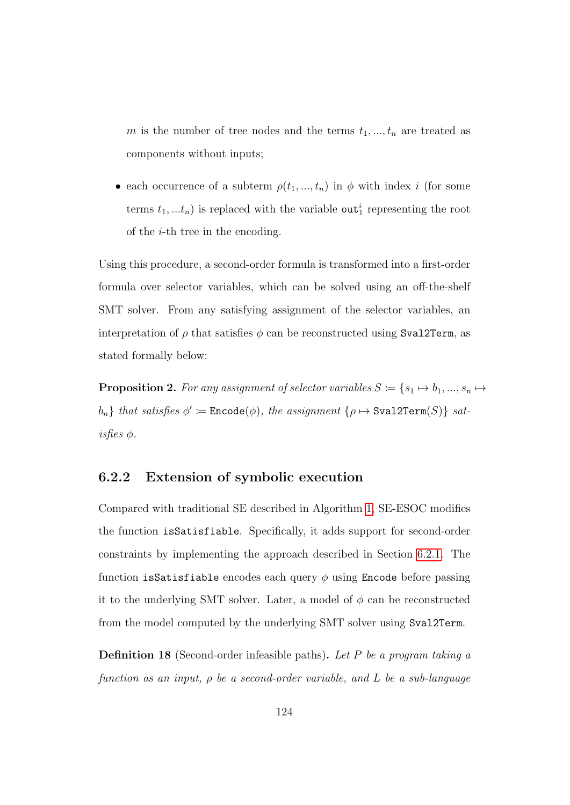m is the number of tree nodes and the terms  $t_1, ..., t_n$  are treated as components without inputs;

• each occurrence of a subterm  $\rho(t_1, ..., t_n)$  in  $\phi$  with index i (for some terms  $t_1, ... t_n$ ) is replaced with the variable out<sup>*i*</sup> representing the root of the  $i$ -th tree in the encoding.

Using this procedure, a second-order formula is transformed into a first-order formula over selector variables, which can be solved using an off-the-shelf SMT solver. From any satisfying assignment of the selector variables, an interpretation of  $\rho$  that satisfies  $\phi$  can be reconstructed using Sval2Term, as stated formally below:

**Proposition 2.** For any assignment of selector variables  $S := \{s_1 \mapsto b_1, ..., s_n \mapsto s\}$  $b_n$ } that satisfies  $\phi' \coloneqq$  Encode $(\phi)$ , the assignment  $\{\rho \mapsto \texttt{Sval2Term}(S)\}$  sat $is$ fies  $\phi$ .

#### 6.2.2 Extension of symbolic execution

Compared with traditional SE described in Algorithm [1,](#page-26-0) SE-ESOC modifies the function isSatisfiable. Specifically, it adds support for second-order constraints by implementing the approach described in Section [6.2.1.](#page-132-0) The function isSatisfiable encodes each query  $\phi$  using Encode before passing it to the underlying SMT solver. Later, a model of  $\phi$  can be reconstructed from the model computed by the underlying SMT solver using Sval2Term.

**Definition 18** (Second-order infeasible paths). Let P be a program taking a function as an input,  $\rho$  be a second-order variable, and L be a sub-language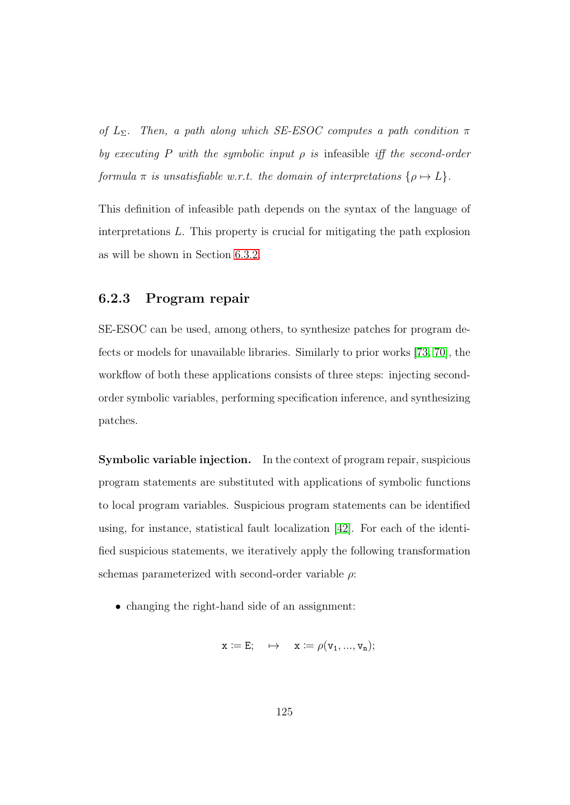of  $L_{\Sigma}$ . Then, a path along which SE-ESOC computes a path condition  $\pi$ by executing P with the symbolic input  $\rho$  is infeasible iff the second-order formula  $\pi$  is unsatisfiable w.r.t. the domain of interpretations  $\{\rho \mapsto L\}$ .

This definition of infeasible path depends on the syntax of the language of interpretations L. This property is crucial for mitigating the path explosion as will be shown in Section [6.3.2.](#page-142-0)

#### <span id="page-137-0"></span>6.2.3 Program repair

SE-ESOC can be used, among others, to synthesize patches for program defects or models for unavailable libraries. Similarly to prior works [\[73,](#page-188-0) [70\]](#page-187-0), the workflow of both these applications consists of three steps: injecting secondorder symbolic variables, performing specification inference, and synthesizing patches.

Symbolic variable injection. In the context of program repair, suspicious program statements are substituted with applications of symbolic functions to local program variables. Suspicious program statements can be identified using, for instance, statistical fault localization [\[42\]](#page-183-1). For each of the identified suspicious statements, we iteratively apply the following transformation schemas parameterized with second-order variable  $\rho$ :

• changing the right-hand side of an assignment:

$$
x \coloneqq E; \quad \mapsto \quad x \coloneqq \rho(v_1,...,v_n);
$$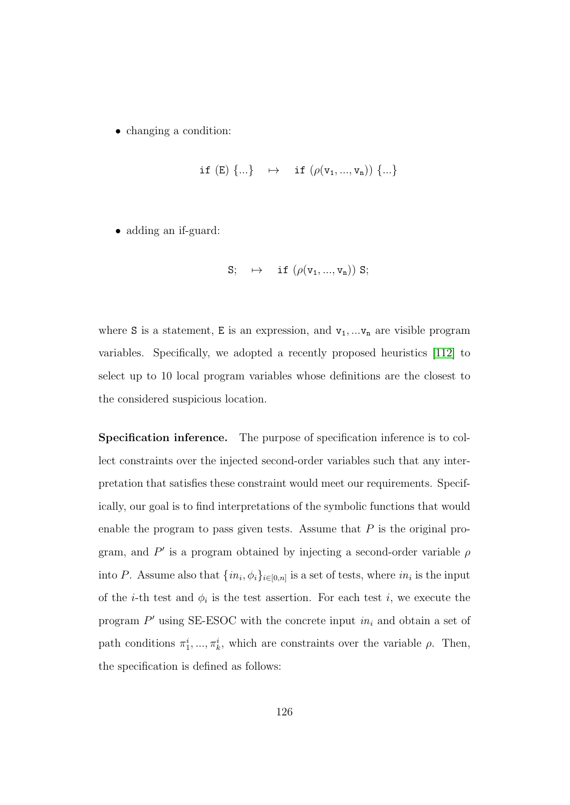• changing a condition:

$$
\texttt{if (E) } \{...\} \quad \mapsto \quad \texttt{if (} \rho(v_1, ..., v_n)) \ \{...\}
$$

• adding an if-guard:

$$
S;\quad \mapsto \quad \text{ if }\left( \rho(v_1,...,v_n) \right)\, S;
$$

where S is a statement, E is an expression, and  $v_1, \ldots v_n$  are visible program variables. Specifically, we adopted a recently proposed heuristics [\[112\]](#page-194-0) to select up to 10 local program variables whose definitions are the closest to the considered suspicious location.

Specification inference. The purpose of specification inference is to collect constraints over the injected second-order variables such that any interpretation that satisfies these constraint would meet our requirements. Specifically, our goal is to find interpretations of the symbolic functions that would enable the program to pass given tests. Assume that  $P$  is the original program, and  $P'$  is a program obtained by injecting a second-order variable  $\rho$ into P. Assume also that  $\{in_i, \phi_i\}_{i \in [0,n]}$  is a set of tests, where  $in_i$  is the input of the *i*-th test and  $\phi_i$  is the test assertion. For each test *i*, we execute the program  $P'$  using SE-ESOC with the concrete input  $in_i$  and obtain a set of path conditions  $\pi_1^i, \ldots, \pi_k^i$ , which are constraints over the variable  $\rho$ . Then, the specification is defined as follows: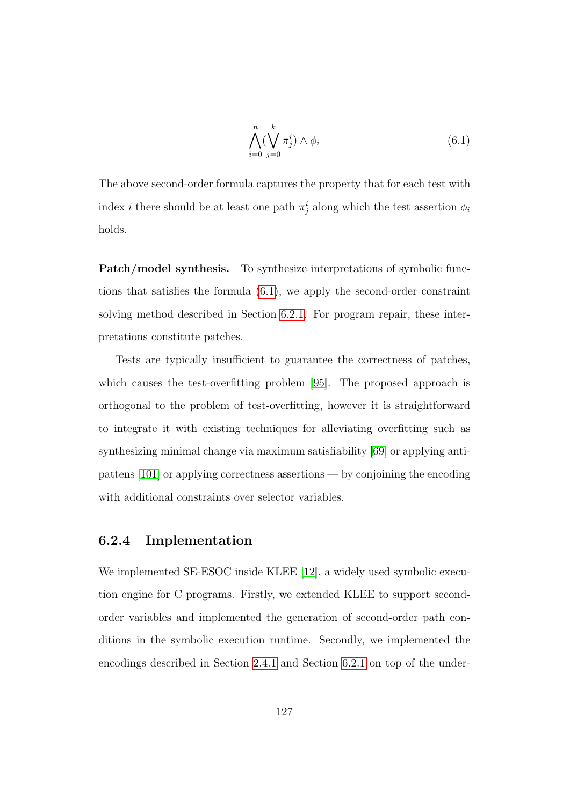<span id="page-139-0"></span>
$$
\bigwedge_{i=0}^{n} (\bigvee_{j=0}^{k} \pi_j^{i}) \wedge \phi_i
$$
\n(6.1)

The above second-order formula captures the property that for each test with index *i* there should be at least one path  $\pi_j^i$  along which the test assertion  $\phi_i$ holds.

Patch/model synthesis. To synthesize interpretations of symbolic functions that satisfies the formula [\(6.1\)](#page-139-0), we apply the second-order constraint solving method described in Section [6.2.1.](#page-132-0) For program repair, these interpretations constitute patches.

Tests are typically insufficient to guarantee the correctness of patches, which causes the test-overfitting problem [\[95\]](#page-191-1). The proposed approach is orthogonal to the problem of test-overfitting, however it is straightforward to integrate it with existing techniques for alleviating overfitting such as synthesizing minimal change via maximum satisfiability [\[69\]](#page-187-2) or applying antipattens [\[101\]](#page-192-1) or applying correctness assertions — by conjoining the encoding with additional constraints over selector variables.

#### 6.2.4 Implementation

We implemented SE-ESOC inside KLEE [\[12\]](#page-179-0), a widely used symbolic execution engine for C programs. Firstly, we extended KLEE to support secondorder variables and implemented the generation of second-order path conditions in the symbolic execution runtime. Secondly, we implemented the encodings described in Section [2.4.1](#page-30-0) and Section [6.2.1](#page-132-0) on top of the under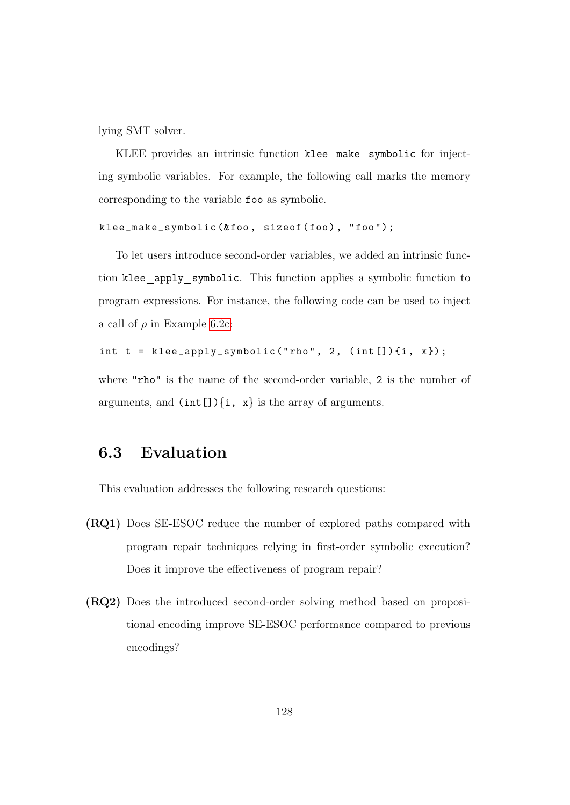lying SMT solver.

KLEE provides an intrinsic function klee make symbolic for injecting symbolic variables. For example, the following call marks the memory corresponding to the variable foo as symbolic.

```
klee_make_symbolic (&foo, sizeof (foo), "foo");
```
To let users introduce second-order variables, we added an intrinsic function klee apply symbolic. This function applies a symbolic function to program expressions. For instance, the following code can be used to inject a call of  $\rho$  in Example [6.2c:](#page-129-0)

```
int t = klee\_apply\_symbolic("rho", 2, (int [])(i, x});
```
where "rho" is the name of the second-order variable, 2 is the number of arguments, and  $(int[]){i, x}$  is the array of arguments.

## <span id="page-140-0"></span>6.3 Evaluation

This evaluation addresses the following research questions:

- (RQ1) Does SE-ESOC reduce the number of explored paths compared with program repair techniques relying in first-order symbolic execution? Does it improve the effectiveness of program repair?
- (RQ2) Does the introduced second-order solving method based on propositional encoding improve SE-ESOC performance compared to previous encodings?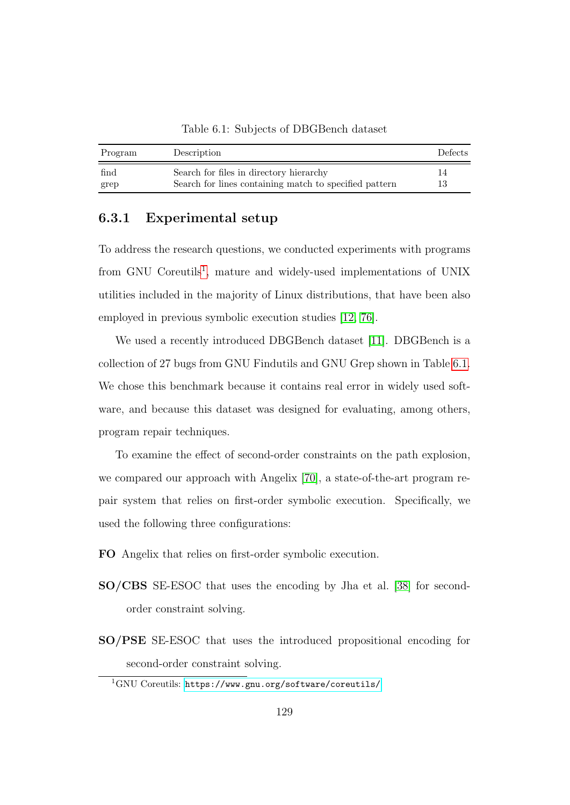Table 6.1: Subjects of DBGBench dataset

<span id="page-141-1"></span>

| Program | Description                                            | <b>Defects</b> |
|---------|--------------------------------------------------------|----------------|
| find    | Search for files in directory hierarchy                | 14             |
| grep    | Search for lines containing match to specified pattern | 13             |

#### 6.3.1 Experimental setup

To address the research questions, we conducted experiments with programs from GNU Coreutils<sup>[1](#page-141-0)</sup>, mature and widely-used implementations of UNIX utilities included in the majority of Linux distributions, that have been also employed in previous symbolic execution studies [\[12,](#page-179-0) [76\]](#page-188-1).

We used a recently introduced DBGBench dataset [\[11\]](#page-179-2). DBGBench is a collection of 27 bugs from GNU Findutils and GNU Grep shown in Table [6.1.](#page-141-1) We chose this benchmark because it contains real error in widely used software, and because this dataset was designed for evaluating, among others, program repair techniques.

To examine the effect of second-order constraints on the path explosion, we compared our approach with Angelix [\[70\]](#page-187-0), a state-of-the-art program repair system that relies on first-order symbolic execution. Specifically, we used the following three configurations:

- FO Angelix that relies on first-order symbolic execution.
- SO/CBS SE-ESOC that uses the encoding by Jha et al. [\[38\]](#page-183-0) for secondorder constraint solving.
- SO/PSE SE-ESOC that uses the introduced propositional encoding for second-order constraint solving.

<span id="page-141-0"></span><sup>1</sup>GNU Coreutils: <https://www.gnu.org/software/coreutils/>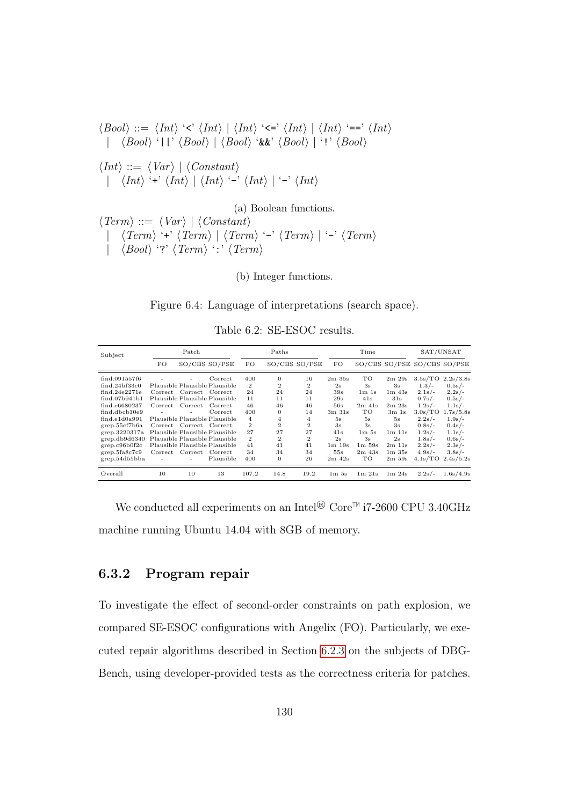<span id="page-142-1"></span>hBooli ::= hInti '<' hInti | hInti '<=' hInti | hInti '==' hInti | hBooli '||' hBooli | hBooli '&&' hBooli | '!' hBooli hInti ::= hVar i | hConstanti | hInti '+' hInti | hInti '-' hInti | '-' hInti (a) Boolean functions. hTermi ::= hVar i | hConstanti

|  $\langle Term \rangle$  '+'  $\langle Term \rangle$  |  $\langle Term \rangle$  '-'  $\langle Term \rangle$  | '-'  $\langle Term \rangle$  $\langle Bool \rangle$  '?'  $\langle Term \rangle$  ':'  $\langle Term \rangle$ 

(b) Integer functions.

Figure 6.4: Language of interpretations (search space).

Table 6.2: SE-ESOC results.

<span id="page-142-2"></span>

| Subject             | Patch                    |                         |                               | Paths          |                | Time           |                               |                                | SAT/UNSAT                      |          |                             |
|---------------------|--------------------------|-------------------------|-------------------------------|----------------|----------------|----------------|-------------------------------|--------------------------------|--------------------------------|----------|-----------------------------|
|                     | FO                       |                         | SO/CBS SO/PSE                 | FO.            | SO/CBS SO/PSE  |                | FO                            |                                |                                |          | SO/CBS SO/PSE SO/CBS SO/PSE |
| find.091557f6       |                          |                         | Correct                       | 400            | $\mathbf{0}$   | 16             | $2m$ 35s                      | TO                             | 2m 29s                         | 3.5s/TO  | 2.2s/3.8s                   |
| find.24bf33c0       |                          |                         | Plausible Plausible Plausible | $\overline{2}$ | $\overline{2}$ | $\mathbf{2}$   | 2s                            | 3s                             | 3s                             | $1.3/-$  | $0.5s/-$                    |
| find.24e2271e       | Correct                  | Correct Correct         |                               | 24             | 24             | 24             | 39s                           | 1m 1s                          | $1m$ $43s$                     | $2.1s/-$ | $2.2s/-$                    |
| find.07b941b1       |                          |                         | Plausible Plausible Plausible | 11             | 11             | 11             | 29s                           | 41s                            | 31s                            | $0.7s/-$ | $0.5s/-$                    |
| find.e6680237       | Correct                  | $\emph{Correct}$        | Correct                       | 46             | 46             | 46             | 56s                           | $2m$ 41s                       | 2m23s                          | $1.2s/-$ | $1.1s/-$                    |
| find.dbcb10e9       |                          |                         | Correct                       | 400            | $\mathbf{0}$   | 14             | $3m$ $31s$                    | TO                             | 3m <sub>1s</sub>               | 3.0s/TO  | 1.7s/5.8s                   |
| $find$ -e $1d0a991$ |                          |                         | Plausible Plausible Plausible | $\overline{4}$ | 4              | $\overline{4}$ | 5s                            | 5s                             | 5s                             | $2.2s/-$ | $1.9s/-$                    |
| grep.55cf7b6a       |                          | Correct Correct Correct |                               | $\mathbf{2}$   | $\overline{2}$ | $\mathbf{2}$   | 3s                            | 3s                             | 3s                             | $0.8s/-$ | $0.4s/-$                    |
| grep.3220317a       |                          |                         | Plausible Plausible Plausible | 27             | 27             | 27             | 41s                           | 1 <sub>m</sub> 5 <sub>s</sub>  | $1m$ $11s$                     | $1.2s/-$ | $1.1s/-$                    |
| grep.db9d6340       |                          |                         | Plausible Plausible Plausible | $\mathbf{2}$   | $\mathbf{2}$   | $\mathbf{2}$   | 2s                            | 3s                             | 2s                             | $1.8s/-$ | $0.6s/-$                    |
| grep.c96b0f2c       |                          |                         | Plausible Plausible Plausible | 41             | 41             | 41             | $1m$ $19s$                    | $1m\,59s$                      | $2m$ 11s                       | $2.2s/-$ | $2.3s/-$                    |
| grep.5fa8c7c9       | $\operatorname{Correct}$ | Correct                 | Correct                       | 34             | 34             | 34             | 55s                           | $2m$ 43s                       | 1 <sub>m</sub> 35 <sub>s</sub> | $4.9s/-$ | $3.8s/$ -                   |
| grep.54d55bba       |                          |                         | Plausible                     | 400            | $\theta$       | 26             | $2m$ 42s                      | TO                             | $2m\,59s$                      | 4.1s/TO  | 2.4s/5.2s                   |
| Overall             | 10                       | 10                      | 13                            | 107.2          | 14.8           | 19.2           | 1 <sub>m</sub> 5 <sub>s</sub> | 1 <sub>m</sub> 21 <sub>s</sub> | 1m24s                          | $2.2s/-$ | 1.6s/4.9s                   |

We conducted all experiments on an  $\mathrm{Intel}^{\circledR}$  Core™ i7-2600 CPU 3.40GHz machine running Ubuntu 14.04 with 8GB of memory.

#### <span id="page-142-0"></span>6.3.2 Program repair

To investigate the effect of second-order constraints on path explosion, we compared SE-ESOC configurations with Angelix (FO). Particularly, we executed repair algorithms described in Section [6.2.3](#page-137-0) on the subjects of DBG-Bench, using developer-provided tests as the correctness criteria for patches.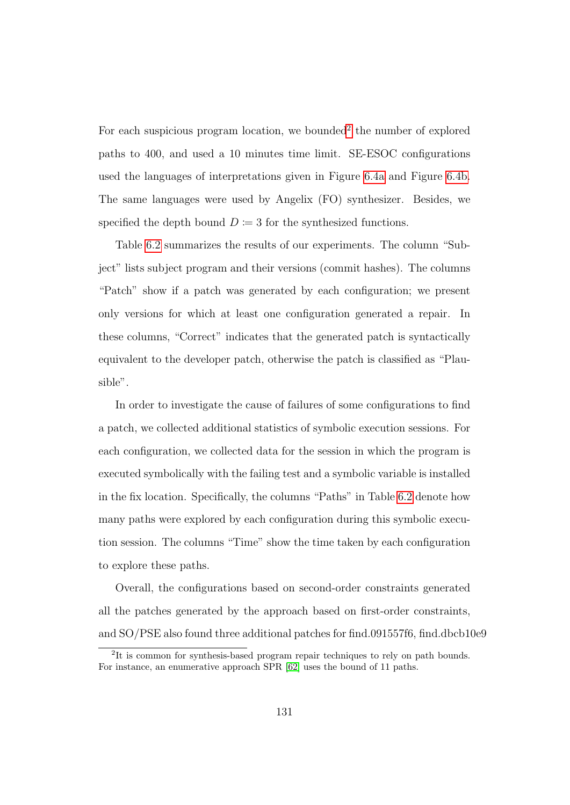For each suspicious program location, we bounded<sup>[2](#page-143-0)</sup> the number of explored paths to 400, and used a 10 minutes time limit. SE-ESOC configurations used the languages of interpretations given in Figure [6.4a](#page-142-1) and Figure [6.4b.](#page-142-1) The same languages were used by Angelix (FO) synthesizer. Besides, we specified the depth bound  $D \coloneqq 3$  for the synthesized functions.

Table [6.2](#page-142-2) summarizes the results of our experiments. The column "Subject" lists subject program and their versions (commit hashes). The columns "Patch" show if a patch was generated by each configuration; we present only versions for which at least one configuration generated a repair. In these columns, "Correct" indicates that the generated patch is syntactically equivalent to the developer patch, otherwise the patch is classified as "Plausible".

In order to investigate the cause of failures of some configurations to find a patch, we collected additional statistics of symbolic execution sessions. For each configuration, we collected data for the session in which the program is executed symbolically with the failing test and a symbolic variable is installed in the fix location. Specifically, the columns "Paths" in Table [6.2](#page-142-2) denote how many paths were explored by each configuration during this symbolic execution session. The columns "Time" show the time taken by each configuration to explore these paths.

Overall, the configurations based on second-order constraints generated all the patches generated by the approach based on first-order constraints, and  $SO/PSE$  also found three additional patches for find.091557f6, find.dbcb10e9

<span id="page-143-0"></span><sup>&</sup>lt;sup>2</sup>It is common for synthesis-based program repair techniques to rely on path bounds. For instance, an enumerative approach SPR [\[62\]](#page-186-2) uses the bound of 11 paths.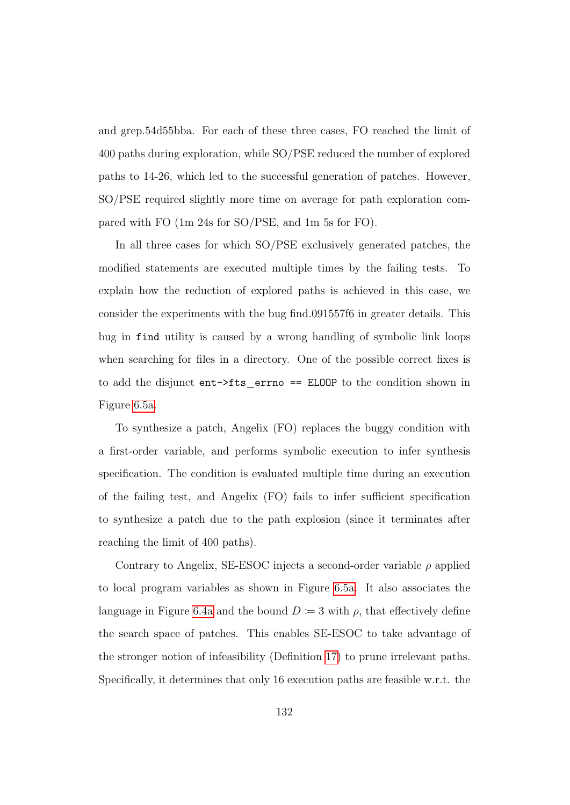and grep.54d55bba. For each of these three cases, FO reached the limit of 400 paths during exploration, while SO/PSE reduced the number of explored paths to 14-26, which led to the successful generation of patches. However, SO/PSE required slightly more time on average for path exploration compared with FO (1m 24s for SO/PSE, and 1m 5s for FO).

In all three cases for which SO/PSE exclusively generated patches, the modified statements are executed multiple times by the failing tests. To explain how the reduction of explored paths is achieved in this case, we consider the experiments with the bug find.091557f6 in greater details. This bug in find utility is caused by a wrong handling of symbolic link loops when searching for files in a directory. One of the possible correct fixes is to add the disjunct  $ent$ ->fts errno == ELOOP to the condition shown in Figure [6.5a.](#page-147-0)

To synthesize a patch, Angelix (FO) replaces the buggy condition with a first-order variable, and performs symbolic execution to infer synthesis specification. The condition is evaluated multiple time during an execution of the failing test, and Angelix (FO) fails to infer sufficient specification to synthesize a patch due to the path explosion (since it terminates after reaching the limit of 400 paths).

Contrary to Angelix, SE-ESOC injects a second-order variable  $\rho$  applied to local program variables as shown in Figure [6.5a.](#page-147-0) It also associates the language in Figure [6.4a](#page-142-0) and the bound  $D = 3$  with  $\rho$ , that effectively define the search space of patches. This enables SE-ESOC to take advantage of the stronger notion of infeasibility (Definition [17\)](#page-133-0) to prune irrelevant paths. Specifically, it determines that only 16 execution paths are feasible w.r.t. the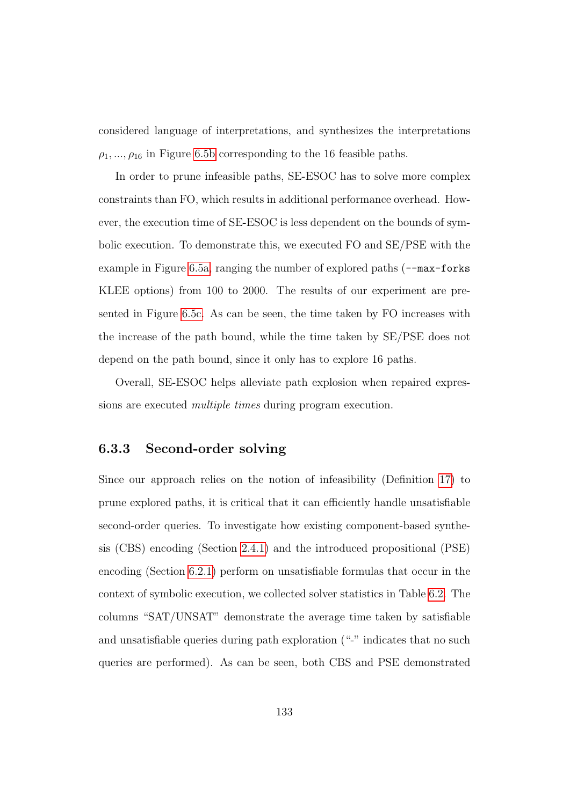considered language of interpretations, and synthesizes the interpretations  $\rho_1, ..., \rho_{16}$  in Figure [6.5b](#page-147-0) corresponding to the 16 feasible paths.

In order to prune infeasible paths, SE-ESOC has to solve more complex constraints than FO, which results in additional performance overhead. However, the execution time of SE-ESOC is less dependent on the bounds of symbolic execution. To demonstrate this, we executed FO and SE/PSE with the example in Figure [6.5a,](#page-147-0) ranging the number of explored paths ( $\sim$ -max-forks KLEE options) from 100 to 2000. The results of our experiment are presented in Figure [6.5c.](#page-147-0) As can be seen, the time taken by FO increases with the increase of the path bound, while the time taken by SE/PSE does not depend on the path bound, since it only has to explore 16 paths.

Overall, SE-ESOC helps alleviate path explosion when repaired expressions are executed multiple times during program execution.

#### 6.3.3 Second-order solving

Since our approach relies on the notion of infeasibility (Definition [17\)](#page-133-0) to prune explored paths, it is critical that it can efficiently handle unsatisfiable second-order queries. To investigate how existing component-based synthesis (CBS) encoding (Section [2.4.1\)](#page-30-0) and the introduced propositional (PSE) encoding (Section [6.2.1\)](#page-132-0) perform on unsatisfiable formulas that occur in the context of symbolic execution, we collected solver statistics in Table [6.2.](#page-142-1) The columns "SAT/UNSAT" demonstrate the average time taken by satisfiable and unsatisfiable queries during path exploration ("-" indicates that no such queries are performed). As can be seen, both CBS and PSE demonstrated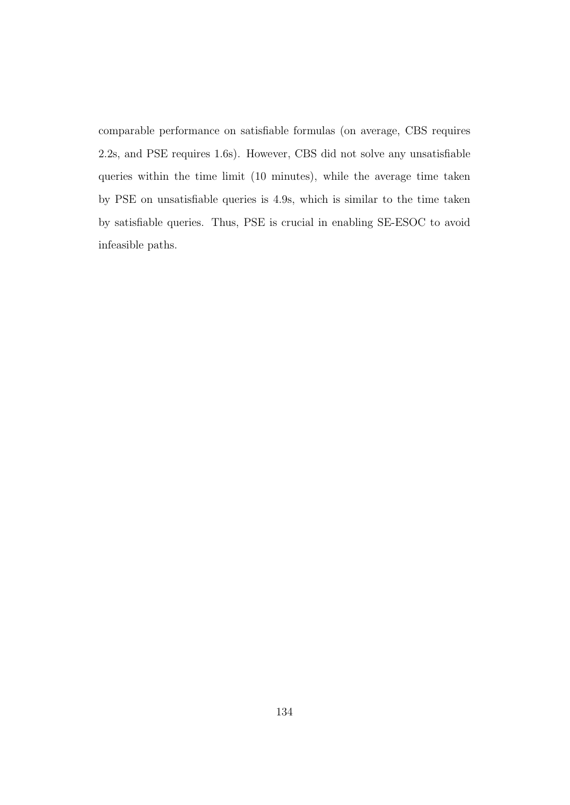comparable performance on satisfiable formulas (on average, CBS requires 2.2s, and PSE requires 1.6s). However, CBS did not solve any unsatisfiable queries within the time limit (10 minutes), while the average time taken by PSE on unsatisfiable queries is 4.9s, which is similar to the time taken by satisfiable queries. Thus, PSE is crucial in enabling SE-ESOC to avoid infeasible paths.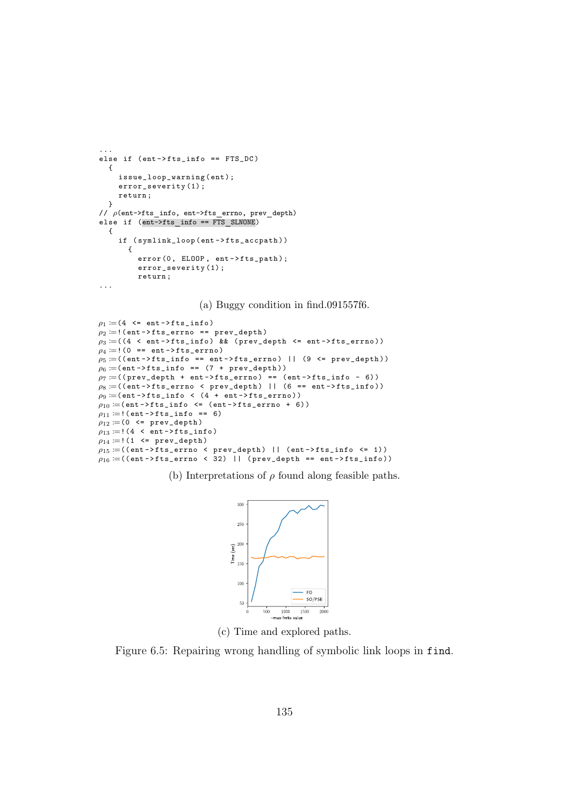```
...
else if (ent->fts_info == FTS_DC)
  {
    issue_loop_warning (ent);
    error_severity (1) ;
    return ;
  }
// \rho(ent->fts_info, ent->fts_errno, prev_depth)
else if (ent->fts_info == FTS_SLNONE){
    if ( symlink_loop ( ent -> fts_accpath ))
       {
         error(0, ELOOP, ent-> fits\_path);
         error_severity (1) ;
         return ;
...
```
(a) Buggy condition in find.091557f6.

```
\rho_1 := (4 \le \texttt{ent->fts_info})\rho_2 :=!(ent->fts_errno == prev_depth)
\rho_3 \coloneqq ((4 \, < \, \texttt{ent} \, \texttt{-} \rangle \, \texttt{fts\_info}) && (prev_depth <= \texttt{ent} \, \texttt{-} \rangle \, \texttt{fts\_errno}))
\rho_4 := ! (0 == ent ->fts_errno)
\rho_5 := ((ent - \frac{1}{15} \cdot 1) == ent-\frac{1}{15} = errno) || (9 <= prev_depth))
\rho_6 := (ent \rightarrow fits\_info == (7 + prev\_depth))\rho_7 := ((prev\_depth + ent -gt{fts\_errno}) = (ent -gt{fts\_info - 6}))\rho_8 \coloneqq ((\texttt{ent-&gt;fts\_errno} ~< \texttt{prev\_depth}) ~||~ (6 == \texttt{ent-&gt;fts\_info}))\rho_9 :=(ent ->fts_info < (4 + ent ->fts_errno))
\rho_{10} :=(ent ->fts_info <= (ent ->fts_errno + 6))
\rho_{11} \coloneqq ! (ent ->fts_info == 6)
\rho_{12} := (0 \leq \texttt{prev\_depth})\rho_{13} :=! (4 < ent ->fts_info)
\rho_{14} := ! (1 <= prev_depth)
\rho_{15} := ((ent - ifts\_errno \text{ } 5) ||  (ent - ifts\_info \text{ } 4) ||
\rho_{16} = ((ent ->fts_errno < 32) || (prev_depth == ent ->fts_info))
```
(b) Interpretations of  $\rho$  found along feasible paths.



(c) Time and explored paths.

Figure 6.5: Repairing wrong handling of symbolic link loops in find.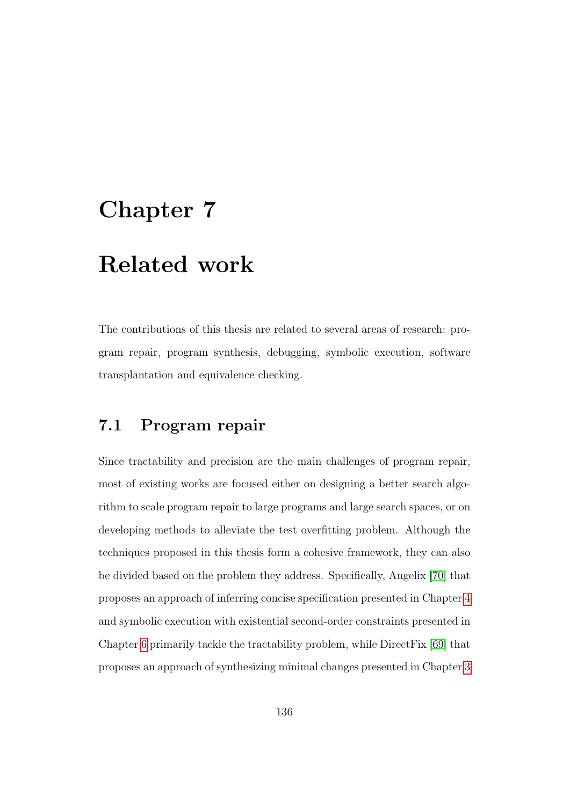# Chapter 7

## Related work

The contributions of this thesis are related to several areas of research: program repair, program synthesis, debugging, symbolic execution, software transplantation and equivalence checking.

## 7.1 Program repair

Since tractability and precision are the main challenges of program repair, most of existing works are focused either on designing a better search algorithm to scale program repair to large programs and large search spaces, or on developing methods to alleviate the test overfitting problem. Although the techniques proposed in this thesis form a cohesive framework, they can also be divided based on the problem they address. Specifically, Angelix [\[70\]](#page-187-0) that proposes an approach of inferring concise specification presented in Chapter [4](#page-70-0) and symbolic execution with existential second-order constraints presented in Chapter [6](#page-123-0) primarily tackle the tractability problem, while DirectFix [\[69\]](#page-187-1) that proposes an approach of synthesizing minimal changes presented in Chapter [3](#page-40-0)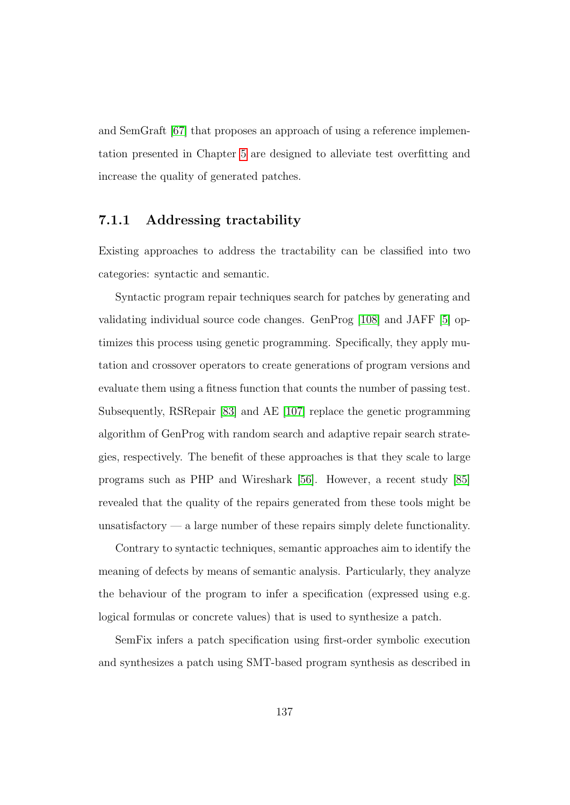and SemGraft [\[67\]](#page-187-2) that proposes an approach of using a reference implementation presented in Chapter [5](#page-96-0) are designed to alleviate test overfitting and increase the quality of generated patches.

#### 7.1.1 Addressing tractability

Existing approaches to address the tractability can be classified into two categories: syntactic and semantic.

Syntactic program repair techniques search for patches by generating and validating individual source code changes. GenProg [\[108\]](#page-193-0) and JAFF [\[5\]](#page-178-0) optimizes this process using genetic programming. Specifically, they apply mutation and crossover operators to create generations of program versions and evaluate them using a fitness function that counts the number of passing test. Subsequently, RSRepair [\[83\]](#page-189-0) and AE [\[107\]](#page-193-1) replace the genetic programming algorithm of GenProg with random search and adaptive repair search strategies, respectively. The benefit of these approaches is that they scale to large programs such as PHP and Wireshark [\[56\]](#page-185-0). However, a recent study [\[85\]](#page-190-0) revealed that the quality of the repairs generated from these tools might be unsatisfactory  $\frac{1}{2}$  a large number of these repairs simply delete functionality.

Contrary to syntactic techniques, semantic approaches aim to identify the meaning of defects by means of semantic analysis. Particularly, they analyze the behaviour of the program to infer a specification (expressed using e.g. logical formulas or concrete values) that is used to synthesize a patch.

SemFix infers a patch specification using first-order symbolic execution and synthesizes a patch using SMT-based program synthesis as described in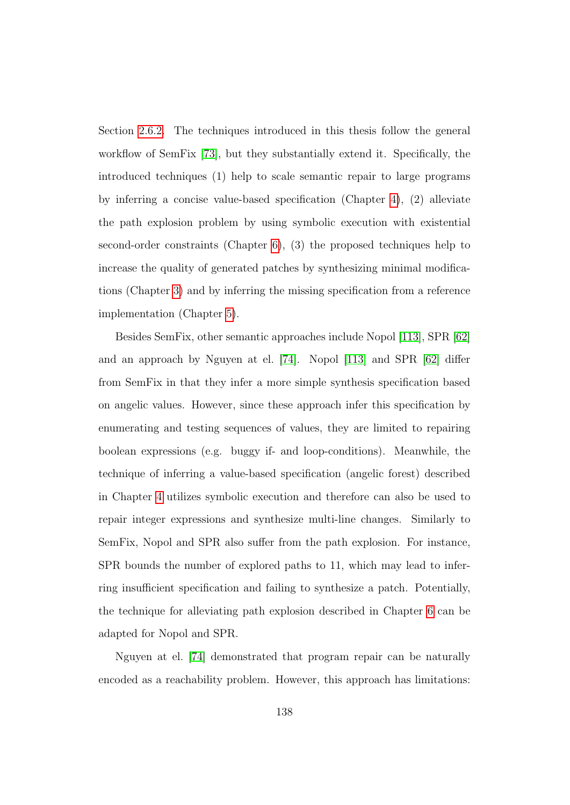Section [2.6.2.](#page-35-0) The techniques introduced in this thesis follow the general workflow of SemFix [\[73\]](#page-188-0), but they substantially extend it. Specifically, the introduced techniques (1) help to scale semantic repair to large programs by inferring a concise value-based specification (Chapter [4\)](#page-70-0), (2) alleviate the path explosion problem by using symbolic execution with existential second-order constraints (Chapter [6\)](#page-123-0), (3) the proposed techniques help to increase the quality of generated patches by synthesizing minimal modifications (Chapter [3\)](#page-40-0) and by inferring the missing specification from a reference implementation (Chapter [5\)](#page-96-0).

Besides SemFix, other semantic approaches include Nopol [\[113\]](#page-194-0), SPR [\[62\]](#page-186-0) and an approach by Nguyen at el. [\[74\]](#page-188-1). Nopol [\[113\]](#page-194-0) and SPR [\[62\]](#page-186-0) differ from SemFix in that they infer a more simple synthesis specification based on angelic values. However, since these approach infer this specification by enumerating and testing sequences of values, they are limited to repairing boolean expressions (e.g. buggy if- and loop-conditions). Meanwhile, the technique of inferring a value-based specification (angelic forest) described in Chapter [4](#page-70-0) utilizes symbolic execution and therefore can also be used to repair integer expressions and synthesize multi-line changes. Similarly to SemFix, Nopol and SPR also suffer from the path explosion. For instance, SPR bounds the number of explored paths to 11, which may lead to inferring insufficient specification and failing to synthesize a patch. Potentially, the technique for alleviating path explosion described in Chapter [6](#page-123-0) can be adapted for Nopol and SPR.

Nguyen at el. [\[74\]](#page-188-1) demonstrated that program repair can be naturally encoded as a reachability problem. However, this approach has limitations: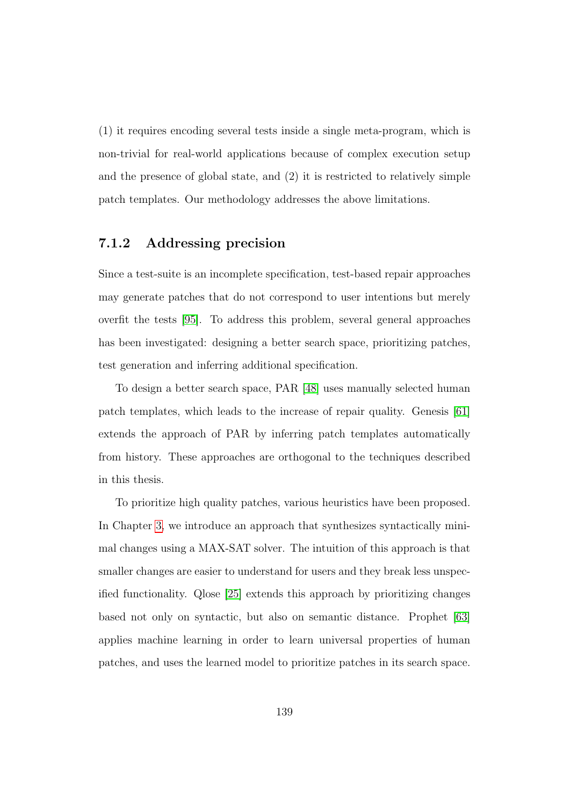(1) it requires encoding several tests inside a single meta-program, which is non-trivial for real-world applications because of complex execution setup and the presence of global state, and (2) it is restricted to relatively simple patch templates. Our methodology addresses the above limitations.

#### 7.1.2 Addressing precision

Since a test-suite is an incomplete specification, test-based repair approaches may generate patches that do not correspond to user intentions but merely overfit the tests [\[95\]](#page-191-0). To address this problem, several general approaches has been investigated: designing a better search space, prioritizing patches, test generation and inferring additional specification.

To design a better search space, PAR [\[48\]](#page-184-0) uses manually selected human patch templates, which leads to the increase of repair quality. Genesis [\[61\]](#page-186-1) extends the approach of PAR by inferring patch templates automatically from history. These approaches are orthogonal to the techniques described in this thesis.

To prioritize high quality patches, various heuristics have been proposed. In Chapter [3,](#page-40-0) we introduce an approach that synthesizes syntactically minimal changes using a MAX-SAT solver. The intuition of this approach is that smaller changes are easier to understand for users and they break less unspecified functionality. Qlose [\[25\]](#page-181-0) extends this approach by prioritizing changes based not only on syntactic, but also on semantic distance. Prophet [\[63\]](#page-186-2) applies machine learning in order to learn universal properties of human patches, and uses the learned model to prioritize patches in its search space.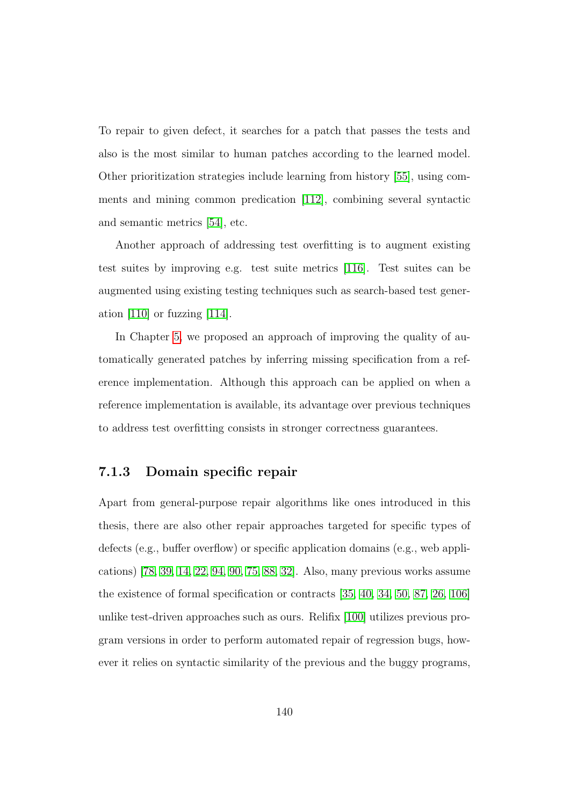To repair to given defect, it searches for a patch that passes the tests and also is the most similar to human patches according to the learned model. Other prioritization strategies include learning from history [\[55\]](#page-185-1), using comments and mining common predication [\[112\]](#page-194-1), combining several syntactic and semantic metrics [\[54\]](#page-185-2), etc.

Another approach of addressing test overfitting is to augment existing test suites by improving e.g. test suite metrics [\[116\]](#page-194-2). Test suites can be augmented using existing testing techniques such as search-based test generation [\[110\]](#page-194-3) or fuzzing [\[114\]](#page-194-4).

In Chapter [5,](#page-96-0) we proposed an approach of improving the quality of automatically generated patches by inferring missing specification from a reference implementation. Although this approach can be applied on when a reference implementation is available, its advantage over previous techniques to address test overfitting consists in stronger correctness guarantees.

#### 7.1.3 Domain specific repair

Apart from general-purpose repair algorithms like ones introduced in this thesis, there are also other repair approaches targeted for specific types of defects (e.g., buffer overflow) or specific application domains (e.g., web applications) [\[78,](#page-189-1) [39,](#page-183-0) [14,](#page-179-0) [22,](#page-180-0) [94,](#page-191-1) [90,](#page-191-2) [75,](#page-188-2) [88,](#page-190-1) [32\]](#page-182-0). Also, many previous works assume the existence of formal specification or contracts [\[35,](#page-182-1) [40,](#page-183-1) [34,](#page-182-2) [50,](#page-184-1) [87,](#page-190-2) [26,](#page-181-1) [106\]](#page-193-2) unlike test-driven approaches such as ours. Relifix [\[100\]](#page-192-0) utilizes previous program versions in order to perform automated repair of regression bugs, however it relies on syntactic similarity of the previous and the buggy programs,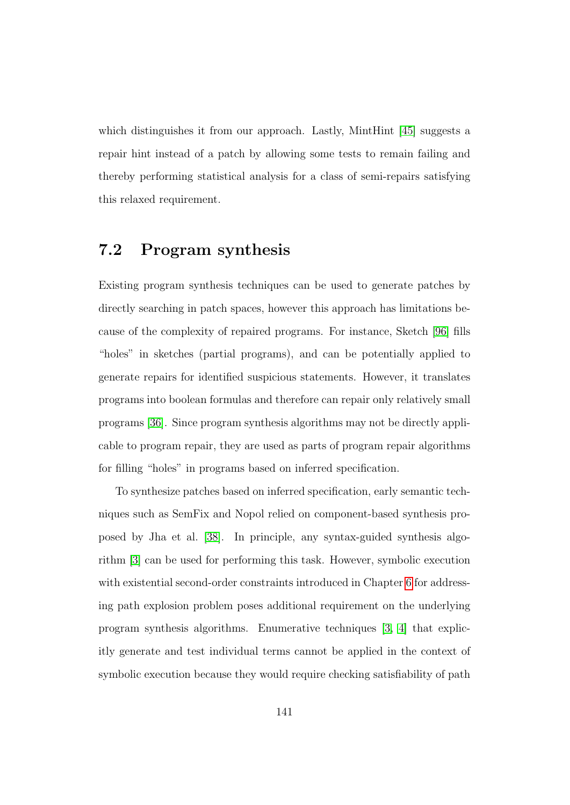which distinguishes it from our approach. Lastly, MintHint [\[45\]](#page-184-2) suggests a repair hint instead of a patch by allowing some tests to remain failing and thereby performing statistical analysis for a class of semi-repairs satisfying this relaxed requirement.

## 7.2 Program synthesis

Existing program synthesis techniques can be used to generate patches by directly searching in patch spaces, however this approach has limitations because of the complexity of repaired programs. For instance, Sketch [\[96\]](#page-191-3) fills "holes" in sketches (partial programs), and can be potentially applied to generate repairs for identified suspicious statements. However, it translates programs into boolean formulas and therefore can repair only relatively small programs [\[36\]](#page-182-3). Since program synthesis algorithms may not be directly applicable to program repair, they are used as parts of program repair algorithms for filling "holes" in programs based on inferred specification.

To synthesize patches based on inferred specification, early semantic techniques such as SemFix and Nopol relied on component-based synthesis proposed by Jha et al. [\[38\]](#page-183-2). In principle, any syntax-guided synthesis algorithm [\[3\]](#page-177-0) can be used for performing this task. However, symbolic execution with existential second-order constraints introduced in Chapter [6](#page-123-0) for addressing path explosion problem poses additional requirement on the underlying program synthesis algorithms. Enumerative techniques [\[3,](#page-177-0) [4\]](#page-177-1) that explicitly generate and test individual terms cannot be applied in the context of symbolic execution because they would require checking satisfiability of path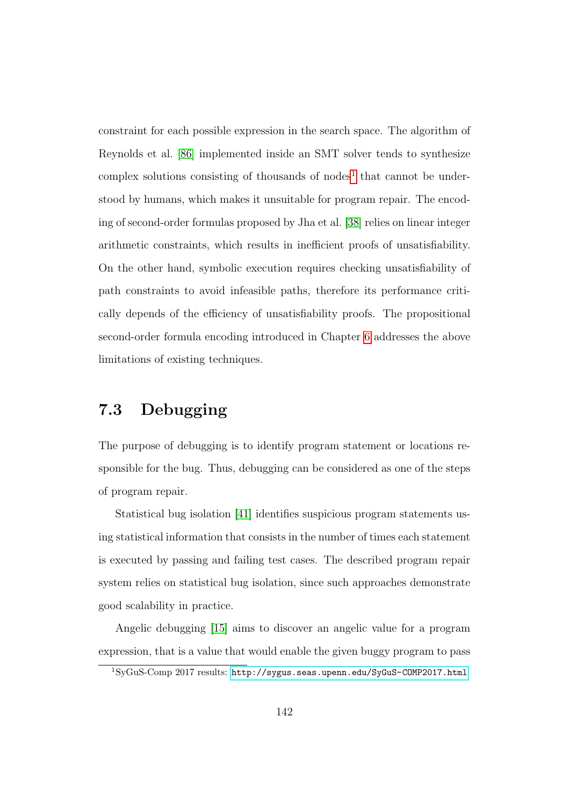constraint for each possible expression in the search space. The algorithm of Reynolds et al. [\[86\]](#page-190-3) implemented inside an SMT solver tends to synthesize complex solutions consisting of thousands of nodes<sup>[1](#page-154-0)</sup> that cannot be understood by humans, which makes it unsuitable for program repair. The encoding of second-order formulas proposed by Jha et al. [\[38\]](#page-183-2) relies on linear integer arithmetic constraints, which results in inefficient proofs of unsatisfiability. On the other hand, symbolic execution requires checking unsatisfiability of path constraints to avoid infeasible paths, therefore its performance critically depends of the efficiency of unsatisfiability proofs. The propositional second-order formula encoding introduced in Chapter [6](#page-123-0) addresses the above limitations of existing techniques.

## 7.3 Debugging

The purpose of debugging is to identify program statement or locations responsible for the bug. Thus, debugging can be considered as one of the steps of program repair.

Statistical bug isolation [\[41\]](#page-183-3) identifies suspicious program statements using statistical information that consists in the number of times each statement is executed by passing and failing test cases. The described program repair system relies on statistical bug isolation, since such approaches demonstrate good scalability in practice.

Angelic debugging [\[15\]](#page-179-1) aims to discover an angelic value for a program expression, that is a value that would enable the given buggy program to pass

<span id="page-154-0"></span><sup>1</sup>SyGuS-Comp 2017 results: <http://sygus.seas.upenn.edu/SyGuS-COMP2017.html>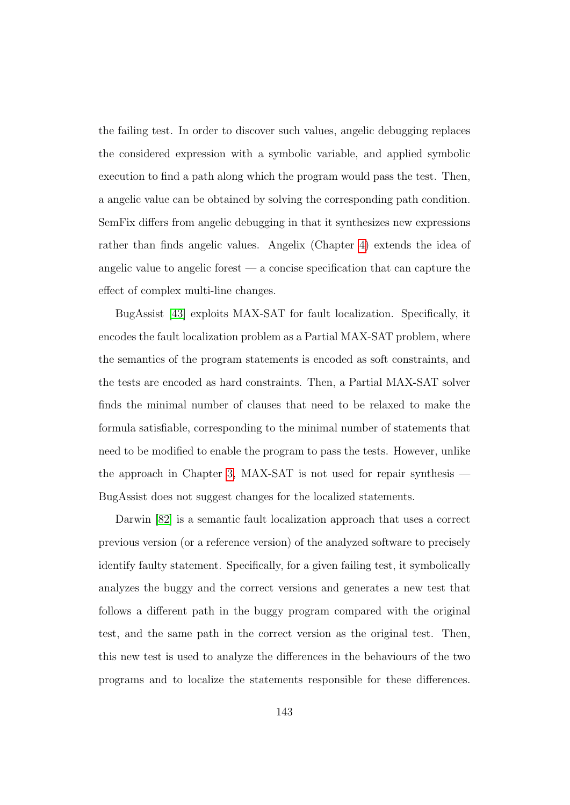the failing test. In order to discover such values, angelic debugging replaces the considered expression with a symbolic variable, and applied symbolic execution to find a path along which the program would pass the test. Then, a angelic value can be obtained by solving the corresponding path condition. SemFix differs from angelic debugging in that it synthesizes new expressions rather than finds angelic values. Angelix (Chapter [4\)](#page-70-0) extends the idea of angelic value to angelic forest  $\frac{a}{b}$  a concise specification that can capture the effect of complex multi-line changes.

BugAssist [\[43\]](#page-183-4) exploits MAX-SAT for fault localization. Specifically, it encodes the fault localization problem as a Partial MAX-SAT problem, where the semantics of the program statements is encoded as soft constraints, and the tests are encoded as hard constraints. Then, a Partial MAX-SAT solver finds the minimal number of clauses that need to be relaxed to make the formula satisfiable, corresponding to the minimal number of statements that need to be modified to enable the program to pass the tests. However, unlike the approach in Chapter [3,](#page-40-0) MAX-SAT is not used for repair synthesis — BugAssist does not suggest changes for the localized statements.

Darwin [\[82\]](#page-189-2) is a semantic fault localization approach that uses a correct previous version (or a reference version) of the analyzed software to precisely identify faulty statement. Specifically, for a given failing test, it symbolically analyzes the buggy and the correct versions and generates a new test that follows a different path in the buggy program compared with the original test, and the same path in the correct version as the original test. Then, this new test is used to analyze the differences in the behaviours of the two programs and to localize the statements responsible for these differences.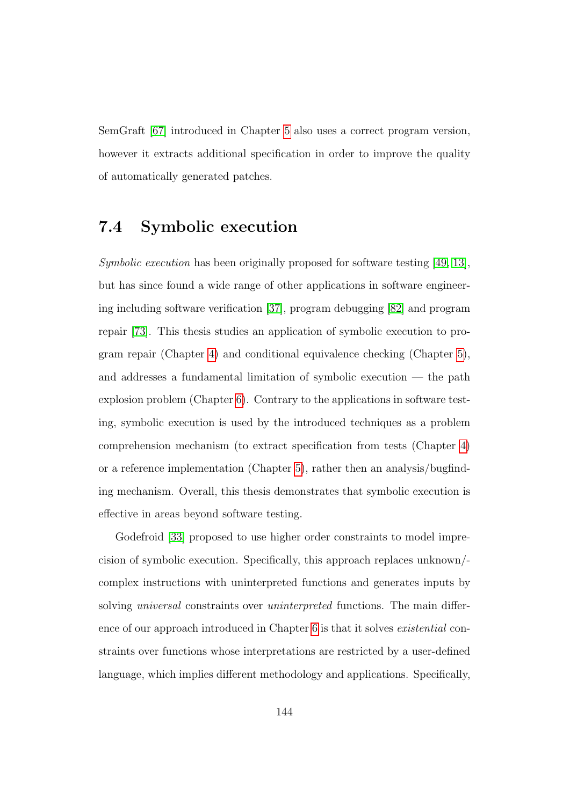SemGraft [\[67\]](#page-187-2) introduced in Chapter [5](#page-96-0) also uses a correct program version, however it extracts additional specification in order to improve the quality of automatically generated patches.

## 7.4 Symbolic execution

Symbolic execution has been originally proposed for software testing [\[49,](#page-184-3) [13\]](#page-179-2), but has since found a wide range of other applications in software engineering including software verification [\[37\]](#page-183-5), program debugging [\[82\]](#page-189-2) and program repair [\[73\]](#page-188-0). This thesis studies an application of symbolic execution to program repair (Chapter [4\)](#page-70-0) and conditional equivalence checking (Chapter [5\)](#page-96-0), and addresses a fundamental limitation of symbolic execution — the path explosion problem (Chapter [6\)](#page-123-0). Contrary to the applications in software testing, symbolic execution is used by the introduced techniques as a problem comprehension mechanism (to extract specification from tests (Chapter [4\)](#page-70-0) or a reference implementation (Chapter [5\)](#page-96-0), rather then an analysis/bugfinding mechanism. Overall, this thesis demonstrates that symbolic execution is effective in areas beyond software testing.

Godefroid [\[33\]](#page-182-4) proposed to use higher order constraints to model imprecision of symbolic execution. Specifically, this approach replaces unknown/ complex instructions with uninterpreted functions and generates inputs by solving *universal* constraints over *uninterpreted* functions. The main difference of our approach introduced in Chapter [6](#page-123-0) is that it solves existential constraints over functions whose interpretations are restricted by a user-defined language, which implies different methodology and applications. Specifically,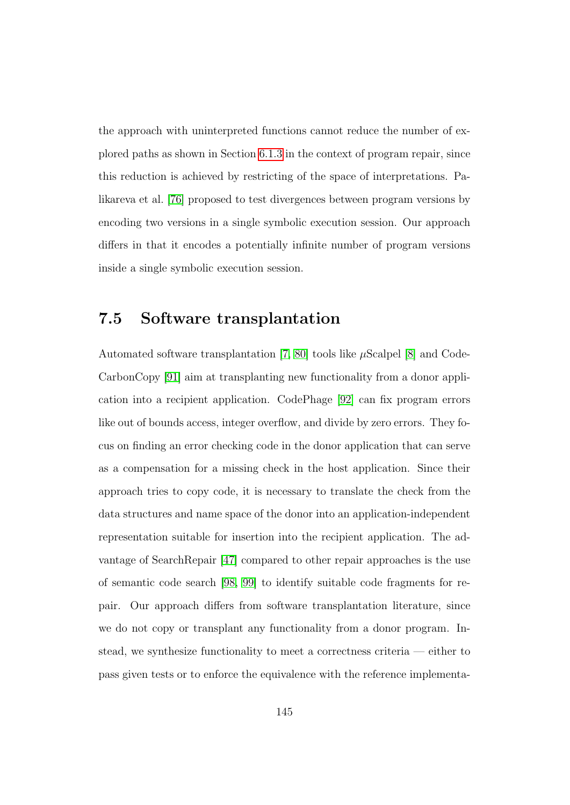the approach with uninterpreted functions cannot reduce the number of explored paths as shown in Section [6.1.3](#page-129-0) in the context of program repair, since this reduction is achieved by restricting of the space of interpretations. Palikareva et al. [\[76\]](#page-188-3) proposed to test divergences between program versions by encoding two versions in a single symbolic execution session. Our approach differs in that it encodes a potentially infinite number of program versions inside a single symbolic execution session.

### 7.5 Software transplantation

Automated software transplantation [\[7,](#page-178-1) [80\]](#page-189-3) tools like  $\mu$ Scalpel [\[8\]](#page-178-2) and Code-CarbonCopy [\[91\]](#page-191-4) aim at transplanting new functionality from a donor application into a recipient application. CodePhage [\[92\]](#page-191-5) can fix program errors like out of bounds access, integer overflow, and divide by zero errors. They focus on finding an error checking code in the donor application that can serve as a compensation for a missing check in the host application. Since their approach tries to copy code, it is necessary to translate the check from the data structures and name space of the donor into an application-independent representation suitable for insertion into the recipient application. The advantage of SearchRepair [\[47\]](#page-184-4) compared to other repair approaches is the use of semantic code search [\[98,](#page-192-1) [99\]](#page-192-2) to identify suitable code fragments for repair. Our approach differs from software transplantation literature, since we do not copy or transplant any functionality from a donor program. Instead, we synthesize functionality to meet a correctness criteria — either to pass given tests or to enforce the equivalence with the reference implementa-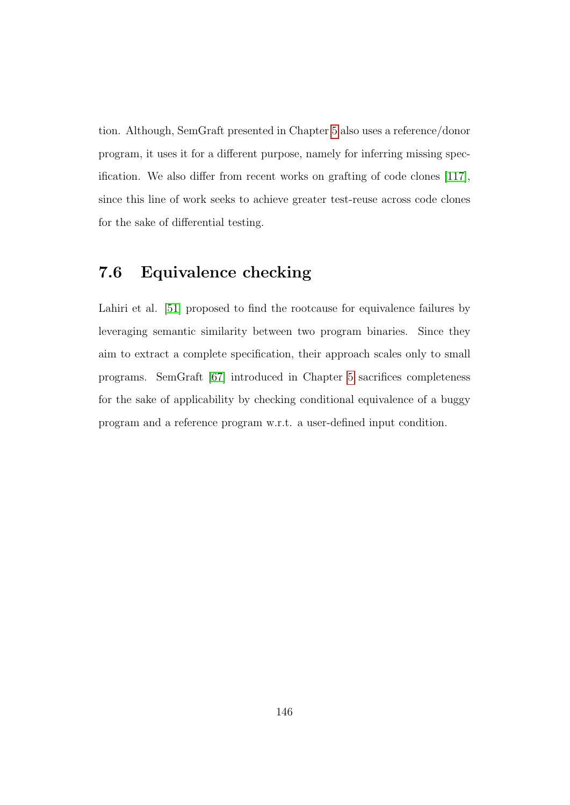tion. Although, SemGraft presented in Chapter [5](#page-96-0) also uses a reference/donor program, it uses it for a different purpose, namely for inferring missing specification. We also differ from recent works on grafting of code clones [\[117\]](#page-195-0), since this line of work seeks to achieve greater test-reuse across code clones for the sake of differential testing.

## 7.6 Equivalence checking

Lahiri et al. [\[51\]](#page-184-5) proposed to find the rootcause for equivalence failures by leveraging semantic similarity between two program binaries. Since they aim to extract a complete specification, their approach scales only to small programs. SemGraft [\[67\]](#page-187-2) introduced in Chapter [5](#page-96-0) sacrifices completeness for the sake of applicability by checking conditional equivalence of a buggy program and a reference program w.r.t. a user-defined input condition.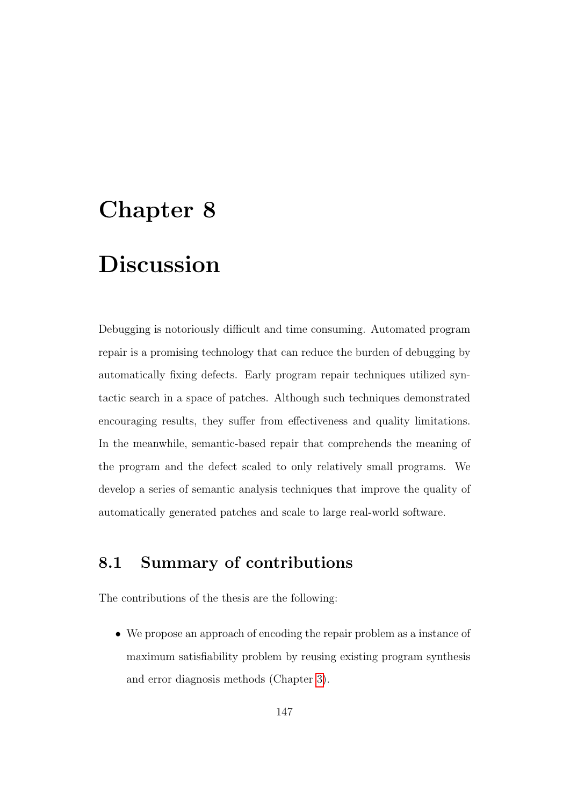# Chapter 8 Discussion

Debugging is notoriously difficult and time consuming. Automated program repair is a promising technology that can reduce the burden of debugging by automatically fixing defects. Early program repair techniques utilized syntactic search in a space of patches. Although such techniques demonstrated encouraging results, they suffer from effectiveness and quality limitations. In the meanwhile, semantic-based repair that comprehends the meaning of the program and the defect scaled to only relatively small programs. We develop a series of semantic analysis techniques that improve the quality of automatically generated patches and scale to large real-world software.

## 8.1 Summary of contributions

The contributions of the thesis are the following:

• We propose an approach of encoding the repair problem as a instance of maximum satisfiability problem by reusing existing program synthesis and error diagnosis methods (Chapter [3\)](#page-40-0).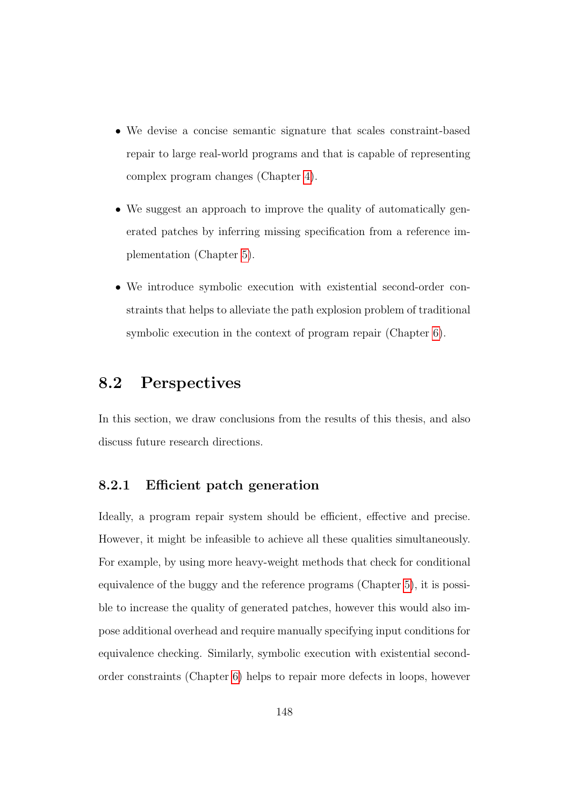- We devise a concise semantic signature that scales constraint-based repair to large real-world programs and that is capable of representing complex program changes (Chapter [4\)](#page-70-0).
- We suggest an approach to improve the quality of automatically generated patches by inferring missing specification from a reference implementation (Chapter [5\)](#page-96-0).
- We introduce symbolic execution with existential second-order constraints that helps to alleviate the path explosion problem of traditional symbolic execution in the context of program repair (Chapter [6\)](#page-123-0).

## 8.2 Perspectives

In this section, we draw conclusions from the results of this thesis, and also discuss future research directions.

#### 8.2.1 Efficient patch generation

Ideally, a program repair system should be efficient, effective and precise. However, it might be infeasible to achieve all these qualities simultaneously. For example, by using more heavy-weight methods that check for conditional equivalence of the buggy and the reference programs (Chapter [5\)](#page-96-0), it is possible to increase the quality of generated patches, however this would also impose additional overhead and require manually specifying input conditions for equivalence checking. Similarly, symbolic execution with existential secondorder constraints (Chapter [6\)](#page-123-0) helps to repair more defects in loops, however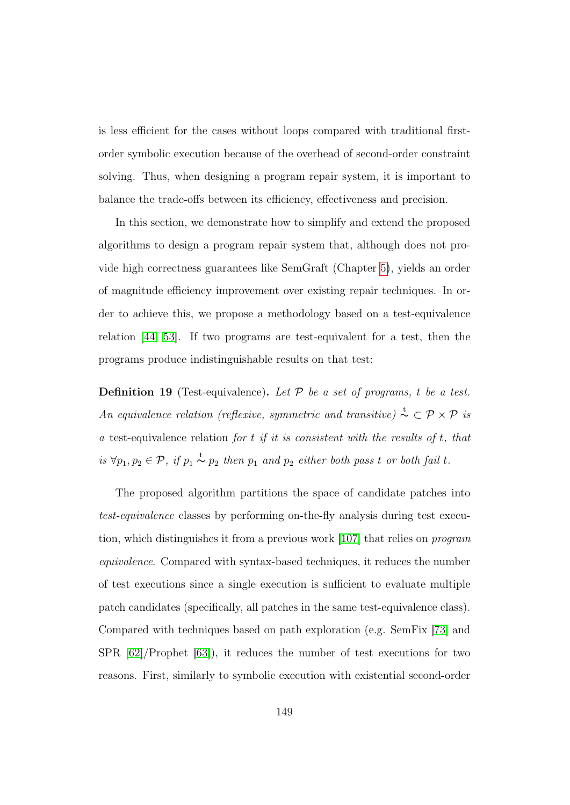is less efficient for the cases without loops compared with traditional firstorder symbolic execution because of the overhead of second-order constraint solving. Thus, when designing a program repair system, it is important to balance the trade-offs between its efficiency, effectiveness and precision.

In this section, we demonstrate how to simplify and extend the proposed algorithms to design a program repair system that, although does not provide high correctness guarantees like SemGraft (Chapter [5\)](#page-96-0), yields an order of magnitude efficiency improvement over existing repair techniques. In order to achieve this, we propose a methodology based on a test-equivalence relation [\[44,](#page-183-6) [53\]](#page-185-3). If two programs are test-equivalent for a test, then the programs produce indistinguishable results on that test:

**Definition 19** (Test-equivalence). Let  $P$  be a set of programs, t be a test. An equivalence relation (reflexive, symmetric and transitive)  $\stackrel{\text{t}}{\sim} \subset \mathcal{P} \times \mathcal{P}$  is a test-equivalence relation for  $t$  if it is consistent with the results of  $t$ , that is  $\forall p_1, p_2 \in \mathcal{P}$ , if  $p_1 \stackrel{t}{\sim} p_2$  then  $p_1$  and  $p_2$  either both pass t or both fail t.

The proposed algorithm partitions the space of candidate patches into test-equivalence classes by performing on-the-fly analysis during test execution, which distinguishes it from a previous work [\[107\]](#page-193-1) that relies on program equivalence. Compared with syntax-based techniques, it reduces the number of test executions since a single execution is sufficient to evaluate multiple patch candidates (specifically, all patches in the same test-equivalence class). Compared with techniques based on path exploration (e.g. SemFix [\[73\]](#page-188-0) and SPR [\[62\]](#page-186-0)/Prophet [\[63\]](#page-186-2)), it reduces the number of test executions for two reasons. First, similarly to symbolic execution with existential second-order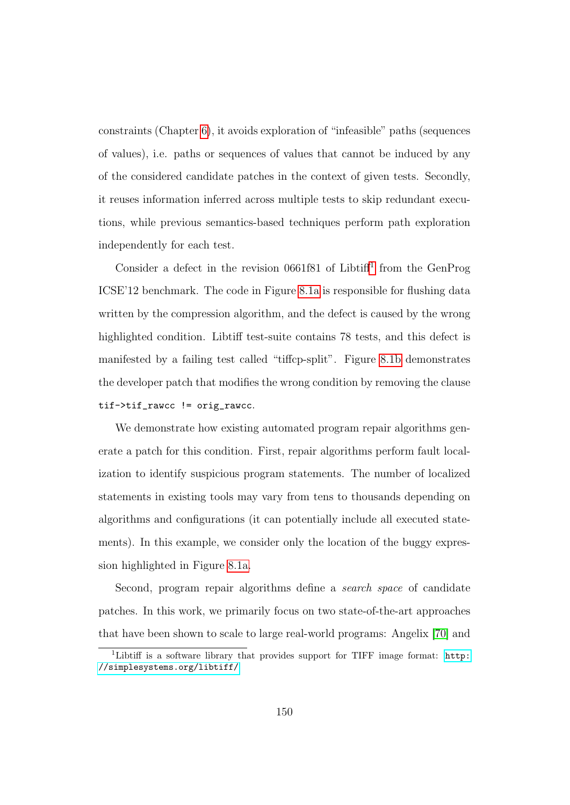constraints (Chapter [6\)](#page-123-0), it avoids exploration of "infeasible" paths (sequences of values), i.e. paths or sequences of values that cannot be induced by any of the considered candidate patches in the context of given tests. Secondly, it reuses information inferred across multiple tests to skip redundant executions, while previous semantics-based techniques perform path exploration independently for each test.

Consider a defect in the revision  $0661f81$  $0661f81$  $0661f81$  of Libtiff<sup>1</sup> from the GenProg ICSE'12 benchmark. The code in Figure [8.1a](#page-163-0) is responsible for flushing data written by the compression algorithm, and the defect is caused by the wrong highlighted condition. Libtiff test-suite contains 78 tests, and this defect is manifested by a failing test called "tiffcp-split". Figure [8.1b](#page-163-0) demonstrates the developer patch that modifies the wrong condition by removing the clause tif->tif\_rawcc != orig\_rawcc.

We demonstrate how existing automated program repair algorithms generate a patch for this condition. First, repair algorithms perform fault localization to identify suspicious program statements. The number of localized statements in existing tools may vary from tens to thousands depending on algorithms and configurations (it can potentially include all executed statements). In this example, we consider only the location of the buggy expression highlighted in Figure [8.1a.](#page-163-0)

Second, program repair algorithms define a search space of candidate patches. In this work, we primarily focus on two state-of-the-art approaches that have been shown to scale to large real-world programs: Angelix [\[70\]](#page-187-0) and

<span id="page-162-0"></span><sup>&</sup>lt;sup>1</sup>Libtiff is a software library that provides support for TIFF image format: [http:](http://simplesystems.org/libtiff/) [//simplesystems.org/libtiff/](http://simplesystems.org/libtiff/)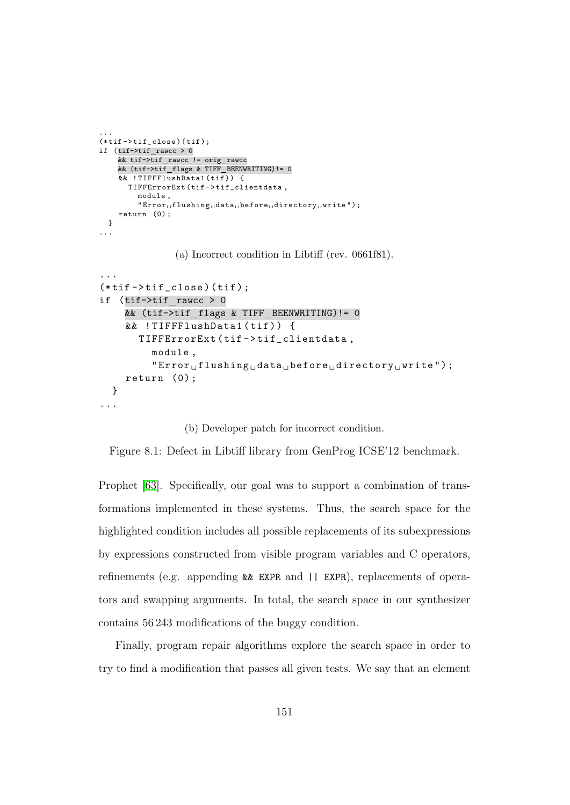```
(\text{*tif}-\text{+it\_close})(\text{tif});
if (tif->tif rawcc > 0
     x^2 tif->tif_rawcc != orig_rawcc
     && (tif->tif flags & TIFF BEENWRITING)!= 0
     && ! TIFFFlushData1 ( tif ) ) {
        TIFFErrorExt (tif->tif_clientdata,
           module ,
           "Error<sub>U</sub> fluxhing<sub>U</sub> data<sub>U</sub> before<sub>U</sub> directory<sub>U</sub> write ");
     return (0) ;
  }
```
<span id="page-163-0"></span>...

...

(a) Incorrect condition in Libtiff (rev. 0661f81).

```
...
(*\text{tif}-\text{tif\_close}) (tif);
if (tif->tif rawcc > 0
     && (tif->tif flags & TIFF BEENWRITING)!= 0
     && ! TIFFFlushData1 ( tif ) ) {
        TIFFErrorExt (tif->tif_clientdata,
           module ,
            "Error<sub>u</sub>flushing<sub>u</sub>data<sub>u</sub>before<sub>u</sub>directory<sub>u</sub>write");
     return (0) ;
  }
...
```
#### (b) Developer patch for incorrect condition.

Figure 8.1: Defect in Libtiff library from GenProg ICSE'12 benchmark.

Prophet [\[63\]](#page-186-2). Specifically, our goal was to support a combination of transformations implemented in these systems. Thus, the search space for the highlighted condition includes all possible replacements of its subexpressions by expressions constructed from visible program variables and C operators, refinements (e.g. appending && EXPR and || EXPR), replacements of operators and swapping arguments. In total, the search space in our synthesizer contains 56 243 modifications of the buggy condition.

Finally, program repair algorithms explore the search space in order to try to find a modification that passes all given tests. We say that an element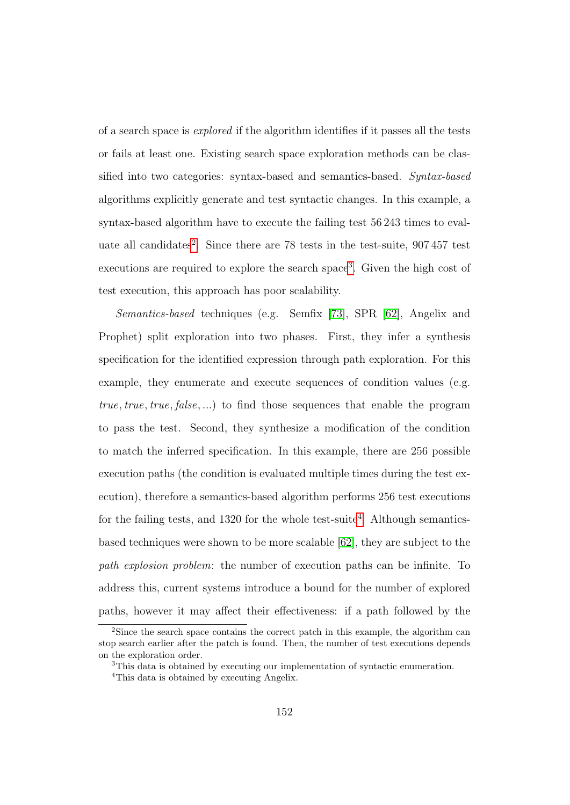of a search space is explored if the algorithm identifies if it passes all the tests or fails at least one. Existing search space exploration methods can be classified into two categories: syntax-based and semantics-based. Syntax-based algorithms explicitly generate and test syntactic changes. In this example, a syntax-based algorithm have to execute the failing test 56 243 times to eval-uate all candidates<sup>[2](#page-164-0)</sup>. Since there are 78 tests in the test-suite, 907457 test executions are required to explore the search space<sup>[3](#page-164-1)</sup>. Given the high cost of test execution, this approach has poor scalability.

Semantics-based techniques (e.g. Semfix [\[73\]](#page-188-0), SPR [\[62\]](#page-186-0), Angelix and Prophet) split exploration into two phases. First, they infer a synthesis specification for the identified expression through path exploration. For this example, they enumerate and execute sequences of condition values (e.g. true, true, true, false, ...) to find those sequences that enable the program to pass the test. Second, they synthesize a modification of the condition to match the inferred specification. In this example, there are 256 possible execution paths (the condition is evaluated multiple times during the test execution), therefore a semantics-based algorithm performs 256 test executions for the failing tests, and  $1320$  for the whole test-suite<sup>[4](#page-164-2)</sup>. Although semanticsbased techniques were shown to be more scalable [\[62\]](#page-186-0), they are subject to the path explosion problem: the number of execution paths can be infinite. To address this, current systems introduce a bound for the number of explored paths, however it may affect their effectiveness: if a path followed by the

<span id="page-164-0"></span><sup>2</sup>Since the search space contains the correct patch in this example, the algorithm can stop search earlier after the patch is found. Then, the number of test executions depends on the exploration order.

<span id="page-164-1"></span><sup>&</sup>lt;sup>3</sup>This data is obtained by executing our implementation of syntactic enumeration.

<span id="page-164-2"></span><sup>4</sup>This data is obtained by executing Angelix.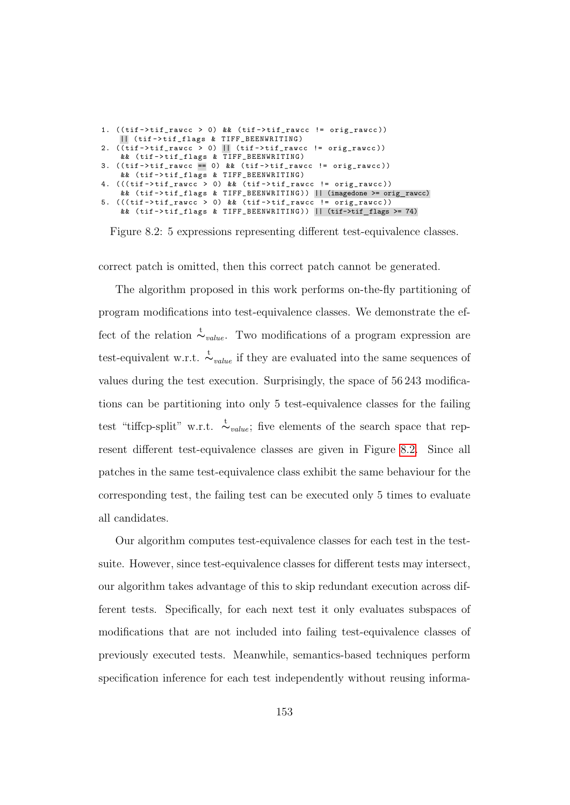```
1. ((\text{tif}-\text{tif\_rawcc > 0}) && (\text{tif}-\text{tif\_rawcc} != \text{orig\_rawcc}))|| ( tif - > tif_flags & TIFF_BEENWRITING )
2. (\overline{\text{tif}} -\text{tif\_rawcc > 0}) \overline{\text{||}} (\text{tif}-\text{tif\_rawcc} != \text{orig\_rawcc}))&& ( tif -> tif_flags & TIFF_BEENWRITING )
   ((tif->tif_rawcc == 0) && (tif->tif_rawcc != orig_rawcc))
     && ( tif -> tif_flags & TIFF_BEENWRITING )
  (( ((tif -> tif\_rawcc > 0) && (tif -> tif\_rawcc ! = orig\_rawcc ))&& ( tif -> tif_flags & TIFF_BEENWRITING )) || (imagedone >= orig rawcc)
  ((((tif - > tif\_rawcc > 0) && (tif - > tif\_rawcc ! = orig\_rawcc))&& ( tif -> tif_flags & TIFF_BEENWRITING )) || (tif->tif flags >= 74)
```
Figure 8.2: 5 expressions representing different test-equivalence classes.

correct patch is omitted, then this correct patch cannot be generated.

The algorithm proposed in this work performs on-the-fly partitioning of program modifications into test-equivalence classes. We demonstrate the effect of the relation  $\stackrel{t}{\sim}_{value}$ . Two modifications of a program expression are test-equivalent w.r.t.  $\stackrel{t}{\sim}_{value}$  if they are evaluated into the same sequences of values during the test execution. Surprisingly, the space of 56 243 modifications can be partitioning into only 5 test-equivalence classes for the failing test "tiffcp-split" w.r.t.  $\sim_{value}$ ; five elements of the search space that represent different test-equivalence classes are given in Figure [8.2.](#page-165-0) Since all patches in the same test-equivalence class exhibit the same behaviour for the corresponding test, the failing test can be executed only 5 times to evaluate all candidates.

Our algorithm computes test-equivalence classes for each test in the testsuite. However, since test-equivalence classes for different tests may intersect, our algorithm takes advantage of this to skip redundant execution across different tests. Specifically, for each next test it only evaluates subspaces of modifications that are not included into failing test-equivalence classes of previously executed tests. Meanwhile, semantics-based techniques perform specification inference for each test independently without reusing informa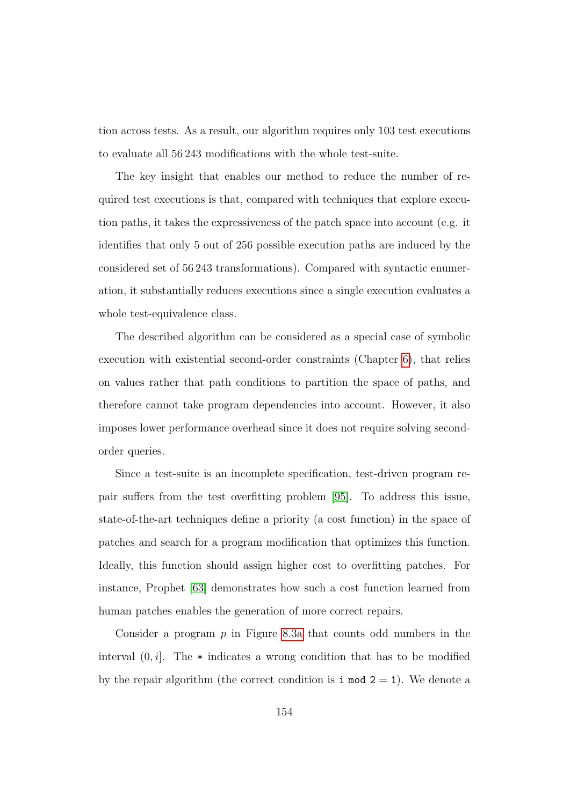tion across tests. As a result, our algorithm requires only 103 test executions to evaluate all 56 243 modifications with the whole test-suite.

The key insight that enables our method to reduce the number of required test executions is that, compared with techniques that explore execution paths, it takes the expressiveness of the patch space into account (e.g. it identifies that only 5 out of 256 possible execution paths are induced by the considered set of 56 243 transformations). Compared with syntactic enumeration, it substantially reduces executions since a single execution evaluates a whole test-equivalence class.

The described algorithm can be considered as a special case of symbolic execution with existential second-order constraints (Chapter [6\)](#page-123-0), that relies on values rather that path conditions to partition the space of paths, and therefore cannot take program dependencies into account. However, it also imposes lower performance overhead since it does not require solving secondorder queries.

Since a test-suite is an incomplete specification, test-driven program repair suffers from the test overfitting problem [\[95\]](#page-191-0). To address this issue, state-of-the-art techniques define a priority (a cost function) in the space of patches and search for a program modification that optimizes this function. Ideally, this function should assign higher cost to overfitting patches. For instance, Prophet [\[63\]](#page-186-2) demonstrates how such a cost function learned from human patches enables the generation of more correct repairs.

Consider a program  $p$  in Figure [8.3a](#page-169-0) that counts odd numbers in the interval  $(0, i]$ . The  $*$  indicates a wrong condition that has to be modified by the repair algorithm (the correct condition is  $i \mod 2 = 1$ ). We denote a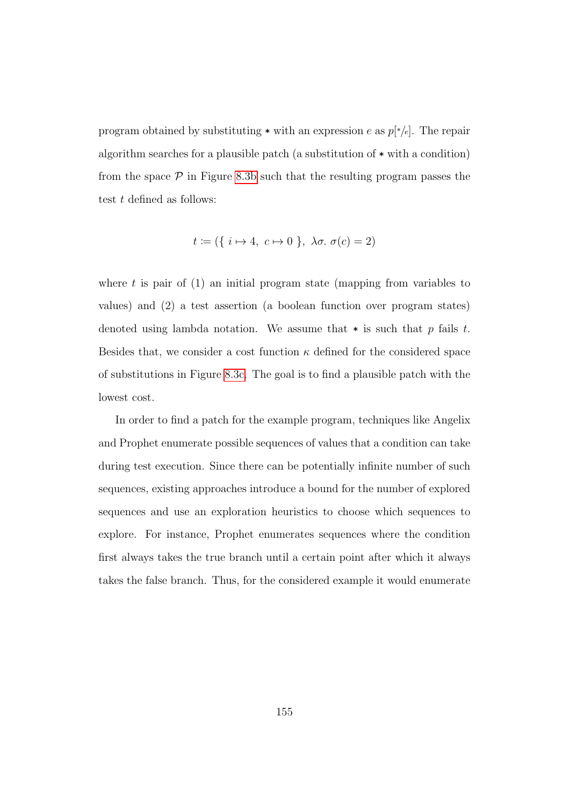program obtained by substituting  $*$  with an expression e as  $p[*/e]$ . The repair algorithm searches for a plausible patch (a substitution of \* with a condition) from the space  $P$  in Figure [8.3b](#page-169-0) such that the resulting program passes the test  $t$  defined as follows:

$$
t := (\{ i \mapsto 4, c \mapsto 0 \}, \lambda \sigma. \sigma(c) = 2)
$$

where t is pair of  $(1)$  an initial program state (mapping from variables to values) and (2) a test assertion (a boolean function over program states) denoted using lambda notation. We assume that  $*$  is such that p fails t. Besides that, we consider a cost function  $\kappa$  defined for the considered space of substitutions in Figure [8.3c.](#page-169-0) The goal is to find a plausible patch with the lowest cost.

In order to find a patch for the example program, techniques like Angelix and Prophet enumerate possible sequences of values that a condition can take during test execution. Since there can be potentially infinite number of such sequences, existing approaches introduce a bound for the number of explored sequences and use an exploration heuristics to choose which sequences to explore. For instance, Prophet enumerates sequences where the condition first always takes the true branch until a certain point after which it always takes the false branch. Thus, for the considered example it would enumerate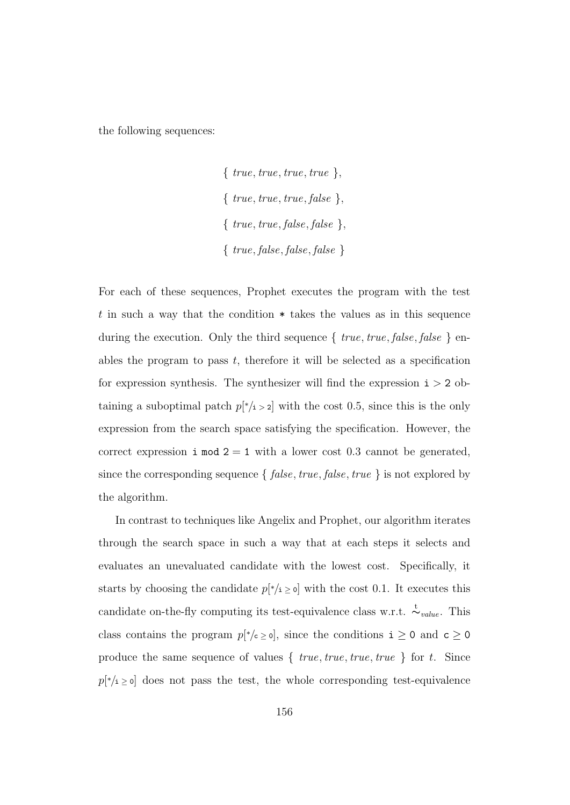the following sequences:

 $\{true, true, true, true\},\$  $\{true, true, true, false\},\$  $\{true, true, false, false\}$ { true, false, false, false }

For each of these sequences, Prophet executes the program with the test t in such a way that the condition  $*$  takes the values as in this sequence during the execution. Only the third sequence  $\{true, true, false, false\}$  enables the program to pass  $t$ , therefore it will be selected as a specification for expression synthesis. The synthesizer will find the expression  $i > 2$  obtaining a suboptimal patch  $p^*$ <sub>i</sub> > 2 with the cost 0.5, since this is the only expression from the search space satisfying the specification. However, the correct expression  $i \mod 2 = 1$  with a lower cost 0.3 cannot be generated, since the corresponding sequence  $\{ false, true, false, true \}$  is not explored by the algorithm.

In contrast to techniques like Angelix and Prophet, our algorithm iterates through the search space in such a way that at each steps it selects and evaluates an unevaluated candidate with the lowest cost. Specifically, it starts by choosing the candidate  $p[*/i \ge 0]$  with the cost 0.1. It executes this candidate on-the-fly computing its test-equivalence class w.r.t.  $\sim_{value}^{\text{t}}$ . This class contains the program  $p[*/c \ge 0]$ , since the conditions  $i \ge 0$  and  $c \ge 0$ produce the same sequence of values  $\{true, true, true, true\}$  for t. Since  $p[*/i \geq 0]$  does not pass the test, the whole corresponding test-equivalence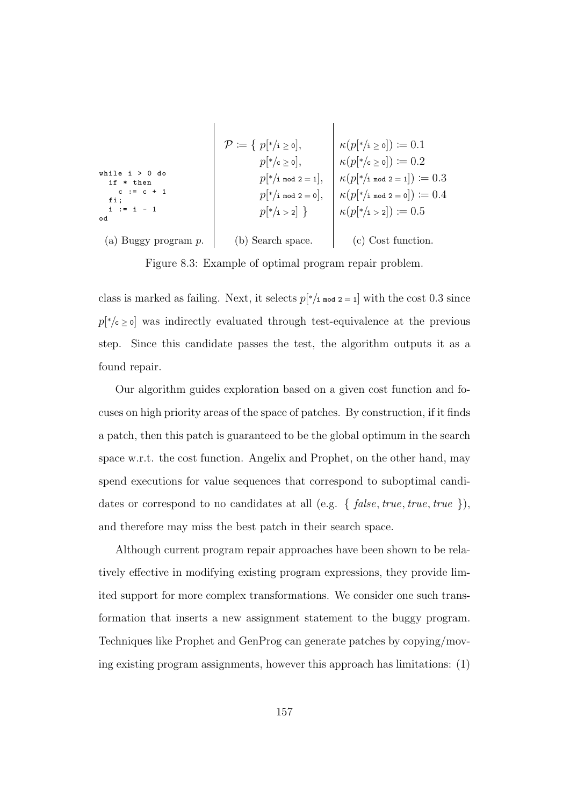<span id="page-169-0"></span>
$$
\mathcal{P} := \{ p[*/i \ge 0], \kappa(p[*/i \ge 0]) := 0.1
$$
\nwhile i > 0 do\n if \* then\n c := c + 1\n f; \n i := i - 1\n }\n end\n (a) Buggy program p. (b) Search space. (c) Cost function.\n
$$
\left.\n\begin{array}{c}\n\mathcal{P} := \{ p[*/i \ge 0], \\
p[*/i \ge 0], \\
p[*/i \ge 0]}, \\
p[*/i \ge 0]\n\end{array}\n\right| \times \left.\n\begin{array}{c}\n\kappa(p[*/i \ge 0]) := 0.1 \\
\kappa(p[*/i \ge 0]) := 0.2 \\
\kappa(p[*/i \ge 0]) := 0.3 \\
\kappa(p[*/i \ge 0]) := 0.3 \\
\kappa(p[*/i \ge 0]) := 0.4\n\end{array}\n\right\}
$$

Figure 8.3: Example of optimal program repair problem.

class is marked as failing. Next, it selects  $p[*/i \mod 2 = 1]$  with the cost 0.3 since  $p[*/\mathsf{c} \geq 0]$  was indirectly evaluated through test-equivalence at the previous step. Since this candidate passes the test, the algorithm outputs it as a found repair.

Our algorithm guides exploration based on a given cost function and focuses on high priority areas of the space of patches. By construction, if it finds a patch, then this patch is guaranteed to be the global optimum in the search space w.r.t. the cost function. Angelix and Prophet, on the other hand, may spend executions for value sequences that correspond to suboptimal candidates or correspond to no candidates at all (e.g.  $\{ \text{ false}, \text{ true}, \text{ true}, \text{ true} \}$ ), and therefore may miss the best patch in their search space.

Although current program repair approaches have been shown to be relatively effective in modifying existing program expressions, they provide limited support for more complex transformations. We consider one such transformation that inserts a new assignment statement to the buggy program. Techniques like Prophet and GenProg can generate patches by copying/moving existing program assignments, however this approach has limitations: (1)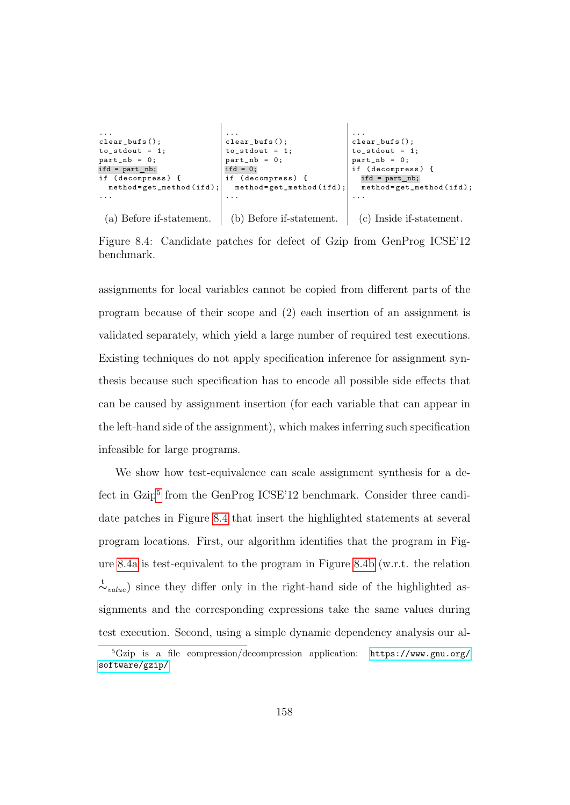<span id="page-170-1"></span>

Figure 8.4: Candidate patches for defect of Gzip from GenProg ICSE'12 benchmark.

assignments for local variables cannot be copied from different parts of the program because of their scope and (2) each insertion of an assignment is validated separately, which yield a large number of required test executions. Existing techniques do not apply specification inference for assignment synthesis because such specification has to encode all possible side effects that can be caused by assignment insertion (for each variable that can appear in the left-hand side of the assignment), which makes inferring such specification infeasible for large programs.

We show how test-equivalence can scale assignment synthesis for a de-fect in Gzip<sup>[5](#page-170-0)</sup> from the GenProg ICSE'12 benchmark. Consider three candidate patches in Figure [8.4](#page-170-1) that insert the highlighted statements at several program locations. First, our algorithm identifies that the program in Figure [8.4a](#page-170-1) is test-equivalent to the program in Figure [8.4b](#page-170-1) (w.r.t. the relation  $\stackrel{\leftarrow}{\sim}_{value}$ ) since they differ only in the right-hand side of the highlighted assignments and the corresponding expressions take the same values during test execution. Second, using a simple dynamic dependency analysis our al-

<span id="page-170-0"></span> ${}^{5}Gzip$  is a file compression/decompression application: [https://www.gnu.org/](https://www.gnu.org/software/gzip/) [software/gzip/](https://www.gnu.org/software/gzip/)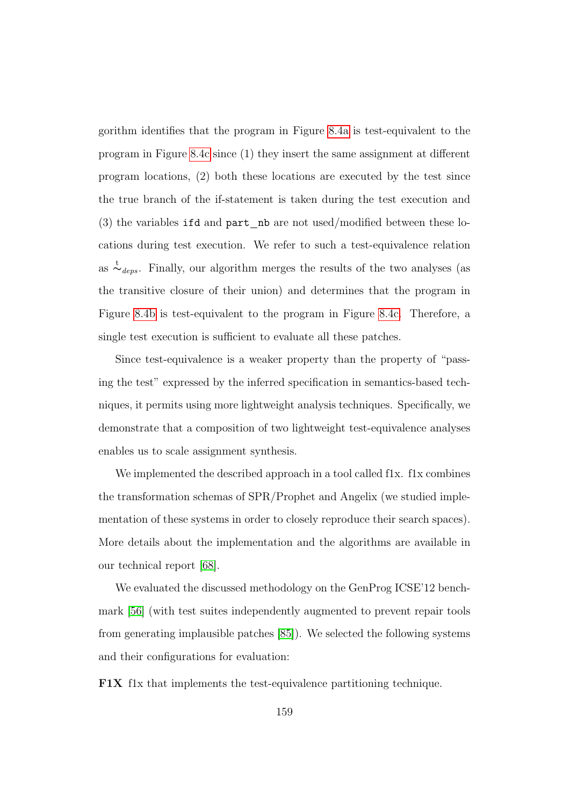gorithm identifies that the program in Figure [8.4a](#page-170-1) is test-equivalent to the program in Figure [8.4c](#page-170-1) since (1) they insert the same assignment at different program locations, (2) both these locations are executed by the test since the true branch of the if-statement is taken during the test execution and (3) the variables ifd and part nb are not used/modified between these locations during test execution. We refer to such a test-equivalence relation as  $\stackrel{t}{\sim}_{deps}$ . Finally, our algorithm merges the results of the two analyses (as the transitive closure of their union) and determines that the program in Figure [8.4b](#page-170-1) is test-equivalent to the program in Figure [8.4c.](#page-170-1) Therefore, a single test execution is sufficient to evaluate all these patches.

Since test-equivalence is a weaker property than the property of "passing the test" expressed by the inferred specification in semantics-based techniques, it permits using more lightweight analysis techniques. Specifically, we demonstrate that a composition of two lightweight test-equivalence analyses enables us to scale assignment synthesis.

We implemented the described approach in a tool called flx. flx combines the transformation schemas of SPR/Prophet and Angelix (we studied implementation of these systems in order to closely reproduce their search spaces). More details about the implementation and the algorithms are available in our technical report [\[68\]](#page-187-3).

We evaluated the discussed methodology on the GenProg ICSE'12 benchmark [\[56\]](#page-185-0) (with test suites independently augmented to prevent repair tools from generating implausible patches [\[85\]](#page-190-0)). We selected the following systems and their configurations for evaluation:

F1X f1x that implements the test-equivalence partitioning technique.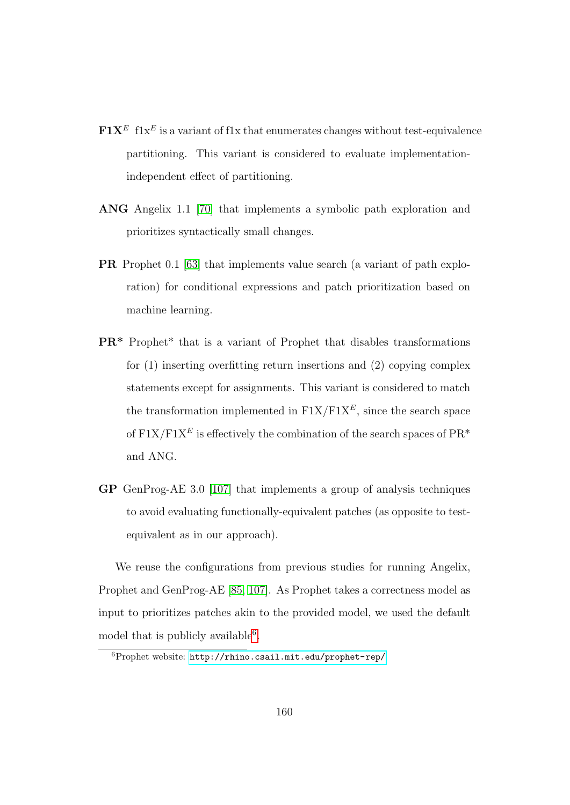- $\mathbf{F1X}^E$  flx<sup>E</sup> is a variant of flx that enumerates changes without test-equivalence partitioning. This variant is considered to evaluate implementationindependent effect of partitioning.
- ANG Angelix 1.1 [\[70\]](#page-187-0) that implements a symbolic path exploration and prioritizes syntactically small changes.
- PR Prophet 0.1 [\[63\]](#page-186-2) that implements value search (a variant of path exploration) for conditional expressions and patch prioritization based on machine learning.
- PR\* Prophet\* that is a variant of Prophet that disables transformations for (1) inserting overfitting return insertions and (2) copying complex statements except for assignments. This variant is considered to match the transformation implemented in  $\text{F1X}/\text{F1X}^E$ , since the search space of  $F1X/F1X^E$  is effectively the combination of the search spaces of  $PR^*$ and ANG.
- GP GenProg-AE 3.0 [\[107\]](#page-193-1) that implements a group of analysis techniques to avoid evaluating functionally-equivalent patches (as opposite to testequivalent as in our approach).

We reuse the configurations from previous studies for running Angelix, Prophet and GenProg-AE [\[85,](#page-190-0) [107\]](#page-193-1). As Prophet takes a correctness model as input to prioritizes patches akin to the provided model, we used the default model that is publicly available<sup>[6](#page-172-0)</sup>.

<span id="page-172-0"></span><sup>6</sup>Prophet website: <http://rhino.csail.mit.edu/prophet-rep/>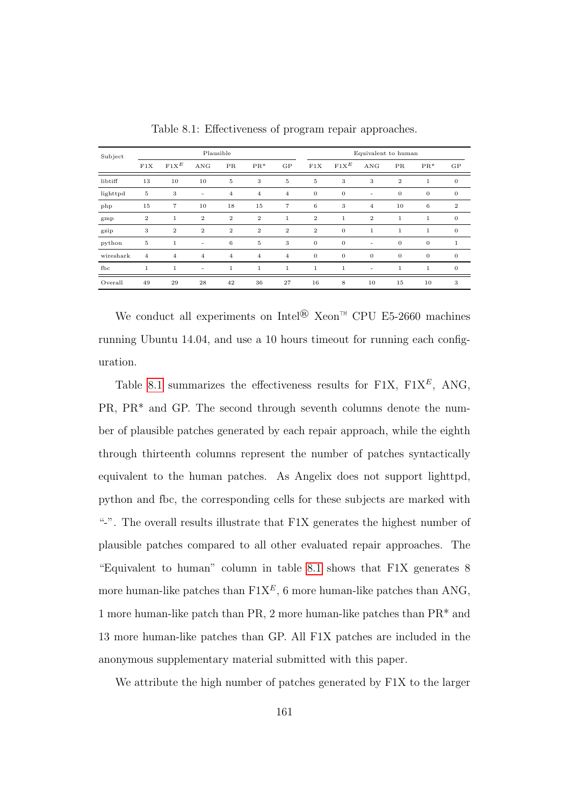<span id="page-173-0"></span>

| Subject   | Plausible      |                |                          |                |                  |                | Equivalent to human |                |                |                |              |                |
|-----------|----------------|----------------|--------------------------|----------------|------------------|----------------|---------------------|----------------|----------------|----------------|--------------|----------------|
|           | F1X            | $F1X^E$        | ANG                      | PR             | $PR*$            | GP             | F1X                 | $F1X^E$        | ANG            | PR.            | $PR*$        | GP             |
| libtiff   | 13             | 10             | 10                       | 5              | 3                | 5              | 5                   | 3              | 3              | $\overline{2}$ | $\mathbf{1}$ | $\overline{0}$ |
| lighttpd  | 5              | 3              | $\overline{\phantom{a}}$ | 4              | $\overline{4}$   | $\overline{4}$ | $\overline{0}$      | $\theta$       | ٠              | $\overline{0}$ | $\mathbf{0}$ | $\mathbf{0}$   |
| php       | 15             | $\overline{7}$ | 10                       | 18             | 15               | $\overline{7}$ | 6                   | 3              | 4              | 10             | 6            | $\overline{2}$ |
| gmp       | $\overline{2}$ | $\mathbf{1}$   | $\overline{2}$           | $\overline{2}$ | $\boldsymbol{2}$ | $\mathbf{1}$   | $\overline{2}$      | $\mathbf{1}$   | $\overline{2}$ | $\mathbf{1}$   | $\mathbf{1}$ | $\theta$       |
| gzip      | 3              | $\overline{2}$ | $\overline{2}$           | $\overline{2}$ | $\mathbf{2}$     | $\overline{2}$ | $\overline{2}$      | $\overline{0}$ | $\mathbf{1}$   | $\mathbf{1}$   | $\mathbf{1}$ | $\theta$       |
| python    | 5              | $\mathbf{1}$   | ٠                        | 6              | $\mathbf 5$      | 3              | $\overline{0}$      | $\overline{0}$ | ٠              | $\theta$       | $\mathbf{0}$ | $\mathbf{1}$   |
| wireshark | $\overline{4}$ | $\overline{4}$ | $\overline{4}$           | $\overline{4}$ | $\overline{4}$   | 4              | $\overline{0}$      | $\theta$       | $\overline{0}$ | $\overline{0}$ | $\mathbf{0}$ | $\mathbf{0}$   |
| fbc       | 1              | $\mathbf{1}$   | ٠                        | $\mathbf{1}$   | $\mathbf{1}$     | 1              | $\mathbf{1}$        | $\mathbf{1}$   |                | 1              | $\mathbf{1}$ | $\theta$       |
| Overall   | 49             | 29             | 28                       | 42             | 36               | 27             | 16                  | 8              | 10             | 15             | 10           | 3              |

Table 8.1: Effectiveness of program repair approaches.

We conduct all experiments on Intel®  $\text{Xeon}^{\text{TM}}$  CPU E5-2660 machines running Ubuntu 14.04, and use a 10 hours timeout for running each configuration.

Table [8.1](#page-173-0) summarizes the effectiveness results for F1X,  $F1X^E$ , ANG, PR, PR\* and GP. The second through seventh columns denote the number of plausible patches generated by each repair approach, while the eighth through thirteenth columns represent the number of patches syntactically equivalent to the human patches. As Angelix does not support lighttpd, python and fbc, the corresponding cells for these subjects are marked with "-". The overall results illustrate that F1X generates the highest number of plausible patches compared to all other evaluated repair approaches. The "Equivalent to human" column in table [8.1](#page-173-0) shows that F1X generates 8 more human-like patches than  $F1X^E$ , 6 more human-like patches than ANG, 1 more human-like patch than PR, 2 more human-like patches than PR\* and 13 more human-like patches than GP. All F1X patches are included in the anonymous supplementary material submitted with this paper.

We attribute the high number of patches generated by F1X to the larger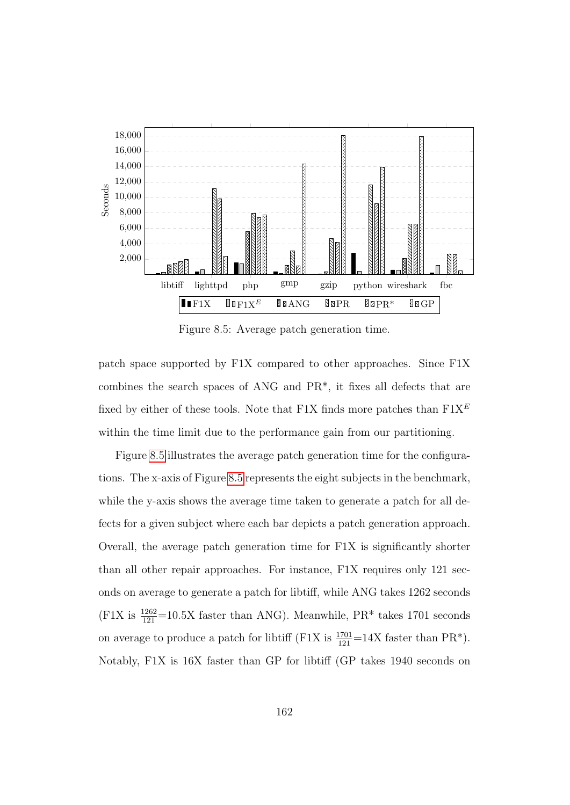<span id="page-174-0"></span>

Figure 8.5: Average patch generation time.

patch space supported by F1X compared to other approaches. Since F1X combines the search spaces of ANG and PR\*, it fixes all defects that are fixed by either of these tools. Note that F1X finds more patches than  $F1X^E$ within the time limit due to the performance gain from our partitioning.

Figure [8.5](#page-174-0) illustrates the average patch generation time for the configurations. The x-axis of Figure [8.5](#page-174-0) represents the eight subjects in the benchmark, while the y-axis shows the average time taken to generate a patch for all defects for a given subject where each bar depicts a patch generation approach. Overall, the average patch generation time for F1X is significantly shorter than all other repair approaches. For instance, F1X requires only 121 seconds on average to generate a patch for libtiff, while ANG takes 1262 seconds  $(F1X)$  is  $\frac{1262}{121}$ =10.5X faster than ANG). Meanwhile, PR<sup>\*</sup> takes 1701 seconds on average to produce a patch for libtiff (F1X is  $\frac{1701}{121}$ =14X faster than PR<sup>\*</sup>). Notably, F1X is 16X faster than GP for libtiff (GP takes 1940 seconds on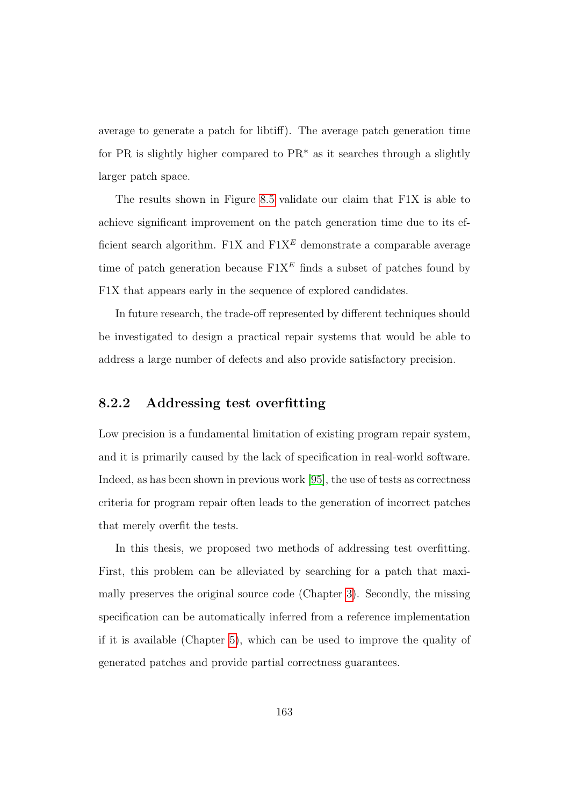average to generate a patch for libtiff). The average patch generation time for PR is slightly higher compared to  $PR^*$  as it searches through a slightly larger patch space.

The results shown in Figure [8.5](#page-174-0) validate our claim that F1X is able to achieve significant improvement on the patch generation time due to its efficient search algorithm. F1X and  $F1X^E$  demonstrate a comparable average time of patch generation because  $F1X^E$  finds a subset of patches found by F1X that appears early in the sequence of explored candidates.

In future research, the trade-off represented by different techniques should be investigated to design a practical repair systems that would be able to address a large number of defects and also provide satisfactory precision.

#### 8.2.2 Addressing test overfitting

Low precision is a fundamental limitation of existing program repair system, and it is primarily caused by the lack of specification in real-world software. Indeed, as has been shown in previous work [\[95\]](#page-191-0), the use of tests as correctness criteria for program repair often leads to the generation of incorrect patches that merely overfit the tests.

In this thesis, we proposed two methods of addressing test overfitting. First, this problem can be alleviated by searching for a patch that maximally preserves the original source code (Chapter [3\)](#page-40-0). Secondly, the missing specification can be automatically inferred from a reference implementation if it is available (Chapter [5\)](#page-96-0), which can be used to improve the quality of generated patches and provide partial correctness guarantees.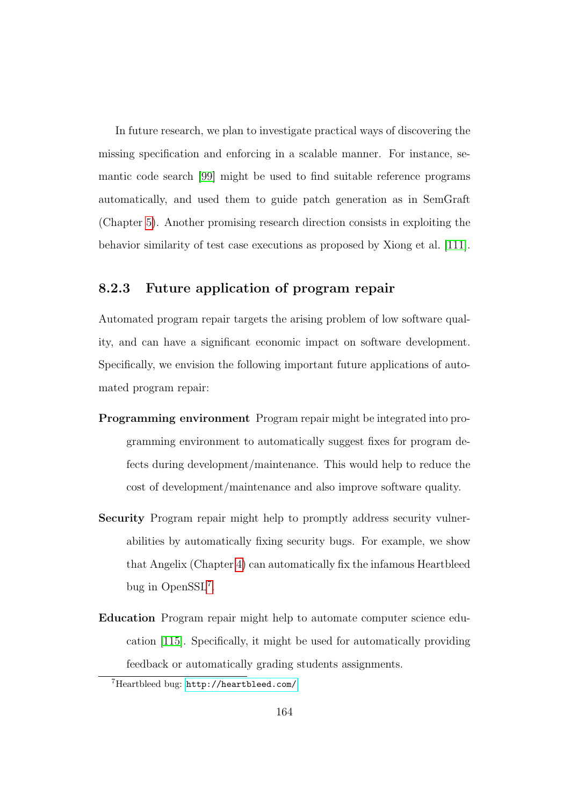In future research, we plan to investigate practical ways of discovering the missing specification and enforcing in a scalable manner. For instance, semantic code search [\[99\]](#page-192-2) might be used to find suitable reference programs automatically, and used them to guide patch generation as in SemGraft (Chapter [5\)](#page-96-0). Another promising research direction consists in exploiting the behavior similarity of test case executions as proposed by Xiong et al. [\[111\]](#page-194-5).

#### 8.2.3 Future application of program repair

Automated program repair targets the arising problem of low software quality, and can have a significant economic impact on software development. Specifically, we envision the following important future applications of automated program repair:

- Programming environment Program repair might be integrated into programming environment to automatically suggest fixes for program defects during development/maintenance. This would help to reduce the cost of development/maintenance and also improve software quality.
- Security Program repair might help to promptly address security vulnerabilities by automatically fixing security bugs. For example, we show that Angelix (Chapter [4\)](#page-70-0) can automatically fix the infamous Heartbleed bug in OpenSSL[7](#page-176-0) .
- Education Program repair might help to automate computer science education [\[115\]](#page-194-6). Specifically, it might be used for automatically providing feedback or automatically grading students assignments.

<span id="page-176-0"></span><sup>7</sup>Heartbleed bug: <http://heartbleed.com/>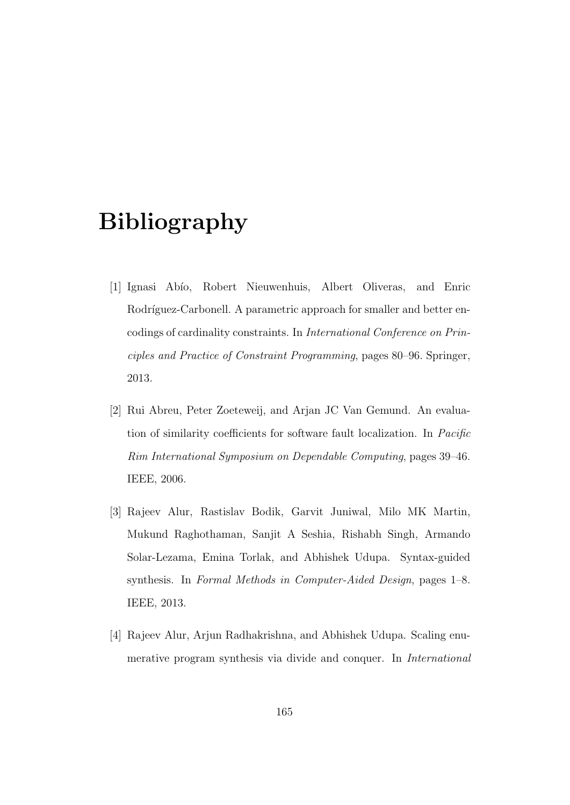## Bibliography

- [1] Ignasi Abío, Robert Nieuwenhuis, Albert Oliveras, and Enric Rodríguez-Carbonell. A parametric approach for smaller and better encodings of cardinality constraints. In International Conference on Principles and Practice of Constraint Programming, pages 80–96. Springer, 2013.
- [2] Rui Abreu, Peter Zoeteweij, and Arjan JC Van Gemund. An evaluation of similarity coefficients for software fault localization. In Pacific Rim International Symposium on Dependable Computing, pages 39–46. IEEE, 2006.
- <span id="page-177-0"></span>[3] Rajeev Alur, Rastislav Bodik, Garvit Juniwal, Milo MK Martin, Mukund Raghothaman, Sanjit A Seshia, Rishabh Singh, Armando Solar-Lezama, Emina Torlak, and Abhishek Udupa. Syntax-guided synthesis. In Formal Methods in Computer-Aided Design, pages 1–8. IEEE, 2013.
- <span id="page-177-1"></span>[4] Rajeev Alur, Arjun Radhakrishna, and Abhishek Udupa. Scaling enumerative program synthesis via divide and conquer. In International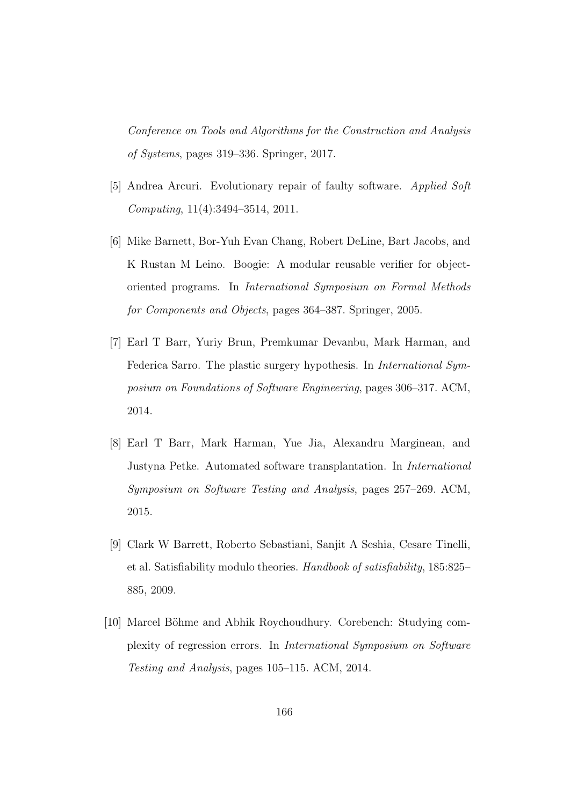Conference on Tools and Algorithms for the Construction and Analysis of Systems, pages 319–336. Springer, 2017.

- <span id="page-178-0"></span>[5] Andrea Arcuri. Evolutionary repair of faulty software. Applied Soft Computing, 11(4):3494–3514, 2011.
- [6] Mike Barnett, Bor-Yuh Evan Chang, Robert DeLine, Bart Jacobs, and K Rustan M Leino. Boogie: A modular reusable verifier for objectoriented programs. In International Symposium on Formal Methods for Components and Objects, pages 364–387. Springer, 2005.
- <span id="page-178-1"></span>[7] Earl T Barr, Yuriy Brun, Premkumar Devanbu, Mark Harman, and Federica Sarro. The plastic surgery hypothesis. In International Symposium on Foundations of Software Engineering, pages 306–317. ACM, 2014.
- <span id="page-178-2"></span>[8] Earl T Barr, Mark Harman, Yue Jia, Alexandru Marginean, and Justyna Petke. Automated software transplantation. In International Symposium on Software Testing and Analysis, pages 257–269. ACM, 2015.
- [9] Clark W Barrett, Roberto Sebastiani, Sanjit A Seshia, Cesare Tinelli, et al. Satisfiability modulo theories. Handbook of satisfiability, 185:825– 885, 2009.
- [10] Marcel Böhme and Abhik Roychoudhury. Corebench: Studying complexity of regression errors. In International Symposium on Software Testing and Analysis, pages 105–115. ACM, 2014.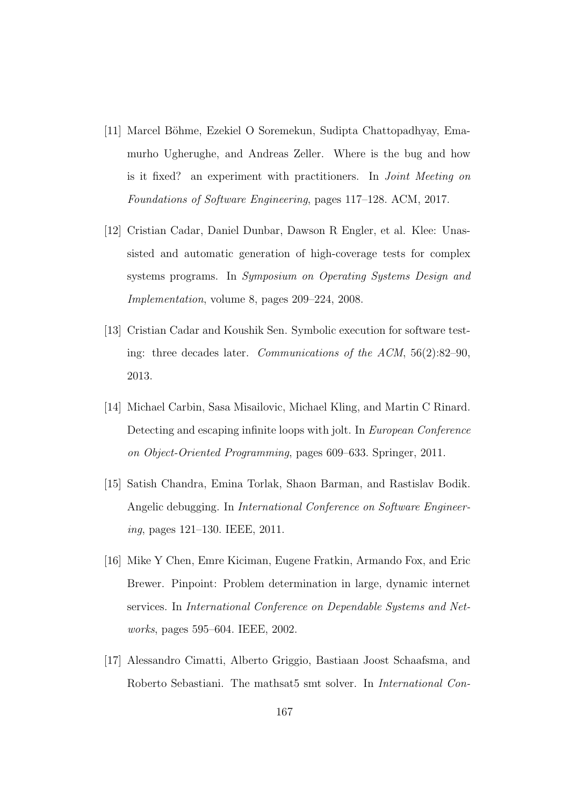- [11] Marcel Böhme, Ezekiel O Soremekun, Sudipta Chattopadhyay, Emamurho Ugherughe, and Andreas Zeller. Where is the bug and how is it fixed? an experiment with practitioners. In *Joint Meeting on* Foundations of Software Engineering, pages 117–128. ACM, 2017.
- [12] Cristian Cadar, Daniel Dunbar, Dawson R Engler, et al. Klee: Unassisted and automatic generation of high-coverage tests for complex systems programs. In Symposium on Operating Systems Design and Implementation, volume 8, pages 209–224, 2008.
- <span id="page-179-2"></span>[13] Cristian Cadar and Koushik Sen. Symbolic execution for software testing: three decades later. Communications of the ACM, 56(2):82–90, 2013.
- <span id="page-179-0"></span>[14] Michael Carbin, Sasa Misailovic, Michael Kling, and Martin C Rinard. Detecting and escaping infinite loops with jolt. In European Conference on Object-Oriented Programming, pages 609–633. Springer, 2011.
- <span id="page-179-1"></span>[15] Satish Chandra, Emina Torlak, Shaon Barman, and Rastislav Bodik. Angelic debugging. In International Conference on Software Engineering, pages 121–130. IEEE, 2011.
- [16] Mike Y Chen, Emre Kiciman, Eugene Fratkin, Armando Fox, and Eric Brewer. Pinpoint: Problem determination in large, dynamic internet services. In International Conference on Dependable Systems and Networks, pages 595–604. IEEE, 2002.
- [17] Alessandro Cimatti, Alberto Griggio, Bastiaan Joost Schaafsma, and Roberto Sebastiani. The mathsat5 smt solver. In International Con-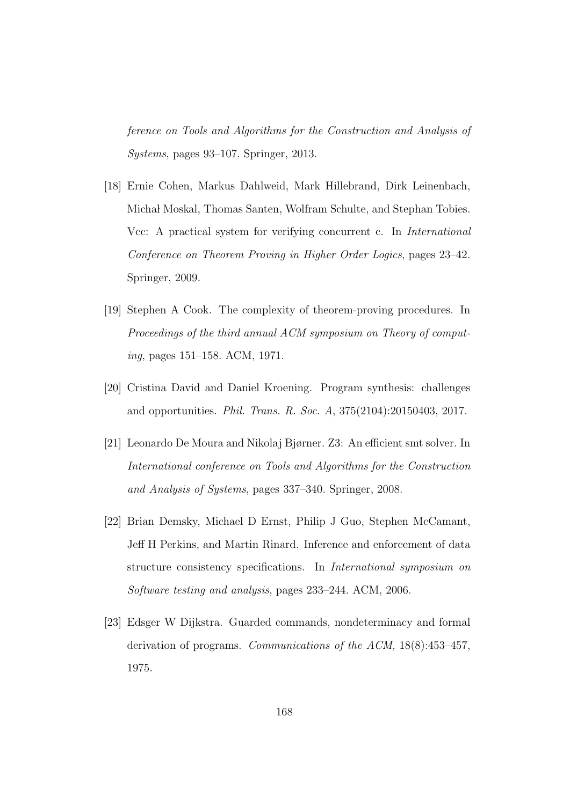ference on Tools and Algorithms for the Construction and Analysis of Systems, pages 93–107. Springer, 2013.

- [18] Ernie Cohen, Markus Dahlweid, Mark Hillebrand, Dirk Leinenbach, Michał Moskal, Thomas Santen, Wolfram Schulte, and Stephan Tobies. Vcc: A practical system for verifying concurrent c. In *International* Conference on Theorem Proving in Higher Order Logics, pages 23–42. Springer, 2009.
- [19] Stephen A Cook. The complexity of theorem-proving procedures. In Proceedings of the third annual ACM symposium on Theory of computing, pages 151–158. ACM, 1971.
- [20] Cristina David and Daniel Kroening. Program synthesis: challenges and opportunities. Phil. Trans. R. Soc. A, 375(2104):20150403, 2017.
- [21] Leonardo De Moura and Nikolaj Bjørner. Z3: An efficient smt solver. In International conference on Tools and Algorithms for the Construction and Analysis of Systems, pages 337–340. Springer, 2008.
- [22] Brian Demsky, Michael D Ernst, Philip J Guo, Stephen McCamant, Jeff H Perkins, and Martin Rinard. Inference and enforcement of data structure consistency specifications. In International symposium on Software testing and analysis, pages 233–244. ACM, 2006.
- [23] Edsger W Dijkstra. Guarded commands, nondeterminacy and formal derivation of programs. Communications of the ACM, 18(8):453–457, 1975.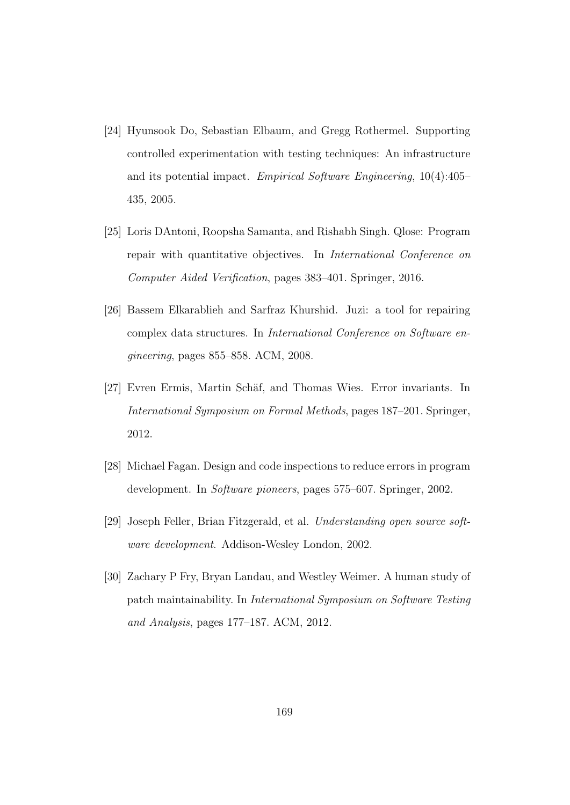- [24] Hyunsook Do, Sebastian Elbaum, and Gregg Rothermel. Supporting controlled experimentation with testing techniques: An infrastructure and its potential impact. Empirical Software Engineering, 10(4):405– 435, 2005.
- [25] Loris DAntoni, Roopsha Samanta, and Rishabh Singh. Qlose: Program repair with quantitative objectives. In International Conference on Computer Aided Verification, pages 383–401. Springer, 2016.
- [26] Bassem Elkarablieh and Sarfraz Khurshid. Juzi: a tool for repairing complex data structures. In International Conference on Software engineering, pages 855–858. ACM, 2008.
- [27] Evren Ermis, Martin Schäf, and Thomas Wies. Error invariants. In International Symposium on Formal Methods, pages 187–201. Springer, 2012.
- [28] Michael Fagan. Design and code inspections to reduce errors in program development. In Software pioneers, pages 575–607. Springer, 2002.
- [29] Joseph Feller, Brian Fitzgerald, et al. Understanding open source software development. Addison-Wesley London, 2002.
- [30] Zachary P Fry, Bryan Landau, and Westley Weimer. A human study of patch maintainability. In International Symposium on Software Testing and Analysis, pages 177–187. ACM, 2012.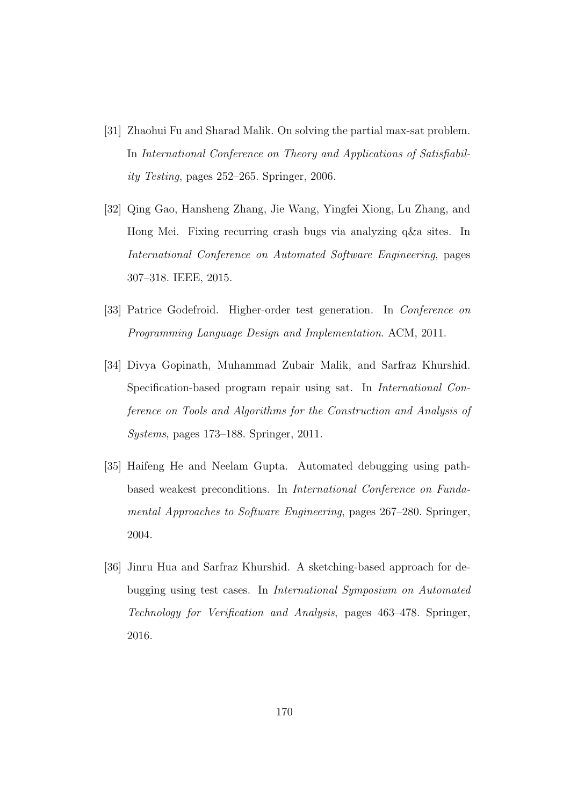- [31] Zhaohui Fu and Sharad Malik. On solving the partial max-sat problem. In International Conference on Theory and Applications of Satisfiability Testing, pages 252–265. Springer, 2006.
- [32] Qing Gao, Hansheng Zhang, Jie Wang, Yingfei Xiong, Lu Zhang, and Hong Mei. Fixing recurring crash bugs via analyzing q&a sites. In International Conference on Automated Software Engineering, pages 307–318. IEEE, 2015.
- [33] Patrice Godefroid. Higher-order test generation. In *Conference on* Programming Language Design and Implementation. ACM, 2011.
- [34] Divya Gopinath, Muhammad Zubair Malik, and Sarfraz Khurshid. Specification-based program repair using sat. In International Conference on Tools and Algorithms for the Construction and Analysis of Systems, pages 173–188. Springer, 2011.
- [35] Haifeng He and Neelam Gupta. Automated debugging using pathbased weakest preconditions. In International Conference on Fundamental Approaches to Software Engineering, pages 267–280. Springer, 2004.
- [36] Jinru Hua and Sarfraz Khurshid. A sketching-based approach for debugging using test cases. In International Symposium on Automated Technology for Verification and Analysis, pages 463–478. Springer, 2016.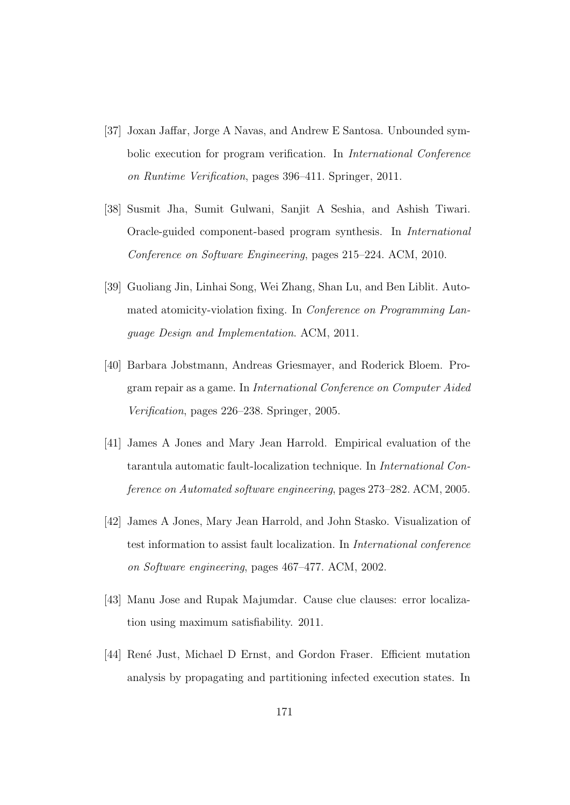- [37] Joxan Jaffar, Jorge A Navas, and Andrew E Santosa. Unbounded symbolic execution for program verification. In *International Conference* on Runtime Verification, pages 396–411. Springer, 2011.
- [38] Susmit Jha, Sumit Gulwani, Sanjit A Seshia, and Ashish Tiwari. Oracle-guided component-based program synthesis. In International Conference on Software Engineering, pages 215–224. ACM, 2010.
- [39] Guoliang Jin, Linhai Song, Wei Zhang, Shan Lu, and Ben Liblit. Automated atomicity-violation fixing. In Conference on Programming Language Design and Implementation. ACM, 2011.
- [40] Barbara Jobstmann, Andreas Griesmayer, and Roderick Bloem. Program repair as a game. In International Conference on Computer Aided Verification, pages 226–238. Springer, 2005.
- [41] James A Jones and Mary Jean Harrold. Empirical evaluation of the tarantula automatic fault-localization technique. In International Conference on Automated software engineering, pages 273–282. ACM, 2005.
- [42] James A Jones, Mary Jean Harrold, and John Stasko. Visualization of test information to assist fault localization. In International conference on Software engineering, pages 467–477. ACM, 2002.
- [43] Manu Jose and Rupak Majumdar. Cause clue clauses: error localization using maximum satisfiability. 2011.
- [44] René Just, Michael D Ernst, and Gordon Fraser. Efficient mutation analysis by propagating and partitioning infected execution states. In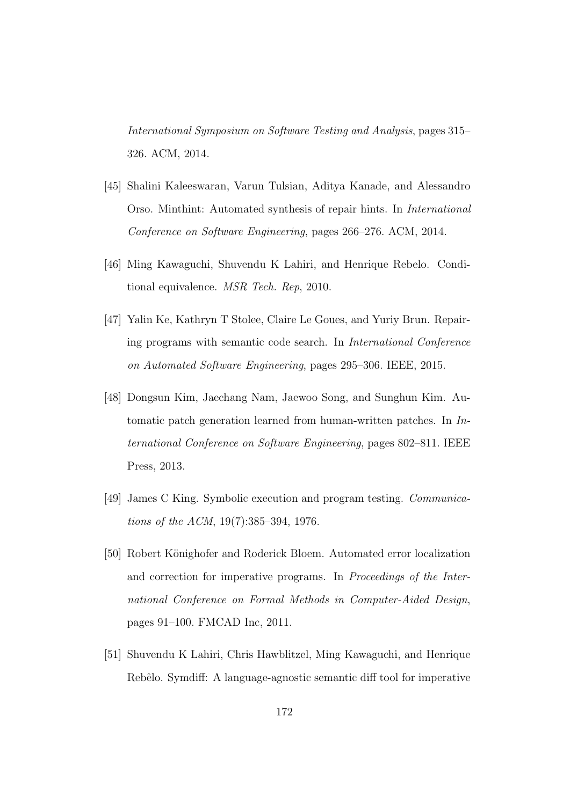International Symposium on Software Testing and Analysis, pages 315– 326. ACM, 2014.

- [45] Shalini Kaleeswaran, Varun Tulsian, Aditya Kanade, and Alessandro Orso. Minthint: Automated synthesis of repair hints. In International Conference on Software Engineering, pages 266–276. ACM, 2014.
- [46] Ming Kawaguchi, Shuvendu K Lahiri, and Henrique Rebelo. Conditional equivalence. MSR Tech. Rep, 2010.
- [47] Yalin Ke, Kathryn T Stolee, Claire Le Goues, and Yuriy Brun. Repairing programs with semantic code search. In International Conference on Automated Software Engineering, pages 295–306. IEEE, 2015.
- [48] Dongsun Kim, Jaechang Nam, Jaewoo Song, and Sunghun Kim. Automatic patch generation learned from human-written patches. In International Conference on Software Engineering, pages 802–811. IEEE Press, 2013.
- [49] James C King. Symbolic execution and program testing. Communications of the ACM, 19(7):385–394, 1976.
- [50] Robert Könighofer and Roderick Bloem. Automated error localization and correction for imperative programs. In Proceedings of the International Conference on Formal Methods in Computer-Aided Design, pages 91–100. FMCAD Inc, 2011.
- [51] Shuvendu K Lahiri, Chris Hawblitzel, Ming Kawaguchi, and Henrique Rebêlo. Symdiff: A language-agnostic semantic diff tool for imperative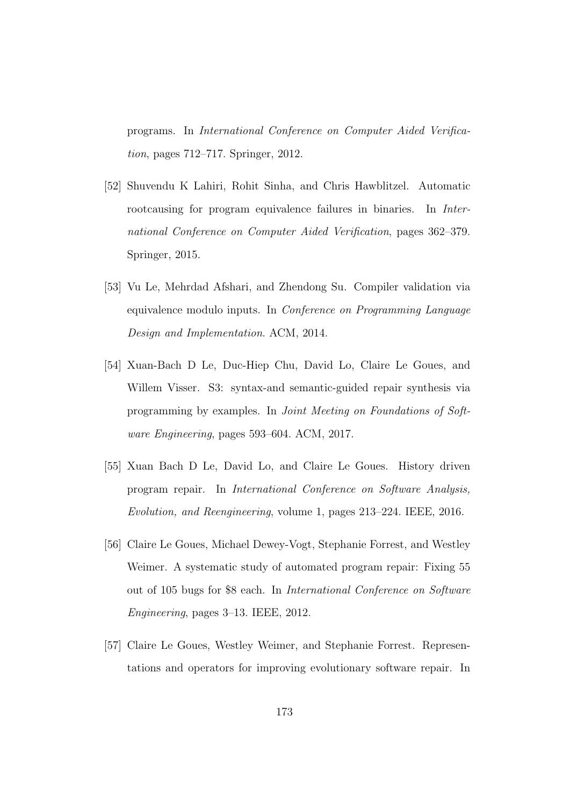programs. In International Conference on Computer Aided Verification, pages 712–717. Springer, 2012.

- [52] Shuvendu K Lahiri, Rohit Sinha, and Chris Hawblitzel. Automatic rootcausing for program equivalence failures in binaries. In *Inter*national Conference on Computer Aided Verification, pages 362–379. Springer, 2015.
- [53] Vu Le, Mehrdad Afshari, and Zhendong Su. Compiler validation via equivalence modulo inputs. In Conference on Programming Language Design and Implementation. ACM, 2014.
- [54] Xuan-Bach D Le, Duc-Hiep Chu, David Lo, Claire Le Goues, and Willem Visser. S3: syntax-and semantic-guided repair synthesis via programming by examples. In Joint Meeting on Foundations of Software Engineering, pages 593–604. ACM, 2017.
- [55] Xuan Bach D Le, David Lo, and Claire Le Goues. History driven program repair. In International Conference on Software Analysis, Evolution, and Reengineering, volume 1, pages 213–224. IEEE, 2016.
- [56] Claire Le Goues, Michael Dewey-Vogt, Stephanie Forrest, and Westley Weimer. A systematic study of automated program repair: Fixing 55 out of 105 bugs for \$8 each. In International Conference on Software Engineering, pages 3–13. IEEE, 2012.
- [57] Claire Le Goues, Westley Weimer, and Stephanie Forrest. Representations and operators for improving evolutionary software repair. In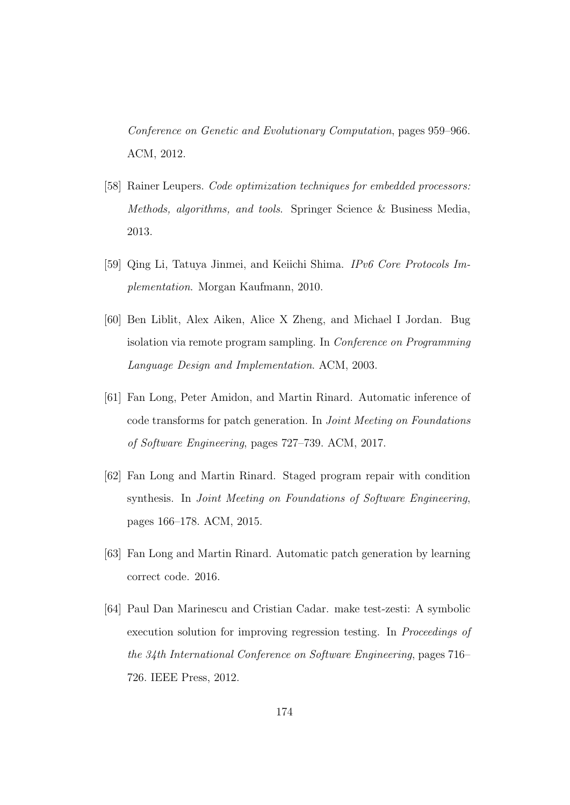Conference on Genetic and Evolutionary Computation, pages 959–966. ACM, 2012.

- [58] Rainer Leupers. Code optimization techniques for embedded processors: Methods, algorithms, and tools. Springer Science & Business Media, 2013.
- [59] Qing Li, Tatuya Jinmei, and Keiichi Shima. IPv6 Core Protocols Implementation. Morgan Kaufmann, 2010.
- [60] Ben Liblit, Alex Aiken, Alice X Zheng, and Michael I Jordan. Bug isolation via remote program sampling. In Conference on Programming Language Design and Implementation. ACM, 2003.
- [61] Fan Long, Peter Amidon, and Martin Rinard. Automatic inference of code transforms for patch generation. In Joint Meeting on Foundations of Software Engineering, pages 727–739. ACM, 2017.
- [62] Fan Long and Martin Rinard. Staged program repair with condition synthesis. In Joint Meeting on Foundations of Software Engineering, pages 166–178. ACM, 2015.
- [63] Fan Long and Martin Rinard. Automatic patch generation by learning correct code. 2016.
- [64] Paul Dan Marinescu and Cristian Cadar. make test-zesti: A symbolic execution solution for improving regression testing. In Proceedings of the 34th International Conference on Software Engineering, pages 716– 726. IEEE Press, 2012.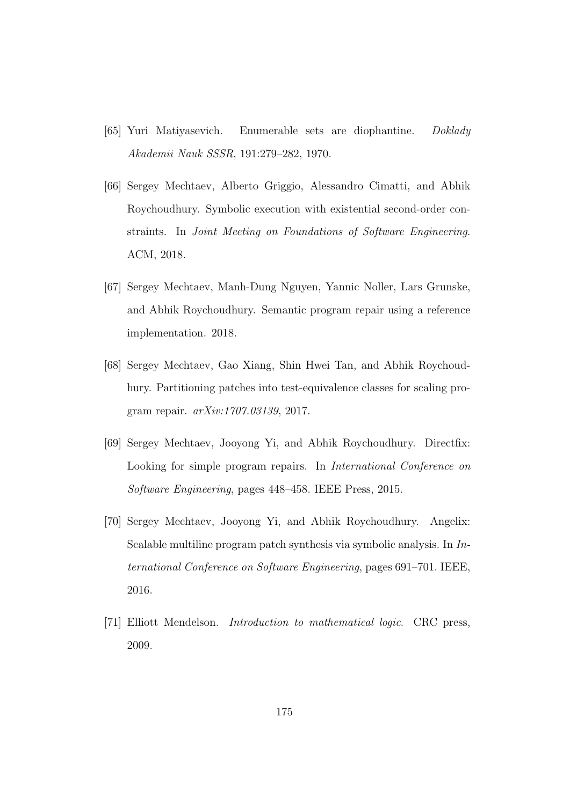- [65] Yuri Matiyasevich. Enumerable sets are diophantine. Doklady Akademii Nauk SSSR, 191:279–282, 1970.
- [66] Sergey Mechtaev, Alberto Griggio, Alessandro Cimatti, and Abhik Roychoudhury. Symbolic execution with existential second-order constraints. In Joint Meeting on Foundations of Software Engineering. ACM, 2018.
- [67] Sergey Mechtaev, Manh-Dung Nguyen, Yannic Noller, Lars Grunske, and Abhik Roychoudhury. Semantic program repair using a reference implementation. 2018.
- [68] Sergey Mechtaev, Gao Xiang, Shin Hwei Tan, and Abhik Roychoudhury. Partitioning patches into test-equivalence classes for scaling program repair. arXiv:1707.03139, 2017.
- [69] Sergey Mechtaev, Jooyong Yi, and Abhik Roychoudhury. Directfix: Looking for simple program repairs. In International Conference on Software Engineering, pages 448–458. IEEE Press, 2015.
- [70] Sergey Mechtaev, Jooyong Yi, and Abhik Roychoudhury. Angelix: Scalable multiline program patch synthesis via symbolic analysis. In International Conference on Software Engineering, pages 691–701. IEEE, 2016.
- [71] Elliott Mendelson. Introduction to mathematical logic. CRC press, 2009.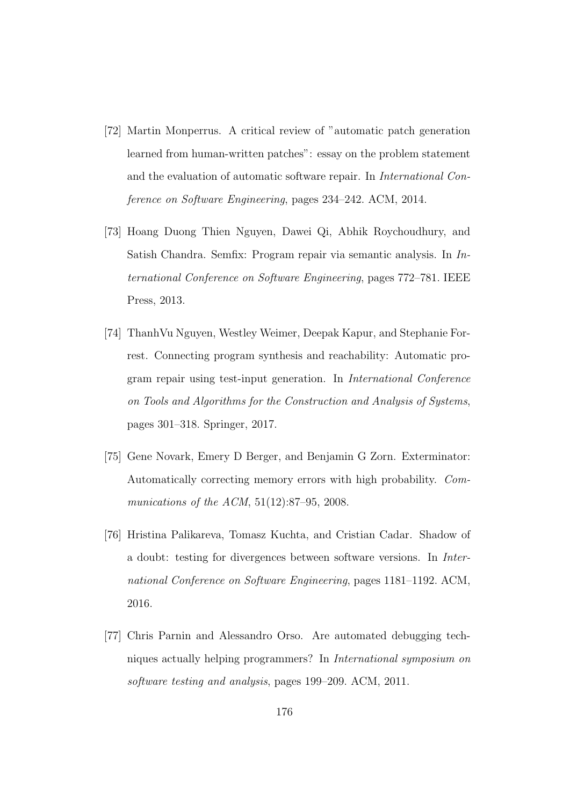- [72] Martin Monperrus. A critical review of "automatic patch generation learned from human-written patches": essay on the problem statement and the evaluation of automatic software repair. In International Conference on Software Engineering, pages 234–242. ACM, 2014.
- [73] Hoang Duong Thien Nguyen, Dawei Qi, Abhik Roychoudhury, and Satish Chandra. Semfix: Program repair via semantic analysis. In International Conference on Software Engineering, pages 772–781. IEEE Press, 2013.
- [74] ThanhVu Nguyen, Westley Weimer, Deepak Kapur, and Stephanie Forrest. Connecting program synthesis and reachability: Automatic program repair using test-input generation. In International Conference on Tools and Algorithms for the Construction and Analysis of Systems, pages 301–318. Springer, 2017.
- [75] Gene Novark, Emery D Berger, and Benjamin G Zorn. Exterminator: Automatically correcting memory errors with high probability. Communications of the ACM, 51(12):87–95, 2008.
- [76] Hristina Palikareva, Tomasz Kuchta, and Cristian Cadar. Shadow of a doubt: testing for divergences between software versions. In International Conference on Software Engineering, pages 1181–1192. ACM, 2016.
- [77] Chris Parnin and Alessandro Orso. Are automated debugging techniques actually helping programmers? In International symposium on software testing and analysis, pages 199–209. ACM, 2011.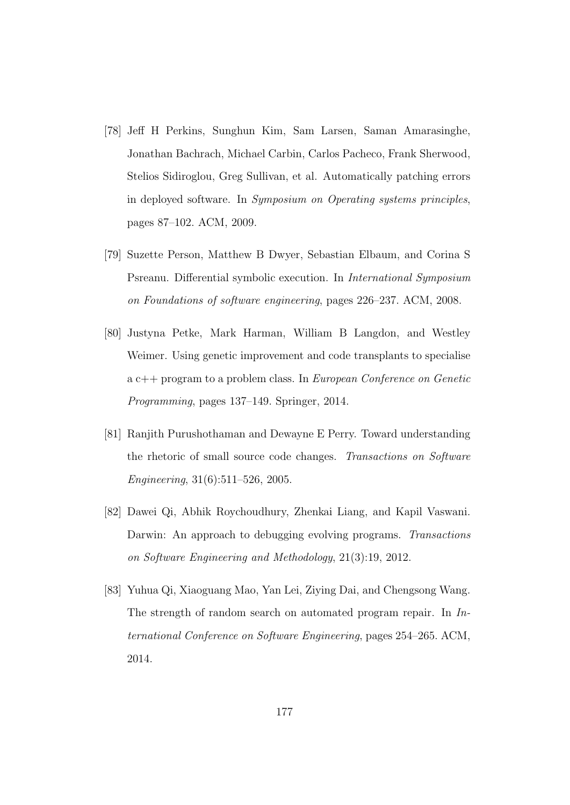- [78] Jeff H Perkins, Sunghun Kim, Sam Larsen, Saman Amarasinghe, Jonathan Bachrach, Michael Carbin, Carlos Pacheco, Frank Sherwood, Stelios Sidiroglou, Greg Sullivan, et al. Automatically patching errors in deployed software. In Symposium on Operating systems principles, pages 87–102. ACM, 2009.
- [79] Suzette Person, Matthew B Dwyer, Sebastian Elbaum, and Corina S Psreanu. Differential symbolic execution. In International Symposium on Foundations of software engineering, pages 226–237. ACM, 2008.
- [80] Justyna Petke, Mark Harman, William B Langdon, and Westley Weimer. Using genetic improvement and code transplants to specialise a c++ program to a problem class. In European Conference on Genetic Programming, pages 137–149. Springer, 2014.
- [81] Ranjith Purushothaman and Dewayne E Perry. Toward understanding the rhetoric of small source code changes. Transactions on Software Engineering, 31(6):511–526, 2005.
- [82] Dawei Qi, Abhik Roychoudhury, Zhenkai Liang, and Kapil Vaswani. Darwin: An approach to debugging evolving programs. Transactions on Software Engineering and Methodology, 21(3):19, 2012.
- [83] Yuhua Qi, Xiaoguang Mao, Yan Lei, Ziying Dai, and Chengsong Wang. The strength of random search on automated program repair. In International Conference on Software Engineering, pages 254–265. ACM, 2014.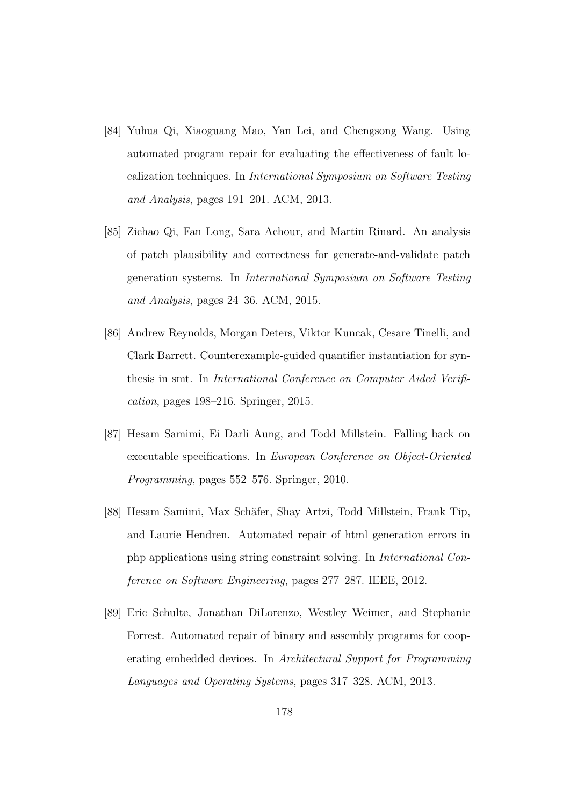- [84] Yuhua Qi, Xiaoguang Mao, Yan Lei, and Chengsong Wang. Using automated program repair for evaluating the effectiveness of fault localization techniques. In International Symposium on Software Testing and Analysis, pages 191–201. ACM, 2013.
- [85] Zichao Qi, Fan Long, Sara Achour, and Martin Rinard. An analysis of patch plausibility and correctness for generate-and-validate patch generation systems. In International Symposium on Software Testing and Analysis, pages 24–36. ACM, 2015.
- [86] Andrew Reynolds, Morgan Deters, Viktor Kuncak, Cesare Tinelli, and Clark Barrett. Counterexample-guided quantifier instantiation for synthesis in smt. In International Conference on Computer Aided Verification, pages 198–216. Springer, 2015.
- [87] Hesam Samimi, Ei Darli Aung, and Todd Millstein. Falling back on executable specifications. In European Conference on Object-Oriented Programming, pages 552–576. Springer, 2010.
- [88] Hesam Samimi, Max Schäfer, Shay Artzi, Todd Millstein, Frank Tip, and Laurie Hendren. Automated repair of html generation errors in php applications using string constraint solving. In International Conference on Software Engineering, pages 277–287. IEEE, 2012.
- [89] Eric Schulte, Jonathan DiLorenzo, Westley Weimer, and Stephanie Forrest. Automated repair of binary and assembly programs for cooperating embedded devices. In Architectural Support for Programming Languages and Operating Systems, pages 317–328. ACM, 2013.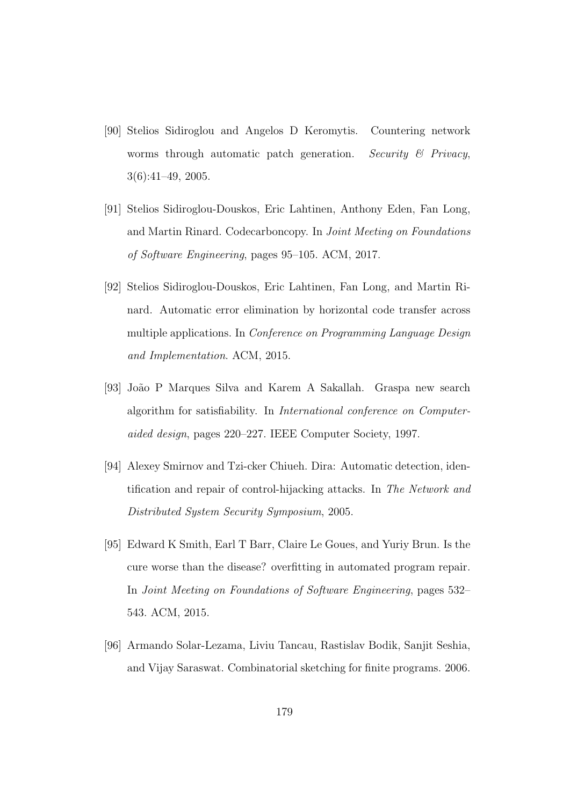- [90] Stelios Sidiroglou and Angelos D Keromytis. Countering network worms through automatic patch generation. Security  $\mathcal B$  Privacy, 3(6):41–49, 2005.
- [91] Stelios Sidiroglou-Douskos, Eric Lahtinen, Anthony Eden, Fan Long, and Martin Rinard. Codecarboncopy. In Joint Meeting on Foundations of Software Engineering, pages 95–105. ACM, 2017.
- [92] Stelios Sidiroglou-Douskos, Eric Lahtinen, Fan Long, and Martin Rinard. Automatic error elimination by horizontal code transfer across multiple applications. In Conference on Programming Language Design and Implementation. ACM, 2015.
- [93] Jo˜ao P Marques Silva and Karem A Sakallah. Graspa new search algorithm for satisfiability. In International conference on Computeraided design, pages 220–227. IEEE Computer Society, 1997.
- [94] Alexey Smirnov and Tzi-cker Chiueh. Dira: Automatic detection, identification and repair of control-hijacking attacks. In The Network and Distributed System Security Symposium, 2005.
- [95] Edward K Smith, Earl T Barr, Claire Le Goues, and Yuriy Brun. Is the cure worse than the disease? overfitting in automated program repair. In Joint Meeting on Foundations of Software Engineering, pages 532– 543. ACM, 2015.
- [96] Armando Solar-Lezama, Liviu Tancau, Rastislav Bodik, Sanjit Seshia, and Vijay Saraswat. Combinatorial sketching for finite programs. 2006.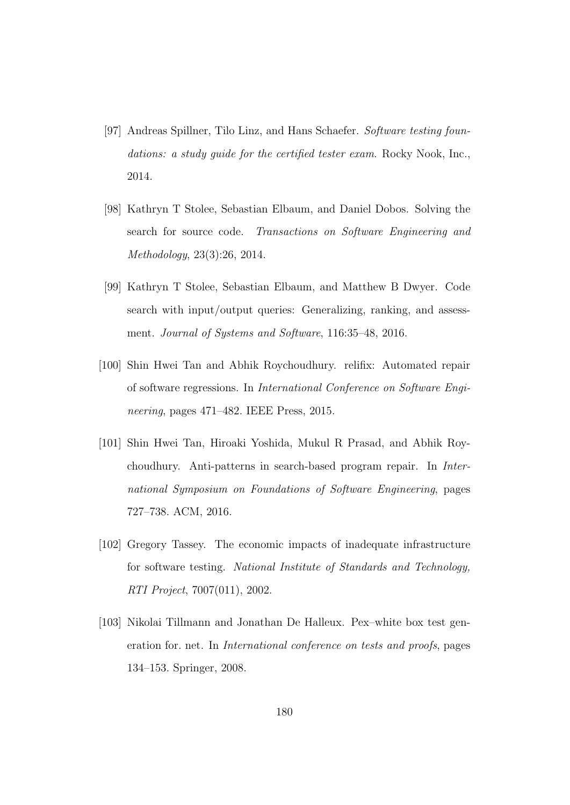- [97] Andreas Spillner, Tilo Linz, and Hans Schaefer. Software testing foundations: a study quide for the certified tester exam. Rocky Nook, Inc., 2014.
- [98] Kathryn T Stolee, Sebastian Elbaum, and Daniel Dobos. Solving the search for source code. Transactions on Software Engineering and Methodology, 23(3):26, 2014.
- [99] Kathryn T Stolee, Sebastian Elbaum, and Matthew B Dwyer. Code search with input/output queries: Generalizing, ranking, and assessment. Journal of Systems and Software, 116:35–48, 2016.
- [100] Shin Hwei Tan and Abhik Roychoudhury. relifix: Automated repair of software regressions. In International Conference on Software Engineering, pages 471–482. IEEE Press, 2015.
- [101] Shin Hwei Tan, Hiroaki Yoshida, Mukul R Prasad, and Abhik Roychoudhury. Anti-patterns in search-based program repair. In International Symposium on Foundations of Software Engineering, pages 727–738. ACM, 2016.
- [102] Gregory Tassey. The economic impacts of inadequate infrastructure for software testing. National Institute of Standards and Technology, RTI Project, 7007(011), 2002.
- [103] Nikolai Tillmann and Jonathan De Halleux. Pex–white box test generation for. net. In International conference on tests and proofs, pages 134–153. Springer, 2008.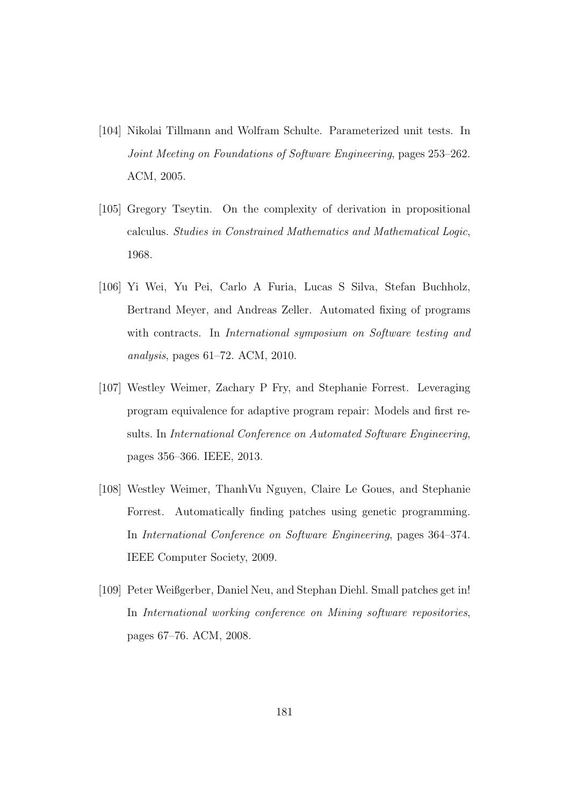- [104] Nikolai Tillmann and Wolfram Schulte. Parameterized unit tests. In Joint Meeting on Foundations of Software Engineering, pages 253–262. ACM, 2005.
- [105] Gregory Tseytin. On the complexity of derivation in propositional calculus. Studies in Constrained Mathematics and Mathematical Logic, 1968.
- [106] Yi Wei, Yu Pei, Carlo A Furia, Lucas S Silva, Stefan Buchholz, Bertrand Meyer, and Andreas Zeller. Automated fixing of programs with contracts. In *International symposium on Software testing and* analysis, pages 61–72. ACM, 2010.
- [107] Westley Weimer, Zachary P Fry, and Stephanie Forrest. Leveraging program equivalence for adaptive program repair: Models and first results. In International Conference on Automated Software Engineering, pages 356–366. IEEE, 2013.
- [108] Westley Weimer, ThanhVu Nguyen, Claire Le Goues, and Stephanie Forrest. Automatically finding patches using genetic programming. In International Conference on Software Engineering, pages 364–374. IEEE Computer Society, 2009.
- [109] Peter Weißgerber, Daniel Neu, and Stephan Diehl. Small patches get in! In International working conference on Mining software repositories, pages 67–76. ACM, 2008.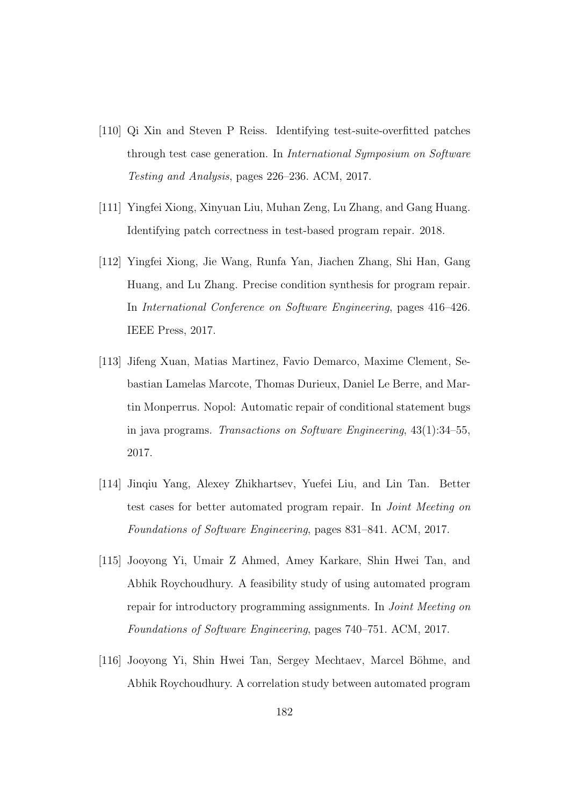- [110] Qi Xin and Steven P Reiss. Identifying test-suite-overfitted patches through test case generation. In International Symposium on Software Testing and Analysis, pages 226–236. ACM, 2017.
- [111] Yingfei Xiong, Xinyuan Liu, Muhan Zeng, Lu Zhang, and Gang Huang. Identifying patch correctness in test-based program repair. 2018.
- [112] Yingfei Xiong, Jie Wang, Runfa Yan, Jiachen Zhang, Shi Han, Gang Huang, and Lu Zhang. Precise condition synthesis for program repair. In International Conference on Software Engineering, pages 416–426. IEEE Press, 2017.
- [113] Jifeng Xuan, Matias Martinez, Favio Demarco, Maxime Clement, Sebastian Lamelas Marcote, Thomas Durieux, Daniel Le Berre, and Martin Monperrus. Nopol: Automatic repair of conditional statement bugs in java programs. Transactions on Software Engineering, 43(1):34–55, 2017.
- [114] Jinqiu Yang, Alexey Zhikhartsev, Yuefei Liu, and Lin Tan. Better test cases for better automated program repair. In Joint Meeting on Foundations of Software Engineering, pages 831–841. ACM, 2017.
- [115] Jooyong Yi, Umair Z Ahmed, Amey Karkare, Shin Hwei Tan, and Abhik Roychoudhury. A feasibility study of using automated program repair for introductory programming assignments. In *Joint Meeting on* Foundations of Software Engineering, pages 740–751. ACM, 2017.
- [116] Jooyong Yi, Shin Hwei Tan, Sergey Mechtaev, Marcel Böhme, and Abhik Roychoudhury. A correlation study between automated program